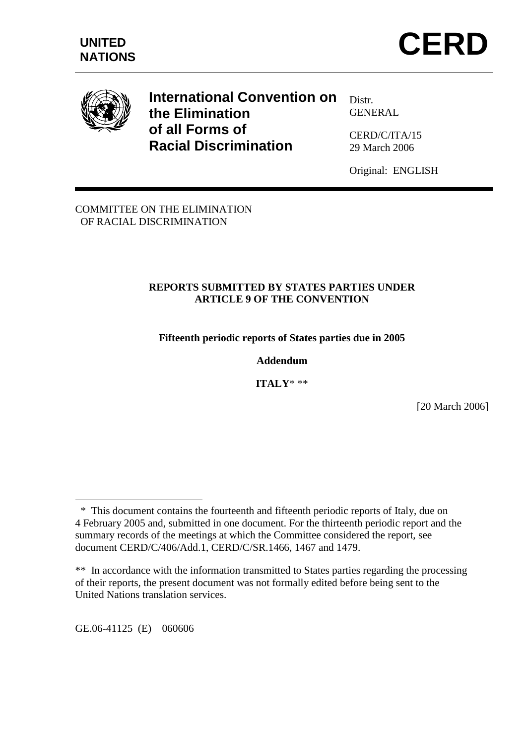

**International Convention on the Elimination of all Forms of Racial Discrimination** 

Distr. GENERAL

CERD/C/ITA/15 29 March 2006

Original: ENGLISH

COMMITTEE ON THE ELIMINATION OF RACIAL DISCRIMINATION

# **REPORTS SUBMITTED BY STATES PARTIES UNDER ARTICLE 9 OF THE CONVENTION**

**Fifteenth periodic reports of States parties due in 2005** 

**Addendum** 

**ITALY**\* \*\*

[20 March 2006]

GE.06-41125 (E) 060606

 $\overline{a}$ 

 <sup>\*</sup> This document contains the fourteenth and fifteenth periodic reports of Italy, due on 4 February 2005 and, submitted in one document. For the thirteenth periodic report and the summary records of the meetings at which the Committee considered the report, see document CERD/C/406/Add.1, CERD/C/SR.1466, 1467 and 1479.

<sup>\*\*</sup>In accordance with the information transmitted to States parties regarding the processing of their reports, the present document was not formally edited before being sent to the United Nations translation services.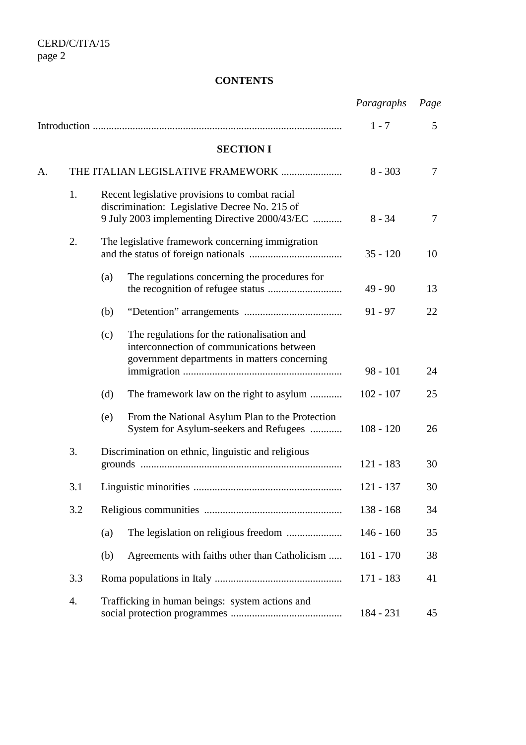# **CONTENTS**

|    |     |                                                                                                                                                  | Paragraphs  | Page |
|----|-----|--------------------------------------------------------------------------------------------------------------------------------------------------|-------------|------|
|    |     |                                                                                                                                                  | $1 - 7$     | 5    |
|    |     | <b>SECTION I</b>                                                                                                                                 |             |      |
| A. |     | THE ITALIAN LEGISLATIVE FRAMEWORK                                                                                                                | $8 - 303$   | 7    |
|    | 1.  | Recent legislative provisions to combat racial<br>discrimination: Legislative Decree No. 215 of<br>9 July 2003 implementing Directive 2000/43/EC | $8 - 34$    | 7    |
|    | 2.  | The legislative framework concerning immigration                                                                                                 | $35 - 120$  | 10   |
|    |     | The regulations concerning the procedures for<br>(a)                                                                                             | $49 - 90$   | 13   |
|    |     | (b)                                                                                                                                              | $91 - 97$   | 22   |
|    |     | The regulations for the rationalisation and<br>(c)<br>interconnection of communications between<br>government departments in matters concerning  | $98 - 101$  | 24   |
|    |     | (d)<br>The framework law on the right to asylum                                                                                                  | $102 - 107$ | 25   |
|    |     | From the National Asylum Plan to the Protection<br>(e)<br>System for Asylum-seekers and Refugees                                                 | $108 - 120$ | 26   |
|    | 3.  | Discrimination on ethnic, linguistic and religious                                                                                               | $121 - 183$ | 30   |
|    | 3.1 |                                                                                                                                                  | $121 - 137$ | 30   |
|    | 3.2 |                                                                                                                                                  | $138 - 168$ | 34   |
|    |     | (a)                                                                                                                                              | $146 - 160$ | 35   |
|    |     | Agreements with faiths other than Catholicism<br>(b)                                                                                             | $161 - 170$ | 38   |
|    | 3.3 |                                                                                                                                                  | $171 - 183$ | 41   |
|    | 4.  | Trafficking in human beings: system actions and                                                                                                  | 184 - 231   | 45   |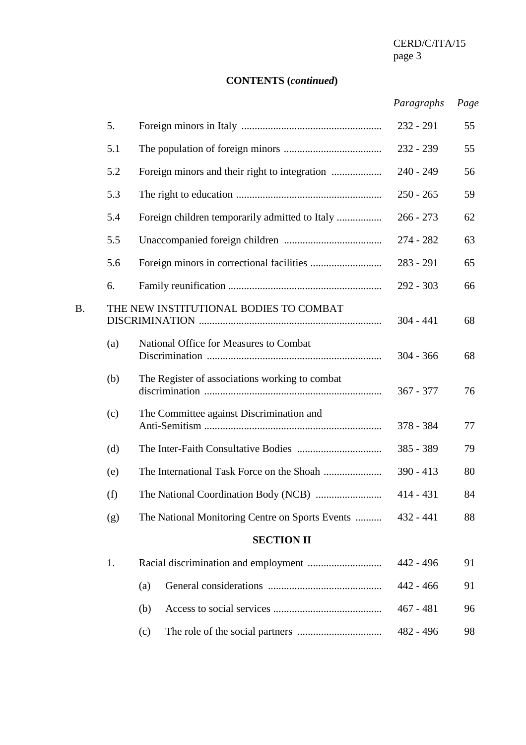CERD/C/ITA/15<br>page 3 page 3

# **CONTENTS (***continued***)**

# *Paragraphs Page*

|    | 5.  |                                                 | $232 - 291$ | 55 |
|----|-----|-------------------------------------------------|-------------|----|
|    | 5.1 |                                                 | $232 - 239$ | 55 |
|    | 5.2 |                                                 | $240 - 249$ | 56 |
|    | 5.3 |                                                 | $250 - 265$ | 59 |
|    | 5.4 | Foreign children temporarily admitted to Italy  | $266 - 273$ | 62 |
|    | 5.5 |                                                 | 274 - 282   | 63 |
|    | 5.6 |                                                 | $283 - 291$ | 65 |
|    | 6.  |                                                 | $292 - 303$ | 66 |
| B. |     | THE NEW INSTITUTIONAL BODIES TO COMBAT          | $304 - 441$ | 68 |
|    | (a) | National Office for Measures to Combat          | $304 - 366$ | 68 |
|    | (b) | The Register of associations working to combat  | $367 - 377$ | 76 |
|    | (c) | The Committee against Discrimination and        | 378 - 384   | 77 |
|    | (d) |                                                 | $385 - 389$ | 79 |
|    | (e) |                                                 | $390 - 413$ | 80 |
|    | (f) |                                                 | $414 - 431$ | 84 |
|    | (g) | The National Monitoring Centre on Sports Events | $432 - 441$ | 88 |
|    |     | <b>SECTION II</b>                               |             |    |
|    | 1.  |                                                 | 442 - 496   | 91 |
|    |     | (a)                                             | $442 - 466$ | 91 |
|    |     | (b)                                             | $467 - 481$ | 96 |
|    |     | (c)                                             | 482 - 496   | 98 |
|    |     |                                                 |             |    |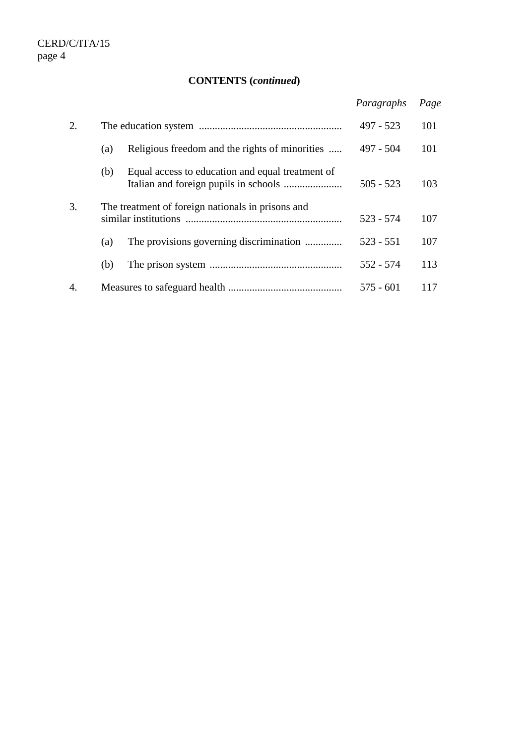# **CONTENTS (***continued***)**

|    |                                                         | Paragraphs  | Page |
|----|---------------------------------------------------------|-------------|------|
| 2. |                                                         | $497 - 523$ | 101  |
|    | Religious freedom and the rights of minorities<br>(a)   | 497 - 504   | 101  |
|    | Equal access to education and equal treatment of<br>(b) | $505 - 523$ | 103  |
| 3. | The treatment of foreign nationals in prisons and       | $523 - 574$ | 107  |
|    | The provisions governing discrimination<br>(a)          | $523 - 551$ | 107  |
|    | (b)                                                     | $552 - 574$ | 113  |
| 4. |                                                         | $575 - 601$ | 117  |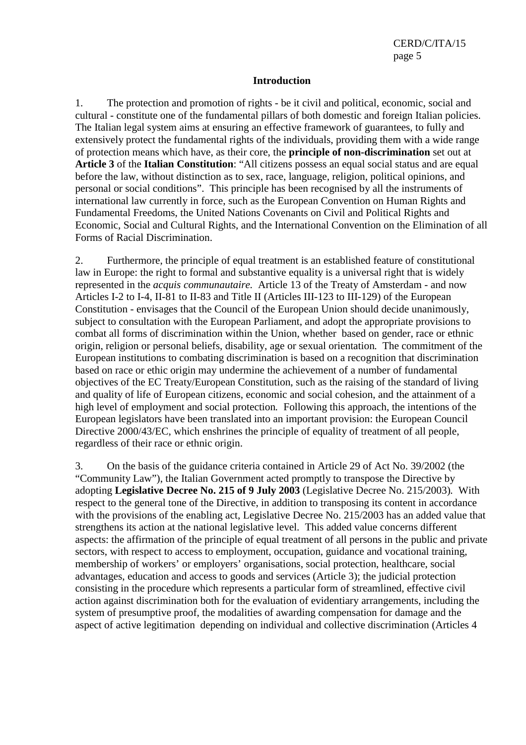#### **Introduction**

1. The protection and promotion of rights - be it civil and political, economic, social and cultural - constitute one of the fundamental pillars of both domestic and foreign Italian policies. The Italian legal system aims at ensuring an effective framework of guarantees, to fully and extensively protect the fundamental rights of the individuals, providing them with a wide range of protection means which have, as their core, the **principle of non-discrimination** set out at **Article 3** of the **Italian Constitution**: "All citizens possess an equal social status and are equal before the law, without distinction as to sex, race, language, religion, political opinions, and personal or social conditions". This principle has been recognised by all the instruments of international law currently in force, such as the European Convention on Human Rights and Fundamental Freedoms, the United Nations Covenants on Civil and Political Rights and Economic, Social and Cultural Rights, and the International Convention on the Elimination of all Forms of Racial Discrimination.

2. Furthermore, the principle of equal treatment is an established feature of constitutional law in Europe: the right to formal and substantive equality is a universal right that is widely represented in the *acquis communautaire.* Article 13 of the Treaty of Amsterdam - and now Articles I-2 to I-4, II-81 to II-83 and Title II (Articles III-123 to III-129) of the European Constitution - envisages that the Council of the European Union should decide unanimously, subject to consultation with the European Parliament, and adopt the appropriate provisions to combat all forms of discrimination within the Union, whether based on gender, race or ethnic origin, religion or personal beliefs, disability, age or sexual orientation*.* The commitment of the European institutions to combating discrimination is based on a recognition that discrimination based on race or ethic origin may undermine the achievement of a number of fundamental objectives of the EC Treaty/European Constitution, such as the raising of the standard of living and quality of life of European citizens, economic and social cohesion, and the attainment of a high level of employment and social protection*.* Following this approach, the intentions of the European legislators have been translated into an important provision: the European Council Directive 2000/43/EC, which enshrines the principle of equality of treatment of all people. regardless of their race or ethnic origin.

3. On the basis of the guidance criteria contained in Article 29 of Act No. 39/2002 (the "Community Law"), the Italian Government acted promptly to transpose the Directive by adopting **Legislative Decree No. 215 of 9 July 2003** (Legislative Decree No. 215/2003)*.* With respect to the general tone of the Directive, in addition to transposing its content in accordance with the provisions of the enabling act, Legislative Decree No. 215/2003 has an added value that strengthens its action at the national legislative level*.* This added value concerns different aspects: the affirmation of the principle of equal treatment of all persons in the public and private sectors, with respect to access to employment, occupation, guidance and vocational training, membership of workers' or employers' organisations, social protection, healthcare, social advantages, education and access to goods and services (Article 3); the judicial protection consisting in the procedure which represents a particular form of streamlined, effective civil action against discrimination both for the evaluation of evidentiary arrangements, including the system of presumptive proof, the modalities of awarding compensation for damage and the aspect of active legitimation depending on individual and collective discrimination (Articles 4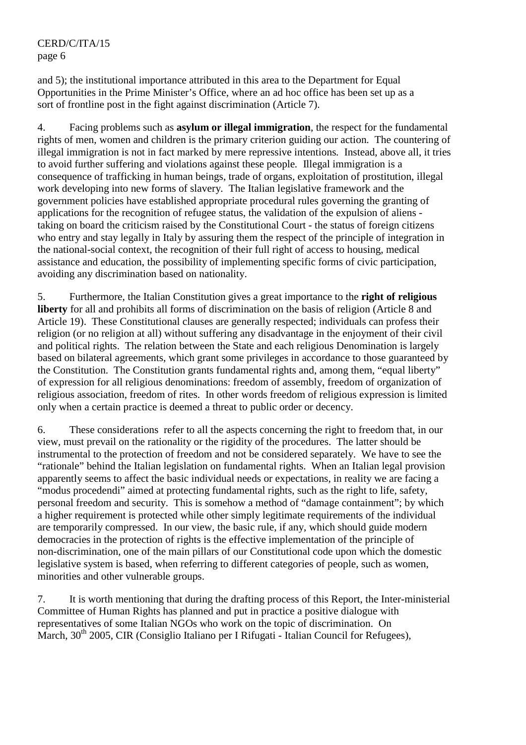and 5); the institutional importance attributed in this area to the Department for Equal Opportunities in the Prime Minister's Office, where an ad hoc office has been set up as a sort of frontline post in the fight against discrimination (Article 7).

4. Facing problems such as **asylum or illegal immigration**, the respect for the fundamental rights of men, women and children is the primary criterion guiding our action*.* The countering of illegal immigration is not in fact marked by mere repressive intentions*.* Instead, above all, it tries to avoid further suffering and violations against these people*.* Illegal immigration is a consequence of trafficking in human beings, trade of organs, exploitation of prostitution, illegal work developing into new forms of slavery*.* The Italian legislative framework and the government policies have established appropriate procedural rules governing the granting of applications for the recognition of refugee status, the validation of the expulsion of aliens taking on board the criticism raised by the Constitutional Court - the status of foreign citizens who entry and stay legally in Italy by assuring them the respect of the principle of integration in the national-social context, the recognition of their full right of access to housing, medical assistance and education, the possibility of implementing specific forms of civic participation, avoiding any discrimination based on nationality.

5. Furthermore, the Italian Constitution gives a great importance to the **right of religious liberty** for all and prohibits all forms of discrimination on the basis of religion (Article 8 and Article 19). These Constitutional clauses are generally respected; individuals can profess their religion (or no religion at all) without suffering any disadvantage in the enjoyment of their civil and political rights. The relation between the State and each religious Denomination is largely based on bilateral agreements, which grant some privileges in accordance to those guaranteed by the Constitution. The Constitution grants fundamental rights and, among them, "equal liberty" of expression for all religious denominations: freedom of assembly, freedom of organization of religious association, freedom of rites. In other words freedom of religious expression is limited only when a certain practice is deemed a threat to public order or decency.

6. These considerations refer to all the aspects concerning the right to freedom that, in our view, must prevail on the rationality or the rigidity of the procedures. The latter should be instrumental to the protection of freedom and not be considered separately. We have to see the "rationale" behind the Italian legislation on fundamental rights. When an Italian legal provision apparently seems to affect the basic individual needs or expectations, in reality we are facing a "modus procedendi" aimed at protecting fundamental rights, such as the right to life, safety, personal freedom and security. This is somehow a method of "damage containment"; by which a higher requirement is protected while other simply legitimate requirements of the individual are temporarily compressed. In our view, the basic rule, if any, which should guide modern democracies in the protection of rights is the effective implementation of the principle of non-discrimination, one of the main pillars of our Constitutional code upon which the domestic legislative system is based, when referring to different categories of people, such as women, minorities and other vulnerable groups.

7. It is worth mentioning that during the drafting process of this Report, the Inter-ministerial Committee of Human Rights has planned and put in practice a positive dialogue with representatives of some Italian NGOs who work on the topic of discrimination. On March,  $30<sup>th</sup>$  2005, CIR (Consiglio Italiano per I Rifugati - Italian Council for Refugees),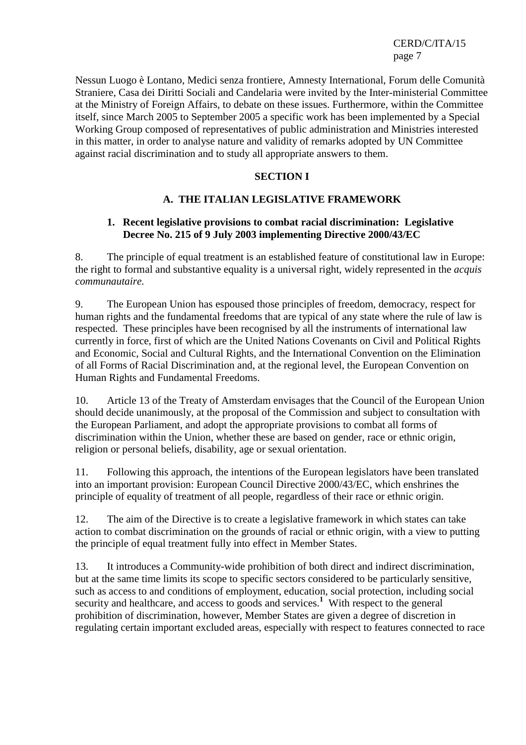Nessun Luogo è Lontano, Medici senza frontiere, Amnesty International, Forum delle Comunità Straniere, Casa dei Diritti Sociali and Candelaria were invited by the Inter-ministerial Committee at the Ministry of Foreign Affairs, to debate on these issues. Furthermore, within the Committee itself, since March 2005 to September 2005 a specific work has been implemented by a Special Working Group composed of representatives of public administration and Ministries interested in this matter, in order to analyse nature and validity of remarks adopted by UN Committee against racial discrimination and to study all appropriate answers to them.

#### **SECTION I**

## **A. THE ITALIAN LEGISLATIVE FRAMEWORK**

#### **1. Recent legislative provisions to combat racial discrimination: Legislative Decree No. 215 of 9 July 2003 implementing Directive 2000/43/EC**

8. The principle of equal treatment is an established feature of constitutional law in Europe: the right to formal and substantive equality is a universal right, widely represented in the *acquis communautaire.* 

9. The European Union has espoused those principles of freedom, democracy, respect for human rights and the fundamental freedoms that are typical of any state where the rule of law is respected. These principles have been recognised by all the instruments of international law currently in force, first of which are the United Nations Covenants on Civil and Political Rights and Economic, Social and Cultural Rights, and the International Convention on the Elimination of all Forms of Racial Discrimination and, at the regional level, the European Convention on Human Rights and Fundamental Freedoms.

10. Article 13 of the Treaty of Amsterdam envisages that the Council of the European Union should decide unanimously, at the proposal of the Commission and subject to consultation with the European Parliament, and adopt the appropriate provisions to combat all forms of discrimination within the Union, whether these are based on gender, race or ethnic origin, religion or personal beliefs, disability, age or sexual orientation.

11. Following this approach, the intentions of the European legislators have been translated into an important provision: European Council Directive 2000/43/EC, which enshrines the principle of equality of treatment of all people, regardless of their race or ethnic origin.

12. The aim of the Directive is to create a legislative framework in which states can take action to combat discrimination on the grounds of racial or ethnic origin, with a view to putting the principle of equal treatment fully into effect in Member States.

13. It introduces a Community-wide prohibition of both direct and indirect discrimination, but at the same time limits its scope to specific sectors considered to be particularly sensitive, such as access to and conditions of employment, education, social protection, including social security and healthcare, and access to goods and services.<sup>1</sup> With respect to the general prohibition of discrimination, however, Member States are given a degree of discretion in regulating certain important excluded areas, especially with respect to features connected to race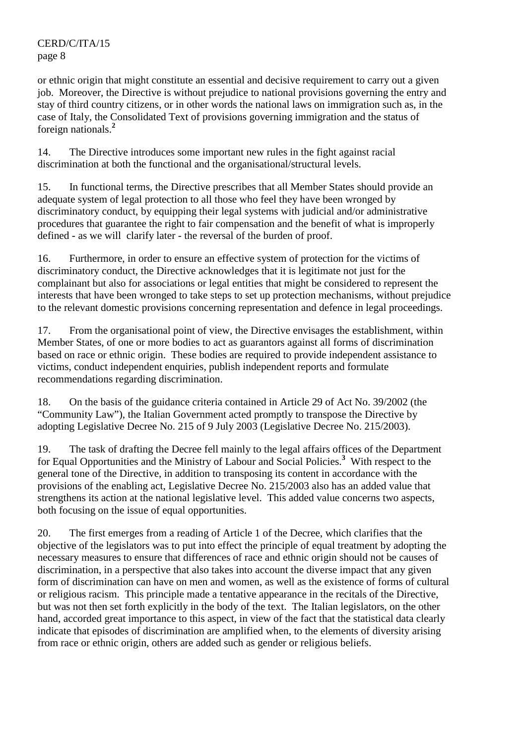or ethnic origin that might constitute an essential and decisive requirement to carry out a given job. Moreover, the Directive is without prejudice to national provisions governing the entry and stay of third country citizens, or in other words the national laws on immigration such as, in the case of Italy, the Consolidated Text of provisions governing immigration and the status of foreign nationals.**<sup>2</sup>**

14. The Directive introduces some important new rules in the fight against racial discrimination at both the functional and the organisational/structural levels.

15. In functional terms, the Directive prescribes that all Member States should provide an adequate system of legal protection to all those who feel they have been wronged by discriminatory conduct, by equipping their legal systems with judicial and/or administrative procedures that guarantee the right to fair compensation and the benefit of what is improperly defined - as we will clarify later - the reversal of the burden of proof.

16. Furthermore, in order to ensure an effective system of protection for the victims of discriminatory conduct, the Directive acknowledges that it is legitimate not just for the complainant but also for associations or legal entities that might be considered to represent the interests that have been wronged to take steps to set up protection mechanisms, without prejudice to the relevant domestic provisions concerning representation and defence in legal proceedings.

17. From the organisational point of view, the Directive envisages the establishment, within Member States, of one or more bodies to act as guarantors against all forms of discrimination based on race or ethnic origin. These bodies are required to provide independent assistance to victims, conduct independent enquiries, publish independent reports and formulate recommendations regarding discrimination.

18. On the basis of the guidance criteria contained in Article 29 of Act No. 39/2002 (the "Community Law"), the Italian Government acted promptly to transpose the Directive by adopting Legislative Decree No. 215 of 9 July 2003 (Legislative Decree No. 215/2003).

19. The task of drafting the Decree fell mainly to the legal affairs offices of the Department for Equal Opportunities and the Ministry of Labour and Social Policies.**<sup>3</sup>** With respect to the general tone of the Directive, in addition to transposing its content in accordance with the provisions of the enabling act, Legislative Decree No. 215/2003 also has an added value that strengthens its action at the national legislative level. This added value concerns two aspects, both focusing on the issue of equal opportunities.

20. The first emerges from a reading of Article 1 of the Decree, which clarifies that the objective of the legislators was to put into effect the principle of equal treatment by adopting the necessary measures to ensure that differences of race and ethnic origin should not be causes of discrimination, in a perspective that also takes into account the diverse impact that any given form of discrimination can have on men and women, as well as the existence of forms of cultural or religious racism. This principle made a tentative appearance in the recitals of the Directive, but was not then set forth explicitly in the body of the text. The Italian legislators, on the other hand, accorded great importance to this aspect, in view of the fact that the statistical data clearly indicate that episodes of discrimination are amplified when, to the elements of diversity arising from race or ethnic origin, others are added such as gender or religious beliefs.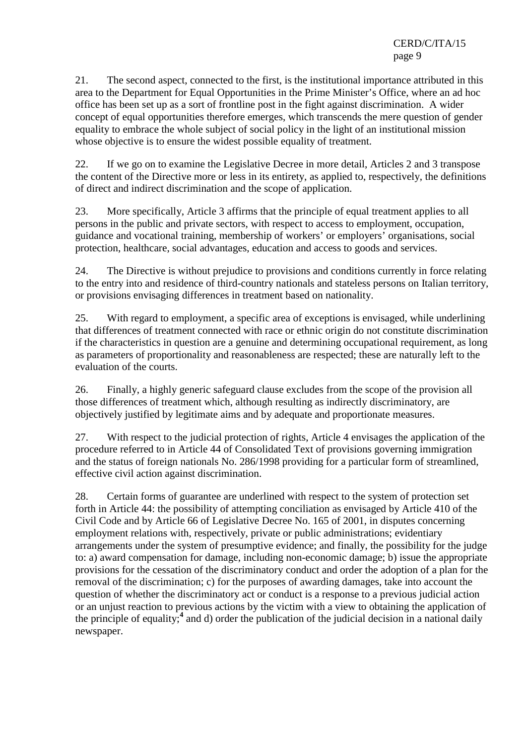21. The second aspect, connected to the first, is the institutional importance attributed in this area to the Department for Equal Opportunities in the Prime Minister's Office, where an ad hoc office has been set up as a sort of frontline post in the fight against discrimination. A wider concept of equal opportunities therefore emerges, which transcends the mere question of gender equality to embrace the whole subject of social policy in the light of an institutional mission whose objective is to ensure the widest possible equality of treatment.

22. If we go on to examine the Legislative Decree in more detail, Articles 2 and 3 transpose the content of the Directive more or less in its entirety, as applied to, respectively, the definitions of direct and indirect discrimination and the scope of application.

23. More specifically, Article 3 affirms that the principle of equal treatment applies to all persons in the public and private sectors, with respect to access to employment, occupation, guidance and vocational training, membership of workers' or employers' organisations, social protection, healthcare, social advantages, education and access to goods and services.

24. The Directive is without prejudice to provisions and conditions currently in force relating to the entry into and residence of third-country nationals and stateless persons on Italian territory, or provisions envisaging differences in treatment based on nationality.

25. With regard to employment, a specific area of exceptions is envisaged, while underlining that differences of treatment connected with race or ethnic origin do not constitute discrimination if the characteristics in question are a genuine and determining occupational requirement, as long as parameters of proportionality and reasonableness are respected; these are naturally left to the evaluation of the courts.

26. Finally, a highly generic safeguard clause excludes from the scope of the provision all those differences of treatment which, although resulting as indirectly discriminatory, are objectively justified by legitimate aims and by adequate and proportionate measures.

27. With respect to the judicial protection of rights, Article 4 envisages the application of the procedure referred to in Article 44 of Consolidated Text of provisions governing immigration and the status of foreign nationals No. 286/1998 providing for a particular form of streamlined, effective civil action against discrimination.

28. Certain forms of guarantee are underlined with respect to the system of protection set forth in Article 44: the possibility of attempting conciliation as envisaged by Article 410 of the Civil Code and by Article 66 of Legislative Decree No. 165 of 2001, in disputes concerning employment relations with, respectively, private or public administrations; evidentiary arrangements under the system of presumptive evidence; and finally, the possibility for the judge to: a) award compensation for damage, including non-economic damage; b) issue the appropriate provisions for the cessation of the discriminatory conduct and order the adoption of a plan for the removal of the discrimination; c) for the purposes of awarding damages, take into account the question of whether the discriminatory act or conduct is a response to a previous judicial action or an unjust reaction to previous actions by the victim with a view to obtaining the application of the principle of equality;**<sup>4</sup>** and d) order the publication of the judicial decision in a national daily newspaper.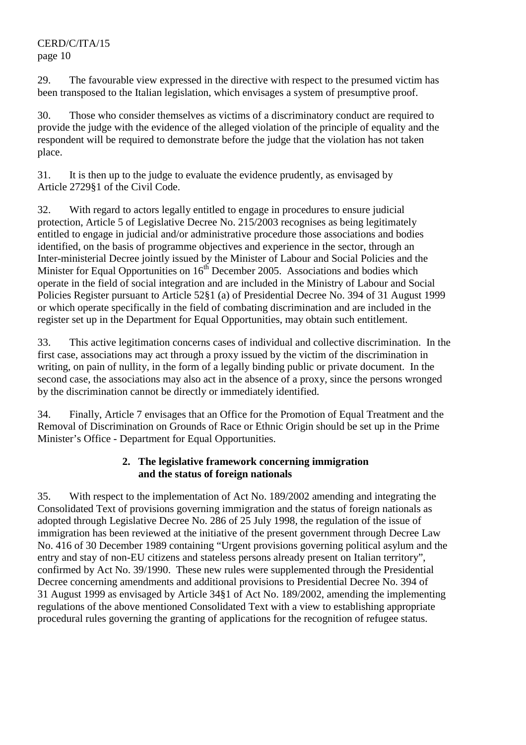29. The favourable view expressed in the directive with respect to the presumed victim has been transposed to the Italian legislation, which envisages a system of presumptive proof.

30. Those who consider themselves as victims of a discriminatory conduct are required to provide the judge with the evidence of the alleged violation of the principle of equality and the respondent will be required to demonstrate before the judge that the violation has not taken place.

31. It is then up to the judge to evaluate the evidence prudently, as envisaged by Article 2729§1 of the Civil Code.

32. With regard to actors legally entitled to engage in procedures to ensure judicial protection, Article 5 of Legislative Decree No. 215/2003 recognises as being legitimately entitled to engage in judicial and/or administrative procedure those associations and bodies identified, on the basis of programme objectives and experience in the sector, through an Inter-ministerial Decree jointly issued by the Minister of Labour and Social Policies and the Minister for Equal Opportunities on  $16<sup>th</sup>$  December 2005. Associations and bodies which operate in the field of social integration and are included in the Ministry of Labour and Social Policies Register pursuant to Article 52§1 (a) of Presidential Decree No. 394 of 31 August 1999 or which operate specifically in the field of combating discrimination and are included in the register set up in the Department for Equal Opportunities, may obtain such entitlement.

33. This active legitimation concerns cases of individual and collective discrimination. In the first case, associations may act through a proxy issued by the victim of the discrimination in writing, on pain of nullity, in the form of a legally binding public or private document. In the second case, the associations may also act in the absence of a proxy, since the persons wronged by the discrimination cannot be directly or immediately identified.

34. Finally, Article 7 envisages that an Office for the Promotion of Equal Treatment and the Removal of Discrimination on Grounds of Race or Ethnic Origin should be set up in the Prime Minister's Office - Department for Equal Opportunities.

# **2. The legislative framework concerning immigration and the status of foreign nationals**

35. With respect to the implementation of Act No. 189/2002 amending and integrating the Consolidated Text of provisions governing immigration and the status of foreign nationals as adopted through Legislative Decree No. 286 of 25 July 1998, the regulation of the issue of immigration has been reviewed at the initiative of the present government through Decree Law No. 416 of 30 December 1989 containing "Urgent provisions governing political asylum and the entry and stay of non-EU citizens and stateless persons already present on Italian territory", confirmed by Act No. 39/1990. These new rules were supplemented through the Presidential Decree concerning amendments and additional provisions to Presidential Decree No. 394 of 31 August 1999 as envisaged by Article 34§1 of Act No. 189/2002, amending the implementing regulations of the above mentioned Consolidated Text with a view to establishing appropriate procedural rules governing the granting of applications for the recognition of refugee status.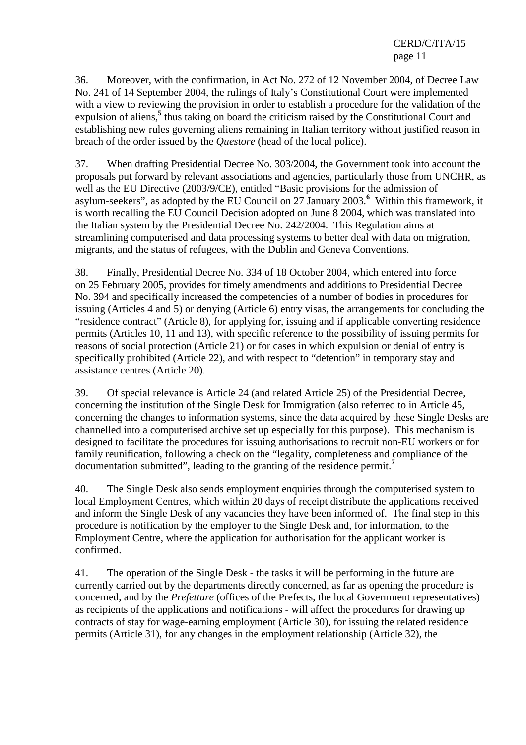36. Moreover, with the confirmation, in Act No. 272 of 12 November 2004, of Decree Law No. 241 of 14 September 2004, the rulings of Italy's Constitutional Court were implemented with a view to reviewing the provision in order to establish a procedure for the validation of the expulsion of aliens,<sup>5</sup> thus taking on board the criticism raised by the Constitutional Court and establishing new rules governing aliens remaining in Italian territory without justified reason in breach of the order issued by the *Questore* (head of the local police).

37. When drafting Presidential Decree No. 303/2004, the Government took into account the proposals put forward by relevant associations and agencies, particularly those from UNCHR, as well as the EU Directive (2003/9/CE), entitled "Basic provisions for the admission of asylum-seekers", as adopted by the EU Council on 27 January 2003.**<sup>6</sup>** Within this framework, it is worth recalling the EU Council Decision adopted on June 8 2004, which was translated into the Italian system by the Presidential Decree No. 242/2004. This Regulation aims at streamlining computerised and data processing systems to better deal with data on migration, migrants, and the status of refugees, with the Dublin and Geneva Conventions.

38. Finally, Presidential Decree No. 334 of 18 October 2004, which entered into force on 25 February 2005, provides for timely amendments and additions to Presidential Decree No. 394 and specifically increased the competencies of a number of bodies in procedures for issuing (Articles 4 and 5) or denying (Article 6) entry visas, the arrangements for concluding the "residence contract" (Article 8), for applying for, issuing and if applicable converting residence permits (Articles 10, 11 and 13), with specific reference to the possibility of issuing permits for reasons of social protection (Article 21) or for cases in which expulsion or denial of entry is specifically prohibited (Article 22), and with respect to "detention" in temporary stay and assistance centres (Article 20).

39. Of special relevance is Article 24 (and related Article 25) of the Presidential Decree, concerning the institution of the Single Desk for Immigration (also referred to in Article 45, concerning the changes to information systems, since the data acquired by these Single Desks are channelled into a computerised archive set up especially for this purpose). This mechanism is designed to facilitate the procedures for issuing authorisations to recruit non-EU workers or for family reunification, following a check on the "legality, completeness and compliance of the documentation submitted", leading to the granting of the residence permit.**<sup>7</sup>**

40. The Single Desk also sends employment enquiries through the computerised system to local Employment Centres, which within 20 days of receipt distribute the applications received and inform the Single Desk of any vacancies they have been informed of. The final step in this procedure is notification by the employer to the Single Desk and, for information, to the Employment Centre, where the application for authorisation for the applicant worker is confirmed.

41. The operation of the Single Desk - the tasks it will be performing in the future are currently carried out by the departments directly concerned, as far as opening the procedure is concerned, and by the *Prefetture* (offices of the Prefects, the local Government representatives) as recipients of the applications and notifications - will affect the procedures for drawing up contracts of stay for wage-earning employment (Article 30), for issuing the related residence permits (Article 31), for any changes in the employment relationship (Article 32), the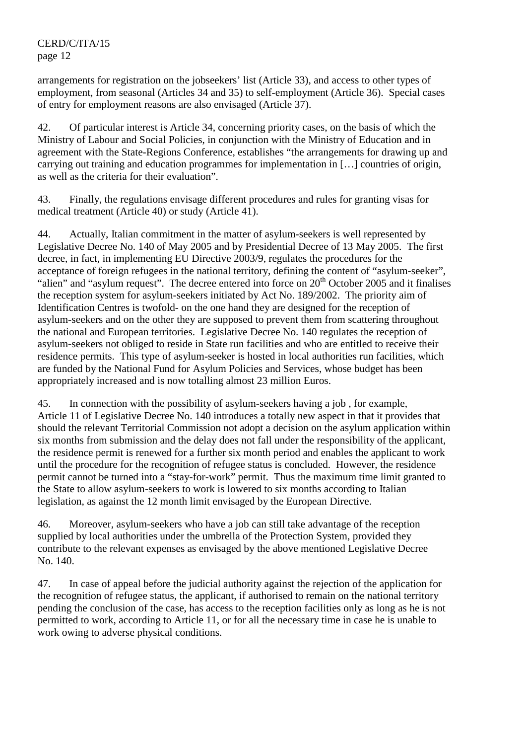arrangements for registration on the jobseekers' list (Article 33), and access to other types of employment, from seasonal (Articles 34 and 35) to self-employment (Article 36). Special cases of entry for employment reasons are also envisaged (Article 37).

42. Of particular interest is Article 34, concerning priority cases, on the basis of which the Ministry of Labour and Social Policies, in conjunction with the Ministry of Education and in agreement with the State-Regions Conference, establishes "the arrangements for drawing up and carrying out training and education programmes for implementation in […] countries of origin, as well as the criteria for their evaluation".

43. Finally, the regulations envisage different procedures and rules for granting visas for medical treatment (Article 40) or study (Article 41).

44. Actually, Italian commitment in the matter of asylum-seekers is well represented by Legislative Decree No. 140 of May 2005 and by Presidential Decree of 13 May 2005. The first decree, in fact, in implementing EU Directive 2003/9, regulates the procedures for the acceptance of foreign refugees in the national territory, defining the content of "asylum-seeker", "alien" and "asylum request". The decree entered into force on 20<sup>th</sup> October 2005 and it finalises the reception system for asylum-seekers initiated by Act No. 189/2002. The priority aim of Identification Centres is twofold- on the one hand they are designed for the reception of asylum-seekers and on the other they are supposed to prevent them from scattering throughout the national and European territories. Legislative Decree No. 140 regulates the reception of asylum-seekers not obliged to reside in State run facilities and who are entitled to receive their residence permits. This type of asylum-seeker is hosted in local authorities run facilities, which are funded by the National Fund for Asylum Policies and Services, whose budget has been appropriately increased and is now totalling almost 23 million Euros.

45. In connection with the possibility of asylum-seekers having a job , for example, Article 11 of Legislative Decree No. 140 introduces a totally new aspect in that it provides that should the relevant Territorial Commission not adopt a decision on the asylum application within six months from submission and the delay does not fall under the responsibility of the applicant, the residence permit is renewed for a further six month period and enables the applicant to work until the procedure for the recognition of refugee status is concluded. However, the residence permit cannot be turned into a "stay-for-work" permit. Thus the maximum time limit granted to the State to allow asylum-seekers to work is lowered to six months according to Italian legislation, as against the 12 month limit envisaged by the European Directive.

46. Moreover, asylum-seekers who have a job can still take advantage of the reception supplied by local authorities under the umbrella of the Protection System, provided they contribute to the relevant expenses as envisaged by the above mentioned Legislative Decree No. 140.

47. In case of appeal before the judicial authority against the rejection of the application for the recognition of refugee status, the applicant, if authorised to remain on the national territory pending the conclusion of the case, has access to the reception facilities only as long as he is not permitted to work, according to Article 11, or for all the necessary time in case he is unable to work owing to adverse physical conditions.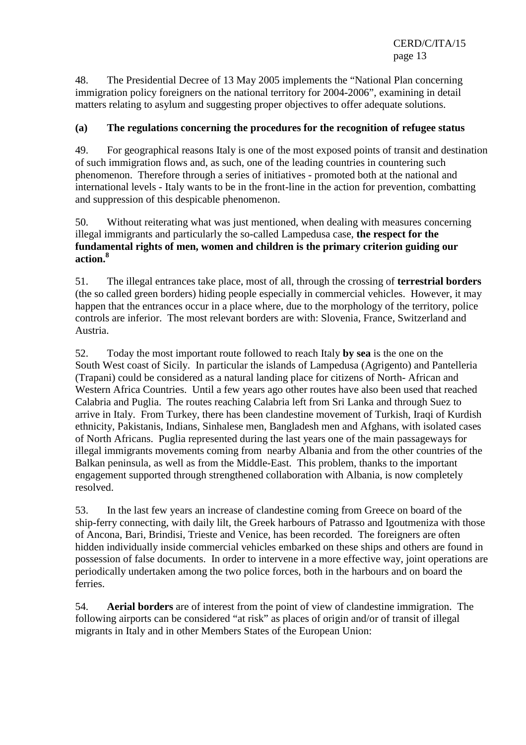48. The Presidential Decree of 13 May 2005 implements the "National Plan concerning immigration policy foreigners on the national territory for 2004-2006", examining in detail matters relating to asylum and suggesting proper objectives to offer adequate solutions.

# **(a) The regulations concerning the procedures for the recognition of refugee status**

49. For geographical reasons Italy is one of the most exposed points of transit and destination of such immigration flows and, as such, one of the leading countries in countering such phenomenon. Therefore through a series of initiatives - promoted both at the national and international levels - Italy wants to be in the front-line in the action for prevention, combatting and suppression of this despicable phenomenon.

50. Without reiterating what was just mentioned, when dealing with measures concerning illegal immigrants and particularly the so-called Lampedusa case, **the respect for the fundamental rights of men, women and children is the primary criterion guiding our action.<sup>8</sup>**

51. The illegal entrances take place, most of all, through the crossing of **terrestrial borders**  (the so called green borders) hiding people especially in commercial vehicles. However, it may happen that the entrances occur in a place where, due to the morphology of the territory, police controls are inferior. The most relevant borders are with: Slovenia, France, Switzerland and Austria.

52. Today the most important route followed to reach Italy **by sea** is the one on the South West coast of Sicily. In particular the islands of Lampedusa (Agrigento) and Pantelleria (Trapani) could be considered as a natural landing place for citizens of North- African and Western Africa Countries. Until a few years ago other routes have also been used that reached Calabria and Puglia. The routes reaching Calabria left from Sri Lanka and through Suez to arrive in Italy. From Turkey, there has been clandestine movement of Turkish, Iraqi of Kurdish ethnicity, Pakistanis, Indians, Sinhalese men, Bangladesh men and Afghans, with isolated cases of North Africans. Puglia represented during the last years one of the main passageways for illegal immigrants movements coming from nearby Albania and from the other countries of the Balkan peninsula, as well as from the Middle-East. This problem, thanks to the important engagement supported through strengthened collaboration with Albania, is now completely resolved.

53. In the last few years an increase of clandestine coming from Greece on board of the ship-ferry connecting, with daily lilt, the Greek harbours of Patrasso and Igoutmeniza with those of Ancona, Bari, Brindisi, Trieste and Venice, has been recorded. The foreigners are often hidden individually inside commercial vehicles embarked on these ships and others are found in possession of false documents. In order to intervene in a more effective way, joint operations are periodically undertaken among the two police forces, both in the harbours and on board the ferries.

54. **Aerial borders** are of interest from the point of view of clandestine immigration. The following airports can be considered "at risk" as places of origin and/or of transit of illegal migrants in Italy and in other Members States of the European Union: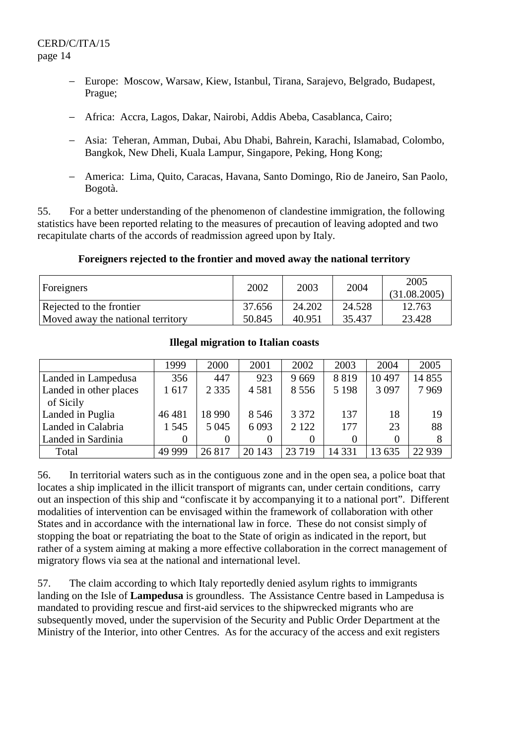- − Europe: Moscow, Warsaw, Kiew, Istanbul, Tirana, Sarajevo, Belgrado, Budapest, Prague;
- − Africa: Accra, Lagos, Dakar, Nairobi, Addis Abeba, Casablanca, Cairo;
- − Asia: Teheran, Amman, Dubai, Abu Dhabi, Bahrein, Karachi, Islamabad, Colombo, Bangkok, New Dheli, Kuala Lampur, Singapore, Peking, Hong Kong;
- − America: Lima, Quito, Caracas, Havana, Santo Domingo, Rio de Janeiro, San Paolo, Bogotà.

55. For a better understanding of the phenomenon of clandestine immigration, the following statistics have been reported relating to the measures of precaution of leaving adopted and two recapitulate charts of the accords of readmission agreed upon by Italy.

#### **Foreigners rejected to the frontier and moved away the national territory**

| Foreigners                        | 2002   | 2003   | 2004   | 2005<br>(31.08.2005) |
|-----------------------------------|--------|--------|--------|----------------------|
| Rejected to the frontier          | 37.656 | 24.202 | 24.528 | 12.763               |
| Moved away the national territory | 50.845 | 40.951 | 35.437 | 23.428               |

#### **Illegal migration to Italian coasts**

|                        | 1999    | 2000     | 2001    | 2002     | 2003    | 2004    | 2005    |
|------------------------|---------|----------|---------|----------|---------|---------|---------|
| Landed in Lampedusa    | 356     | 447      | 923     | 9669     | 8819    | 10 497  | 14 8 55 |
| Landed in other places | 1617    | 2 3 3 5  | 4581    | 8 5 5 6  | 5 1 9 8 | 3 0 9 7 | 7969    |
| of Sicily              |         |          |         |          |         |         |         |
| Landed in Puglia       | 46 481  | 18 9 9 0 | 8 5 4 6 | 3 3 7 2  | 137     | 18      | 19      |
| Landed in Calabria     | 1 5 4 5 | 5 0 4 5  | 6 0 9 3 | 2 1 2 2  | 177     | 23      | 88      |
| Landed in Sardinia     | 0       |          |         | $\theta$ |         |         |         |
| Total                  | 49 999  | 26817    | 20 14 3 | 23 7 19  | 14 3 31 | 13 635  | 22 9 39 |

56. In territorial waters such as in the contiguous zone and in the open sea, a police boat that locates a ship implicated in the illicit transport of migrants can, under certain conditions, carry out an inspection of this ship and "confiscate it by accompanying it to a national port". Different modalities of intervention can be envisaged within the framework of collaboration with other States and in accordance with the international law in force. These do not consist simply of stopping the boat or repatriating the boat to the State of origin as indicated in the report, but rather of a system aiming at making a more effective collaboration in the correct management of migratory flows via sea at the national and international level.

57. The claim according to which Italy reportedly denied asylum rights to immigrants landing on the Isle of **Lampedusa** is groundless. The Assistance Centre based in Lampedusa is mandated to providing rescue and first-aid services to the shipwrecked migrants who are subsequently moved, under the supervision of the Security and Public Order Department at the Ministry of the Interior, into other Centres. As for the accuracy of the access and exit registers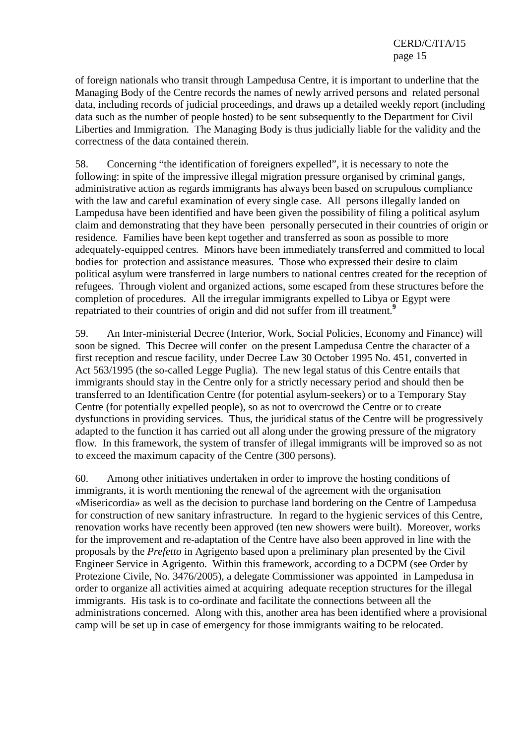of foreign nationals who transit through Lampedusa Centre, it is important to underline that the Managing Body of the Centre records the names of newly arrived persons and related personal data, including records of judicial proceedings, and draws up a detailed weekly report (including data such as the number of people hosted) to be sent subsequently to the Department for Civil Liberties and Immigration*.* The Managing Body is thus judicially liable for the validity and the correctness of the data contained therein.

58. Concerning "the identification of foreigners expelled", it is necessary to note the following: in spite of the impressive illegal migration pressure organised by criminal gangs, administrative action as regards immigrants has always been based on scrupulous compliance with the law and careful examination of every single case*.* All persons illegally landed on Lampedusa have been identified and have been given the possibility of filing a political asylum claim and demonstrating that they have been personally persecuted in their countries of origin or residence*.* Families have been kept together and transferred as soon as possible to more adequately-equipped centres*.* Minors have been immediately transferred and committed to local bodies for protection and assistance measures*.* Those who expressed their desire to claim political asylum were transferred in large numbers to national centres created for the reception of refugees. Through violent and organized actions, some escaped from these structures before the completion of procedures*.* All the irregular immigrants expelled to Libya or Egypt were repatriated to their countries of origin and did not suffer from ill treatment.**<sup>9</sup>**

59. An Inter-ministerial Decree (Interior, Work, Social Policies, Economy and Finance) will soon be signed*.* This Decree will confer on the present Lampedusa Centre the character of a first reception and rescue facility, under Decree Law 30 October 1995 No. 451, converted in Act 563/1995 (the so-called Legge Puglia)*.* The new legal status of this Centre entails that immigrants should stay in the Centre only for a strictly necessary period and should then be transferred to an Identification Centre (for potential asylum-seekers) or to a Temporary Stay Centre (for potentially expelled people), so as not to overcrowd the Centre or to create dysfunctions in providing services*.* Thus, the juridical status of the Centre will be progressively adapted to the function it has carried out all along under the growing pressure of the migratory flow*.* In this framework, the system of transfer of illegal immigrants will be improved so as not to exceed the maximum capacity of the Centre (300 persons).

60. Among other initiatives undertaken in order to improve the hosting conditions of immigrants, it is worth mentioning the renewal of the agreement with the organisation «Misericordia» as well as the decision to purchase land bordering on the Centre of Lampedusa for construction of new sanitary infrastructure*.* In regard to the hygienic services of this Centre, renovation works have recently been approved (ten new showers were built). Moreover, works for the improvement and re-adaptation of the Centre have also been approved in line with the proposals by the *Prefetto* in Agrigento based upon a preliminary plan presented by the Civil Engineer Service in Agrigento. Within this framework, according to a DCPM (see Order by Protezione Civile, No. 3476/2005), a delegate Commissioner was appointed in Lampedusa in order to organize all activities aimed at acquiring adequate reception structures for the illegal immigrants. His task is to co-ordinate and facilitate the connections between all the administrations concerned. Along with this, another area has been identified where a provisional camp will be set up in case of emergency for those immigrants waiting to be relocated.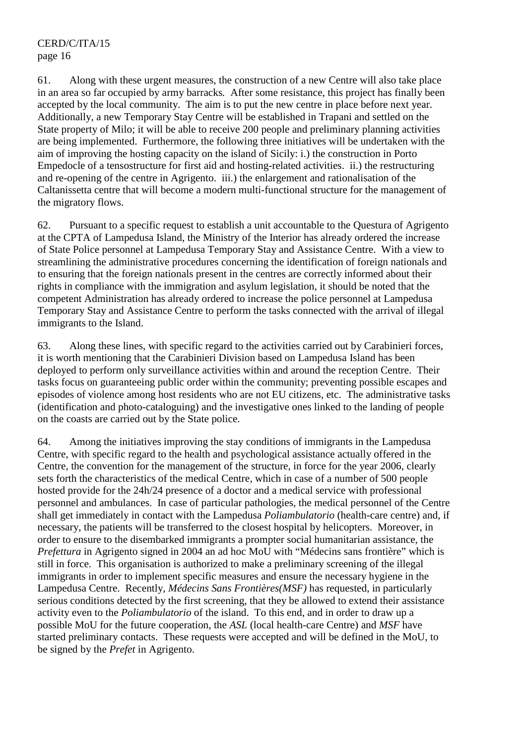61. Along with these urgent measures, the construction of a new Centre will also take place in an area so far occupied by army barracks*.* After some resistance, this project has finally been accepted by the local community. The aim is to put the new centre in place before next year. Additionally, a new Temporary Stay Centre will be established in Trapani and settled on the State property of Milo; it will be able to receive 200 people and preliminary planning activities are being implemented. Furthermore, the following three initiatives will be undertaken with the aim of improving the hosting capacity on the island of Sicily: i.) the construction in Porto Empedocle of a tensostructure for first aid and hosting-related activities. ii.) the restructuring and re-opening of the centre in Agrigento. iii.) the enlargement and rationalisation of the Caltanissetta centre that will become a modern multi-functional structure for the management of the migratory flows.

62. Pursuant to a specific request to establish a unit accountable to the Questura of Agrigento at the CPTA of Lampedusa Island, the Ministry of the Interior has already ordered the increase of State Police personnel at Lampedusa Temporary Stay and Assistance Centre. With a view to streamlining the administrative procedures concerning the identification of foreign nationals and to ensuring that the foreign nationals present in the centres are correctly informed about their rights in compliance with the immigration and asylum legislation, it should be noted that the competent Administration has already ordered to increase the police personnel at Lampedusa Temporary Stay and Assistance Centre to perform the tasks connected with the arrival of illegal immigrants to the Island.

63. Along these lines, with specific regard to the activities carried out by Carabinieri forces, it is worth mentioning that the Carabinieri Division based on Lampedusa Island has been deployed to perform only surveillance activities within and around the reception Centre. Their tasks focus on guaranteeing public order within the community; preventing possible escapes and episodes of violence among host residents who are not EU citizens, etc. The administrative tasks (identification and photo-cataloguing) and the investigative ones linked to the landing of people on the coasts are carried out by the State police.

64. Among the initiatives improving the stay conditions of immigrants in the Lampedusa Centre, with specific regard to the health and psychological assistance actually offered in the Centre, the convention for the management of the structure, in force for the year 2006, clearly sets forth the characteristics of the medical Centre, which in case of a number of 500 people hosted provide for the 24h/24 presence of a doctor and a medical service with professional personnel and ambulances. In case of particular pathologies, the medical personnel of the Centre shall get immediately in contact with the Lampedusa *Poliambulatorio* (health-care centre) and, if necessary, the patients will be transferred to the closest hospital by helicopters. Moreover, in order to ensure to the disembarked immigrants a prompter social humanitarian assistance, the *Prefettura* in Agrigento signed in 2004 an ad hoc MoU with "Médecins sans frontière" which is still in force. This organisation is authorized to make a preliminary screening of the illegal immigrants in order to implement specific measures and ensure the necessary hygiene in the Lampedusa Centre. Recently, *Médecins Sans Frontières(MSF)* has requested, in particularly serious conditions detected by the first screening, that they be allowed to extend their assistance activity even to the *Poliambulatorio* of the island. To this end, and in order to draw up a possible MoU for the future cooperation, the *ASL* (local health-care Centre) and *MSF* have started preliminary contacts. These requests were accepted and will be defined in the MoU, to be signed by the *Prefet* in Agrigento.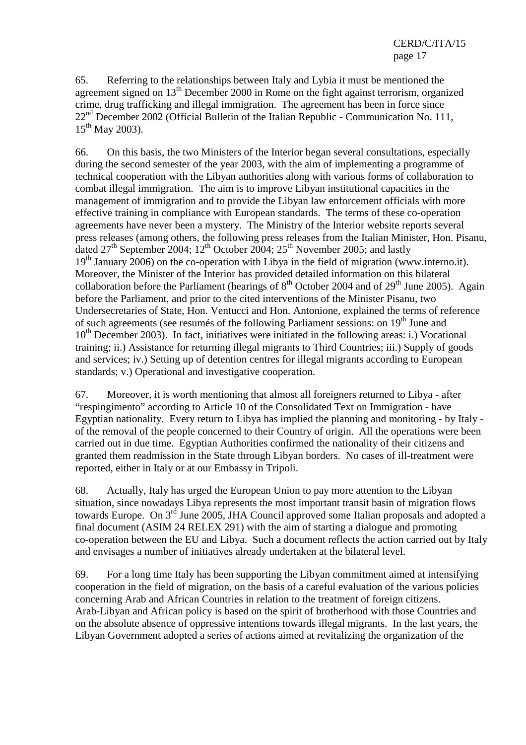65. Referring to the relationships between Italy and Lybia it must be mentioned the agreement signed on 13<sup>th</sup> December 2000 in Rome on the fight against terrorism, organized crime, drug trafficking and illegal immigration. The agreement has been in force since  $22<sup>nd</sup>$  December 2002 (Official Bulletin of the Italian Republic - Communication No. 111,  $15^{th}$  May 2003).

66. On this basis, the two Ministers of the Interior began several consultations, especially during the second semester of the year 2003, with the aim of implementing a programme of technical cooperation with the Libyan authorities along with various forms of collaboration to combat illegal immigration. The aim is to improve Libyan institutional capacities in the management of immigration and to provide the Libyan law enforcement officials with more effective training in compliance with European standards. The terms of these co-operation agreements have never been a mystery. The Ministry of the Interior website reports several press releases (among others, the following press releases from the Italian Minister, Hon. Pisanu, dated  $27<sup>th</sup>$  September 2004;  $12<sup>th</sup>$  October 2004;  $25<sup>th</sup>$  November 2005; and lastly  $19<sup>th</sup>$  January 2006) on the co-operation with Libya in the field of migration (www.interno.it). Moreover, the Minister of the Interior has provided detailed information on this bilateral collaboration before the Parliament (hearings of  $8<sup>th</sup>$  October 2004 and of 29<sup>th</sup> June 2005). Again before the Parliament, and prior to the cited interventions of the Minister Pisanu, two Undersecretaries of State, Hon. Ventucci and Hon. Antonione, explained the terms of reference of such agreements (see resumés of the following Parliament sessions: on  $19<sup>th</sup>$  June and  $10<sup>th</sup>$  December 2003). In fact, initiatives were initiated in the following areas: i.) Vocational training; ii.) Assistance for returning illegal migrants to Third Countries; iii.) Supply of goods and services; iv.) Setting up of detention centres for illegal migrants according to European standards; v.) Operational and investigative cooperation.

67. Moreover, it is worth mentioning that almost all foreigners returned to Libya - after "respingimento" according to Article 10 of the Consolidated Text on Immigration - have Egyptian nationality. Every return to Libya has implied the planning and monitoring - by Italy of the removal of the people concerned to their Country of origin. All the operations were been carried out in due time. Egyptian Authorities confirmed the nationality of their citizens and granted them readmission in the State through Libyan borders. No cases of ill-treatment were reported, either in Italy or at our Embassy in Tripoli.

68. Actually, Italy has urged the European Union to pay more attention to the Libyan situation, since nowadays Libya represents the most important transit basin of migration flows towards Europe. On 3<sup>rd</sup> June 2005, JHA Council approved some Italian proposals and adopted a final document (ASIM 24 RELEX 291) with the aim of starting a dialogue and promoting co-operation between the EU and Libya. Such a document reflects the action carried out by Italy and envisages a number of initiatives already undertaken at the bilateral level.

69. For a long time Italy has been supporting the Libyan commitment aimed at intensifying cooperation in the field of migration, on the basis of a careful evaluation of the various policies concerning Arab and African Countries in relation to the treatment of foreign citizens. Arab-Libyan and African policy is based on the spirit of brotherhood with those Countries and on the absolute absence of oppressive intentions towards illegal migrants. In the last years, the Libyan Government adopted a series of actions aimed at revitalizing the organization of the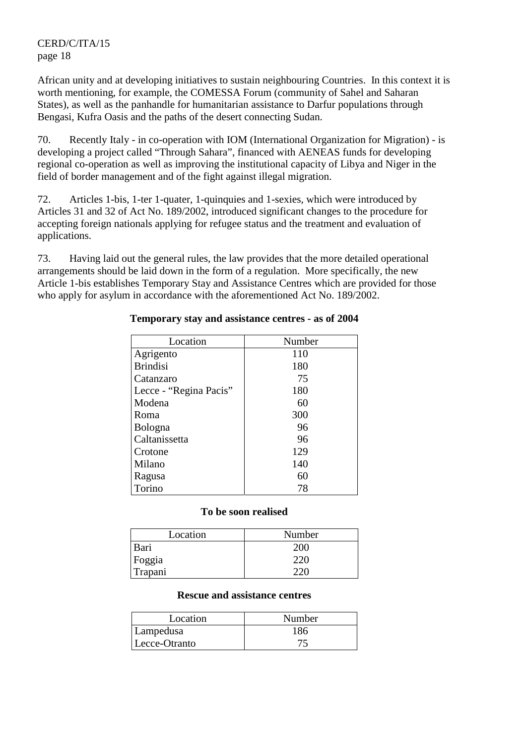African unity and at developing initiatives to sustain neighbouring Countries. In this context it is worth mentioning, for example, the COMESSA Forum (community of Sahel and Saharan States), as well as the panhandle for humanitarian assistance to Darfur populations through Bengasi, Kufra Oasis and the paths of the desert connecting Sudan.

70. Recently Italy - in co-operation with IOM (International Organization for Migration) - is developing a project called "Through Sahara", financed with AENEAS funds for developing regional co-operation as well as improving the institutional capacity of Libya and Niger in the field of border management and of the fight against illegal migration.

72. Articles 1-bis, 1-ter 1-quater, 1-quinquies and 1-sexies, which were introduced by Articles 31 and 32 of Act No. 189/2002, introduced significant changes to the procedure for accepting foreign nationals applying for refugee status and the treatment and evaluation of applications.

73. Having laid out the general rules, the law provides that the more detailed operational arrangements should be laid down in the form of a regulation. More specifically, the new Article 1-bis establishes Temporary Stay and Assistance Centres which are provided for those who apply for asylum in accordance with the aforementioned Act No. 189/2002.

| Location               | Number |
|------------------------|--------|
| Agrigento              | 110    |
| <b>Brindisi</b>        | 180    |
| Catanzaro              | 75     |
| Lecce - "Regina Pacis" | 180    |
| Modena                 | 60     |
| Roma                   | 300    |
| <b>Bologna</b>         | 96     |
| Caltanissetta          | 96     |
| Crotone                | 129    |
| Milano                 | 140    |
| Ragusa                 | 60     |
| Torino                 | 78     |

## **Temporary stay and assistance centres - as of 2004**

#### **To be soon realised**

| Location | Number |
|----------|--------|
| Bari     | 200    |
| Foggia   | 220    |
| Trapani  | າາເ    |

#### **Rescue and assistance centres**

| Location      | Number |
|---------------|--------|
| Lampedusa     | 186    |
| Lecce-Otranto |        |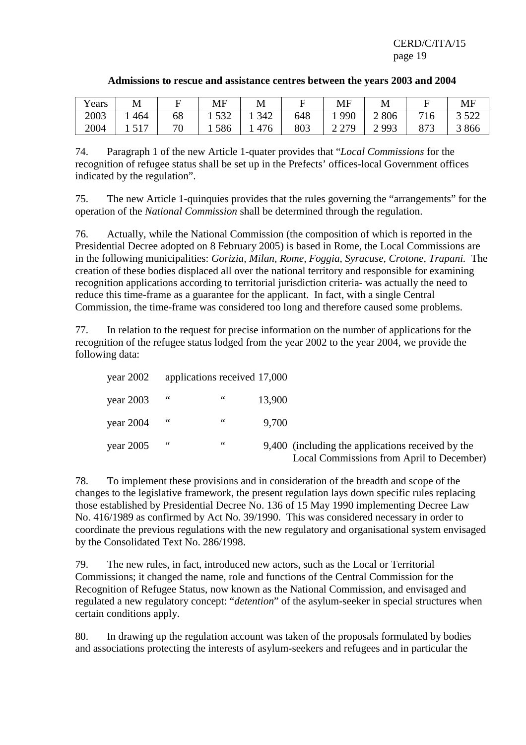| Years | M   | ь       | MF         | М       |     | <b>MF</b>                                           | M     |              | MF            |
|-------|-----|---------|------------|---------|-----|-----------------------------------------------------|-------|--------------|---------------|
| 2003  | 464 | 68      | 537<br>ے ت | 342     | 648 | 990                                                 | 2 806 | 716          | 500<br>ے بے ر |
| 2004  |     | חר<br>v | 586        | 76<br>4 | 803 | 270<br>$\overline{a}$ $\overline{a}$ $\overline{b}$ | 2993  | Q77<br>0 I J | 3866          |

#### **Admissions to rescue and assistance centres between the years 2003 and 2004**

74. Paragraph 1 of the new Article 1-quater provides that "*Local Commissions* for the recognition of refugee status shall be set up in the Prefects' offices-local Government offices indicated by the regulation".

75. The new Article 1-quinquies provides that the rules governing the "arrangements" for the operation of the *National Commission* shall be determined through the regulation.

76. Actually, while the National Commission (the composition of which is reported in the Presidential Decree adopted on 8 February 2005) is based in Rome, the Local Commissions are in the following municipalities: *Gorizia, Milan, Rome, Foggia, Syracuse, Crotone, Trapani.* The creation of these bodies displaced all over the national territory and responsible for examining recognition applications according to territorial jurisdiction criteria- was actually the need to reduce this time-frame as a guarantee for the applicant. In fact, with a single Central Commission, the time-frame was considered too long and therefore caused some problems.

77. In relation to the request for precise information on the number of applications for the recognition of the refugee status lodged from the year 2002 to the year 2004, we provide the following data:

|                                                                                                | applications received 17,000 |               |            | year $2002$ |
|------------------------------------------------------------------------------------------------|------------------------------|---------------|------------|-------------|
|                                                                                                | 13,900                       | 66            | $\epsilon$ | year $2003$ |
|                                                                                                | 9,700                        | 66            | 66         | year $2004$ |
| 9,400 (including the applications received by the<br>Local Commissions from April to December) |                              | $\,$ 6 6 $\,$ | 66         | year $2005$ |

78. To implement these provisions and in consideration of the breadth and scope of the changes to the legislative framework, the present regulation lays down specific rules replacing those established by Presidential Decree No. 136 of 15 May 1990 implementing Decree Law No. 416/1989 as confirmed by Act No. 39/1990. This was considered necessary in order to coordinate the previous regulations with the new regulatory and organisational system envisaged by the Consolidated Text No. 286/1998.

79. The new rules, in fact, introduced new actors, such as the Local or Territorial Commissions; it changed the name, role and functions of the Central Commission for the Recognition of Refugee Status, now known as the National Commission, and envisaged and regulated a new regulatory concept: "*detention*" of the asylum-seeker in special structures when certain conditions apply.

80. In drawing up the regulation account was taken of the proposals formulated by bodies and associations protecting the interests of asylum-seekers and refugees and in particular the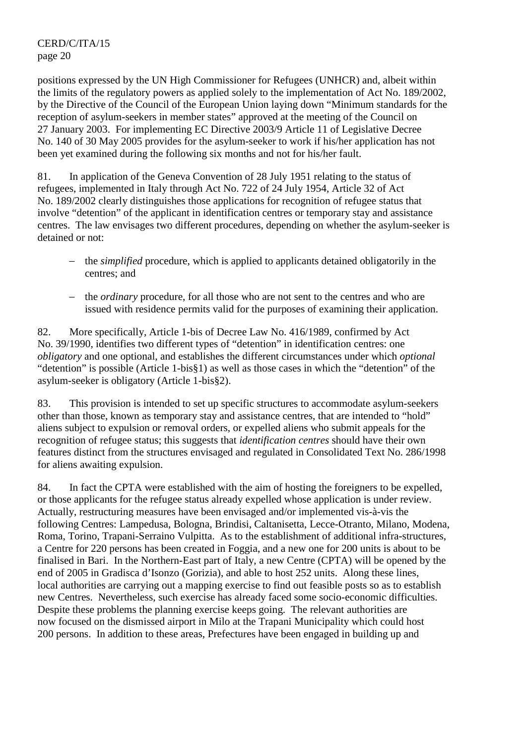positions expressed by the UN High Commissioner for Refugees (UNHCR) and, albeit within the limits of the regulatory powers as applied solely to the implementation of Act No. 189/2002, by the Directive of the Council of the European Union laying down "Minimum standards for the reception of asylum-seekers in member states" approved at the meeting of the Council on 27 January 2003. For implementing EC Directive 2003/9 Article 11 of Legislative Decree No. 140 of 30 May 2005 provides for the asylum-seeker to work if his/her application has not been yet examined during the following six months and not for his/her fault.

81. In application of the Geneva Convention of 28 July 1951 relating to the status of refugees, implemented in Italy through Act No. 722 of 24 July 1954, Article 32 of Act No. 189/2002 clearly distinguishes those applications for recognition of refugee status that involve "detention" of the applicant in identification centres or temporary stay and assistance centres. The law envisages two different procedures, depending on whether the asylum-seeker is detained or not:

- − the *simplified* procedure, which is applied to applicants detained obligatorily in the centres; and
- − the *ordinary* procedure, for all those who are not sent to the centres and who are issued with residence permits valid for the purposes of examining their application.

82. More specifically, Article 1-bis of Decree Law No. 416/1989, confirmed by Act No. 39/1990, identifies two different types of "detention" in identification centres: one *obligatory* and one optional, and establishes the different circumstances under which *optional* "detention" is possible (Article 1-bis§1) as well as those cases in which the "detention" of the asylum-seeker is obligatory (Article 1-bis§2).

83. This provision is intended to set up specific structures to accommodate asylum-seekers other than those, known as temporary stay and assistance centres, that are intended to "hold" aliens subject to expulsion or removal orders, or expelled aliens who submit appeals for the recognition of refugee status; this suggests that *identification centres* should have their own features distinct from the structures envisaged and regulated in Consolidated Text No. 286/1998 for aliens awaiting expulsion.

84. In fact the CPTA were established with the aim of hosting the foreigners to be expelled, or those applicants for the refugee status already expelled whose application is under review. Actually, restructuring measures have been envisaged and/or implemented vis-à-vis the following Centres: Lampedusa, Bologna, Brindisi, Caltanisetta, Lecce-Otranto, Milano, Modena, Roma, Torino, Trapani-Serraino Vulpitta. As to the establishment of additional infra-structures, a Centre for 220 persons has been created in Foggia, and a new one for 200 units is about to be finalised in Bari. In the Northern-East part of Italy, a new Centre (CPTA) will be opened by the end of 2005 in Gradisca d'Isonzo (Gorizia), and able to host 252 units. Along these lines, local authorities are carrying out a mapping exercise to find out feasible posts so as to establish new Centres. Nevertheless, such exercise has already faced some socio-economic difficulties. Despite these problems the planning exercise keeps going. The relevant authorities are now focused on the dismissed airport in Milo at the Trapani Municipality which could host 200 persons. In addition to these areas, Prefectures have been engaged in building up and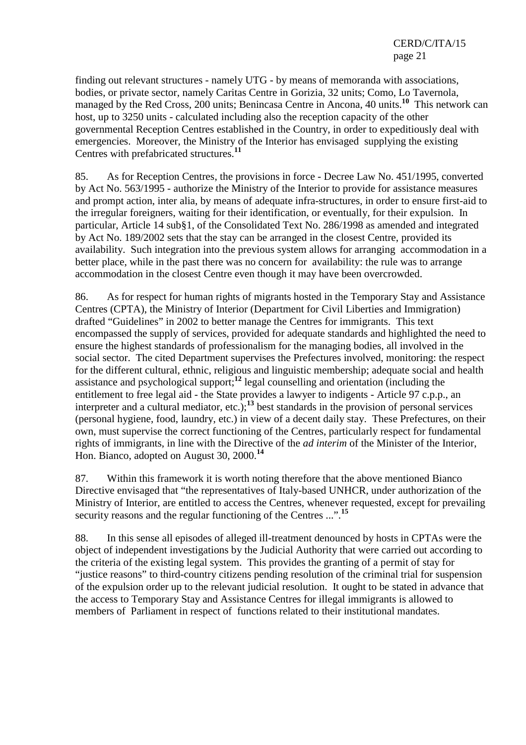finding out relevant structures - namely UTG - by means of memoranda with associations, bodies, or private sector, namely Caritas Centre in Gorizia, 32 units; Como, Lo Tavernola, managed by the Red Cross, 200 units; Benincasa Centre in Ancona, 40 units.**<sup>10</sup>** This network can host, up to 3250 units - calculated including also the reception capacity of the other governmental Reception Centres established in the Country, in order to expeditiously deal with emergencies. Moreover, the Ministry of the Interior has envisaged supplying the existing Centres with prefabricated structures.**<sup>11</sup>**

85. As for Reception Centres, the provisions in force - Decree Law No. 451/1995, converted by Act No. 563/1995 - authorize the Ministry of the Interior to provide for assistance measures and prompt action, inter alia, by means of adequate infra-structures, in order to ensure first-aid to the irregular foreigners, waiting for their identification, or eventually, for their expulsion. In particular, Article 14 sub§1, of the Consolidated Text No. 286/1998 as amended and integrated by Act No. 189/2002 sets that the stay can be arranged in the closest Centre, provided its availability. Such integration into the previous system allows for arranging accommodation in a better place, while in the past there was no concern for availability: the rule was to arrange accommodation in the closest Centre even though it may have been overcrowded.

86. As for respect for human rights of migrants hosted in the Temporary Stay and Assistance Centres (CPTA), the Ministry of Interior (Department for Civil Liberties and Immigration) drafted "Guidelines" in 2002 to better manage the Centres for immigrants. This text encompassed the supply of services, provided for adequate standards and highlighted the need to ensure the highest standards of professionalism for the managing bodies, all involved in the social sector. The cited Department supervises the Prefectures involved, monitoring: the respect for the different cultural, ethnic, religious and linguistic membership; adequate social and health assistance and psychological support;**<sup>12</sup>** legal counselling and orientation (including the entitlement to free legal aid - the State provides a lawyer to indigents - Article 97 c.p.p., an interpreter and a cultural mediator, etc.);<sup>13</sup> best standards in the provision of personal services (personal hygiene, food, laundry, etc.) in view of a decent daily stay. These Prefectures, on their own, must supervise the correct functioning of the Centres, particularly respect for fundamental rights of immigrants, in line with the Directive of the *ad interim* of the Minister of the Interior, Hon. Bianco, adopted on August 30, 2000.**<sup>14</sup>**

87. Within this framework it is worth noting therefore that the above mentioned Bianco Directive envisaged that "the representatives of Italy-based UNHCR, under authorization of the Ministry of Interior, are entitled to access the Centres, whenever requested, except for prevailing security reasons and the regular functioning of the Centres ...".**<sup>15</sup>**

88. In this sense all episodes of alleged ill-treatment denounced by hosts in CPTAs were the object of independent investigations by the Judicial Authority that were carried out according to the criteria of the existing legal system. This provides the granting of a permit of stay for "justice reasons" to third-country citizens pending resolution of the criminal trial for suspension of the expulsion order up to the relevant judicial resolution. It ought to be stated in advance that the access to Temporary Stay and Assistance Centres for illegal immigrants is allowed to members of Parliament in respect of functions related to their institutional mandates.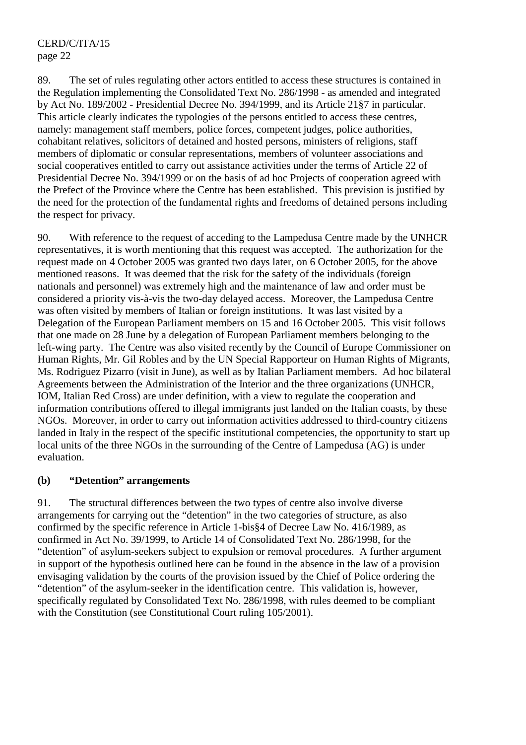89. The set of rules regulating other actors entitled to access these structures is contained in the Regulation implementing the Consolidated Text No. 286/1998 - as amended and integrated by Act No. 189/2002 - Presidential Decree No. 394/1999, and its Article 21§7 in particular. This article clearly indicates the typologies of the persons entitled to access these centres, namely: management staff members, police forces, competent judges, police authorities, cohabitant relatives, solicitors of detained and hosted persons, ministers of religions, staff members of diplomatic or consular representations, members of volunteer associations and social cooperatives entitled to carry out assistance activities under the terms of Article 22 of Presidential Decree No. 394/1999 or on the basis of ad hoc Projects of cooperation agreed with the Prefect of the Province where the Centre has been established. This prevision is justified by the need for the protection of the fundamental rights and freedoms of detained persons including the respect for privacy.

90. With reference to the request of acceding to the Lampedusa Centre made by the UNHCR representatives, it is worth mentioning that this request was accepted. The authorization for the request made on 4 October 2005 was granted two days later, on 6 October 2005, for the above mentioned reasons. It was deemed that the risk for the safety of the individuals (foreign nationals and personnel) was extremely high and the maintenance of law and order must be considered a priority vis-à-vis the two-day delayed access. Moreover, the Lampedusa Centre was often visited by members of Italian or foreign institutions. It was last visited by a Delegation of the European Parliament members on 15 and 16 October 2005. This visit follows that one made on 28 June by a delegation of European Parliament members belonging to the left-wing party. The Centre was also visited recently by the Council of Europe Commissioner on Human Rights, Mr. Gil Robles and by the UN Special Rapporteur on Human Rights of Migrants, Ms. Rodriguez Pizarro (visit in June), as well as by Italian Parliament members. Ad hoc bilateral Agreements between the Administration of the Interior and the three organizations (UNHCR, IOM, Italian Red Cross) are under definition, with a view to regulate the cooperation and information contributions offered to illegal immigrants just landed on the Italian coasts, by these NGOs. Moreover, in order to carry out information activities addressed to third-country citizens landed in Italy in the respect of the specific institutional competencies, the opportunity to start up local units of the three NGOs in the surrounding of the Centre of Lampedusa (AG) is under evaluation.

## **(b) "Detention" arrangements**

91. The structural differences between the two types of centre also involve diverse arrangements for carrying out the "detention" in the two categories of structure, as also confirmed by the specific reference in Article 1-bis§4 of Decree Law No. 416/1989, as confirmed in Act No. 39/1999, to Article 14 of Consolidated Text No. 286/1998, for the "detention" of asylum-seekers subject to expulsion or removal procedures. A further argument in support of the hypothesis outlined here can be found in the absence in the law of a provision envisaging validation by the courts of the provision issued by the Chief of Police ordering the "detention" of the asylum-seeker in the identification centre. This validation is, however, specifically regulated by Consolidated Text No. 286/1998, with rules deemed to be compliant with the Constitution (see Constitutional Court ruling 105/2001).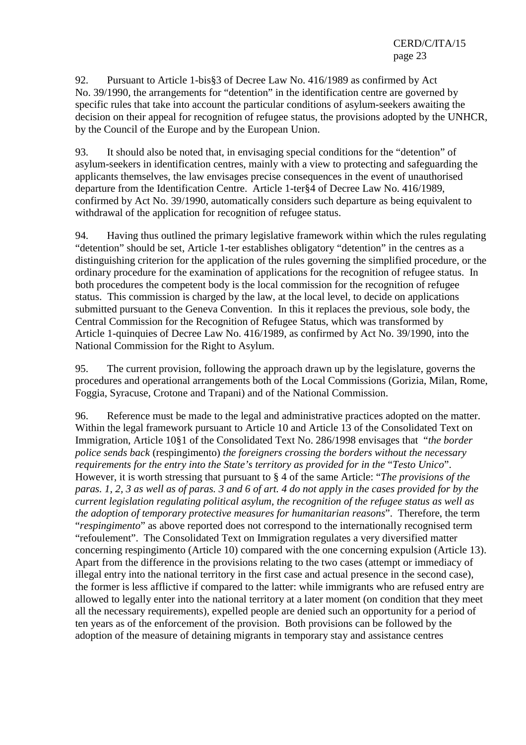92. Pursuant to Article 1-bis§3 of Decree Law No. 416/1989 as confirmed by Act No. 39/1990, the arrangements for "detention" in the identification centre are governed by specific rules that take into account the particular conditions of asylum-seekers awaiting the decision on their appeal for recognition of refugee status, the provisions adopted by the UNHCR, by the Council of the Europe and by the European Union.

93. It should also be noted that, in envisaging special conditions for the "detention" of asylum-seekers in identification centres, mainly with a view to protecting and safeguarding the applicants themselves, the law envisages precise consequences in the event of unauthorised departure from the Identification Centre. Article 1-ter§4 of Decree Law No. 416/1989, confirmed by Act No. 39/1990, automatically considers such departure as being equivalent to withdrawal of the application for recognition of refugee status.

94. Having thus outlined the primary legislative framework within which the rules regulating "detention" should be set, Article 1-ter establishes obligatory "detention" in the centres as a distinguishing criterion for the application of the rules governing the simplified procedure, or the ordinary procedure for the examination of applications for the recognition of refugee status. In both procedures the competent body is the local commission for the recognition of refugee status. This commission is charged by the law, at the local level, to decide on applications submitted pursuant to the Geneva Convention. In this it replaces the previous, sole body, the Central Commission for the Recognition of Refugee Status, which was transformed by Article 1-quinquies of Decree Law No. 416/1989, as confirmed by Act No. 39/1990, into the National Commission for the Right to Asylum.

95. The current provision, following the approach drawn up by the legislature, governs the procedures and operational arrangements both of the Local Commissions (Gorizia, Milan, Rome, Foggia, Syracuse, Crotone and Trapani) and of the National Commission.

96. Reference must be made to the legal and administrative practices adopted on the matter. Within the legal framework pursuant to Article 10 and Article 13 of the Consolidated Text on Immigration, Article 10§1 of the Consolidated Text No. 286/1998 envisages that "*the border police sends back* (respingimento) *the foreigners crossing the borders without the necessary requirements for the entry into the State's territory as provided for in the "Testo Unico".* However, it is worth stressing that pursuant to § 4 of the same Article: "*The provisions of the paras. 1, 2, 3 as well as of paras. 3 and 6 of art. 4 do not apply in the cases provided for by the current legislation regulating political asylum, the recognition of the refugee status as well as the adoption of temporary protective measures for humanitarian reasons*". Therefore, the term "*respingimento*" as above reported does not correspond to the internationally recognised term "refoulement". The Consolidated Text on Immigration regulates a very diversified matter concerning respingimento (Article 10) compared with the one concerning expulsion (Article 13). Apart from the difference in the provisions relating to the two cases (attempt or immediacy of illegal entry into the national territory in the first case and actual presence in the second case), the former is less afflictive if compared to the latter: while immigrants who are refused entry are allowed to legally enter into the national territory at a later moment (on condition that they meet all the necessary requirements), expelled people are denied such an opportunity for a period of ten years as of the enforcement of the provision. Both provisions can be followed by the adoption of the measure of detaining migrants in temporary stay and assistance centres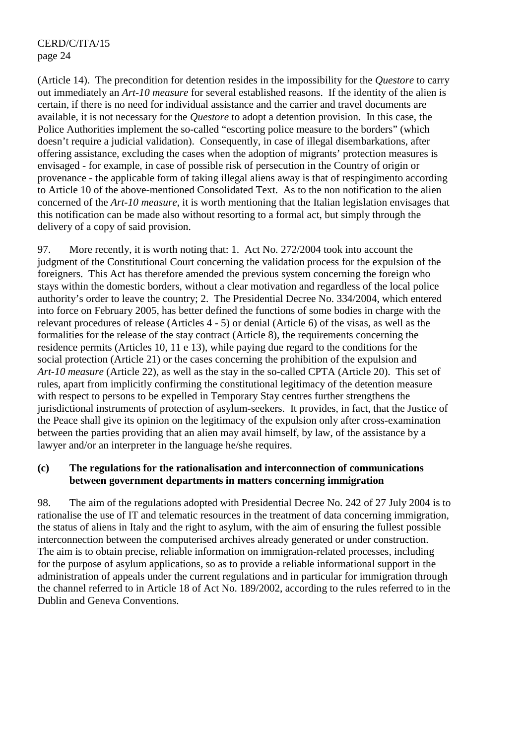(Article 14). The precondition for detention resides in the impossibility for the *Questore* to carry out immediately an *Art-10 measure* for several established reasons. If the identity of the alien is certain, if there is no need for individual assistance and the carrier and travel documents are available, it is not necessary for the *Questore* to adopt a detention provision. In this case, the Police Authorities implement the so-called "escorting police measure to the borders" (which doesn't require a judicial validation). Consequently, in case of illegal disembarkations, after offering assistance, excluding the cases when the adoption of migrants' protection measures is envisaged - for example, in case of possible risk of persecution in the Country of origin or provenance - the applicable form of taking illegal aliens away is that of respingimento according to Article 10 of the above-mentioned Consolidated Text. As to the non notification to the alien concerned of the *Art-10 measure*, it is worth mentioning that the Italian legislation envisages that this notification can be made also without resorting to a formal act, but simply through the delivery of a copy of said provision.

97. More recently, it is worth noting that: 1. Act No. 272/2004 took into account the judgment of the Constitutional Court concerning the validation process for the expulsion of the foreigners. This Act has therefore amended the previous system concerning the foreign who stays within the domestic borders, without a clear motivation and regardless of the local police authority's order to leave the country; 2. The Presidential Decree No. 334/2004, which entered into force on February 2005, has better defined the functions of some bodies in charge with the relevant procedures of release (Articles 4 - 5) or denial (Article 6) of the visas, as well as the formalities for the release of the stay contract (Article 8), the requirements concerning the residence permits (Articles 10, 11 e 13), while paying due regard to the conditions for the social protection (Article 21) or the cases concerning the prohibition of the expulsion and *Art-10 measure* (Article 22), as well as the stay in the so-called CPTA (Article 20). This set of rules, apart from implicitly confirming the constitutional legitimacy of the detention measure with respect to persons to be expelled in Temporary Stay centres further strengthens the jurisdictional instruments of protection of asylum-seekers. It provides, in fact, that the Justice of the Peace shall give its opinion on the legitimacy of the expulsion only after cross-examination between the parties providing that an alien may avail himself, by law, of the assistance by a lawyer and/or an interpreter in the language he/she requires.

#### **(c) The regulations for the rationalisation and interconnection of communications between government departments in matters concerning immigration**

98. The aim of the regulations adopted with Presidential Decree No. 242 of 27 July 2004 is to rationalise the use of IT and telematic resources in the treatment of data concerning immigration, the status of aliens in Italy and the right to asylum, with the aim of ensuring the fullest possible interconnection between the computerised archives already generated or under construction. The aim is to obtain precise, reliable information on immigration-related processes, including for the purpose of asylum applications, so as to provide a reliable informational support in the administration of appeals under the current regulations and in particular for immigration through the channel referred to in Article 18 of Act No. 189/2002, according to the rules referred to in the Dublin and Geneva Conventions.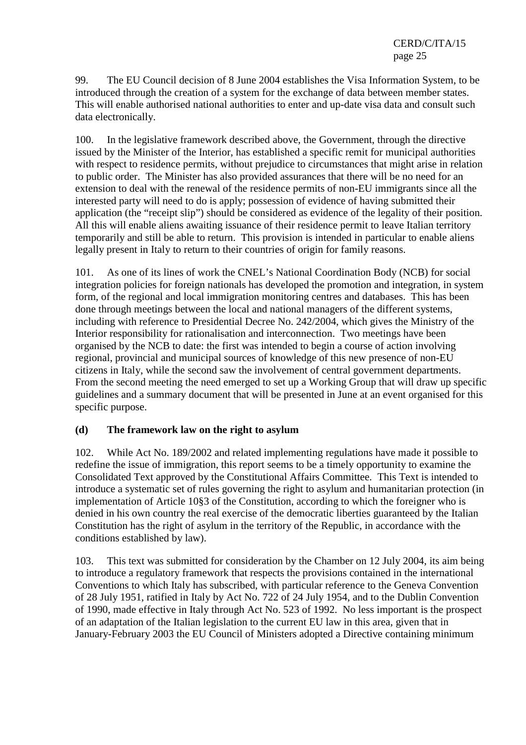99. The EU Council decision of 8 June 2004 establishes the Visa Information System, to be introduced through the creation of a system for the exchange of data between member states. This will enable authorised national authorities to enter and up-date visa data and consult such data electronically.

100. In the legislative framework described above, the Government, through the directive issued by the Minister of the Interior, has established a specific remit for municipal authorities with respect to residence permits, without prejudice to circumstances that might arise in relation to public order. The Minister has also provided assurances that there will be no need for an extension to deal with the renewal of the residence permits of non-EU immigrants since all the interested party will need to do is apply; possession of evidence of having submitted their application (the "receipt slip") should be considered as evidence of the legality of their position. All this will enable aliens awaiting issuance of their residence permit to leave Italian territory temporarily and still be able to return. This provision is intended in particular to enable aliens legally present in Italy to return to their countries of origin for family reasons.

101. As one of its lines of work the CNEL's National Coordination Body (NCB) for social integration policies for foreign nationals has developed the promotion and integration, in system form, of the regional and local immigration monitoring centres and databases. This has been done through meetings between the local and national managers of the different systems, including with reference to Presidential Decree No. 242/2004, which gives the Ministry of the Interior responsibility for rationalisation and interconnection. Two meetings have been organised by the NCB to date: the first was intended to begin a course of action involving regional, provincial and municipal sources of knowledge of this new presence of non-EU citizens in Italy, while the second saw the involvement of central government departments. From the second meeting the need emerged to set up a Working Group that will draw up specific guidelines and a summary document that will be presented in June at an event organised for this specific purpose.

## **(d) The framework law on the right to asylum**

102. While Act No. 189/2002 and related implementing regulations have made it possible to redefine the issue of immigration, this report seems to be a timely opportunity to examine the Consolidated Text approved by the Constitutional Affairs Committee. This Text is intended to introduce a systematic set of rules governing the right to asylum and humanitarian protection (in implementation of Article 10§3 of the Constitution, according to which the foreigner who is denied in his own country the real exercise of the democratic liberties guaranteed by the Italian Constitution has the right of asylum in the territory of the Republic, in accordance with the conditions established by law).

103. This text was submitted for consideration by the Chamber on 12 July 2004, its aim being to introduce a regulatory framework that respects the provisions contained in the international Conventions to which Italy has subscribed, with particular reference to the Geneva Convention of 28 July 1951, ratified in Italy by Act No. 722 of 24 July 1954, and to the Dublin Convention of 1990, made effective in Italy through Act No. 523 of 1992. No less important is the prospect of an adaptation of the Italian legislation to the current EU law in this area, given that in January-February 2003 the EU Council of Ministers adopted a Directive containing minimum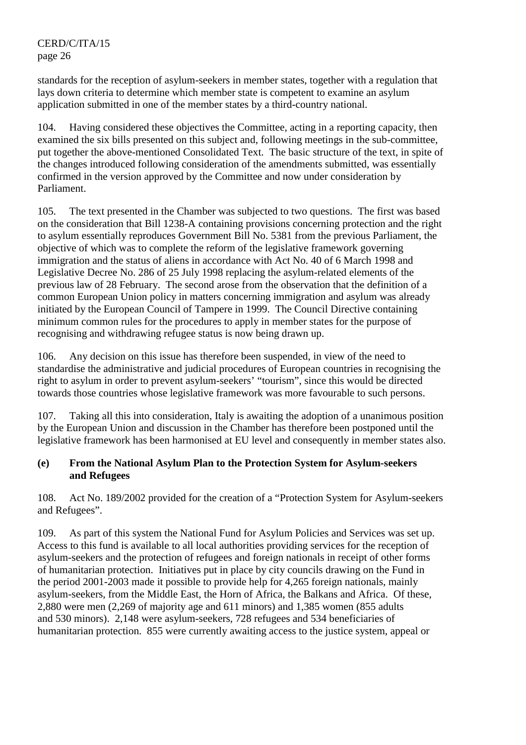standards for the reception of asylum-seekers in member states, together with a regulation that lays down criteria to determine which member state is competent to examine an asylum application submitted in one of the member states by a third-country national.

104. Having considered these objectives the Committee, acting in a reporting capacity, then examined the six bills presented on this subject and, following meetings in the sub-committee, put together the above-mentioned Consolidated Text. The basic structure of the text, in spite of the changes introduced following consideration of the amendments submitted, was essentially confirmed in the version approved by the Committee and now under consideration by Parliament.

105. The text presented in the Chamber was subjected to two questions. The first was based on the consideration that Bill 1238-A containing provisions concerning protection and the right to asylum essentially reproduces Government Bill No. 5381 from the previous Parliament, the objective of which was to complete the reform of the legislative framework governing immigration and the status of aliens in accordance with Act No. 40 of 6 March 1998 and Legislative Decree No. 286 of 25 July 1998 replacing the asylum-related elements of the previous law of 28 February. The second arose from the observation that the definition of a common European Union policy in matters concerning immigration and asylum was already initiated by the European Council of Tampere in 1999. The Council Directive containing minimum common rules for the procedures to apply in member states for the purpose of recognising and withdrawing refugee status is now being drawn up.

106. Any decision on this issue has therefore been suspended, in view of the need to standardise the administrative and judicial procedures of European countries in recognising the right to asylum in order to prevent asylum-seekers' "tourism", since this would be directed towards those countries whose legislative framework was more favourable to such persons.

107. Taking all this into consideration, Italy is awaiting the adoption of a unanimous position by the European Union and discussion in the Chamber has therefore been postponed until the legislative framework has been harmonised at EU level and consequently in member states also.

## **(e) From the National Asylum Plan to the Protection System for Asylum-seekers and Refugees**

108. Act No. 189/2002 provided for the creation of a "Protection System for Asylum-seekers and Refugees".

109. As part of this system the National Fund for Asylum Policies and Services was set up. Access to this fund is available to all local authorities providing services for the reception of asylum-seekers and the protection of refugees and foreign nationals in receipt of other forms of humanitarian protection. Initiatives put in place by city councils drawing on the Fund in the period 2001-2003 made it possible to provide help for 4,265 foreign nationals, mainly asylum-seekers, from the Middle East, the Horn of Africa, the Balkans and Africa. Of these, 2,880 were men (2,269 of majority age and 611 minors) and 1,385 women (855 adults and 530 minors). 2,148 were asylum-seekers, 728 refugees and 534 beneficiaries of humanitarian protection. 855 were currently awaiting access to the justice system, appeal or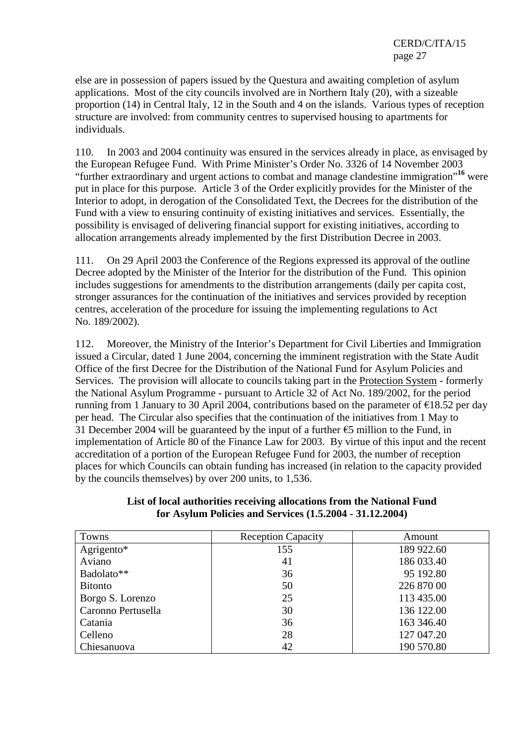else are in possession of papers issued by the Questura and awaiting completion of asylum applications. Most of the city councils involved are in Northern Italy (20), with a sizeable proportion (14) in Central Italy, 12 in the South and 4 on the islands. Various types of reception structure are involved: from community centres to supervised housing to apartments for individuals.

110. In 2003 and 2004 continuity was ensured in the services already in place, as envisaged by the European Refugee Fund. With Prime Minister's Order No. 3326 of 14 November 2003 "further extraordinary and urgent actions to combat and manage clandestine immigration"**<sup>16</sup>** were put in place for this purpose. Article 3 of the Order explicitly provides for the Minister of the Interior to adopt, in derogation of the Consolidated Text, the Decrees for the distribution of the Fund with a view to ensuring continuity of existing initiatives and services. Essentially, the possibility is envisaged of delivering financial support for existing initiatives, according to allocation arrangements already implemented by the first Distribution Decree in 2003.

111. On 29 April 2003 the Conference of the Regions expressed its approval of the outline Decree adopted by the Minister of the Interior for the distribution of the Fund. This opinion includes suggestions for amendments to the distribution arrangements (daily per capita cost, stronger assurances for the continuation of the initiatives and services provided by reception centres, acceleration of the procedure for issuing the implementing regulations to Act No. 189/2002).

112. Moreover, the Ministry of the Interior's Department for Civil Liberties and Immigration issued a Circular, dated 1 June 2004, concerning the imminent registration with the State Audit Office of the first Decree for the Distribution of the National Fund for Asylum Policies and Services. The provision will allocate to councils taking part in the Protection System - formerly the National Asylum Programme - pursuant to Article 32 of Act No. 189/2002, for the period running from 1 January to 30 April 2004, contributions based on the parameter of  $\epsilon$ 18.52 per day per head. The Circular also specifies that the continuation of the initiatives from 1 May to 31 December 2004 will be guaranteed by the input of a further  $\epsilon$ 5 million to the Fund, in implementation of Article 80 of the Finance Law for 2003. By virtue of this input and the recent accreditation of a portion of the European Refugee Fund for 2003, the number of reception places for which Councils can obtain funding has increased (in relation to the capacity provided by the councils themselves) by over 200 units, to 1,536.

| Towns              | <b>Reception Capacity</b> | Amount     |
|--------------------|---------------------------|------------|
| Agrigento*         | 155                       | 189 922.60 |
| Aviano             | 41                        | 186 033.40 |
| Badolato**         | 36                        | 95 192.80  |
| <b>Bitonto</b>     | 50                        | 226 870 00 |
| Borgo S. Lorenzo   | 25                        | 113 435.00 |
| Caronno Pertusella | 30                        | 136 122.00 |
| Catania            | 36                        | 163 346.40 |
| Celleno            | 28                        | 127 047.20 |
| Chiesanuova        | 42                        | 190 570.80 |

## **List of local authorities receiving allocations from the National Fund for Asylum Policies and Services (1.5.2004 - 31.12.2004)**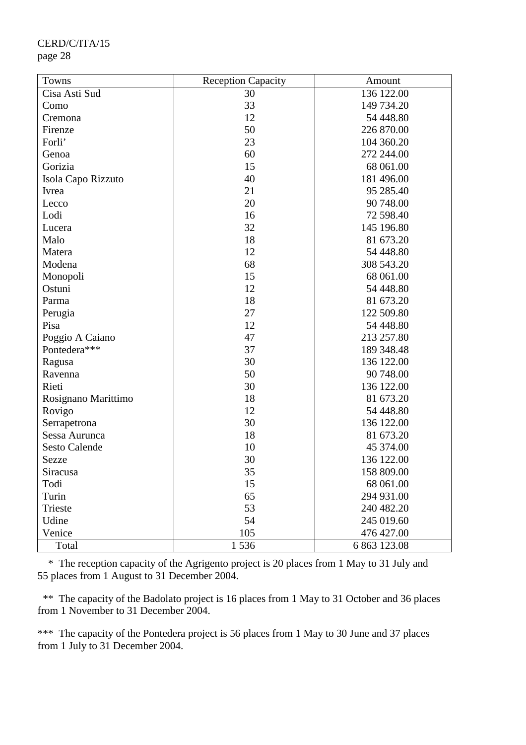| Towns                | <b>Reception Capacity</b> | Amount       |
|----------------------|---------------------------|--------------|
| Cisa Asti Sud        | 30                        | 136 122.00   |
| Como                 | 33                        | 149 734.20   |
| Cremona              | 12                        | 54 448.80    |
| Firenze              | 50                        | 226 870.00   |
| Forli'               | 23                        | 104 360.20   |
| Genoa                | 60                        | 272 244.00   |
| Gorizia              | 15                        | 68 061.00    |
| Isola Capo Rizzuto   | 40                        | 181 496.00   |
| Ivrea                | 21                        | 95 285.40    |
| Lecco                | 20                        | 90 748.00    |
| Lodi                 | 16                        | 72 598.40    |
| Lucera               | 32                        | 145 196.80   |
| Malo                 | 18                        | 81 673.20    |
| Matera               | 12                        | 54 448.80    |
| Modena               | 68                        | 308 543.20   |
| Monopoli             | 15                        | 68 061.00    |
| Ostuni               | 12                        | 54 448.80    |
| Parma                | 18                        | 81 673.20    |
| Perugia              | 27                        | 122 509.80   |
| Pisa                 | 12                        | 54 448.80    |
| Poggio A Caiano      | 47                        | 213 257.80   |
| Pontedera***         | 37                        | 189 348.48   |
| Ragusa               | 30                        | 136 122.00   |
| Ravenna              | 50                        | 90 748.00    |
| Rieti                | 30                        | 136 122.00   |
| Rosignano Marittimo  | 18                        | 81 673.20    |
| Rovigo               | 12                        | 54 448.80    |
| Serrapetrona         | 30                        | 136 122.00   |
| Sessa Aurunca        | 18                        | 81 673.20    |
| <b>Sesto Calende</b> | 10                        | 45 374.00    |
| Sezze                | 30                        | 136 122.00   |
| Siracusa             | 35                        | 158 809.00   |
| Todi                 | 15                        | 68 061.00    |
| Turin                | 65                        | 294 931.00   |
| Trieste              | 53                        | 240 482.20   |
| Udine                | 54                        | 245 019.60   |
| Venice               | 105                       | 476 427.00   |
| Total                | 1536                      | 6 863 123.08 |

 \* The reception capacity of the Agrigento project is 20 places from 1 May to 31 July and 55 places from 1 August to 31 December 2004.

\*\* The capacity of the Badolato project is 16 places from 1 May to 31 October and 36 places from 1 November to 31 December 2004.

\*\*\* The capacity of the Pontedera project is 56 places from 1 May to 30 June and 37 places from 1 July to 31 December 2004.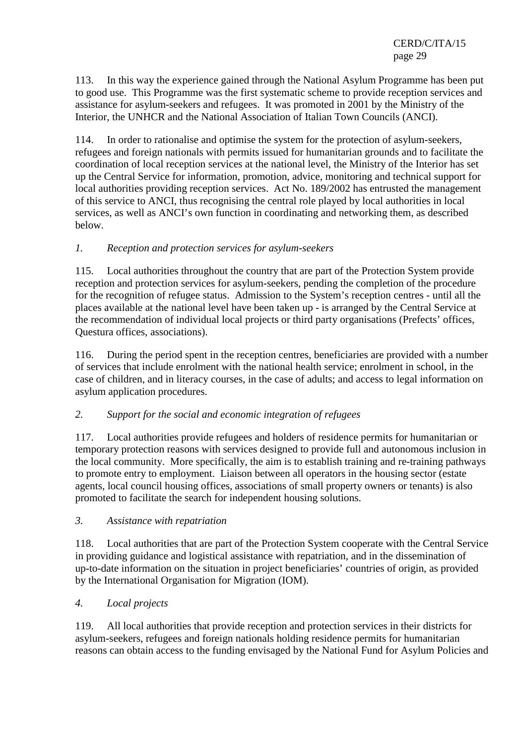113. In this way the experience gained through the National Asylum Programme has been put to good use. This Programme was the first systematic scheme to provide reception services and assistance for asylum-seekers and refugees. It was promoted in 2001 by the Ministry of the Interior, the UNHCR and the National Association of Italian Town Councils (ANCI).

114. In order to rationalise and optimise the system for the protection of asylum-seekers, refugees and foreign nationals with permits issued for humanitarian grounds and to facilitate the coordination of local reception services at the national level, the Ministry of the Interior has set up the Central Service for information, promotion, advice, monitoring and technical support for local authorities providing reception services. Act No. 189/2002 has entrusted the management of this service to ANCI, thus recognising the central role played by local authorities in local services, as well as ANCI's own function in coordinating and networking them, as described below.

## *1. Reception and protection services for asylum-seekers*

115. Local authorities throughout the country that are part of the Protection System provide reception and protection services for asylum-seekers, pending the completion of the procedure for the recognition of refugee status. Admission to the System's reception centres - until all the places available at the national level have been taken up - is arranged by the Central Service at the recommendation of individual local projects or third party organisations (Prefects' offices, Questura offices, associations).

116. During the period spent in the reception centres, beneficiaries are provided with a number of services that include enrolment with the national health service; enrolment in school, in the case of children, and in literacy courses, in the case of adults; and access to legal information on asylum application procedures.

## *2. Support for the social and economic integration of refugees*

117. Local authorities provide refugees and holders of residence permits for humanitarian or temporary protection reasons with services designed to provide full and autonomous inclusion in the local community. More specifically, the aim is to establish training and re-training pathways to promote entry to employment. Liaison between all operators in the housing sector (estate agents, local council housing offices, associations of small property owners or tenants) is also promoted to facilitate the search for independent housing solutions.

## *3. Assistance with repatriation*

118. Local authorities that are part of the Protection System cooperate with the Central Service in providing guidance and logistical assistance with repatriation, and in the dissemination of up-to-date information on the situation in project beneficiaries' countries of origin, as provided by the International Organisation for Migration (IOM).

## *4. Local projects*

119. All local authorities that provide reception and protection services in their districts for asylum-seekers, refugees and foreign nationals holding residence permits for humanitarian reasons can obtain access to the funding envisaged by the National Fund for Asylum Policies and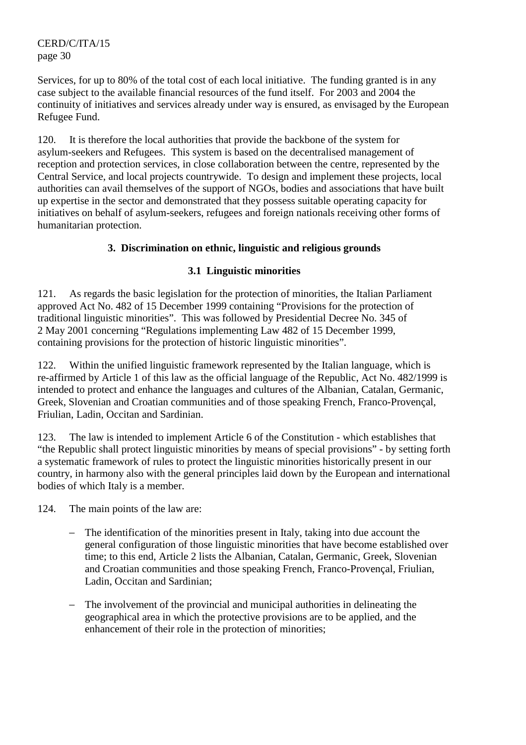Services, for up to 80% of the total cost of each local initiative. The funding granted is in any case subject to the available financial resources of the fund itself. For 2003 and 2004 the continuity of initiatives and services already under way is ensured, as envisaged by the European Refugee Fund.

120. It is therefore the local authorities that provide the backbone of the system for asylum-seekers and Refugees. This system is based on the decentralised management of reception and protection services, in close collaboration between the centre, represented by the Central Service, and local projects countrywide. To design and implement these projects, local authorities can avail themselves of the support of NGOs, bodies and associations that have built up expertise in the sector and demonstrated that they possess suitable operating capacity for initiatives on behalf of asylum-seekers, refugees and foreign nationals receiving other forms of humanitarian protection.

# **3. Discrimination on ethnic, linguistic and religious grounds**

# **3.1 Linguistic minorities**

121. As regards the basic legislation for the protection of minorities, the Italian Parliament approved Act No. 482 of 15 December 1999 containing "Provisions for the protection of traditional linguistic minorities". This was followed by Presidential Decree No. 345 of 2 May 2001 concerning "Regulations implementing Law 482 of 15 December 1999, containing provisions for the protection of historic linguistic minorities".

122. Within the unified linguistic framework represented by the Italian language, which is re-affirmed by Article 1 of this law as the official language of the Republic, Act No. 482/1999 is intended to protect and enhance the languages and cultures of the Albanian, Catalan, Germanic, Greek, Slovenian and Croatian communities and of those speaking French, Franco-Provençal, Friulian, Ladin, Occitan and Sardinian.

123. The law is intended to implement Article 6 of the Constitution - which establishes that "the Republic shall protect linguistic minorities by means of special provisions" - by setting forth a systematic framework of rules to protect the linguistic minorities historically present in our country, in harmony also with the general principles laid down by the European and international bodies of which Italy is a member.

124. The main points of the law are:

- − The identification of the minorities present in Italy, taking into due account the general configuration of those linguistic minorities that have become established over time; to this end, Article 2 lists the Albanian, Catalan, Germanic, Greek, Slovenian and Croatian communities and those speaking French, Franco-Provençal, Friulian, Ladin, Occitan and Sardinian;
- The involvement of the provincial and municipal authorities in delineating the geographical area in which the protective provisions are to be applied, and the enhancement of their role in the protection of minorities;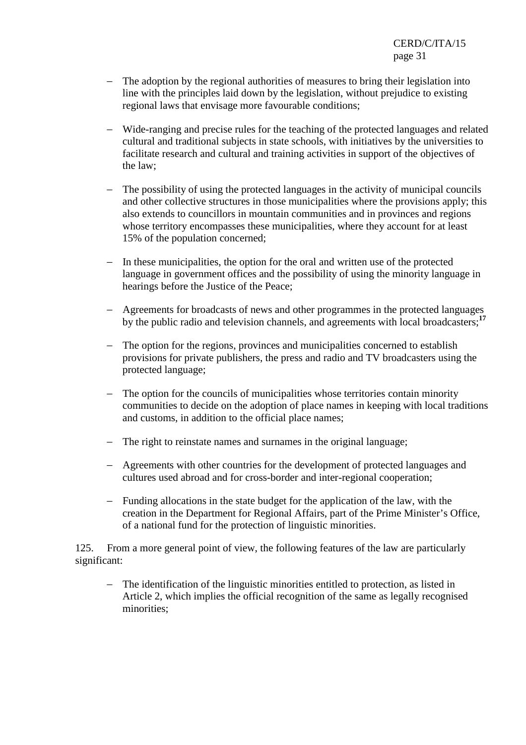- − The adoption by the regional authorities of measures to bring their legislation into line with the principles laid down by the legislation, without prejudice to existing regional laws that envisage more favourable conditions;
- − Wide-ranging and precise rules for the teaching of the protected languages and related cultural and traditional subjects in state schools, with initiatives by the universities to facilitate research and cultural and training activities in support of the objectives of the law;
- − The possibility of using the protected languages in the activity of municipal councils and other collective structures in those municipalities where the provisions apply; this also extends to councillors in mountain communities and in provinces and regions whose territory encompasses these municipalities, where they account for at least 15% of the population concerned;
- − In these municipalities, the option for the oral and written use of the protected language in government offices and the possibility of using the minority language in hearings before the Justice of the Peace;
- − Agreements for broadcasts of news and other programmes in the protected languages by the public radio and television channels, and agreements with local broadcasters;**<sup>17</sup>**
- − The option for the regions, provinces and municipalities concerned to establish provisions for private publishers, the press and radio and TV broadcasters using the protected language;
- − The option for the councils of municipalities whose territories contain minority communities to decide on the adoption of place names in keeping with local traditions and customs, in addition to the official place names;
- − The right to reinstate names and surnames in the original language;
- − Agreements with other countries for the development of protected languages and cultures used abroad and for cross-border and inter-regional cooperation;
- − Funding allocations in the state budget for the application of the law, with the creation in the Department for Regional Affairs, part of the Prime Minister's Office, of a national fund for the protection of linguistic minorities.

125. From a more general point of view, the following features of the law are particularly significant:

− The identification of the linguistic minorities entitled to protection, as listed in Article 2, which implies the official recognition of the same as legally recognised minorities;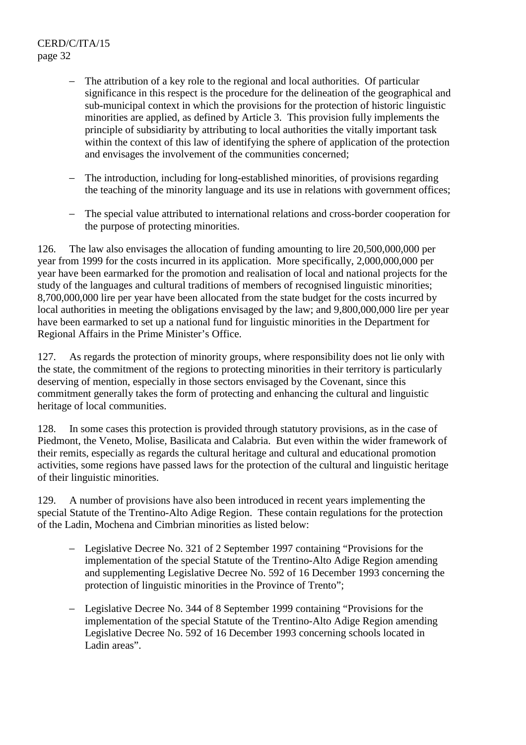- − The attribution of a key role to the regional and local authorities. Of particular significance in this respect is the procedure for the delineation of the geographical and sub-municipal context in which the provisions for the protection of historic linguistic minorities are applied, as defined by Article 3. This provision fully implements the principle of subsidiarity by attributing to local authorities the vitally important task within the context of this law of identifying the sphere of application of the protection and envisages the involvement of the communities concerned;
- The introduction, including for long-established minorities, of provisions regarding the teaching of the minority language and its use in relations with government offices;
- − The special value attributed to international relations and cross-border cooperation for the purpose of protecting minorities.

126. The law also envisages the allocation of funding amounting to lire 20,500,000,000 per year from 1999 for the costs incurred in its application. More specifically, 2,000,000,000 per year have been earmarked for the promotion and realisation of local and national projects for the study of the languages and cultural traditions of members of recognised linguistic minorities; 8,700,000,000 lire per year have been allocated from the state budget for the costs incurred by local authorities in meeting the obligations envisaged by the law; and 9,800,000,000 lire per year have been earmarked to set up a national fund for linguistic minorities in the Department for Regional Affairs in the Prime Minister's Office.

127. As regards the protection of minority groups, where responsibility does not lie only with the state, the commitment of the regions to protecting minorities in their territory is particularly deserving of mention, especially in those sectors envisaged by the Covenant, since this commitment generally takes the form of protecting and enhancing the cultural and linguistic heritage of local communities.

128. In some cases this protection is provided through statutory provisions, as in the case of Piedmont, the Veneto, Molise, Basilicata and Calabria. But even within the wider framework of their remits, especially as regards the cultural heritage and cultural and educational promotion activities, some regions have passed laws for the protection of the cultural and linguistic heritage of their linguistic minorities.

129. A number of provisions have also been introduced in recent years implementing the special Statute of the Trentino-Alto Adige Region. These contain regulations for the protection of the Ladin, Mochena and Cimbrian minorities as listed below:

- − Legislative Decree No. 321 of 2 September 1997 containing "Provisions for the implementation of the special Statute of the Trentino-Alto Adige Region amending and supplementing Legislative Decree No. 592 of 16 December 1993 concerning the protection of linguistic minorities in the Province of Trento";
- − Legislative Decree No. 344 of 8 September 1999 containing "Provisions for the implementation of the special Statute of the Trentino-Alto Adige Region amending Legislative Decree No. 592 of 16 December 1993 concerning schools located in Ladin areas".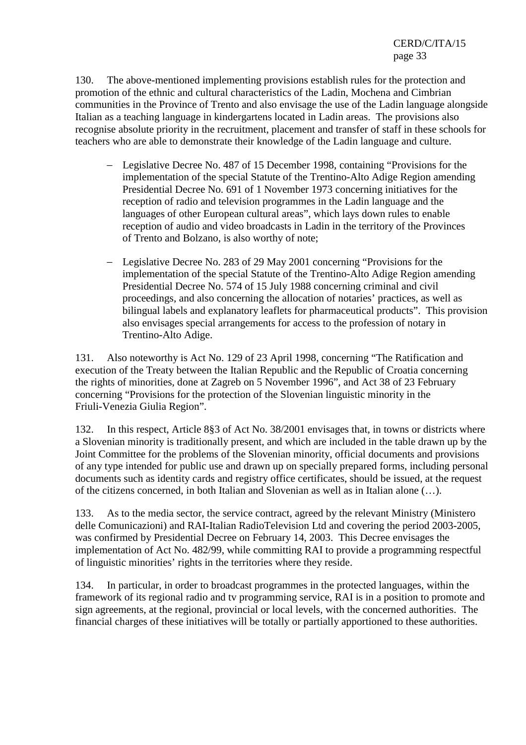130. The above-mentioned implementing provisions establish rules for the protection and promotion of the ethnic and cultural characteristics of the Ladin, Mochena and Cimbrian communities in the Province of Trento and also envisage the use of the Ladin language alongside Italian as a teaching language in kindergartens located in Ladin areas. The provisions also recognise absolute priority in the recruitment, placement and transfer of staff in these schools for teachers who are able to demonstrate their knowledge of the Ladin language and culture.

- − Legislative Decree No. 487 of 15 December 1998, containing "Provisions for the implementation of the special Statute of the Trentino-Alto Adige Region amending Presidential Decree No. 691 of 1 November 1973 concerning initiatives for the reception of radio and television programmes in the Ladin language and the languages of other European cultural areas", which lays down rules to enable reception of audio and video broadcasts in Ladin in the territory of the Provinces of Trento and Bolzano, is also worthy of note;
- − Legislative Decree No. 283 of 29 May 2001 concerning "Provisions for the implementation of the special Statute of the Trentino-Alto Adige Region amending Presidential Decree No. 574 of 15 July 1988 concerning criminal and civil proceedings, and also concerning the allocation of notaries' practices, as well as bilingual labels and explanatory leaflets for pharmaceutical products". This provision also envisages special arrangements for access to the profession of notary in Trentino-Alto Adige.

131. Also noteworthy is Act No. 129 of 23 April 1998, concerning "The Ratification and execution of the Treaty between the Italian Republic and the Republic of Croatia concerning the rights of minorities, done at Zagreb on 5 November 1996", and Act 38 of 23 February concerning "Provisions for the protection of the Slovenian linguistic minority in the Friuli-Venezia Giulia Region".

132. In this respect, Article 8§3 of Act No. 38/2001 envisages that, in towns or districts where a Slovenian minority is traditionally present, and which are included in the table drawn up by the Joint Committee for the problems of the Slovenian minority, official documents and provisions of any type intended for public use and drawn up on specially prepared forms, including personal documents such as identity cards and registry office certificates, should be issued, at the request of the citizens concerned, in both Italian and Slovenian as well as in Italian alone (…).

133. As to the media sector, the service contract, agreed by the relevant Ministry (Ministero delle Comunicazioni) and RAI-Italian RadioTelevision Ltd and covering the period 2003-2005, was confirmed by Presidential Decree on February 14, 2003. This Decree envisages the implementation of Act No. 482/99, while committing RAI to provide a programming respectful of linguistic minorities' rights in the territories where they reside.

134. In particular, in order to broadcast programmes in the protected languages, within the framework of its regional radio and tv programming service, RAI is in a position to promote and sign agreements, at the regional, provincial or local levels, with the concerned authorities. The financial charges of these initiatives will be totally or partially apportioned to these authorities.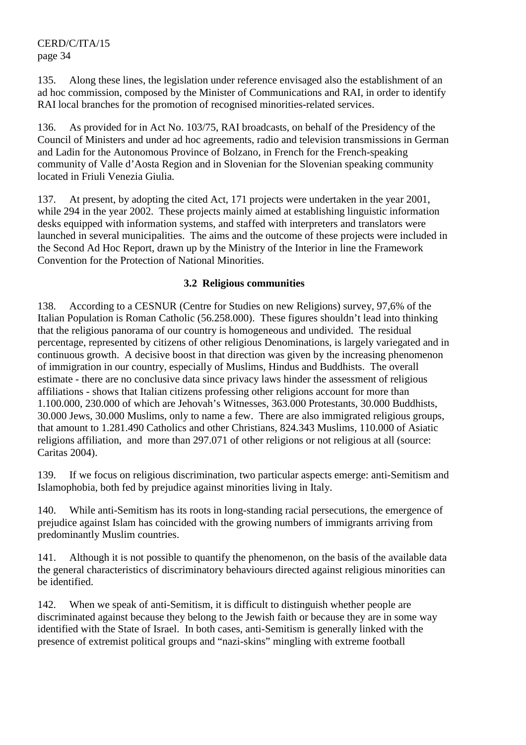135. Along these lines, the legislation under reference envisaged also the establishment of an ad hoc commission, composed by the Minister of Communications and RAI, in order to identify RAI local branches for the promotion of recognised minorities-related services.

136. As provided for in Act No. 103/75, RAI broadcasts, on behalf of the Presidency of the Council of Ministers and under ad hoc agreements, radio and television transmissions in German and Ladin for the Autonomous Province of Bolzano, in French for the French-speaking community of Valle d'Aosta Region and in Slovenian for the Slovenian speaking community located in Friuli Venezia Giulia.

137. At present, by adopting the cited Act, 171 projects were undertaken in the year 2001, while 294 in the year 2002. These projects mainly aimed at establishing linguistic information desks equipped with information systems, and staffed with interpreters and translators were launched in several municipalities. The aims and the outcome of these projects were included in the Second Ad Hoc Report, drawn up by the Ministry of the Interior in line the Framework Convention for the Protection of National Minorities.

#### **3.2 Religious communities**

138. According to a CESNUR (Centre for Studies on new Religions) survey, 97,6% of the Italian Population is Roman Catholic (56.258.000). These figures shouldn't lead into thinking that the religious panorama of our country is homogeneous and undivided. The residual percentage, represented by citizens of other religious Denominations, is largely variegated and in continuous growth. A decisive boost in that direction was given by the increasing phenomenon of immigration in our country, especially of Muslims, Hindus and Buddhists. The overall estimate - there are no conclusive data since privacy laws hinder the assessment of religious affiliations - shows that Italian citizens professing other religions account for more than 1.100.000, 230.000 of which are Jehovah's Witnesses, 363.000 Protestants, 30.000 Buddhists, 30.000 Jews, 30.000 Muslims, only to name a few. There are also immigrated religious groups, that amount to 1.281.490 Catholics and other Christians, 824.343 Muslims, 110.000 of Asiatic religions affiliation, and more than 297.071 of other religions or not religious at all (source: Caritas 2004).

139. If we focus on religious discrimination, two particular aspects emerge: anti-Semitism and Islamophobia, both fed by prejudice against minorities living in Italy.

140. While anti-Semitism has its roots in long-standing racial persecutions, the emergence of prejudice against Islam has coincided with the growing numbers of immigrants arriving from predominantly Muslim countries.

141. Although it is not possible to quantify the phenomenon, on the basis of the available data the general characteristics of discriminatory behaviours directed against religious minorities can be identified.

142. When we speak of anti-Semitism, it is difficult to distinguish whether people are discriminated against because they belong to the Jewish faith or because they are in some way identified with the State of Israel. In both cases, anti-Semitism is generally linked with the presence of extremist political groups and "nazi-skins" mingling with extreme football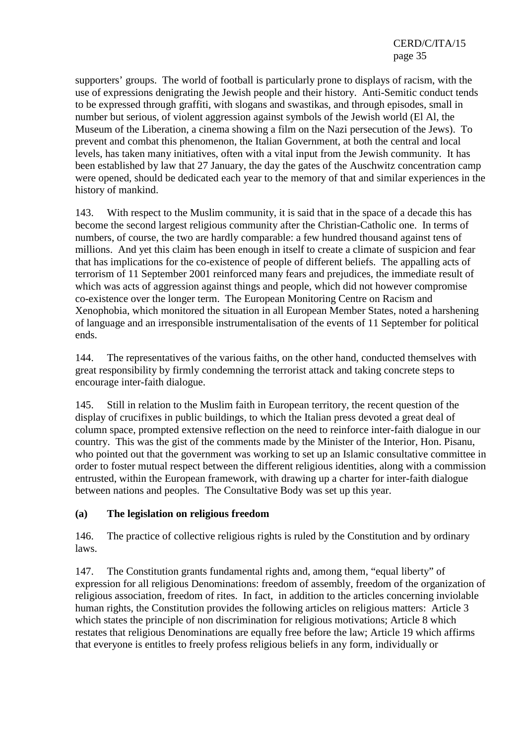supporters' groups. The world of football is particularly prone to displays of racism, with the use of expressions denigrating the Jewish people and their history. Anti-Semitic conduct tends to be expressed through graffiti, with slogans and swastikas, and through episodes, small in number but serious, of violent aggression against symbols of the Jewish world (El Al, the Museum of the Liberation, a cinema showing a film on the Nazi persecution of the Jews). To prevent and combat this phenomenon, the Italian Government, at both the central and local levels, has taken many initiatives, often with a vital input from the Jewish community. It has been established by law that 27 January, the day the gates of the Auschwitz concentration camp were opened, should be dedicated each year to the memory of that and similar experiences in the history of mankind.

143. With respect to the Muslim community, it is said that in the space of a decade this has become the second largest religious community after the Christian-Catholic one. In terms of numbers, of course, the two are hardly comparable: a few hundred thousand against tens of millions. And yet this claim has been enough in itself to create a climate of suspicion and fear that has implications for the co-existence of people of different beliefs. The appalling acts of terrorism of 11 September 2001 reinforced many fears and prejudices, the immediate result of which was acts of aggression against things and people, which did not however compromise co-existence over the longer term. The European Monitoring Centre on Racism and Xenophobia, which monitored the situation in all European Member States, noted a harshening of language and an irresponsible instrumentalisation of the events of 11 September for political ends.

144. The representatives of the various faiths, on the other hand, conducted themselves with great responsibility by firmly condemning the terrorist attack and taking concrete steps to encourage inter-faith dialogue.

145. Still in relation to the Muslim faith in European territory, the recent question of the display of crucifixes in public buildings, to which the Italian press devoted a great deal of column space, prompted extensive reflection on the need to reinforce inter-faith dialogue in our country. This was the gist of the comments made by the Minister of the Interior, Hon. Pisanu, who pointed out that the government was working to set up an Islamic consultative committee in order to foster mutual respect between the different religious identities, along with a commission entrusted, within the European framework, with drawing up a charter for inter-faith dialogue between nations and peoples. The Consultative Body was set up this year.

## **(a) The legislation on religious freedom**

146. The practice of collective religious rights is ruled by the Constitution and by ordinary laws.

147. The Constitution grants fundamental rights and, among them, "equal liberty" of expression for all religious Denominations: freedom of assembly, freedom of the organization of religious association, freedom of rites. In fact, in addition to the articles concerning inviolable human rights, the Constitution provides the following articles on religious matters: Article 3 which states the principle of non discrimination for religious motivations; Article 8 which restates that religious Denominations are equally free before the law; Article 19 which affirms that everyone is entitles to freely profess religious beliefs in any form, individually or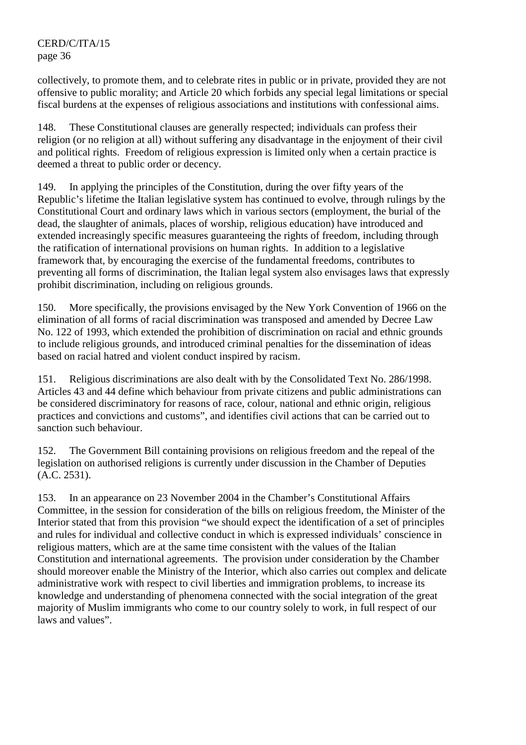collectively, to promote them, and to celebrate rites in public or in private, provided they are not offensive to public morality; and Article 20 which forbids any special legal limitations or special fiscal burdens at the expenses of religious associations and institutions with confessional aims.

148. These Constitutional clauses are generally respected; individuals can profess their religion (or no religion at all) without suffering any disadvantage in the enjoyment of their civil and political rights. Freedom of religious expression is limited only when a certain practice is deemed a threat to public order or decency.

149. In applying the principles of the Constitution, during the over fifty years of the Republic's lifetime the Italian legislative system has continued to evolve, through rulings by the Constitutional Court and ordinary laws which in various sectors (employment, the burial of the dead, the slaughter of animals, places of worship, religious education) have introduced and extended increasingly specific measures guaranteeing the rights of freedom, including through the ratification of international provisions on human rights. In addition to a legislative framework that, by encouraging the exercise of the fundamental freedoms, contributes to preventing all forms of discrimination, the Italian legal system also envisages laws that expressly prohibit discrimination, including on religious grounds.

150. More specifically, the provisions envisaged by the New York Convention of 1966 on the elimination of all forms of racial discrimination was transposed and amended by Decree Law No. 122 of 1993, which extended the prohibition of discrimination on racial and ethnic grounds to include religious grounds, and introduced criminal penalties for the dissemination of ideas based on racial hatred and violent conduct inspired by racism.

151. Religious discriminations are also dealt with by the Consolidated Text No. 286/1998. Articles 43 and 44 define which behaviour from private citizens and public administrations can be considered discriminatory for reasons of race, colour, national and ethnic origin, religious practices and convictions and customs", and identifies civil actions that can be carried out to sanction such behaviour.

152. The Government Bill containing provisions on religious freedom and the repeal of the legislation on authorised religions is currently under discussion in the Chamber of Deputies (A.C. 2531).

153. In an appearance on 23 November 2004 in the Chamber's Constitutional Affairs Committee, in the session for consideration of the bills on religious freedom, the Minister of the Interior stated that from this provision "we should expect the identification of a set of principles and rules for individual and collective conduct in which is expressed individuals' conscience in religious matters, which are at the same time consistent with the values of the Italian Constitution and international agreements. The provision under consideration by the Chamber should moreover enable the Ministry of the Interior, which also carries out complex and delicate administrative work with respect to civil liberties and immigration problems, to increase its knowledge and understanding of phenomena connected with the social integration of the great majority of Muslim immigrants who come to our country solely to work, in full respect of our laws and values".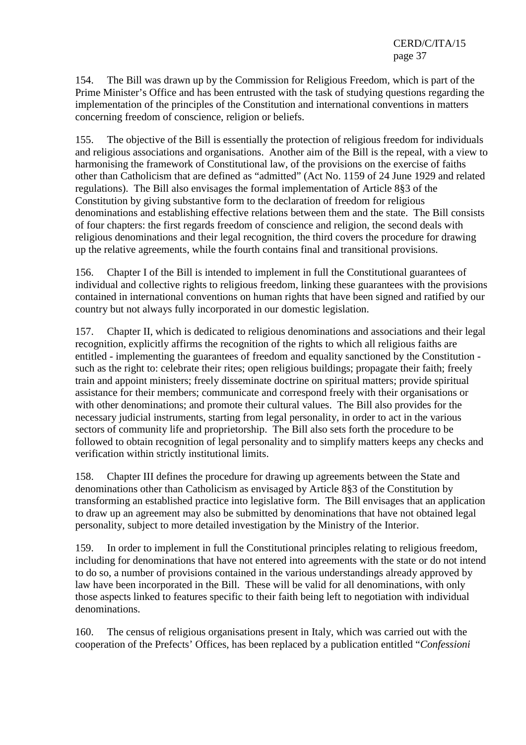154. The Bill was drawn up by the Commission for Religious Freedom, which is part of the Prime Minister's Office and has been entrusted with the task of studying questions regarding the implementation of the principles of the Constitution and international conventions in matters concerning freedom of conscience, religion or beliefs.

155. The objective of the Bill is essentially the protection of religious freedom for individuals and religious associations and organisations. Another aim of the Bill is the repeal, with a view to harmonising the framework of Constitutional law, of the provisions on the exercise of faiths other than Catholicism that are defined as "admitted" (Act No. 1159 of 24 June 1929 and related regulations). The Bill also envisages the formal implementation of Article 8§3 of the Constitution by giving substantive form to the declaration of freedom for religious denominations and establishing effective relations between them and the state. The Bill consists of four chapters: the first regards freedom of conscience and religion, the second deals with religious denominations and their legal recognition, the third covers the procedure for drawing up the relative agreements, while the fourth contains final and transitional provisions.

156. Chapter I of the Bill is intended to implement in full the Constitutional guarantees of individual and collective rights to religious freedom, linking these guarantees with the provisions contained in international conventions on human rights that have been signed and ratified by our country but not always fully incorporated in our domestic legislation.

157. Chapter II, which is dedicated to religious denominations and associations and their legal recognition, explicitly affirms the recognition of the rights to which all religious faiths are entitled - implementing the guarantees of freedom and equality sanctioned by the Constitution such as the right to: celebrate their rites; open religious buildings; propagate their faith; freely train and appoint ministers; freely disseminate doctrine on spiritual matters; provide spiritual assistance for their members; communicate and correspond freely with their organisations or with other denominations; and promote their cultural values. The Bill also provides for the necessary judicial instruments, starting from legal personality, in order to act in the various sectors of community life and proprietorship. The Bill also sets forth the procedure to be followed to obtain recognition of legal personality and to simplify matters keeps any checks and verification within strictly institutional limits.

158. Chapter III defines the procedure for drawing up agreements between the State and denominations other than Catholicism as envisaged by Article 8§3 of the Constitution by transforming an established practice into legislative form. The Bill envisages that an application to draw up an agreement may also be submitted by denominations that have not obtained legal personality, subject to more detailed investigation by the Ministry of the Interior.

159. In order to implement in full the Constitutional principles relating to religious freedom, including for denominations that have not entered into agreements with the state or do not intend to do so, a number of provisions contained in the various understandings already approved by law have been incorporated in the Bill. These will be valid for all denominations, with only those aspects linked to features specific to their faith being left to negotiation with individual denominations.

160. The census of religious organisations present in Italy, which was carried out with the cooperation of the Prefects' Offices, has been replaced by a publication entitled "*Confessioni*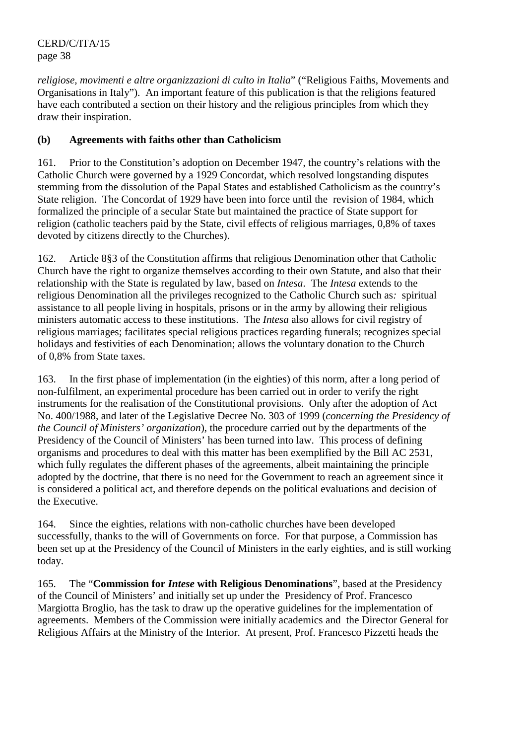*religiose, movimenti e altre organizzazioni di culto in Italia*" ("Religious Faiths, Movements and Organisations in Italy"). An important feature of this publication is that the religions featured have each contributed a section on their history and the religious principles from which they draw their inspiration.

# **(b) Agreements with faiths other than Catholicism**

161. Prior to the Constitution's adoption on December 1947, the country's relations with the Catholic Church were governed by a 1929 Concordat, which resolved longstanding disputes stemming from the dissolution of the Papal States and established Catholicism as the country's State religion. The Concordat of 1929 have been into force until the revision of 1984, which formalized the principle of a secular State but maintained the practice of State support for religion (catholic teachers paid by the State, civil effects of religious marriages, 0,8% of taxes devoted by citizens directly to the Churches).

162. Article 8§3 of the Constitution affirms that religious Denomination other that Catholic Church have the right to organize themselves according to their own Statute, and also that their relationship with the State is regulated by law, based on *Intesa*. The *Intesa* extends to the religious Denomination all the privileges recognized to the Catholic Church such as*:* spiritual assistance to all people living in hospitals, prisons or in the army by allowing their religious ministers automatic access to these institutions. The *Intesa* also allows for civil registry of religious marriages; facilitates special religious practices regarding funerals; recognizes special holidays and festivities of each Denomination; allows the voluntary donation to the Church of 0,8% from State taxes.

163. In the first phase of implementation (in the eighties) of this norm, after a long period of non-fulfilment, an experimental procedure has been carried out in order to verify the right instruments for the realisation of the Constitutional provisions. Only after the adoption of Act No. 400/1988, and later of the Legislative Decree No. 303 of 1999 (*concerning the Presidency of the Council of Ministers' organization*), the procedure carried out by the departments of the Presidency of the Council of Ministers' has been turned into law. This process of defining organisms and procedures to deal with this matter has been exemplified by the Bill AC 2531, which fully regulates the different phases of the agreements, albeit maintaining the principle adopted by the doctrine, that there is no need for the Government to reach an agreement since it is considered a political act, and therefore depends on the political evaluations and decision of the Executive.

164. Since the eighties, relations with non-catholic churches have been developed successfully, thanks to the will of Governments on force. For that purpose, a Commission has been set up at the Presidency of the Council of Ministers in the early eighties, and is still working today.

165. The "**Commission for** *Intese* **with Religious Denominations**", based at the Presidency of the Council of Ministers' and initially set up under the Presidency of Prof. Francesco Margiotta Broglio, has the task to draw up the operative guidelines for the implementation of agreements. Members of the Commission were initially academics and the Director General for Religious Affairs at the Ministry of the Interior. At present, Prof. Francesco Pizzetti heads the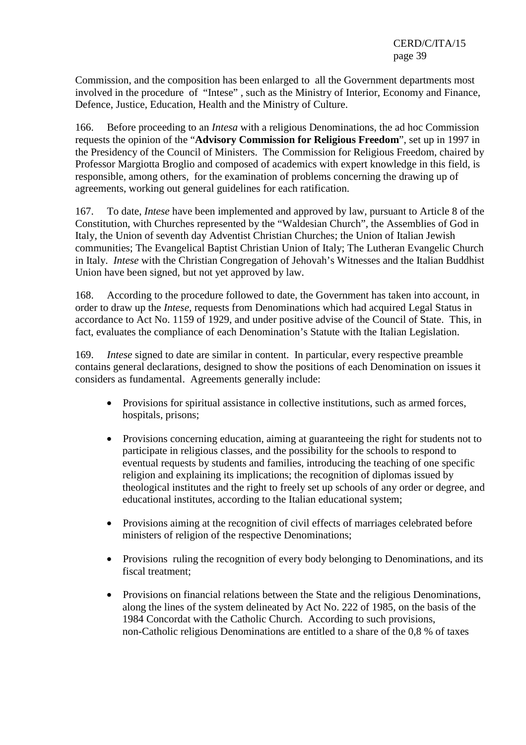Commission, and the composition has been enlarged to all the Government departments most involved in the procedure of "Intese" , such as the Ministry of Interior, Economy and Finance, Defence, Justice, Education, Health and the Ministry of Culture.

166. Before proceeding to an *Intesa* with a religious Denominations, the ad hoc Commission requests the opinion of the "**Advisory Commission for Religious Freedom**", set up in 1997 in the Presidency of the Council of Ministers. The Commission for Religious Freedom, chaired by Professor Margiotta Broglio and composed of academics with expert knowledge in this field, is responsible, among others, for the examination of problems concerning the drawing up of agreements, working out general guidelines for each ratification.

167. To date, *Intese* have been implemented and approved by law, pursuant to Article 8 of the Constitution, with Churches represented by the "Waldesian Church", the Assemblies of God in Italy, the Union of seventh day Adventist Christian Churches; the Union of Italian Jewish communities; The Evangelical Baptist Christian Union of Italy; The Lutheran Evangelic Church in Italy. *Intese* with the Christian Congregation of Jehovah's Witnesses and the Italian Buddhist Union have been signed, but not yet approved by law.

168. According to the procedure followed to date, the Government has taken into account, in order to draw up the *Intese*, requests from Denominations which had acquired Legal Status in accordance to Act No. 1159 of 1929, and under positive advise of the Council of State. This, in fact, evaluates the compliance of each Denomination's Statute with the Italian Legislation.

169. *Intese* signed to date are similar in content. In particular, every respective preamble contains general declarations, designed to show the positions of each Denomination on issues it considers as fundamental. Agreements generally include:

- Provisions for spiritual assistance in collective institutions, such as armed forces, hospitals, prisons;
- Provisions concerning education, aiming at guaranteeing the right for students not to participate in religious classes, and the possibility for the schools to respond to eventual requests by students and families, introducing the teaching of one specific religion and explaining its implications; the recognition of diplomas issued by theological institutes and the right to freely set up schools of any order or degree, and educational institutes, according to the Italian educational system;
- Provisions aiming at the recognition of civil effects of marriages celebrated before ministers of religion of the respective Denominations;
- Provisions ruling the recognition of every body belonging to Denominations, and its fiscal treatment;
- Provisions on financial relations between the State and the religious Denominations, along the lines of the system delineated by Act No. 222 of 1985, on the basis of the 1984 Concordat with the Catholic Church. According to such provisions, non-Catholic religious Denominations are entitled to a share of the 0,8 % of taxes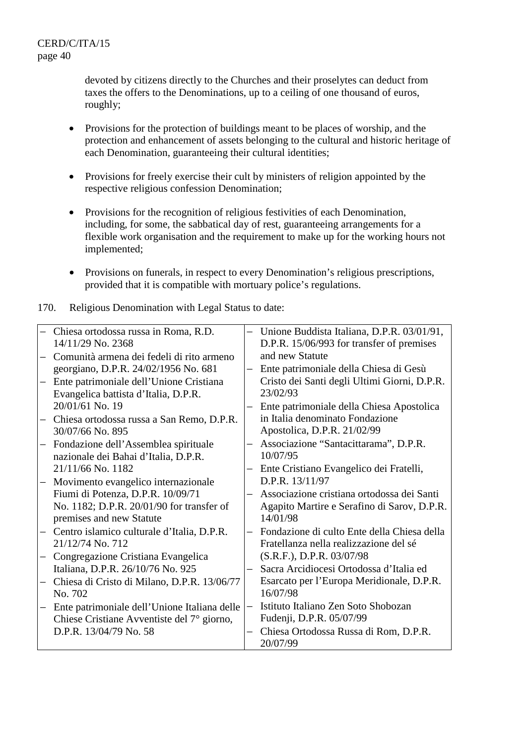devoted by citizens directly to the Churches and their proselytes can deduct from taxes the offers to the Denominations, up to a ceiling of one thousand of euros, roughly;

- Provisions for the protection of buildings meant to be places of worship, and the protection and enhancement of assets belonging to the cultural and historic heritage of each Denomination, guaranteeing their cultural identities;
- Provisions for freely exercise their cult by ministers of religion appointed by the respective religious confession Denomination;
- Provisions for the recognition of religious festivities of each Denomination, including, for some, the sabbatical day of rest, guaranteeing arrangements for a flexible work organisation and the requirement to make up for the working hours not implemented;
- Provisions on funerals, in respect to every Denomination's religious prescriptions, provided that it is compatible with mortuary police's regulations.
- 170. Religious Denomination with Legal Status to date:

| Chiesa ortodossa russa in Roma, R.D.         | $\overline{\phantom{0}}$ | Unione Buddista Italiana, D.P.R. 03/01/91,   |
|----------------------------------------------|--------------------------|----------------------------------------------|
| 14/11/29 No. 2368                            |                          | D.P.R. 15/06/993 for transfer of premises    |
| Comunità armena dei fedeli di rito armeno    |                          | and new Statute                              |
| georgiano, D.P.R. 24/02/1956 No. 681         | $\overline{\phantom{0}}$ | Ente patrimoniale della Chiesa di Gesù       |
| Ente patrimoniale dell'Unione Cristiana      |                          | Cristo dei Santi degli Ultimi Giorni, D.P.R. |
| Evangelica battista d'Italia, D.P.R.         |                          | 23/02/93                                     |
| 20/01/61 No. 19                              |                          | Ente patrimoniale della Chiesa Apostolica    |
| Chiesa ortodossa russa a San Remo, D.P.R.    |                          | in Italia denominato Fondazione              |
| 30/07/66 No. 895                             |                          | Apostolica, D.P.R. 21/02/99                  |
| Fondazione dell'Assemblea spirituale         |                          | Associazione "Santacittarama", D.P.R.        |
| nazionale dei Bahai d'Italia, D.P.R.         |                          | 10/07/95                                     |
| 21/11/66 No. 1182                            |                          | Ente Cristiano Evangelico dei Fratelli,      |
| Movimento evangelico internazionale          |                          | D.P.R. 13/11/97                              |
| Fiumi di Potenza, D.P.R. 10/09/71            |                          | Associazione cristiana ortodossa dei Santi   |
| No. 1182; D.P.R. 20/01/90 for transfer of    |                          | Agapito Martire e Serafino di Sarov, D.P.R.  |
| premises and new Statute                     |                          | 14/01/98                                     |
| Centro islamico culturale d'Italia, D.P.R.   |                          | Fondazione di culto Ente della Chiesa della  |
| 21/12/74 No. 712                             |                          | Fratellanza nella realizzazione del sé       |
| Congregazione Cristiana Evangelica           |                          | (S.R.F.), D.P.R. 03/07/98                    |
| Italiana, D.P.R. 26/10/76 No. 925            |                          | Sacra Arcidiocesi Ortodossa d'Italia ed      |
| Chiesa di Cristo di Milano, D.P.R. 13/06/77  |                          | Esarcato per l'Europa Meridionale, D.P.R.    |
| No. 702                                      |                          | 16/07/98                                     |
| Ente patrimoniale dell'Unione Italiana delle |                          | Istituto Italiano Zen Soto Shobozan          |
| Chiese Cristiane Avventiste del 7° giorno,   |                          | Fudenji, D.P.R. 05/07/99                     |
| D.P.R. 13/04/79 No. 58                       |                          | Chiesa Ortodossa Russa di Rom, D.P.R.        |
|                                              |                          | 20/07/99                                     |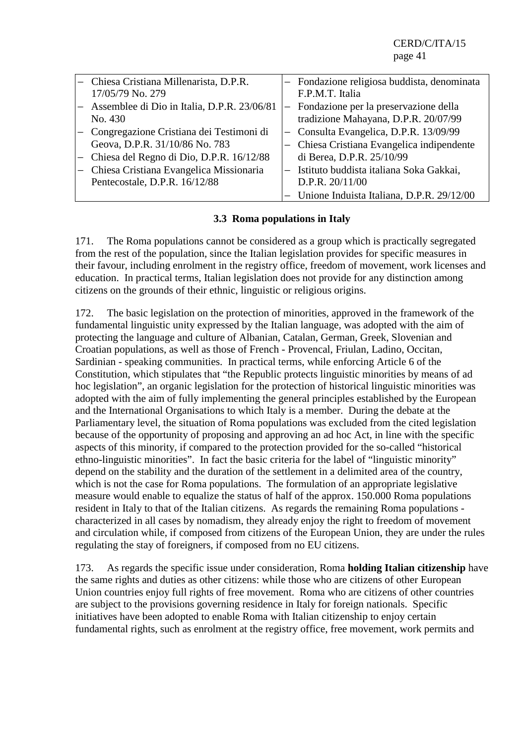| Chiesa Cristiana Millenarista, D.P.R.       |                   | Fondazione religiosa buddista, denominata |
|---------------------------------------------|-------------------|-------------------------------------------|
| 17/05/79 No. 279                            |                   | F.P.M.T. Italia                           |
| Assemblee di Dio in Italia, D.P.R. 23/06/81 |                   | Fondazione per la preservazione della     |
| No. 430                                     |                   | tradizione Mahayana, D.P.R. 20/07/99      |
| Congregazione Cristiana dei Testimoni di    |                   | Consulta Evangelica, D.P.R. 13/09/99      |
| Geova, D.P.R. 31/10/86 No. 783              |                   | Chiesa Cristiana Evangelica indipendente  |
| Chiesa del Regno di Dio, D.P.R. 16/12/88    |                   | di Berea, D.P.R. 25/10/99                 |
| Chiesa Cristiana Evangelica Missionaria     | $\qquad \qquad -$ | Istituto buddista italiana Soka Gakkai,   |
| Pentecostale, D.P.R. 16/12/88               |                   | D.P.R. 20/11/00                           |
|                                             |                   | Unione Induista Italiana, D.P.R. 29/12/00 |

#### **3.3 Roma populations in Italy**

171. The Roma populations cannot be considered as a group which is practically segregated from the rest of the population, since the Italian legislation provides for specific measures in their favour, including enrolment in the registry office, freedom of movement, work licenses and education. In practical terms, Italian legislation does not provide for any distinction among citizens on the grounds of their ethnic, linguistic or religious origins.

172. The basic legislation on the protection of minorities, approved in the framework of the fundamental linguistic unity expressed by the Italian language, was adopted with the aim of protecting the language and culture of Albanian, Catalan, German, Greek, Slovenian and Croatian populations, as well as those of French - Provencal, Friulan, Ladino, Occitan, Sardinian - speaking communities. In practical terms, while enforcing Article 6 of the Constitution, which stipulates that "the Republic protects linguistic minorities by means of ad hoc legislation", an organic legislation for the protection of historical linguistic minorities was adopted with the aim of fully implementing the general principles established by the European and the International Organisations to which Italy is a member. During the debate at the Parliamentary level, the situation of Roma populations was excluded from the cited legislation because of the opportunity of proposing and approving an ad hoc Act, in line with the specific aspects of this minority, if compared to the protection provided for the so-called "historical ethno-linguistic minorities". In fact the basic criteria for the label of "linguistic minority" depend on the stability and the duration of the settlement in a delimited area of the country, which is not the case for Roma populations. The formulation of an appropriate legislative measure would enable to equalize the status of half of the approx. 150.000 Roma populations resident in Italy to that of the Italian citizens. As regards the remaining Roma populations characterized in all cases by nomadism, they already enjoy the right to freedom of movement and circulation while, if composed from citizens of the European Union, they are under the rules regulating the stay of foreigners, if composed from no EU citizens.

173. As regards the specific issue under consideration, Roma **holding Italian citizenship** have the same rights and duties as other citizens: while those who are citizens of other European Union countries enjoy full rights of free movement. Roma who are citizens of other countries are subject to the provisions governing residence in Italy for foreign nationals. Specific initiatives have been adopted to enable Roma with Italian citizenship to enjoy certain fundamental rights, such as enrolment at the registry office, free movement, work permits and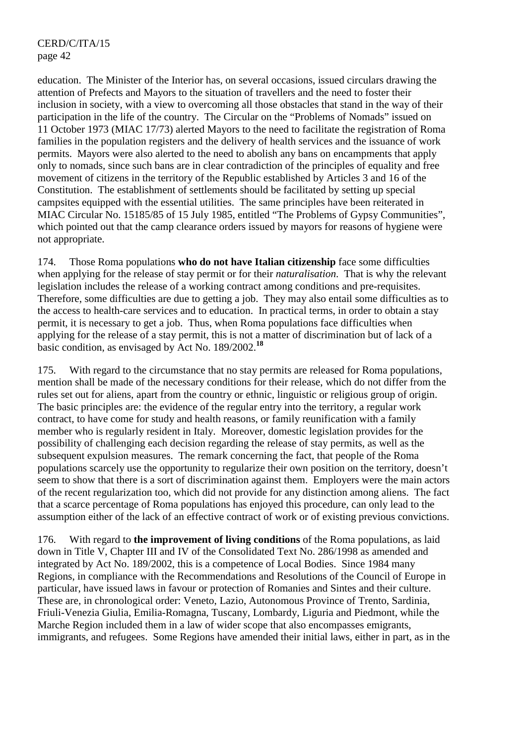education. The Minister of the Interior has, on several occasions, issued circulars drawing the attention of Prefects and Mayors to the situation of travellers and the need to foster their inclusion in society, with a view to overcoming all those obstacles that stand in the way of their participation in the life of the country. The Circular on the "Problems of Nomads" issued on 11 October 1973 (MIAC 17/73) alerted Mayors to the need to facilitate the registration of Roma families in the population registers and the delivery of health services and the issuance of work permits. Mayors were also alerted to the need to abolish any bans on encampments that apply only to nomads, since such bans are in clear contradiction of the principles of equality and free movement of citizens in the territory of the Republic established by Articles 3 and 16 of the Constitution. The establishment of settlements should be facilitated by setting up special campsites equipped with the essential utilities. The same principles have been reiterated in MIAC Circular No. 15185/85 of 15 July 1985, entitled "The Problems of Gypsy Communities", which pointed out that the camp clearance orders issued by mayors for reasons of hygiene were not appropriate.

174. Those Roma populations **who do not have Italian citizenship** face some difficulties when applying for the release of stay permit or for their *naturalisation*. That is why the relevant legislation includes the release of a working contract among conditions and pre-requisites. Therefore, some difficulties are due to getting a job. They may also entail some difficulties as to the access to health-care services and to education. In practical terms, in order to obtain a stay permit, it is necessary to get a job. Thus, when Roma populations face difficulties when applying for the release of a stay permit, this is not a matter of discrimination but of lack of a basic condition, as envisaged by Act No. 189/2002.**<sup>18</sup>**

175. With regard to the circumstance that no stay permits are released for Roma populations, mention shall be made of the necessary conditions for their release, which do not differ from the rules set out for aliens, apart from the country or ethnic, linguistic or religious group of origin. The basic principles are: the evidence of the regular entry into the territory, a regular work contract, to have come for study and health reasons, or family reunification with a family member who is regularly resident in Italy. Moreover, domestic legislation provides for the possibility of challenging each decision regarding the release of stay permits, as well as the subsequent expulsion measures. The remark concerning the fact, that people of the Roma populations scarcely use the opportunity to regularize their own position on the territory, doesn't seem to show that there is a sort of discrimination against them. Employers were the main actors of the recent regularization too, which did not provide for any distinction among aliens. The fact that a scarce percentage of Roma populations has enjoyed this procedure, can only lead to the assumption either of the lack of an effective contract of work or of existing previous convictions.

176. With regard to **the improvement of living conditions** of the Roma populations, as laid down in Title V, Chapter III and IV of the Consolidated Text No. 286/1998 as amended and integrated by Act No. 189/2002, this is a competence of Local Bodies. Since 1984 many Regions, in compliance with the Recommendations and Resolutions of the Council of Europe in particular, have issued laws in favour or protection of Romanies and Sintes and their culture. These are, in chronological order: Veneto, Lazio, Autonomous Province of Trento, Sardinia, Friuli-Venezia Giulia, Emilia-Romagna, Tuscany, Lombardy, Liguria and Piedmont, while the Marche Region included them in a law of wider scope that also encompasses emigrants, immigrants, and refugees. Some Regions have amended their initial laws, either in part, as in the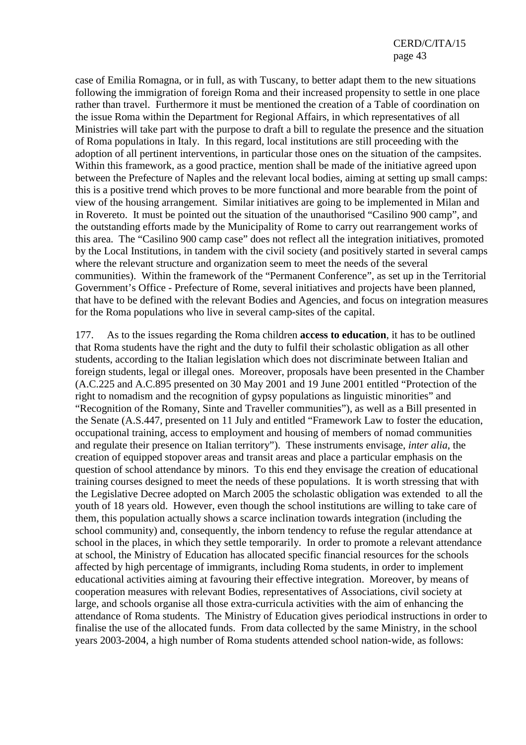case of Emilia Romagna, or in full, as with Tuscany, to better adapt them to the new situations following the immigration of foreign Roma and their increased propensity to settle in one place rather than travel. Furthermore it must be mentioned the creation of a Table of coordination on the issue Roma within the Department for Regional Affairs, in which representatives of all Ministries will take part with the purpose to draft a bill to regulate the presence and the situation of Roma populations in Italy. In this regard, local institutions are still proceeding with the adoption of all pertinent interventions, in particular those ones on the situation of the campsites. Within this framework, as a good practice, mention shall be made of the initiative agreed upon between the Prefecture of Naples and the relevant local bodies, aiming at setting up small camps: this is a positive trend which proves to be more functional and more bearable from the point of view of the housing arrangement. Similar initiatives are going to be implemented in Milan and in Rovereto. It must be pointed out the situation of the unauthorised "Casilino 900 camp", and the outstanding efforts made by the Municipality of Rome to carry out rearrangement works of this area. The "Casilino 900 camp case" does not reflect all the integration initiatives, promoted by the Local Institutions, in tandem with the civil society (and positively started in several camps where the relevant structure and organization seem to meet the needs of the several communities). Within the framework of the "Permanent Conference", as set up in the Territorial Government's Office - Prefecture of Rome, several initiatives and projects have been planned, that have to be defined with the relevant Bodies and Agencies, and focus on integration measures for the Roma populations who live in several camp-sites of the capital.

177. As to the issues regarding the Roma children **access to education**, it has to be outlined that Roma students have the right and the duty to fulfil their scholastic obligation as all other students, according to the Italian legislation which does not discriminate between Italian and foreign students, legal or illegal ones. Moreover, proposals have been presented in the Chamber (A.C.225 and A.C.895 presented on 30 May 2001 and 19 June 2001 entitled "Protection of the right to nomadism and the recognition of gypsy populations as linguistic minorities" and "Recognition of the Romany, Sinte and Traveller communities"), as well as a Bill presented in the Senate (A.S.447, presented on 11 July and entitled "Framework Law to foster the education, occupational training, access to employment and housing of members of nomad communities and regulate their presence on Italian territory"). These instruments envisage, *inter alia*, the creation of equipped stopover areas and transit areas and place a particular emphasis on the question of school attendance by minors. To this end they envisage the creation of educational training courses designed to meet the needs of these populations. It is worth stressing that with the Legislative Decree adopted on March 2005 the scholastic obligation was extended to all the youth of 18 years old. However, even though the school institutions are willing to take care of them, this population actually shows a scarce inclination towards integration (including the school community) and, consequently, the inborn tendency to refuse the regular attendance at school in the places, in which they settle temporarily. In order to promote a relevant attendance at school, the Ministry of Education has allocated specific financial resources for the schools affected by high percentage of immigrants, including Roma students, in order to implement educational activities aiming at favouring their effective integration. Moreover, by means of cooperation measures with relevant Bodies, representatives of Associations, civil society at large, and schools organise all those extra-curricula activities with the aim of enhancing the attendance of Roma students. The Ministry of Education gives periodical instructions in order to finalise the use of the allocated funds. From data collected by the same Ministry, in the school years 2003-2004, a high number of Roma students attended school nation-wide, as follows: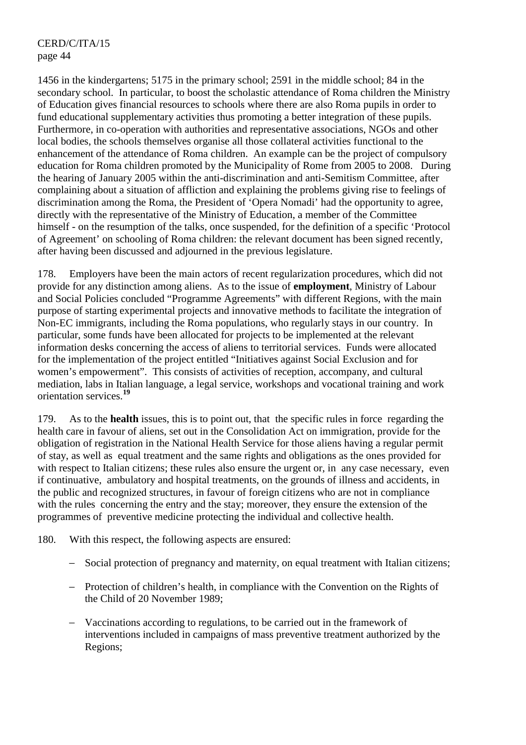1456 in the kindergartens; 5175 in the primary school; 2591 in the middle school; 84 in the secondary school. In particular, to boost the scholastic attendance of Roma children the Ministry of Education gives financial resources to schools where there are also Roma pupils in order to fund educational supplementary activities thus promoting a better integration of these pupils. Furthermore, in co-operation with authorities and representative associations, NGOs and other local bodies, the schools themselves organise all those collateral activities functional to the enhancement of the attendance of Roma children. An example can be the project of compulsory education for Roma children promoted by the Municipality of Rome from 2005 to 2008. During the hearing of January 2005 within the anti-discrimination and anti-Semitism Committee, after complaining about a situation of affliction and explaining the problems giving rise to feelings of discrimination among the Roma, the President of 'Opera Nomadi' had the opportunity to agree, directly with the representative of the Ministry of Education, a member of the Committee himself - on the resumption of the talks, once suspended, for the definition of a specific 'Protocol of Agreement' on schooling of Roma children: the relevant document has been signed recently, after having been discussed and adjourned in the previous legislature.

178. Employers have been the main actors of recent regularization procedures, which did not provide for any distinction among aliens. As to the issue of **employment**, Ministry of Labour and Social Policies concluded "Programme Agreements" with different Regions, with the main purpose of starting experimental projects and innovative methods to facilitate the integration of Non-EC immigrants, including the Roma populations, who regularly stays in our country. In particular, some funds have been allocated for projects to be implemented at the relevant information desks concerning the access of aliens to territorial services. Funds were allocated for the implementation of the project entitled "Initiatives against Social Exclusion and for women's empowerment". This consists of activities of reception, accompany, and cultural mediation, labs in Italian language, a legal service, workshops and vocational training and work orientation services.**<sup>19</sup>**

179. As to the **health** issues, this is to point out, that the specific rules in force regarding the health care in favour of aliens, set out in the Consolidation Act on immigration, provide for the obligation of registration in the National Health Service for those aliens having a regular permit of stay, as well as equal treatment and the same rights and obligations as the ones provided for with respect to Italian citizens; these rules also ensure the urgent or, in any case necessary, even if continuative, ambulatory and hospital treatments, on the grounds of illness and accidents, in the public and recognized structures, in favour of foreign citizens who are not in compliance with the rules concerning the entry and the stay; moreover, they ensure the extension of the programmes of preventive medicine protecting the individual and collective health.

180. With this respect, the following aspects are ensured:

- − Social protection of pregnancy and maternity, on equal treatment with Italian citizens;
- − Protection of children's health, in compliance with the Convention on the Rights of the Child of 20 November 1989;
- − Vaccinations according to regulations, to be carried out in the framework of interventions included in campaigns of mass preventive treatment authorized by the Regions;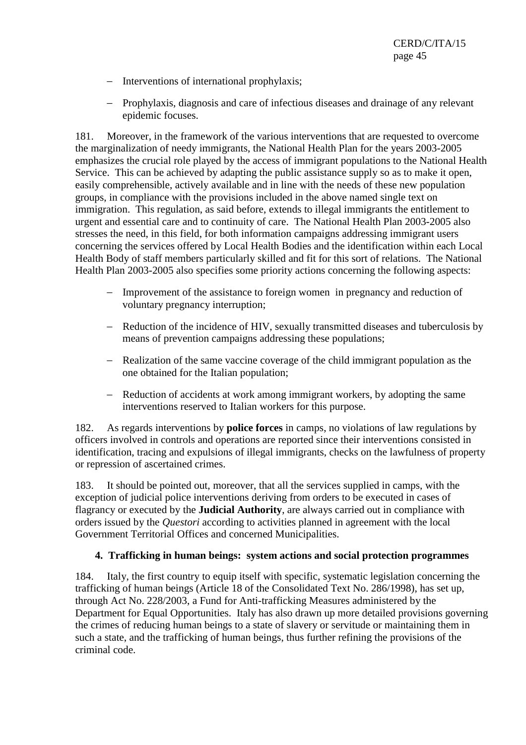- − Interventions of international prophylaxis;
- − Prophylaxis, diagnosis and care of infectious diseases and drainage of any relevant epidemic focuses.

181. Moreover, in the framework of the various interventions that are requested to overcome the marginalization of needy immigrants, the National Health Plan for the years 2003-2005 emphasizes the crucial role played by the access of immigrant populations to the National Health Service. This can be achieved by adapting the public assistance supply so as to make it open, easily comprehensible, actively available and in line with the needs of these new population groups, in compliance with the provisions included in the above named single text on immigration. This regulation, as said before, extends to illegal immigrants the entitlement to urgent and essential care and to continuity of care. The National Health Plan 2003-2005 also stresses the need, in this field, for both information campaigns addressing immigrant users concerning the services offered by Local Health Bodies and the identification within each Local Health Body of staff members particularly skilled and fit for this sort of relations. The National Health Plan 2003-2005 also specifies some priority actions concerning the following aspects:

- − Improvement of the assistance to foreign women in pregnancy and reduction of voluntary pregnancy interruption;
- − Reduction of the incidence of HIV, sexually transmitted diseases and tuberculosis by means of prevention campaigns addressing these populations;
- − Realization of the same vaccine coverage of the child immigrant population as the one obtained for the Italian population;
- − Reduction of accidents at work among immigrant workers, by adopting the same interventions reserved to Italian workers for this purpose.

182. As regards interventions by **police forces** in camps, no violations of law regulations by officers involved in controls and operations are reported since their interventions consisted in identification, tracing and expulsions of illegal immigrants, checks on the lawfulness of property or repression of ascertained crimes.

183. It should be pointed out, moreover, that all the services supplied in camps, with the exception of judicial police interventions deriving from orders to be executed in cases of flagrancy or executed by the **Judicial Authority**, are always carried out in compliance with orders issued by the *Questori* according to activities planned in agreement with the local Government Territorial Offices and concerned Municipalities.

### **4. Trafficking in human beings: system actions and social protection programmes**

184. Italy, the first country to equip itself with specific, systematic legislation concerning the trafficking of human beings (Article 18 of the Consolidated Text No. 286/1998), has set up, through Act No. 228/2003, a Fund for Anti-trafficking Measures administered by the Department for Equal Opportunities. Italy has also drawn up more detailed provisions governing the crimes of reducing human beings to a state of slavery or servitude or maintaining them in such a state, and the trafficking of human beings, thus further refining the provisions of the criminal code.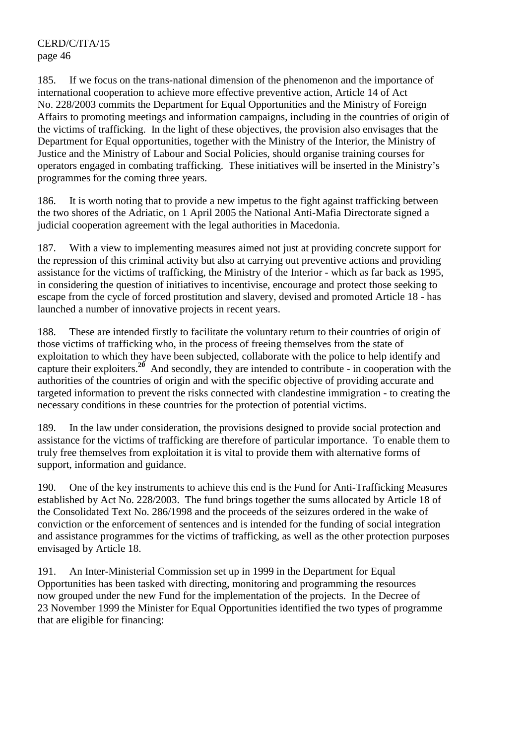185. If we focus on the trans-national dimension of the phenomenon and the importance of international cooperation to achieve more effective preventive action, Article 14 of Act No. 228/2003 commits the Department for Equal Opportunities and the Ministry of Foreign Affairs to promoting meetings and information campaigns, including in the countries of origin of the victims of trafficking. In the light of these objectives, the provision also envisages that the Department for Equal opportunities, together with the Ministry of the Interior, the Ministry of Justice and the Ministry of Labour and Social Policies, should organise training courses for operators engaged in combating trafficking. These initiatives will be inserted in the Ministry's programmes for the coming three years.

186. It is worth noting that to provide a new impetus to the fight against trafficking between the two shores of the Adriatic, on 1 April 2005 the National Anti-Mafia Directorate signed a judicial cooperation agreement with the legal authorities in Macedonia.

187. With a view to implementing measures aimed not just at providing concrete support for the repression of this criminal activity but also at carrying out preventive actions and providing assistance for the victims of trafficking, the Ministry of the Interior - which as far back as 1995, in considering the question of initiatives to incentivise, encourage and protect those seeking to escape from the cycle of forced prostitution and slavery, devised and promoted Article 18 - has launched a number of innovative projects in recent years.

188. These are intended firstly to facilitate the voluntary return to their countries of origin of those victims of trafficking who, in the process of freeing themselves from the state of exploitation to which they have been subjected, collaborate with the police to help identify and capture their exploiters.**<sup>20</sup>** And secondly, they are intended to contribute - in cooperation with the authorities of the countries of origin and with the specific objective of providing accurate and targeted information to prevent the risks connected with clandestine immigration - to creating the necessary conditions in these countries for the protection of potential victims.

189. In the law under consideration, the provisions designed to provide social protection and assistance for the victims of trafficking are therefore of particular importance. To enable them to truly free themselves from exploitation it is vital to provide them with alternative forms of support, information and guidance.

190. One of the key instruments to achieve this end is the Fund for Anti-Trafficking Measures established by Act No. 228/2003. The fund brings together the sums allocated by Article 18 of the Consolidated Text No. 286/1998 and the proceeds of the seizures ordered in the wake of conviction or the enforcement of sentences and is intended for the funding of social integration and assistance programmes for the victims of trafficking, as well as the other protection purposes envisaged by Article 18.

191. An Inter-Ministerial Commission set up in 1999 in the Department for Equal Opportunities has been tasked with directing, monitoring and programming the resources now grouped under the new Fund for the implementation of the projects. In the Decree of 23 November 1999 the Minister for Equal Opportunities identified the two types of programme that are eligible for financing: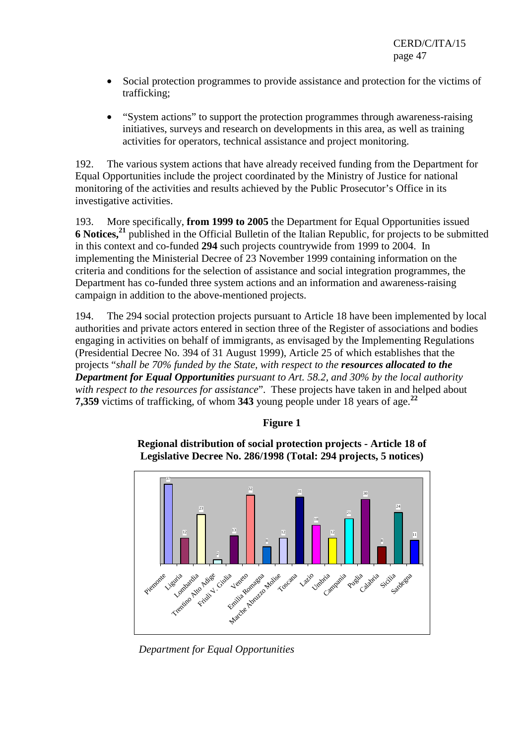- Social protection programmes to provide assistance and protection for the victims of trafficking;
- "System actions" to support the protection programmes through awareness-raising initiatives, surveys and research on developments in this area, as well as training activities for operators, technical assistance and project monitoring.

192. The various system actions that have already received funding from the Department for Equal Opportunities include the project coordinated by the Ministry of Justice for national monitoring of the activities and results achieved by the Public Prosecutor's Office in its investigative activities.

193. More specifically, **from 1999 to 2005** the Department for Equal Opportunities issued **6 Notices,<sup>21</sup>** published in the Official Bulletin of the Italian Republic, for projects to be submitted in this context and co-funded **294** such projects countrywide from 1999 to 2004. In implementing the Ministerial Decree of 23 November 1999 containing information on the criteria and conditions for the selection of assistance and social integration programmes, the Department has co-funded three system actions and an information and awareness-raising campaign in addition to the above-mentioned projects.

194. The 294 social protection projects pursuant to Article 18 have been implemented by local authorities and private actors entered in section three of the Register of associations and bodies engaging in activities on behalf of immigrants, as envisaged by the Implementing Regulations (Presidential Decree No. 394 of 31 August 1999), Article 25 of which establishes that the projects "*shall be 70% funded by the State, with respect to the resources allocated to the Department for Equal Opportunities pursuant to Art. 58.2, and 30% by the local authority with respect to the resources for assistance*". These projects have taken in and helped about **7,359** victims of trafficking, of whom **343** young people under 18 years of age.**<sup>22</sup>**

# **Figure 1**

**Regional distribution of social protection projects - Article 18 of Legislative Decree No. 286/1998 (Total: 294 projects, 5 notices)** 



 *Department for Equal Opportunities*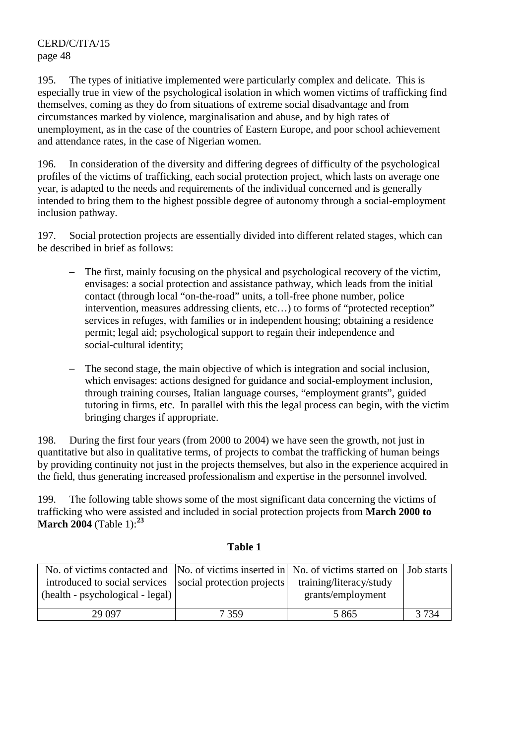195. The types of initiative implemented were particularly complex and delicate. This is especially true in view of the psychological isolation in which women victims of trafficking find themselves, coming as they do from situations of extreme social disadvantage and from circumstances marked by violence, marginalisation and abuse, and by high rates of unemployment, as in the case of the countries of Eastern Europe, and poor school achievement and attendance rates, in the case of Nigerian women.

196. In consideration of the diversity and differing degrees of difficulty of the psychological profiles of the victims of trafficking, each social protection project, which lasts on average one year, is adapted to the needs and requirements of the individual concerned and is generally intended to bring them to the highest possible degree of autonomy through a social-employment inclusion pathway.

197. Social protection projects are essentially divided into different related stages, which can be described in brief as follows:

- − The first, mainly focusing on the physical and psychological recovery of the victim, envisages: a social protection and assistance pathway, which leads from the initial contact (through local "on-the-road" units, a toll-free phone number, police intervention, measures addressing clients, etc…) to forms of "protected reception" services in refuges, with families or in independent housing; obtaining a residence permit; legal aid; psychological support to regain their independence and social-cultural identity;
- The second stage, the main objective of which is integration and social inclusion, which envisages: actions designed for guidance and social-employment inclusion, through training courses, Italian language courses, "employment grants", guided tutoring in firms, etc. In parallel with this the legal process can begin, with the victim bringing charges if appropriate.

198. During the first four years (from 2000 to 2004) we have seen the growth, not just in quantitative but also in qualitative terms, of projects to combat the trafficking of human beings by providing continuity not just in the projects themselves, but also in the experience acquired in the field, thus generating increased professionalism and expertise in the personnel involved.

199. The following table shows some of the most significant data concerning the victims of trafficking who were assisted and included in social protection projects from **March 2000 to March 2004** (Table 1):**<sup>23</sup>**

| No. of victims contacted and $\vert$ No. of victims inserted in $\vert$ No. of victims started on $\vert$ Job starts $\vert$<br>introduced to social services   social protection projects  <br>(health - psychological - legal) |      | training/literacy/study<br>grants/employment |         |
|----------------------------------------------------------------------------------------------------------------------------------------------------------------------------------------------------------------------------------|------|----------------------------------------------|---------|
| 29 0 97                                                                                                                                                                                                                          | 7359 | 5 8 6 5                                      | 3 7 3 4 |

### **Table 1**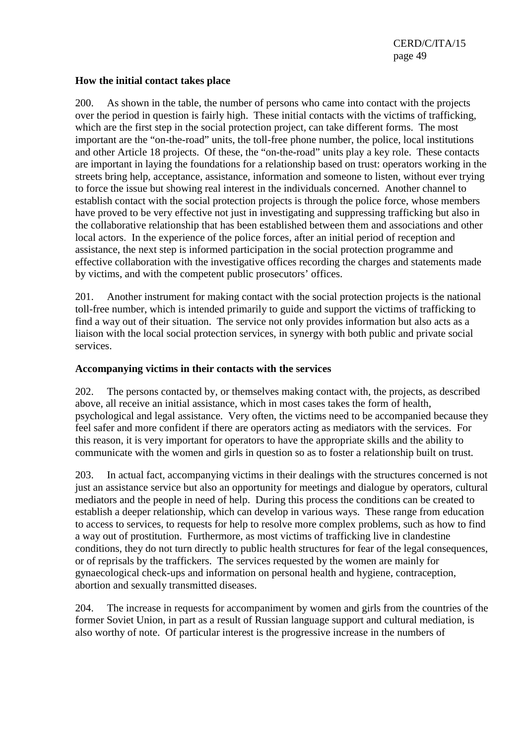#### **How the initial contact takes place**

200. As shown in the table, the number of persons who came into contact with the projects over the period in question is fairly high. These initial contacts with the victims of trafficking, which are the first step in the social protection project, can take different forms. The most important are the "on-the-road" units, the toll-free phone number, the police, local institutions and other Article 18 projects. Of these, the "on-the-road" units play a key role. These contacts are important in laying the foundations for a relationship based on trust: operators working in the streets bring help, acceptance, assistance, information and someone to listen, without ever trying to force the issue but showing real interest in the individuals concerned. Another channel to establish contact with the social protection projects is through the police force, whose members have proved to be very effective not just in investigating and suppressing trafficking but also in the collaborative relationship that has been established between them and associations and other local actors. In the experience of the police forces, after an initial period of reception and assistance, the next step is informed participation in the social protection programme and effective collaboration with the investigative offices recording the charges and statements made by victims, and with the competent public prosecutors' offices.

201. Another instrument for making contact with the social protection projects is the national toll-free number, which is intended primarily to guide and support the victims of trafficking to find a way out of their situation. The service not only provides information but also acts as a liaison with the local social protection services, in synergy with both public and private social services.

#### **Accompanying victims in their contacts with the services**

202. The persons contacted by, or themselves making contact with, the projects, as described above, all receive an initial assistance, which in most cases takes the form of health, psychological and legal assistance. Very often, the victims need to be accompanied because they feel safer and more confident if there are operators acting as mediators with the services. For this reason, it is very important for operators to have the appropriate skills and the ability to communicate with the women and girls in question so as to foster a relationship built on trust.

203. In actual fact, accompanying victims in their dealings with the structures concerned is not just an assistance service but also an opportunity for meetings and dialogue by operators, cultural mediators and the people in need of help. During this process the conditions can be created to establish a deeper relationship, which can develop in various ways. These range from education to access to services, to requests for help to resolve more complex problems, such as how to find a way out of prostitution. Furthermore, as most victims of trafficking live in clandestine conditions, they do not turn directly to public health structures for fear of the legal consequences, or of reprisals by the traffickers. The services requested by the women are mainly for gynaecological check-ups and information on personal health and hygiene, contraception, abortion and sexually transmitted diseases.

204. The increase in requests for accompaniment by women and girls from the countries of the former Soviet Union, in part as a result of Russian language support and cultural mediation, is also worthy of note. Of particular interest is the progressive increase in the numbers of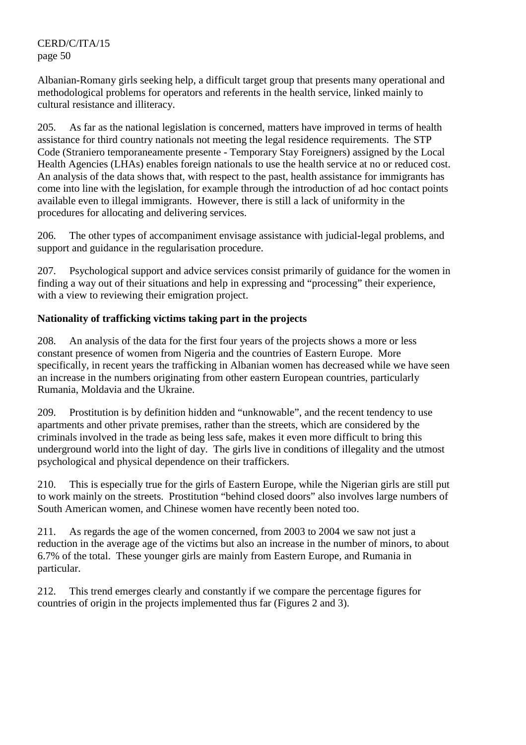Albanian-Romany girls seeking help, a difficult target group that presents many operational and methodological problems for operators and referents in the health service, linked mainly to cultural resistance and illiteracy.

205. As far as the national legislation is concerned, matters have improved in terms of health assistance for third country nationals not meeting the legal residence requirements. The STP Code (Straniero temporaneamente presente - Temporary Stay Foreigners) assigned by the Local Health Agencies (LHAs) enables foreign nationals to use the health service at no or reduced cost. An analysis of the data shows that, with respect to the past, health assistance for immigrants has come into line with the legislation, for example through the introduction of ad hoc contact points available even to illegal immigrants. However, there is still a lack of uniformity in the procedures for allocating and delivering services.

206. The other types of accompaniment envisage assistance with judicial-legal problems, and support and guidance in the regularisation procedure.

207. Psychological support and advice services consist primarily of guidance for the women in finding a way out of their situations and help in expressing and "processing" their experience, with a view to reviewing their emigration project.

# **Nationality of trafficking victims taking part in the projects**

208. An analysis of the data for the first four years of the projects shows a more or less constant presence of women from Nigeria and the countries of Eastern Europe. More specifically, in recent years the trafficking in Albanian women has decreased while we have seen an increase in the numbers originating from other eastern European countries, particularly Rumania, Moldavia and the Ukraine.

209. Prostitution is by definition hidden and "unknowable", and the recent tendency to use apartments and other private premises, rather than the streets, which are considered by the criminals involved in the trade as being less safe, makes it even more difficult to bring this underground world into the light of day. The girls live in conditions of illegality and the utmost psychological and physical dependence on their traffickers.

210. This is especially true for the girls of Eastern Europe, while the Nigerian girls are still put to work mainly on the streets. Prostitution "behind closed doors" also involves large numbers of South American women, and Chinese women have recently been noted too.

211. As regards the age of the women concerned, from 2003 to 2004 we saw not just a reduction in the average age of the victims but also an increase in the number of minors, to about 6.7% of the total. These younger girls are mainly from Eastern Europe, and Rumania in particular.

212. This trend emerges clearly and constantly if we compare the percentage figures for countries of origin in the projects implemented thus far (Figures 2 and 3).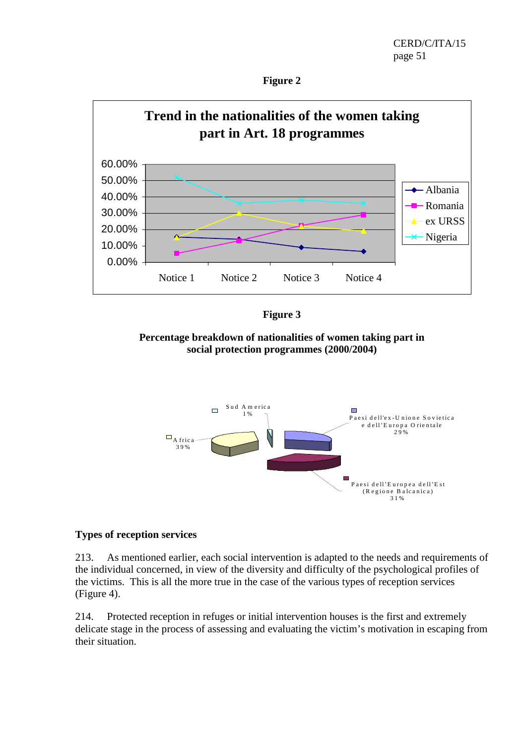



**Figure 3** 

**Percentage breakdown of nationalities of women taking part in social protection programmes (2000/2004)** 



### **Types of reception services**

213. As mentioned earlier, each social intervention is adapted to the needs and requirements of the individual concerned, in view of the diversity and difficulty of the psychological profiles of the victims. This is all the more true in the case of the various types of reception services (Figure 4).

214. Protected reception in refuges or initial intervention houses is the first and extremely delicate stage in the process of assessing and evaluating the victim's motivation in escaping from their situation.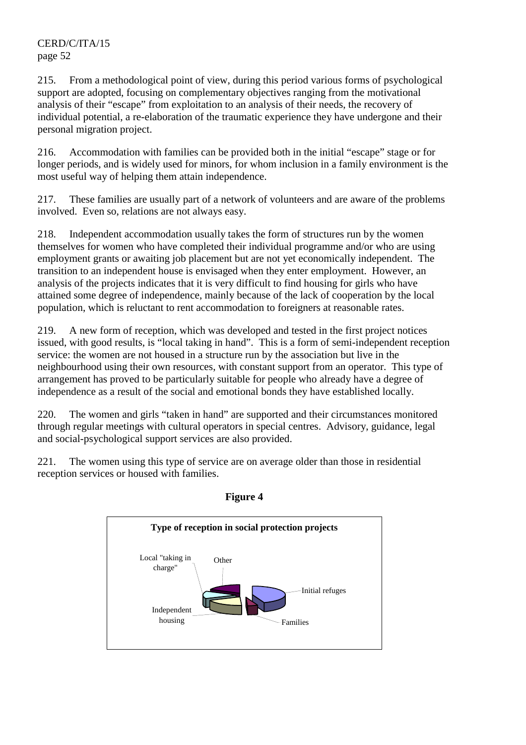215. From a methodological point of view, during this period various forms of psychological support are adopted, focusing on complementary objectives ranging from the motivational analysis of their "escape" from exploitation to an analysis of their needs, the recovery of individual potential, a re-elaboration of the traumatic experience they have undergone and their personal migration project.

216. Accommodation with families can be provided both in the initial "escape" stage or for longer periods, and is widely used for minors, for whom inclusion in a family environment is the most useful way of helping them attain independence.

217. These families are usually part of a network of volunteers and are aware of the problems involved. Even so, relations are not always easy.

218. Independent accommodation usually takes the form of structures run by the women themselves for women who have completed their individual programme and/or who are using employment grants or awaiting job placement but are not yet economically independent. The transition to an independent house is envisaged when they enter employment. However, an analysis of the projects indicates that it is very difficult to find housing for girls who have attained some degree of independence, mainly because of the lack of cooperation by the local population, which is reluctant to rent accommodation to foreigners at reasonable rates.

219. A new form of reception, which was developed and tested in the first project notices issued, with good results, is "local taking in hand". This is a form of semi-independent reception service: the women are not housed in a structure run by the association but live in the neighbourhood using their own resources, with constant support from an operator. This type of arrangement has proved to be particularly suitable for people who already have a degree of independence as a result of the social and emotional bonds they have established locally.

220. The women and girls "taken in hand" are supported and their circumstances monitored through regular meetings with cultural operators in special centres. Advisory, guidance, legal and social-psychological support services are also provided.

221. The women using this type of service are on average older than those in residential reception services or housed with families.



### **Figure 4**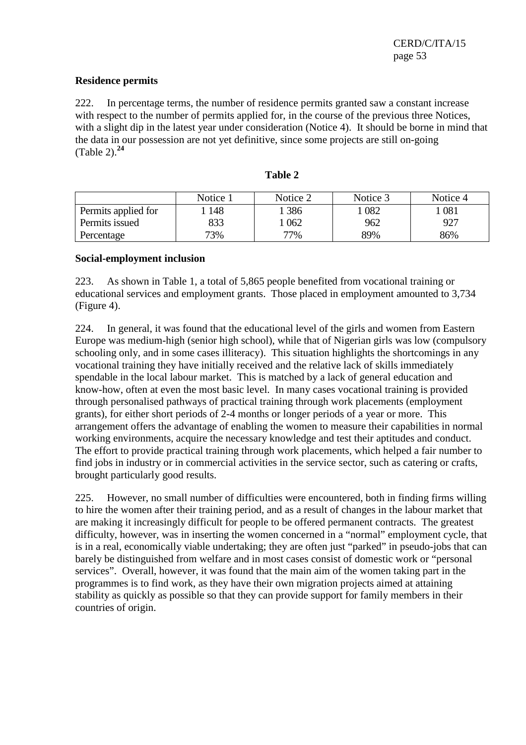#### **Residence permits**

222. In percentage terms, the number of residence permits granted saw a constant increase with respect to the number of permits applied for, in the course of the previous three Notices, with a slight dip in the latest year under consideration (Notice 4). It should be borne in mind that the data in our possession are not yet definitive, since some projects are still on-going (Table 2).**<sup>24</sup>**

|                     | Notice 1 | Notice 2 | Notice 3 | Notice 4 |
|---------------------|----------|----------|----------|----------|
| Permits applied for | 148      | 386      | 082      | 081      |
| Permits issued      | 833      | 062      | 962      | 927      |
| Percentage          | 73%      | 77%      | 89%      | 86%      |

### **Table 2**

#### **Social-employment inclusion**

223. As shown in Table 1, a total of 5,865 people benefited from vocational training or educational services and employment grants. Those placed in employment amounted to 3,734 (Figure 4).

224. In general, it was found that the educational level of the girls and women from Eastern Europe was medium-high (senior high school), while that of Nigerian girls was low (compulsory schooling only, and in some cases illiteracy). This situation highlights the shortcomings in any vocational training they have initially received and the relative lack of skills immediately spendable in the local labour market. This is matched by a lack of general education and know-how, often at even the most basic level. In many cases vocational training is provided through personalised pathways of practical training through work placements (employment grants), for either short periods of 2-4 months or longer periods of a year or more. This arrangement offers the advantage of enabling the women to measure their capabilities in normal working environments, acquire the necessary knowledge and test their aptitudes and conduct. The effort to provide practical training through work placements, which helped a fair number to find jobs in industry or in commercial activities in the service sector, such as catering or crafts, brought particularly good results.

225. However, no small number of difficulties were encountered, both in finding firms willing to hire the women after their training period, and as a result of changes in the labour market that are making it increasingly difficult for people to be offered permanent contracts. The greatest difficulty, however, was in inserting the women concerned in a "normal" employment cycle, that is in a real, economically viable undertaking; they are often just "parked" in pseudo-jobs that can barely be distinguished from welfare and in most cases consist of domestic work or "personal services". Overall, however, it was found that the main aim of the women taking part in the programmes is to find work, as they have their own migration projects aimed at attaining stability as quickly as possible so that they can provide support for family members in their countries of origin.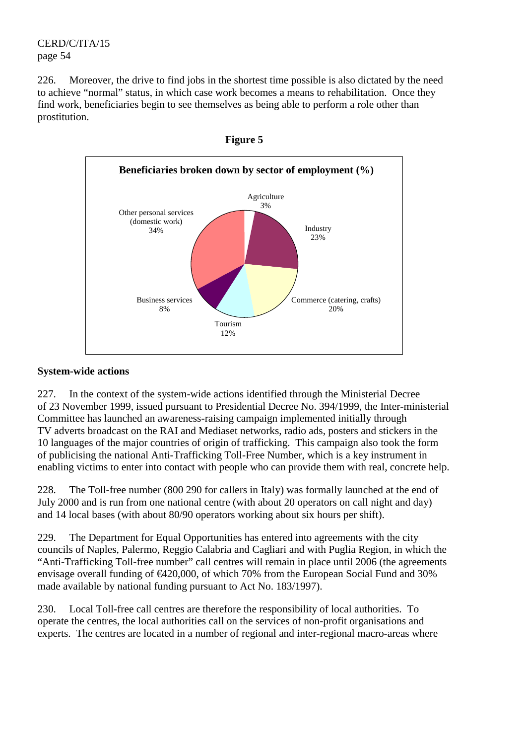226. Moreover, the drive to find jobs in the shortest time possible is also dictated by the need to achieve "normal" status, in which case work becomes a means to rehabilitation. Once they find work, beneficiaries begin to see themselves as being able to perform a role other than prostitution.





### **System-wide actions**

227. In the context of the system-wide actions identified through the Ministerial Decree of 23 November 1999, issued pursuant to Presidential Decree No. 394/1999, the Inter-ministerial Committee has launched an awareness-raising campaign implemented initially through TV adverts broadcast on the RAI and Mediaset networks, radio ads, posters and stickers in the 10 languages of the major countries of origin of trafficking. This campaign also took the form of publicising the national Anti-Trafficking Toll-Free Number, which is a key instrument in enabling victims to enter into contact with people who can provide them with real, concrete help.

228. The Toll-free number (800 290 for callers in Italy) was formally launched at the end of July 2000 and is run from one national centre (with about 20 operators on call night and day) and 14 local bases (with about 80/90 operators working about six hours per shift).

229. The Department for Equal Opportunities has entered into agreements with the city councils of Naples, Palermo, Reggio Calabria and Cagliari and with Puglia Region, in which the "Anti-Trafficking Toll-free number" call centres will remain in place until 2006 (the agreements envisage overall funding of €420,000, of which 70% from the European Social Fund and 30% made available by national funding pursuant to Act No. 183/1997).

230. Local Toll-free call centres are therefore the responsibility of local authorities. To operate the centres, the local authorities call on the services of non-profit organisations and experts. The centres are located in a number of regional and inter-regional macro-areas where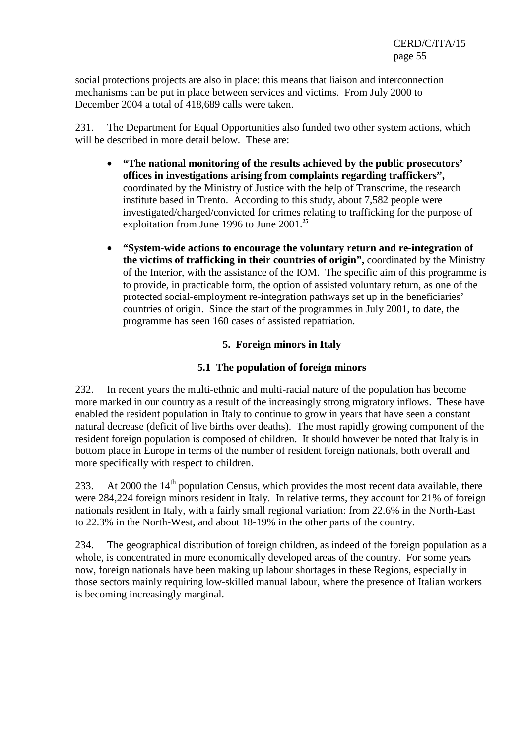social protections projects are also in place: this means that liaison and interconnection mechanisms can be put in place between services and victims. From July 2000 to December 2004 a total of 418,689 calls were taken.

231. The Department for Equal Opportunities also funded two other system actions, which will be described in more detail below. These are:

- **"The national monitoring of the results achieved by the public prosecutors' offices in investigations arising from complaints regarding traffickers",**  coordinated by the Ministry of Justice with the help of Transcrime, the research institute based in Trento. According to this study, about 7,582 people were investigated/charged/convicted for crimes relating to trafficking for the purpose of exploitation from June 1996 to June 2001.**<sup>25</sup>**
- **"System-wide actions to encourage the voluntary return and re-integration of the victims of trafficking in their countries of origin",** coordinated by the Ministry of the Interior, with the assistance of the IOM. The specific aim of this programme is to provide, in practicable form, the option of assisted voluntary return, as one of the protected social-employment re-integration pathways set up in the beneficiaries' countries of origin. Since the start of the programmes in July 2001, to date, the programme has seen 160 cases of assisted repatriation.

### **5. Foreign minors in Italy**

#### **5.1 The population of foreign minors**

232. In recent years the multi-ethnic and multi-racial nature of the population has become more marked in our country as a result of the increasingly strong migratory inflows. These have enabled the resident population in Italy to continue to grow in years that have seen a constant natural decrease (deficit of live births over deaths). The most rapidly growing component of the resident foreign population is composed of children. It should however be noted that Italy is in bottom place in Europe in terms of the number of resident foreign nationals, both overall and more specifically with respect to children.

233. At 2000 the  $14<sup>th</sup>$  population Census, which provides the most recent data available, there were 284,224 foreign minors resident in Italy. In relative terms, they account for 21% of foreign nationals resident in Italy, with a fairly small regional variation: from 22.6% in the North-East to 22.3% in the North-West, and about 18-19% in the other parts of the country.

234. The geographical distribution of foreign children, as indeed of the foreign population as a whole, is concentrated in more economically developed areas of the country. For some years now, foreign nationals have been making up labour shortages in these Regions, especially in those sectors mainly requiring low-skilled manual labour, where the presence of Italian workers is becoming increasingly marginal.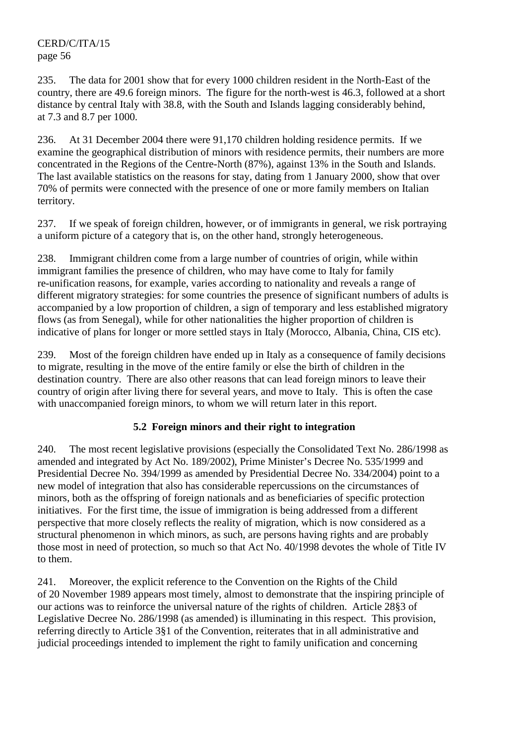235. The data for 2001 show that for every 1000 children resident in the North-East of the country, there are 49.6 foreign minors. The figure for the north-west is 46.3, followed at a short distance by central Italy with 38.8, with the South and Islands lagging considerably behind, at 7.3 and 8.7 per 1000.

236. At 31 December 2004 there were 91,170 children holding residence permits. If we examine the geographical distribution of minors with residence permits, their numbers are more concentrated in the Regions of the Centre-North (87%), against 13% in the South and Islands. The last available statistics on the reasons for stay, dating from 1 January 2000, show that over 70% of permits were connected with the presence of one or more family members on Italian territory.

237. If we speak of foreign children, however, or of immigrants in general, we risk portraying a uniform picture of a category that is, on the other hand, strongly heterogeneous.

238. Immigrant children come from a large number of countries of origin, while within immigrant families the presence of children, who may have come to Italy for family re-unification reasons, for example, varies according to nationality and reveals a range of different migratory strategies: for some countries the presence of significant numbers of adults is accompanied by a low proportion of children, a sign of temporary and less established migratory flows (as from Senegal), while for other nationalities the higher proportion of children is indicative of plans for longer or more settled stays in Italy (Morocco, Albania, China, CIS etc).

239. Most of the foreign children have ended up in Italy as a consequence of family decisions to migrate, resulting in the move of the entire family or else the birth of children in the destination country. There are also other reasons that can lead foreign minors to leave their country of origin after living there for several years, and move to Italy. This is often the case with unaccompanied foreign minors, to whom we will return later in this report.

# **5.2 Foreign minors and their right to integration**

240. The most recent legislative provisions (especially the Consolidated Text No. 286/1998 as amended and integrated by Act No. 189/2002), Prime Minister's Decree No. 535/1999 and Presidential Decree No. 394/1999 as amended by Presidential Decree No. 334/2004) point to a new model of integration that also has considerable repercussions on the circumstances of minors, both as the offspring of foreign nationals and as beneficiaries of specific protection initiatives. For the first time, the issue of immigration is being addressed from a different perspective that more closely reflects the reality of migration, which is now considered as a structural phenomenon in which minors, as such, are persons having rights and are probably those most in need of protection, so much so that Act No. 40/1998 devotes the whole of Title IV to them.

241. Moreover, the explicit reference to the Convention on the Rights of the Child of 20 November 1989 appears most timely, almost to demonstrate that the inspiring principle of our actions was to reinforce the universal nature of the rights of children. Article 28§3 of Legislative Decree No. 286/1998 (as amended) is illuminating in this respect. This provision, referring directly to Article 3§1 of the Convention, reiterates that in all administrative and judicial proceedings intended to implement the right to family unification and concerning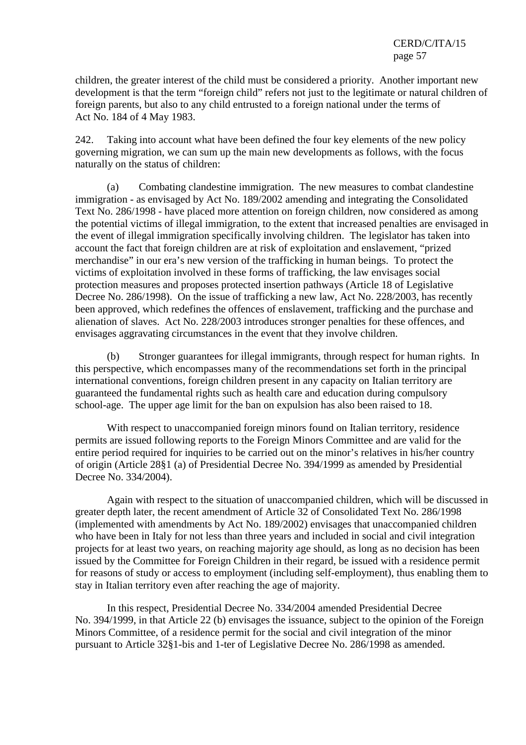children, the greater interest of the child must be considered a priority. Another important new development is that the term "foreign child" refers not just to the legitimate or natural children of foreign parents, but also to any child entrusted to a foreign national under the terms of Act No. 184 of 4 May 1983.

242. Taking into account what have been defined the four key elements of the new policy governing migration, we can sum up the main new developments as follows, with the focus naturally on the status of children:

 (a) Combating clandestine immigration. The new measures to combat clandestine immigration - as envisaged by Act No. 189/2002 amending and integrating the Consolidated Text No. 286/1998 - have placed more attention on foreign children, now considered as among the potential victims of illegal immigration, to the extent that increased penalties are envisaged in the event of illegal immigration specifically involving children. The legislator has taken into account the fact that foreign children are at risk of exploitation and enslavement, "prized merchandise" in our era's new version of the trafficking in human beings. To protect the victims of exploitation involved in these forms of trafficking, the law envisages social protection measures and proposes protected insertion pathways (Article 18 of Legislative Decree No. 286/1998). On the issue of trafficking a new law, Act No. 228/2003, has recently been approved, which redefines the offences of enslavement, trafficking and the purchase and alienation of slaves. Act No. 228/2003 introduces stronger penalties for these offences, and envisages aggravating circumstances in the event that they involve children.

 (b) Stronger guarantees for illegal immigrants, through respect for human rights. In this perspective, which encompasses many of the recommendations set forth in the principal international conventions, foreign children present in any capacity on Italian territory are guaranteed the fundamental rights such as health care and education during compulsory school-age. The upper age limit for the ban on expulsion has also been raised to 18.

With respect to unaccompanied foreign minors found on Italian territory, residence permits are issued following reports to the Foreign Minors Committee and are valid for the entire period required for inquiries to be carried out on the minor's relatives in his/her country of origin (Article 28§1 (a) of Presidential Decree No. 394/1999 as amended by Presidential Decree No. 334/2004).

 Again with respect to the situation of unaccompanied children, which will be discussed in greater depth later, the recent amendment of Article 32 of Consolidated Text No. 286/1998 (implemented with amendments by Act No. 189/2002) envisages that unaccompanied children who have been in Italy for not less than three years and included in social and civil integration projects for at least two years, on reaching majority age should, as long as no decision has been issued by the Committee for Foreign Children in their regard, be issued with a residence permit for reasons of study or access to employment (including self-employment), thus enabling them to stay in Italian territory even after reaching the age of majority.

 In this respect, Presidential Decree No. 334/2004 amended Presidential Decree No. 394/1999, in that Article 22 (b) envisages the issuance, subject to the opinion of the Foreign Minors Committee, of a residence permit for the social and civil integration of the minor pursuant to Article 32§1-bis and 1-ter of Legislative Decree No. 286/1998 as amended.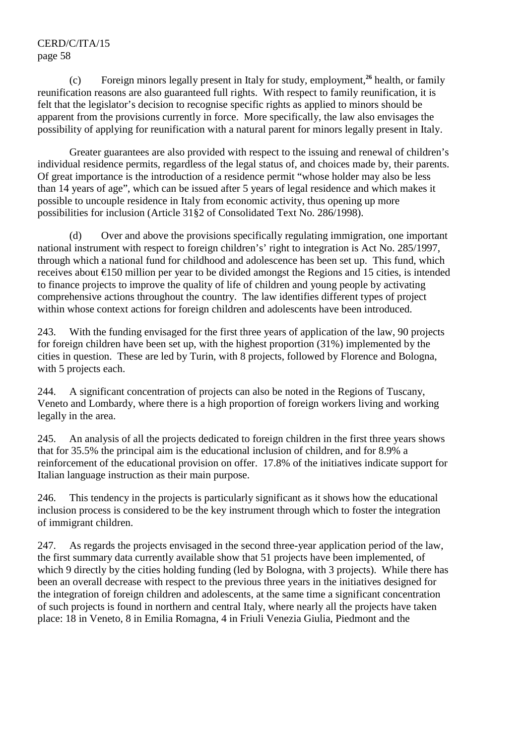(c) Foreign minors legally present in Italy for study, employment,**<sup>26</sup>** health, or family reunification reasons are also guaranteed full rights. With respect to family reunification, it is felt that the legislator's decision to recognise specific rights as applied to minors should be apparent from the provisions currently in force. More specifically, the law also envisages the possibility of applying for reunification with a natural parent for minors legally present in Italy.

 Greater guarantees are also provided with respect to the issuing and renewal of children's individual residence permits, regardless of the legal status of, and choices made by, their parents. Of great importance is the introduction of a residence permit "whose holder may also be less than 14 years of age", which can be issued after 5 years of legal residence and which makes it possible to uncouple residence in Italy from economic activity, thus opening up more possibilities for inclusion (Article 31§2 of Consolidated Text No. 286/1998).

 (d) Over and above the provisions specifically regulating immigration, one important national instrument with respect to foreign children's' right to integration is Act No. 285/1997, through which a national fund for childhood and adolescence has been set up. This fund, which receives about €150 million per year to be divided amongst the Regions and 15 cities, is intended to finance projects to improve the quality of life of children and young people by activating comprehensive actions throughout the country. The law identifies different types of project within whose context actions for foreign children and adolescents have been introduced.

243. With the funding envisaged for the first three years of application of the law, 90 projects for foreign children have been set up, with the highest proportion (31%) implemented by the cities in question. These are led by Turin, with 8 projects, followed by Florence and Bologna, with 5 projects each.

244. A significant concentration of projects can also be noted in the Regions of Tuscany, Veneto and Lombardy, where there is a high proportion of foreign workers living and working legally in the area.

245. An analysis of all the projects dedicated to foreign children in the first three years shows that for 35.5% the principal aim is the educational inclusion of children, and for 8.9% a reinforcement of the educational provision on offer. 17.8% of the initiatives indicate support for Italian language instruction as their main purpose.

246. This tendency in the projects is particularly significant as it shows how the educational inclusion process is considered to be the key instrument through which to foster the integration of immigrant children.

247. As regards the projects envisaged in the second three-year application period of the law, the first summary data currently available show that 51 projects have been implemented, of which 9 directly by the cities holding funding (led by Bologna, with 3 projects). While there has been an overall decrease with respect to the previous three years in the initiatives designed for the integration of foreign children and adolescents, at the same time a significant concentration of such projects is found in northern and central Italy, where nearly all the projects have taken place: 18 in Veneto, 8 in Emilia Romagna, 4 in Friuli Venezia Giulia, Piedmont and the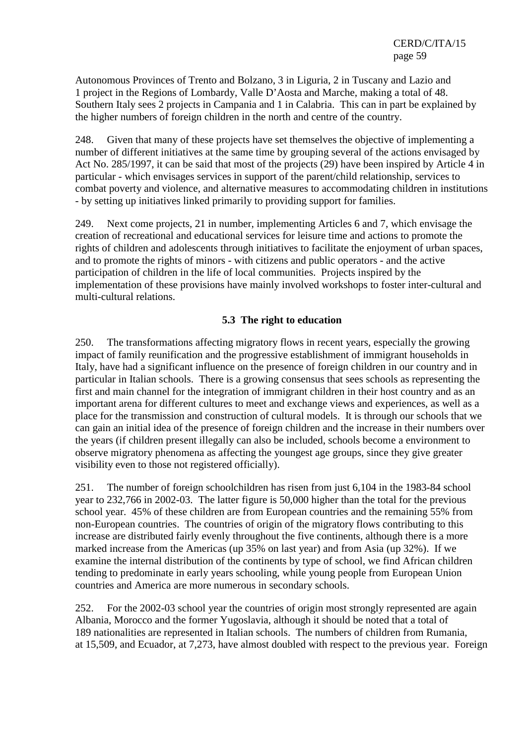Autonomous Provinces of Trento and Bolzano, 3 in Liguria, 2 in Tuscany and Lazio and 1 project in the Regions of Lombardy, Valle D'Aosta and Marche, making a total of 48. Southern Italy sees 2 projects in Campania and 1 in Calabria. This can in part be explained by the higher numbers of foreign children in the north and centre of the country.

248. Given that many of these projects have set themselves the objective of implementing a number of different initiatives at the same time by grouping several of the actions envisaged by Act No. 285/1997, it can be said that most of the projects (29) have been inspired by Article 4 in particular - which envisages services in support of the parent/child relationship, services to combat poverty and violence, and alternative measures to accommodating children in institutions - by setting up initiatives linked primarily to providing support for families.

249. Next come projects, 21 in number, implementing Articles 6 and 7, which envisage the creation of recreational and educational services for leisure time and actions to promote the rights of children and adolescents through initiatives to facilitate the enjoyment of urban spaces, and to promote the rights of minors - with citizens and public operators - and the active participation of children in the life of local communities. Projects inspired by the implementation of these provisions have mainly involved workshops to foster inter-cultural and multi-cultural relations.

### **5.3 The right to education**

250. The transformations affecting migratory flows in recent years, especially the growing impact of family reunification and the progressive establishment of immigrant households in Italy, have had a significant influence on the presence of foreign children in our country and in particular in Italian schools. There is a growing consensus that sees schools as representing the first and main channel for the integration of immigrant children in their host country and as an important arena for different cultures to meet and exchange views and experiences, as well as a place for the transmission and construction of cultural models. It is through our schools that we can gain an initial idea of the presence of foreign children and the increase in their numbers over the years (if children present illegally can also be included, schools become a environment to observe migratory phenomena as affecting the youngest age groups, since they give greater visibility even to those not registered officially).

251. The number of foreign schoolchildren has risen from just 6,104 in the 1983-84 school year to 232,766 in 2002-03. The latter figure is 50,000 higher than the total for the previous school year. 45% of these children are from European countries and the remaining 55% from non-European countries. The countries of origin of the migratory flows contributing to this increase are distributed fairly evenly throughout the five continents, although there is a more marked increase from the Americas (up 35% on last year) and from Asia (up 32%). If we examine the internal distribution of the continents by type of school, we find African children tending to predominate in early years schooling, while young people from European Union countries and America are more numerous in secondary schools.

252. For the 2002-03 school year the countries of origin most strongly represented are again Albania, Morocco and the former Yugoslavia, although it should be noted that a total of 189 nationalities are represented in Italian schools. The numbers of children from Rumania, at 15,509, and Ecuador, at 7,273, have almost doubled with respect to the previous year. Foreign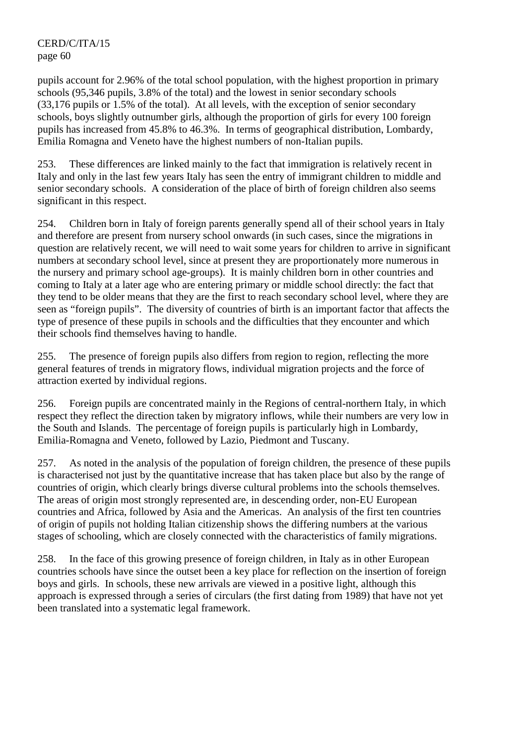pupils account for 2.96% of the total school population, with the highest proportion in primary schools (95,346 pupils, 3.8% of the total) and the lowest in senior secondary schools (33,176 pupils or 1.5% of the total). At all levels, with the exception of senior secondary schools, boys slightly outnumber girls, although the proportion of girls for every 100 foreign pupils has increased from 45.8% to 46.3%. In terms of geographical distribution, Lombardy, Emilia Romagna and Veneto have the highest numbers of non-Italian pupils.

253. These differences are linked mainly to the fact that immigration is relatively recent in Italy and only in the last few years Italy has seen the entry of immigrant children to middle and senior secondary schools. A consideration of the place of birth of foreign children also seems significant in this respect.

254. Children born in Italy of foreign parents generally spend all of their school years in Italy and therefore are present from nursery school onwards (in such cases, since the migrations in question are relatively recent, we will need to wait some years for children to arrive in significant numbers at secondary school level, since at present they are proportionately more numerous in the nursery and primary school age-groups). It is mainly children born in other countries and coming to Italy at a later age who are entering primary or middle school directly: the fact that they tend to be older means that they are the first to reach secondary school level, where they are seen as "foreign pupils". The diversity of countries of birth is an important factor that affects the type of presence of these pupils in schools and the difficulties that they encounter and which their schools find themselves having to handle.

255. The presence of foreign pupils also differs from region to region, reflecting the more general features of trends in migratory flows, individual migration projects and the force of attraction exerted by individual regions.

256. Foreign pupils are concentrated mainly in the Regions of central-northern Italy, in which respect they reflect the direction taken by migratory inflows, while their numbers are very low in the South and Islands. The percentage of foreign pupils is particularly high in Lombardy, Emilia-Romagna and Veneto, followed by Lazio, Piedmont and Tuscany.

257. As noted in the analysis of the population of foreign children, the presence of these pupils is characterised not just by the quantitative increase that has taken place but also by the range of countries of origin, which clearly brings diverse cultural problems into the schools themselves. The areas of origin most strongly represented are, in descending order, non-EU European countries and Africa, followed by Asia and the Americas. An analysis of the first ten countries of origin of pupils not holding Italian citizenship shows the differing numbers at the various stages of schooling, which are closely connected with the characteristics of family migrations.

258. In the face of this growing presence of foreign children, in Italy as in other European countries schools have since the outset been a key place for reflection on the insertion of foreign boys and girls. In schools, these new arrivals are viewed in a positive light, although this approach is expressed through a series of circulars (the first dating from 1989) that have not yet been translated into a systematic legal framework.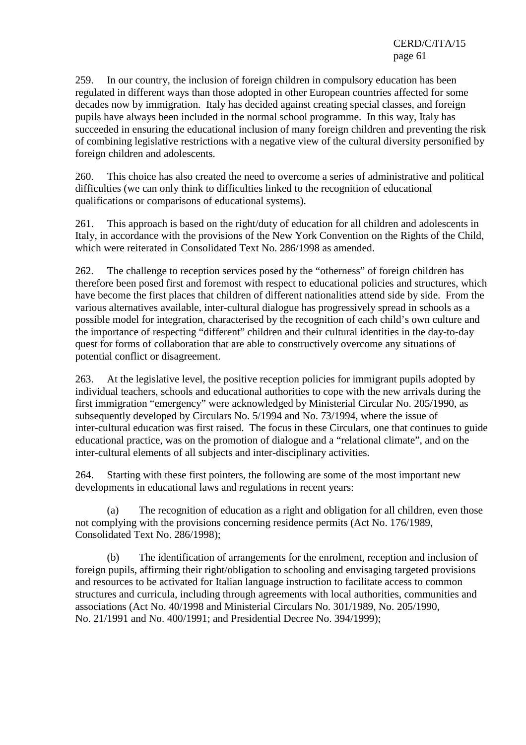259. In our country, the inclusion of foreign children in compulsory education has been regulated in different ways than those adopted in other European countries affected for some decades now by immigration. Italy has decided against creating special classes, and foreign pupils have always been included in the normal school programme. In this way, Italy has succeeded in ensuring the educational inclusion of many foreign children and preventing the risk of combining legislative restrictions with a negative view of the cultural diversity personified by foreign children and adolescents.

260. This choice has also created the need to overcome a series of administrative and political difficulties (we can only think to difficulties linked to the recognition of educational qualifications or comparisons of educational systems).

261. This approach is based on the right/duty of education for all children and adolescents in Italy, in accordance with the provisions of the New York Convention on the Rights of the Child, which were reiterated in Consolidated Text No. 286/1998 as amended.

262. The challenge to reception services posed by the "otherness" of foreign children has therefore been posed first and foremost with respect to educational policies and structures, which have become the first places that children of different nationalities attend side by side. From the various alternatives available, inter-cultural dialogue has progressively spread in schools as a possible model for integration, characterised by the recognition of each child's own culture and the importance of respecting "different" children and their cultural identities in the day-to-day quest for forms of collaboration that are able to constructively overcome any situations of potential conflict or disagreement.

263. At the legislative level, the positive reception policies for immigrant pupils adopted by individual teachers, schools and educational authorities to cope with the new arrivals during the first immigration "emergency" were acknowledged by Ministerial Circular No. 205/1990, as subsequently developed by Circulars No. 5/1994 and No. 73/1994, where the issue of inter-cultural education was first raised. The focus in these Circulars, one that continues to guide educational practice, was on the promotion of dialogue and a "relational climate", and on the inter-cultural elements of all subjects and inter-disciplinary activities.

264. Starting with these first pointers, the following are some of the most important new developments in educational laws and regulations in recent years:

 (a) The recognition of education as a right and obligation for all children, even those not complying with the provisions concerning residence permits (Act No. 176/1989, Consolidated Text No. 286/1998);

 (b) The identification of arrangements for the enrolment, reception and inclusion of foreign pupils, affirming their right/obligation to schooling and envisaging targeted provisions and resources to be activated for Italian language instruction to facilitate access to common structures and curricula, including through agreements with local authorities, communities and associations (Act No. 40/1998 and Ministerial Circulars No. 301/1989, No. 205/1990, No. 21/1991 and No. 400/1991; and Presidential Decree No. 394/1999);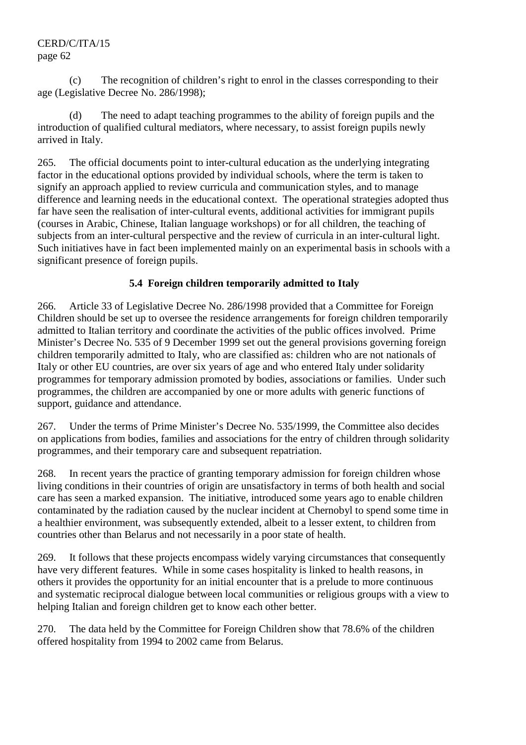(c) The recognition of children's right to enrol in the classes corresponding to their age (Legislative Decree No. 286/1998);

The need to adapt teaching programmes to the ability of foreign pupils and the introduction of qualified cultural mediators, where necessary, to assist foreign pupils newly arrived in Italy.

265. The official documents point to inter-cultural education as the underlying integrating factor in the educational options provided by individual schools, where the term is taken to signify an approach applied to review curricula and communication styles, and to manage difference and learning needs in the educational context. The operational strategies adopted thus far have seen the realisation of inter-cultural events, additional activities for immigrant pupils (courses in Arabic, Chinese, Italian language workshops) or for all children, the teaching of subjects from an inter-cultural perspective and the review of curricula in an inter-cultural light. Such initiatives have in fact been implemented mainly on an experimental basis in schools with a significant presence of foreign pupils.

# **5.4 Foreign children temporarily admitted to Italy**

266. Article 33 of Legislative Decree No. 286/1998 provided that a Committee for Foreign Children should be set up to oversee the residence arrangements for foreign children temporarily admitted to Italian territory and coordinate the activities of the public offices involved. Prime Minister's Decree No. 535 of 9 December 1999 set out the general provisions governing foreign children temporarily admitted to Italy, who are classified as: children who are not nationals of Italy or other EU countries, are over six years of age and who entered Italy under solidarity programmes for temporary admission promoted by bodies, associations or families. Under such programmes, the children are accompanied by one or more adults with generic functions of support, guidance and attendance.

267. Under the terms of Prime Minister's Decree No. 535/1999, the Committee also decides on applications from bodies, families and associations for the entry of children through solidarity programmes, and their temporary care and subsequent repatriation.

268. In recent years the practice of granting temporary admission for foreign children whose living conditions in their countries of origin are unsatisfactory in terms of both health and social care has seen a marked expansion. The initiative, introduced some years ago to enable children contaminated by the radiation caused by the nuclear incident at Chernobyl to spend some time in a healthier environment, was subsequently extended, albeit to a lesser extent, to children from countries other than Belarus and not necessarily in a poor state of health.

269. It follows that these projects encompass widely varying circumstances that consequently have very different features. While in some cases hospitality is linked to health reasons, in others it provides the opportunity for an initial encounter that is a prelude to more continuous and systematic reciprocal dialogue between local communities or religious groups with a view to helping Italian and foreign children get to know each other better.

270. The data held by the Committee for Foreign Children show that 78.6% of the children offered hospitality from 1994 to 2002 came from Belarus.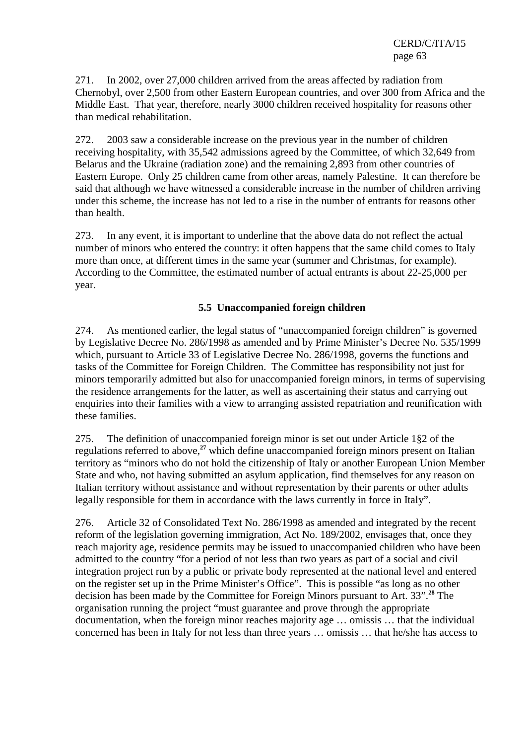271. In 2002, over 27,000 children arrived from the areas affected by radiation from Chernobyl, over 2,500 from other Eastern European countries, and over 300 from Africa and the Middle East. That year, therefore, nearly 3000 children received hospitality for reasons other than medical rehabilitation.

272. 2003 saw a considerable increase on the previous year in the number of children receiving hospitality, with 35,542 admissions agreed by the Committee, of which 32,649 from Belarus and the Ukraine (radiation zone) and the remaining 2,893 from other countries of Eastern Europe. Only 25 children came from other areas, namely Palestine. It can therefore be said that although we have witnessed a considerable increase in the number of children arriving under this scheme, the increase has not led to a rise in the number of entrants for reasons other than health.

273. In any event, it is important to underline that the above data do not reflect the actual number of minors who entered the country: it often happens that the same child comes to Italy more than once, at different times in the same year (summer and Christmas, for example). According to the Committee, the estimated number of actual entrants is about 22-25,000 per year.

### **5.5 Unaccompanied foreign children**

274. As mentioned earlier, the legal status of "unaccompanied foreign children" is governed by Legislative Decree No. 286/1998 as amended and by Prime Minister's Decree No. 535/1999 which, pursuant to Article 33 of Legislative Decree No. 286/1998, governs the functions and tasks of the Committee for Foreign Children. The Committee has responsibility not just for minors temporarily admitted but also for unaccompanied foreign minors, in terms of supervising the residence arrangements for the latter, as well as ascertaining their status and carrying out enquiries into their families with a view to arranging assisted repatriation and reunification with these families.

275. The definition of unaccompanied foreign minor is set out under Article 1§2 of the regulations referred to above,**<sup>27</sup>** which define unaccompanied foreign minors present on Italian territory as "minors who do not hold the citizenship of Italy or another European Union Member State and who, not having submitted an asylum application, find themselves for any reason on Italian territory without assistance and without representation by their parents or other adults legally responsible for them in accordance with the laws currently in force in Italy".

276. Article 32 of Consolidated Text No. 286/1998 as amended and integrated by the recent reform of the legislation governing immigration, Act No. 189/2002, envisages that, once they reach majority age, residence permits may be issued to unaccompanied children who have been admitted to the country "for a period of not less than two years as part of a social and civil integration project run by a public or private body represented at the national level and entered on the register set up in the Prime Minister's Office". This is possible "as long as no other decision has been made by the Committee for Foreign Minors pursuant to Art. 33".**<sup>28</sup>** The organisation running the project "must guarantee and prove through the appropriate documentation, when the foreign minor reaches majority age … omissis … that the individual concerned has been in Italy for not less than three years … omissis … that he/she has access to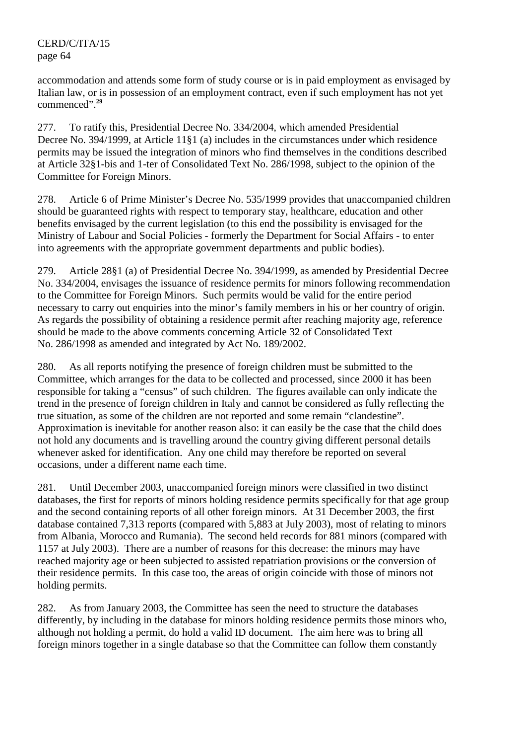accommodation and attends some form of study course or is in paid employment as envisaged by Italian law, or is in possession of an employment contract, even if such employment has not yet commenced".**<sup>29</sup>**

277. To ratify this, Presidential Decree No. 334/2004, which amended Presidential Decree No. 394/1999, at Article 11§1 (a) includes in the circumstances under which residence permits may be issued the integration of minors who find themselves in the conditions described at Article 32§1-bis and 1-ter of Consolidated Text No. 286/1998, subject to the opinion of the Committee for Foreign Minors.

278. Article 6 of Prime Minister's Decree No. 535/1999 provides that unaccompanied children should be guaranteed rights with respect to temporary stay, healthcare, education and other benefits envisaged by the current legislation (to this end the possibility is envisaged for the Ministry of Labour and Social Policies - formerly the Department for Social Affairs - to enter into agreements with the appropriate government departments and public bodies).

279. Article 28§1 (a) of Presidential Decree No. 394/1999, as amended by Presidential Decree No. 334/2004, envisages the issuance of residence permits for minors following recommendation to the Committee for Foreign Minors. Such permits would be valid for the entire period necessary to carry out enquiries into the minor's family members in his or her country of origin. As regards the possibility of obtaining a residence permit after reaching majority age, reference should be made to the above comments concerning Article 32 of Consolidated Text No. 286/1998 as amended and integrated by Act No. 189/2002.

280. As all reports notifying the presence of foreign children must be submitted to the Committee, which arranges for the data to be collected and processed, since 2000 it has been responsible for taking a "census" of such children. The figures available can only indicate the trend in the presence of foreign children in Italy and cannot be considered as fully reflecting the true situation, as some of the children are not reported and some remain "clandestine". Approximation is inevitable for another reason also: it can easily be the case that the child does not hold any documents and is travelling around the country giving different personal details whenever asked for identification. Any one child may therefore be reported on several occasions, under a different name each time.

281. Until December 2003, unaccompanied foreign minors were classified in two distinct databases, the first for reports of minors holding residence permits specifically for that age group and the second containing reports of all other foreign minors. At 31 December 2003, the first database contained 7,313 reports (compared with 5,883 at July 2003), most of relating to minors from Albania, Morocco and Rumania). The second held records for 881 minors (compared with 1157 at July 2003). There are a number of reasons for this decrease: the minors may have reached majority age or been subjected to assisted repatriation provisions or the conversion of their residence permits. In this case too, the areas of origin coincide with those of minors not holding permits.

282. As from January 2003, the Committee has seen the need to structure the databases differently, by including in the database for minors holding residence permits those minors who, although not holding a permit, do hold a valid ID document. The aim here was to bring all foreign minors together in a single database so that the Committee can follow them constantly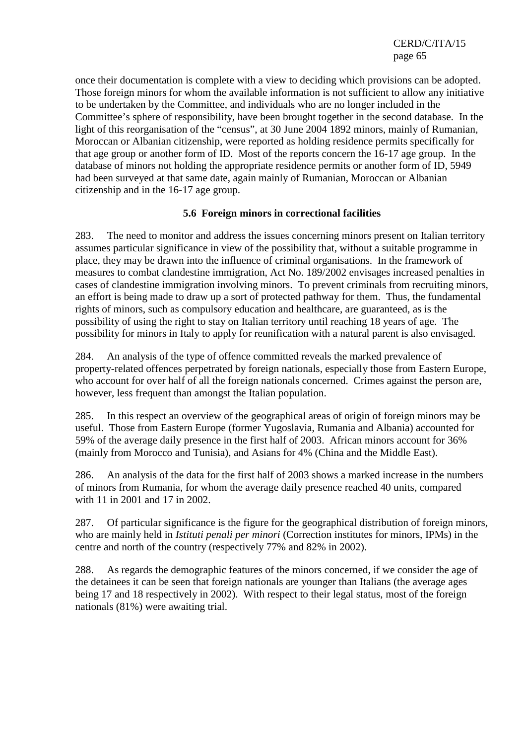once their documentation is complete with a view to deciding which provisions can be adopted. Those foreign minors for whom the available information is not sufficient to allow any initiative to be undertaken by the Committee, and individuals who are no longer included in the Committee's sphere of responsibility, have been brought together in the second database. In the light of this reorganisation of the "census", at 30 June 2004 1892 minors, mainly of Rumanian, Moroccan or Albanian citizenship, were reported as holding residence permits specifically for that age group or another form of ID. Most of the reports concern the 16-17 age group. In the database of minors not holding the appropriate residence permits or another form of ID, 5949 had been surveyed at that same date, again mainly of Rumanian, Moroccan or Albanian citizenship and in the 16-17 age group.

#### **5.6 Foreign minors in correctional facilities**

283. The need to monitor and address the issues concerning minors present on Italian territory assumes particular significance in view of the possibility that, without a suitable programme in place, they may be drawn into the influence of criminal organisations. In the framework of measures to combat clandestine immigration, Act No. 189/2002 envisages increased penalties in cases of clandestine immigration involving minors. To prevent criminals from recruiting minors, an effort is being made to draw up a sort of protected pathway for them. Thus, the fundamental rights of minors, such as compulsory education and healthcare, are guaranteed, as is the possibility of using the right to stay on Italian territory until reaching 18 years of age. The possibility for minors in Italy to apply for reunification with a natural parent is also envisaged.

284. An analysis of the type of offence committed reveals the marked prevalence of property-related offences perpetrated by foreign nationals, especially those from Eastern Europe, who account for over half of all the foreign nationals concerned. Crimes against the person are, however, less frequent than amongst the Italian population.

285. In this respect an overview of the geographical areas of origin of foreign minors may be useful. Those from Eastern Europe (former Yugoslavia, Rumania and Albania) accounted for 59% of the average daily presence in the first half of 2003. African minors account for 36% (mainly from Morocco and Tunisia), and Asians for 4% (China and the Middle East).

286. An analysis of the data for the first half of 2003 shows a marked increase in the numbers of minors from Rumania, for whom the average daily presence reached 40 units, compared with 11 in 2001 and 17 in 2002.

287. Of particular significance is the figure for the geographical distribution of foreign minors, who are mainly held in *Istituti penali per minori* (Correction institutes for minors, IPMs) in the centre and north of the country (respectively 77% and 82% in 2002).

288. As regards the demographic features of the minors concerned, if we consider the age of the detainees it can be seen that foreign nationals are younger than Italians (the average ages being 17 and 18 respectively in 2002). With respect to their legal status, most of the foreign nationals (81%) were awaiting trial.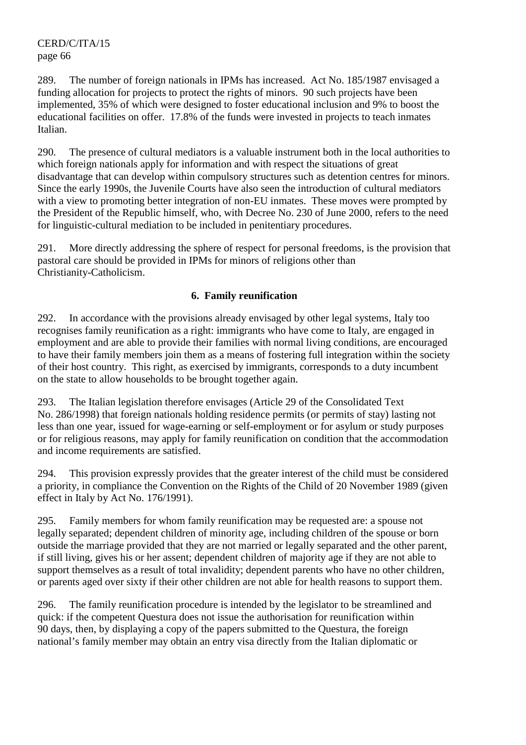289. The number of foreign nationals in IPMs has increased. Act No. 185/1987 envisaged a funding allocation for projects to protect the rights of minors. 90 such projects have been implemented, 35% of which were designed to foster educational inclusion and 9% to boost the educational facilities on offer. 17.8% of the funds were invested in projects to teach inmates Italian.

290. The presence of cultural mediators is a valuable instrument both in the local authorities to which foreign nationals apply for information and with respect the situations of great disadvantage that can develop within compulsory structures such as detention centres for minors. Since the early 1990s, the Juvenile Courts have also seen the introduction of cultural mediators with a view to promoting better integration of non-EU inmates. These moves were prompted by the President of the Republic himself, who, with Decree No. 230 of June 2000, refers to the need for linguistic-cultural mediation to be included in penitentiary procedures.

291. More directly addressing the sphere of respect for personal freedoms, is the provision that pastoral care should be provided in IPMs for minors of religions other than Christianity-Catholicism.

### **6. Family reunification**

292. In accordance with the provisions already envisaged by other legal systems, Italy too recognises family reunification as a right: immigrants who have come to Italy, are engaged in employment and are able to provide their families with normal living conditions, are encouraged to have their family members join them as a means of fostering full integration within the society of their host country. This right, as exercised by immigrants, corresponds to a duty incumbent on the state to allow households to be brought together again.

293. The Italian legislation therefore envisages (Article 29 of the Consolidated Text No. 286/1998) that foreign nationals holding residence permits (or permits of stay) lasting not less than one year, issued for wage-earning or self-employment or for asylum or study purposes or for religious reasons, may apply for family reunification on condition that the accommodation and income requirements are satisfied.

294. This provision expressly provides that the greater interest of the child must be considered a priority, in compliance the Convention on the Rights of the Child of 20 November 1989 (given effect in Italy by Act No. 176/1991).

295. Family members for whom family reunification may be requested are: a spouse not legally separated; dependent children of minority age, including children of the spouse or born outside the marriage provided that they are not married or legally separated and the other parent, if still living, gives his or her assent; dependent children of majority age if they are not able to support themselves as a result of total invalidity; dependent parents who have no other children, or parents aged over sixty if their other children are not able for health reasons to support them.

296. The family reunification procedure is intended by the legislator to be streamlined and quick: if the competent Questura does not issue the authorisation for reunification within 90 days, then, by displaying a copy of the papers submitted to the Questura, the foreign national's family member may obtain an entry visa directly from the Italian diplomatic or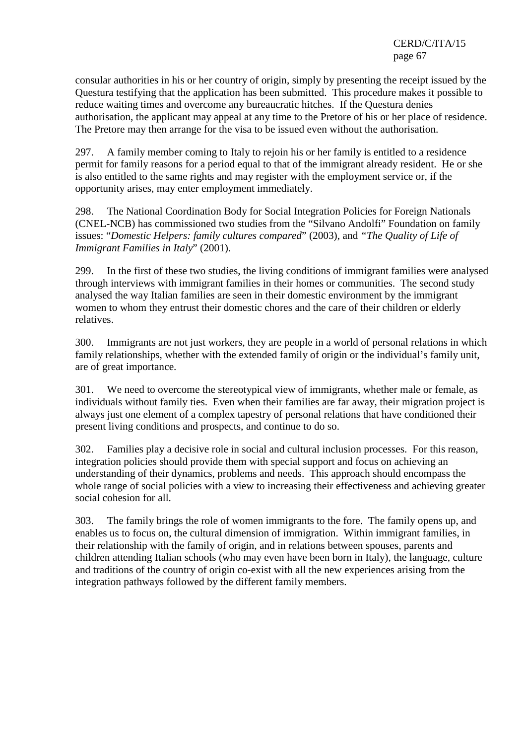consular authorities in his or her country of origin, simply by presenting the receipt issued by the Questura testifying that the application has been submitted. This procedure makes it possible to reduce waiting times and overcome any bureaucratic hitches. If the Questura denies authorisation, the applicant may appeal at any time to the Pretore of his or her place of residence. The Pretore may then arrange for the visa to be issued even without the authorisation.

297. A family member coming to Italy to rejoin his or her family is entitled to a residence permit for family reasons for a period equal to that of the immigrant already resident. He or she is also entitled to the same rights and may register with the employment service or, if the opportunity arises, may enter employment immediately.

298. The National Coordination Body for Social Integration Policies for Foreign Nationals (CNEL-NCB) has commissioned two studies from the "Silvano Andolfi" Foundation on family issues: "*Domestic Helpers: family cultures compared*" (2003), and *"The Quality of Life of Immigrant Families in Italy*" (2001).

299. In the first of these two studies, the living conditions of immigrant families were analysed through interviews with immigrant families in their homes or communities. The second study analysed the way Italian families are seen in their domestic environment by the immigrant women to whom they entrust their domestic chores and the care of their children or elderly relatives.

300. Immigrants are not just workers, they are people in a world of personal relations in which family relationships, whether with the extended family of origin or the individual's family unit, are of great importance.

301. We need to overcome the stereotypical view of immigrants, whether male or female, as individuals without family ties. Even when their families are far away, their migration project is always just one element of a complex tapestry of personal relations that have conditioned their present living conditions and prospects, and continue to do so.

302. Families play a decisive role in social and cultural inclusion processes. For this reason, integration policies should provide them with special support and focus on achieving an understanding of their dynamics, problems and needs. This approach should encompass the whole range of social policies with a view to increasing their effectiveness and achieving greater social cohesion for all.

303. The family brings the role of women immigrants to the fore. The family opens up, and enables us to focus on, the cultural dimension of immigration. Within immigrant families, in their relationship with the family of origin, and in relations between spouses, parents and children attending Italian schools (who may even have been born in Italy), the language, culture and traditions of the country of origin co-exist with all the new experiences arising from the integration pathways followed by the different family members.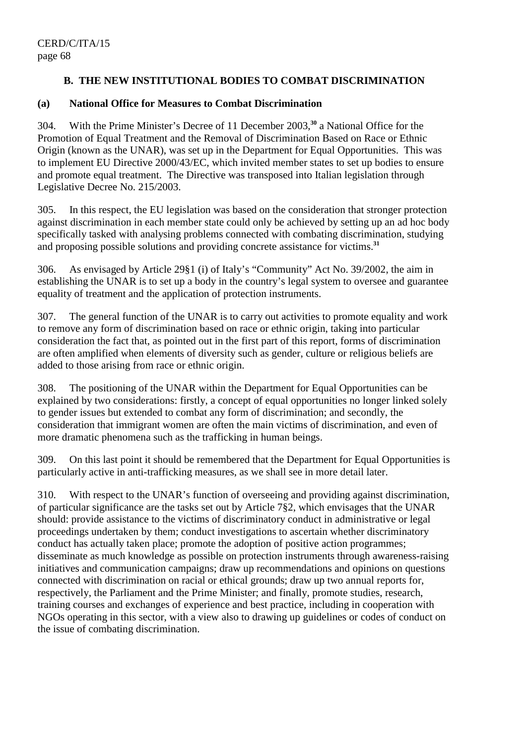## **B. THE NEW INSTITUTIONAL BODIES TO COMBAT DISCRIMINATION**

#### **(a) National Office for Measures to Combat Discrimination**

304. With the Prime Minister's Decree of 11 December 2003,**<sup>30</sup>** a National Office for the Promotion of Equal Treatment and the Removal of Discrimination Based on Race or Ethnic Origin (known as the UNAR), was set up in the Department for Equal Opportunities. This was to implement EU Directive 2000/43/EC, which invited member states to set up bodies to ensure and promote equal treatment. The Directive was transposed into Italian legislation through Legislative Decree No. 215/2003.

305. In this respect, the EU legislation was based on the consideration that stronger protection against discrimination in each member state could only be achieved by setting up an ad hoc body specifically tasked with analysing problems connected with combating discrimination, studying and proposing possible solutions and providing concrete assistance for victims.**<sup>31</sup>**

306. As envisaged by Article 29§1 (i) of Italy's "Community" Act No. 39/2002, the aim in establishing the UNAR is to set up a body in the country's legal system to oversee and guarantee equality of treatment and the application of protection instruments.

307. The general function of the UNAR is to carry out activities to promote equality and work to remove any form of discrimination based on race or ethnic origin, taking into particular consideration the fact that, as pointed out in the first part of this report, forms of discrimination are often amplified when elements of diversity such as gender, culture or religious beliefs are added to those arising from race or ethnic origin.

308. The positioning of the UNAR within the Department for Equal Opportunities can be explained by two considerations: firstly, a concept of equal opportunities no longer linked solely to gender issues but extended to combat any form of discrimination; and secondly, the consideration that immigrant women are often the main victims of discrimination, and even of more dramatic phenomena such as the trafficking in human beings.

309. On this last point it should be remembered that the Department for Equal Opportunities is particularly active in anti-trafficking measures, as we shall see in more detail later.

310. With respect to the UNAR's function of overseeing and providing against discrimination, of particular significance are the tasks set out by Article 7§2, which envisages that the UNAR should: provide assistance to the victims of discriminatory conduct in administrative or legal proceedings undertaken by them; conduct investigations to ascertain whether discriminatory conduct has actually taken place; promote the adoption of positive action programmes; disseminate as much knowledge as possible on protection instruments through awareness-raising initiatives and communication campaigns; draw up recommendations and opinions on questions connected with discrimination on racial or ethical grounds; draw up two annual reports for, respectively, the Parliament and the Prime Minister; and finally, promote studies, research, training courses and exchanges of experience and best practice, including in cooperation with NGOs operating in this sector, with a view also to drawing up guidelines or codes of conduct on the issue of combating discrimination.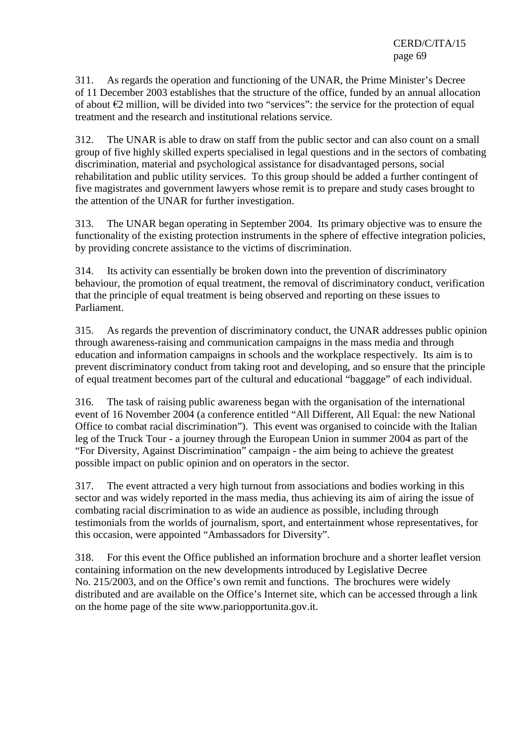311. As regards the operation and functioning of the UNAR, the Prime Minister's Decree of 11 December 2003 establishes that the structure of the office, funded by an annual allocation of about €2 million, will be divided into two "services": the service for the protection of equal treatment and the research and institutional relations service.

312. The UNAR is able to draw on staff from the public sector and can also count on a small group of five highly skilled experts specialised in legal questions and in the sectors of combating discrimination, material and psychological assistance for disadvantaged persons, social rehabilitation and public utility services. To this group should be added a further contingent of five magistrates and government lawyers whose remit is to prepare and study cases brought to the attention of the UNAR for further investigation.

313. The UNAR began operating in September 2004. Its primary objective was to ensure the functionality of the existing protection instruments in the sphere of effective integration policies, by providing concrete assistance to the victims of discrimination.

314. Its activity can essentially be broken down into the prevention of discriminatory behaviour, the promotion of equal treatment, the removal of discriminatory conduct, verification that the principle of equal treatment is being observed and reporting on these issues to Parliament.

315. As regards the prevention of discriminatory conduct, the UNAR addresses public opinion through awareness-raising and communication campaigns in the mass media and through education and information campaigns in schools and the workplace respectively. Its aim is to prevent discriminatory conduct from taking root and developing, and so ensure that the principle of equal treatment becomes part of the cultural and educational "baggage" of each individual.

316. The task of raising public awareness began with the organisation of the international event of 16 November 2004 (a conference entitled "All Different, All Equal: the new National Office to combat racial discrimination"). This event was organised to coincide with the Italian leg of the Truck Tour - a journey through the European Union in summer 2004 as part of the "For Diversity, Against Discrimination" campaign - the aim being to achieve the greatest possible impact on public opinion and on operators in the sector.

317. The event attracted a very high turnout from associations and bodies working in this sector and was widely reported in the mass media, thus achieving its aim of airing the issue of combating racial discrimination to as wide an audience as possible, including through testimonials from the worlds of journalism, sport, and entertainment whose representatives, for this occasion, were appointed "Ambassadors for Diversity".

318. For this event the Office published an information brochure and a shorter leaflet version containing information on the new developments introduced by Legislative Decree No. 215/2003, and on the Office's own remit and functions. The brochures were widely distributed and are available on the Office's Internet site, which can be accessed through a link on the home page of the site www.pariopportunita.gov.it.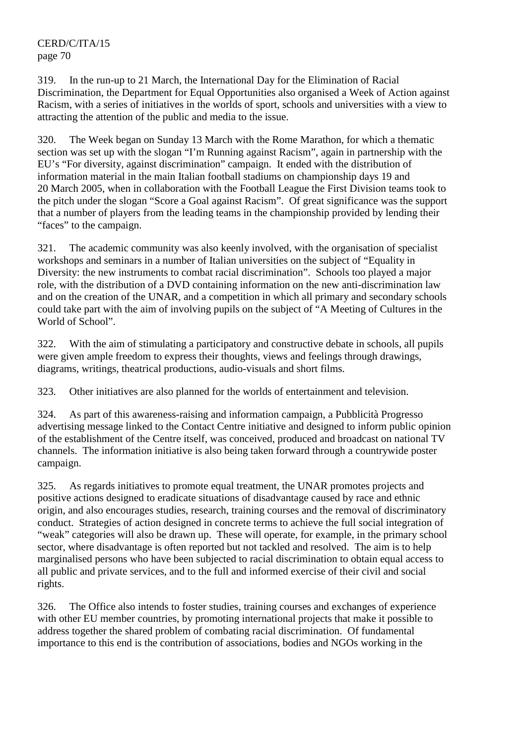319. In the run-up to 21 March, the International Day for the Elimination of Racial Discrimination, the Department for Equal Opportunities also organised a Week of Action against Racism, with a series of initiatives in the worlds of sport, schools and universities with a view to attracting the attention of the public and media to the issue.

320. The Week began on Sunday 13 March with the Rome Marathon, for which a thematic section was set up with the slogan "I'm Running against Racism", again in partnership with the EU's "For diversity, against discrimination" campaign. It ended with the distribution of information material in the main Italian football stadiums on championship days 19 and 20 March 2005, when in collaboration with the Football League the First Division teams took to the pitch under the slogan "Score a Goal against Racism". Of great significance was the support that a number of players from the leading teams in the championship provided by lending their "faces" to the campaign.

321. The academic community was also keenly involved, with the organisation of specialist workshops and seminars in a number of Italian universities on the subject of "Equality in Diversity: the new instruments to combat racial discrimination". Schools too played a major role, with the distribution of a DVD containing information on the new anti-discrimination law and on the creation of the UNAR, and a competition in which all primary and secondary schools could take part with the aim of involving pupils on the subject of "A Meeting of Cultures in the World of School".

322. With the aim of stimulating a participatory and constructive debate in schools, all pupils were given ample freedom to express their thoughts, views and feelings through drawings, diagrams, writings, theatrical productions, audio-visuals and short films.

323. Other initiatives are also planned for the worlds of entertainment and television.

324. As part of this awareness-raising and information campaign, a Pubblicità Progresso advertising message linked to the Contact Centre initiative and designed to inform public opinion of the establishment of the Centre itself, was conceived, produced and broadcast on national TV channels. The information initiative is also being taken forward through a countrywide poster campaign.

325. As regards initiatives to promote equal treatment, the UNAR promotes projects and positive actions designed to eradicate situations of disadvantage caused by race and ethnic origin, and also encourages studies, research, training courses and the removal of discriminatory conduct. Strategies of action designed in concrete terms to achieve the full social integration of "weak" categories will also be drawn up. These will operate, for example, in the primary school sector, where disadvantage is often reported but not tackled and resolved. The aim is to help marginalised persons who have been subjected to racial discrimination to obtain equal access to all public and private services, and to the full and informed exercise of their civil and social rights.

326. The Office also intends to foster studies, training courses and exchanges of experience with other EU member countries, by promoting international projects that make it possible to address together the shared problem of combating racial discrimination. Of fundamental importance to this end is the contribution of associations, bodies and NGOs working in the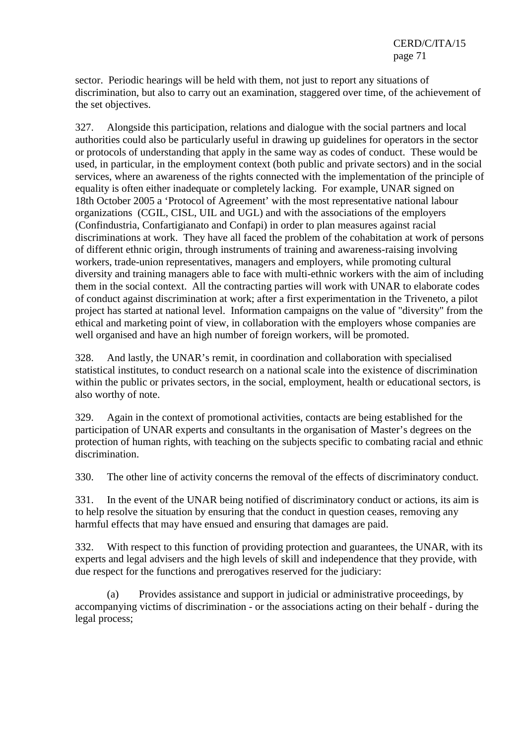sector. Periodic hearings will be held with them, not just to report any situations of discrimination, but also to carry out an examination, staggered over time, of the achievement of the set objectives.

327. Alongside this participation, relations and dialogue with the social partners and local authorities could also be particularly useful in drawing up guidelines for operators in the sector or protocols of understanding that apply in the same way as codes of conduct. These would be used, in particular, in the employment context (both public and private sectors) and in the social services, where an awareness of the rights connected with the implementation of the principle of equality is often either inadequate or completely lacking. For example, UNAR signed on 18th October 2005 a 'Protocol of Agreement' with the most representative national labour organizations (CGIL, CISL, UIL and UGL) and with the associations of the employers (Confindustria, Confartigianato and Confapi) in order to plan measures against racial discriminations at work. They have all faced the problem of the cohabitation at work of persons of different ethnic origin, through instruments of training and awareness-raising involving workers, trade-union representatives, managers and employers, while promoting cultural diversity and training managers able to face with multi-ethnic workers with the aim of including them in the social context. All the contracting parties will work with UNAR to elaborate codes of conduct against discrimination at work; after a first experimentation in the Triveneto, a pilot project has started at national level. Information campaigns on the value of "diversity" from the ethical and marketing point of view, in collaboration with the employers whose companies are well organised and have an high number of foreign workers, will be promoted.

328. And lastly, the UNAR's remit, in coordination and collaboration with specialised statistical institutes, to conduct research on a national scale into the existence of discrimination within the public or privates sectors, in the social, employment, health or educational sectors, is also worthy of note.

329. Again in the context of promotional activities, contacts are being established for the participation of UNAR experts and consultants in the organisation of Master's degrees on the protection of human rights, with teaching on the subjects specific to combating racial and ethnic discrimination.

330. The other line of activity concerns the removal of the effects of discriminatory conduct.

331. In the event of the UNAR being notified of discriminatory conduct or actions, its aim is to help resolve the situation by ensuring that the conduct in question ceases, removing any harmful effects that may have ensued and ensuring that damages are paid.

332. With respect to this function of providing protection and guarantees, the UNAR, with its experts and legal advisers and the high levels of skill and independence that they provide, with due respect for the functions and prerogatives reserved for the judiciary:

 (a) Provides assistance and support in judicial or administrative proceedings, by accompanying victims of discrimination - or the associations acting on their behalf - during the legal process;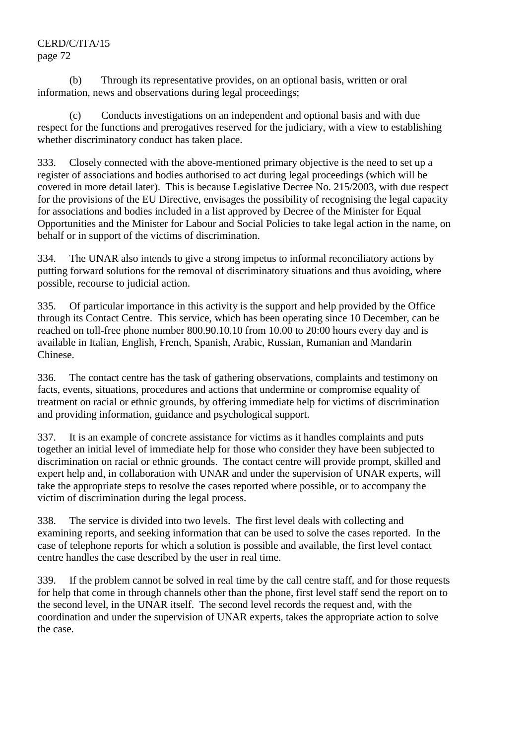(b) Through its representative provides, on an optional basis, written or oral information, news and observations during legal proceedings;

Conducts investigations on an independent and optional basis and with due respect for the functions and prerogatives reserved for the judiciary, with a view to establishing whether discriminatory conduct has taken place.

333. Closely connected with the above-mentioned primary objective is the need to set up a register of associations and bodies authorised to act during legal proceedings (which will be covered in more detail later). This is because Legislative Decree No. 215/2003, with due respect for the provisions of the EU Directive, envisages the possibility of recognising the legal capacity for associations and bodies included in a list approved by Decree of the Minister for Equal Opportunities and the Minister for Labour and Social Policies to take legal action in the name, on behalf or in support of the victims of discrimination.

334. The UNAR also intends to give a strong impetus to informal reconciliatory actions by putting forward solutions for the removal of discriminatory situations and thus avoiding, where possible, recourse to judicial action.

335. Of particular importance in this activity is the support and help provided by the Office through its Contact Centre. This service, which has been operating since 10 December, can be reached on toll-free phone number 800.90.10.10 from 10.00 to 20:00 hours every day and is available in Italian, English, French, Spanish, Arabic, Russian, Rumanian and Mandarin Chinese.

336. The contact centre has the task of gathering observations, complaints and testimony on facts, events, situations, procedures and actions that undermine or compromise equality of treatment on racial or ethnic grounds, by offering immediate help for victims of discrimination and providing information, guidance and psychological support.

337. It is an example of concrete assistance for victims as it handles complaints and puts together an initial level of immediate help for those who consider they have been subjected to discrimination on racial or ethnic grounds. The contact centre will provide prompt, skilled and expert help and, in collaboration with UNAR and under the supervision of UNAR experts, will take the appropriate steps to resolve the cases reported where possible, or to accompany the victim of discrimination during the legal process.

338. The service is divided into two levels. The first level deals with collecting and examining reports, and seeking information that can be used to solve the cases reported. In the case of telephone reports for which a solution is possible and available, the first level contact centre handles the case described by the user in real time.

339. If the problem cannot be solved in real time by the call centre staff, and for those requests for help that come in through channels other than the phone, first level staff send the report on to the second level, in the UNAR itself. The second level records the request and, with the coordination and under the supervision of UNAR experts, takes the appropriate action to solve the case.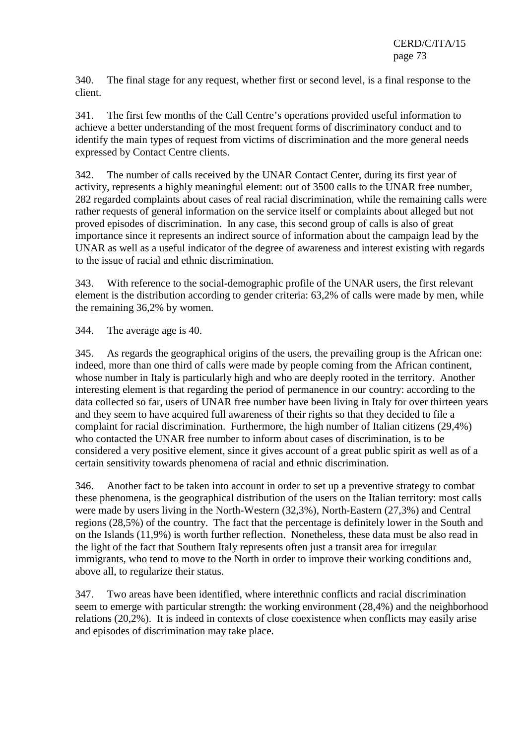340. The final stage for any request, whether first or second level, is a final response to the client.

341. The first few months of the Call Centre's operations provided useful information to achieve a better understanding of the most frequent forms of discriminatory conduct and to identify the main types of request from victims of discrimination and the more general needs expressed by Contact Centre clients.

342. The number of calls received by the UNAR Contact Center, during its first year of activity, represents a highly meaningful element: out of 3500 calls to the UNAR free number, 282 regarded complaints about cases of real racial discrimination, while the remaining calls were rather requests of general information on the service itself or complaints about alleged but not proved episodes of discrimination. In any case, this second group of calls is also of great importance since it represents an indirect source of information about the campaign lead by the UNAR as well as a useful indicator of the degree of awareness and interest existing with regards to the issue of racial and ethnic discrimination.

343. With reference to the social-demographic profile of the UNAR users, the first relevant element is the distribution according to gender criteria: 63,2% of calls were made by men, while the remaining 36,2% by women.

344. The average age is 40.

345. As regards the geographical origins of the users, the prevailing group is the African one: indeed, more than one third of calls were made by people coming from the African continent, whose number in Italy is particularly high and who are deeply rooted in the territory. Another interesting element is that regarding the period of permanence in our country: according to the data collected so far, users of UNAR free number have been living in Italy for over thirteen years and they seem to have acquired full awareness of their rights so that they decided to file a complaint for racial discrimination. Furthermore, the high number of Italian citizens (29,4%) who contacted the UNAR free number to inform about cases of discrimination, is to be considered a very positive element, since it gives account of a great public spirit as well as of a certain sensitivity towards phenomena of racial and ethnic discrimination.

346. Another fact to be taken into account in order to set up a preventive strategy to combat these phenomena, is the geographical distribution of the users on the Italian territory: most calls were made by users living in the North-Western (32,3%), North-Eastern (27,3%) and Central regions (28,5%) of the country. The fact that the percentage is definitely lower in the South and on the Islands (11,9%) is worth further reflection. Nonetheless, these data must be also read in the light of the fact that Southern Italy represents often just a transit area for irregular immigrants, who tend to move to the North in order to improve their working conditions and, above all, to regularize their status.

347. Two areas have been identified, where interethnic conflicts and racial discrimination seem to emerge with particular strength: the working environment (28,4%) and the neighborhood relations (20,2%). It is indeed in contexts of close coexistence when conflicts may easily arise and episodes of discrimination may take place.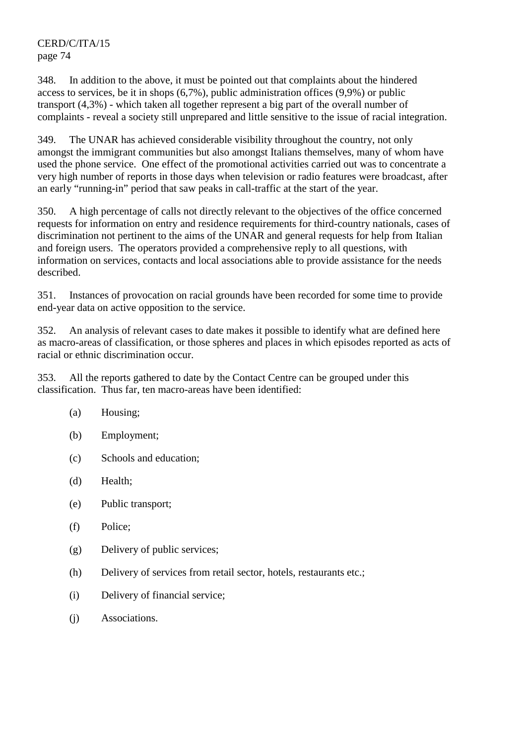348. In addition to the above, it must be pointed out that complaints about the hindered access to services, be it in shops (6,7%), public administration offices (9,9%) or public transport (4,3%) - which taken all together represent a big part of the overall number of complaints - reveal a society still unprepared and little sensitive to the issue of racial integration.

349. The UNAR has achieved considerable visibility throughout the country, not only amongst the immigrant communities but also amongst Italians themselves, many of whom have used the phone service. One effect of the promotional activities carried out was to concentrate a very high number of reports in those days when television or radio features were broadcast, after an early "running-in" period that saw peaks in call-traffic at the start of the year.

350. A high percentage of calls not directly relevant to the objectives of the office concerned requests for information on entry and residence requirements for third-country nationals, cases of discrimination not pertinent to the aims of the UNAR and general requests for help from Italian and foreign users. The operators provided a comprehensive reply to all questions, with information on services, contacts and local associations able to provide assistance for the needs described.

351. Instances of provocation on racial grounds have been recorded for some time to provide end-year data on active opposition to the service.

352. An analysis of relevant cases to date makes it possible to identify what are defined here as macro-areas of classification, or those spheres and places in which episodes reported as acts of racial or ethnic discrimination occur.

353. All the reports gathered to date by the Contact Centre can be grouped under this classification. Thus far, ten macro-areas have been identified:

- (a) Housing;
- (b) Employment;
- (c) Schools and education;
- (d) Health;
- (e) Public transport;
- (f) Police;
- (g) Delivery of public services;
- (h) Delivery of services from retail sector, hotels, restaurants etc.;
- (i) Delivery of financial service;
- (j) Associations.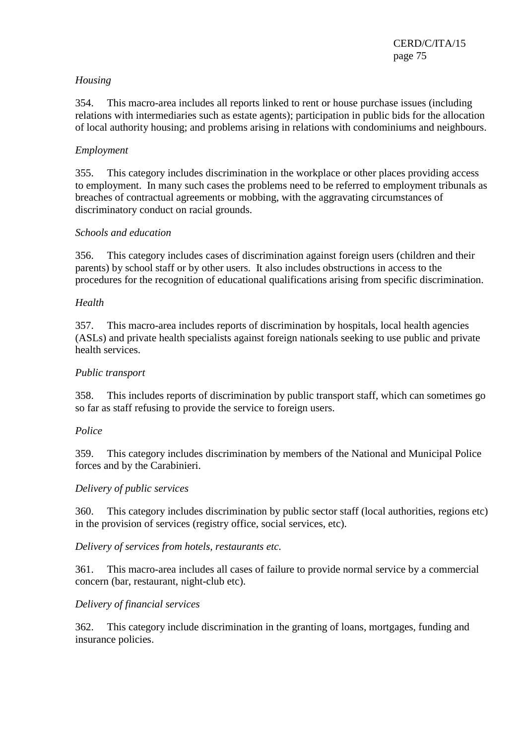### *Housing*

354. This macro-area includes all reports linked to rent or house purchase issues (including relations with intermediaries such as estate agents); participation in public bids for the allocation of local authority housing; and problems arising in relations with condominiums and neighbours.

## *Employment*

355. This category includes discrimination in the workplace or other places providing access to employment. In many such cases the problems need to be referred to employment tribunals as breaches of contractual agreements or mobbing, with the aggravating circumstances of discriminatory conduct on racial grounds.

### *Schools and education*

356. This category includes cases of discrimination against foreign users (children and their parents) by school staff or by other users. It also includes obstructions in access to the procedures for the recognition of educational qualifications arising from specific discrimination.

### *Health*

357. This macro-area includes reports of discrimination by hospitals, local health agencies (ASLs) and private health specialists against foreign nationals seeking to use public and private health services.

#### *Public transport*

358. This includes reports of discrimination by public transport staff, which can sometimes go so far as staff refusing to provide the service to foreign users.

#### *Police*

359. This category includes discrimination by members of the National and Municipal Police forces and by the Carabinieri.

#### *Delivery of public services*

360. This category includes discrimination by public sector staff (local authorities, regions etc) in the provision of services (registry office, social services, etc).

### *Delivery of services from hotels, restaurants etc.*

361. This macro-area includes all cases of failure to provide normal service by a commercial concern (bar, restaurant, night-club etc).

#### *Delivery of financial services*

362. This category include discrimination in the granting of loans, mortgages, funding and insurance policies.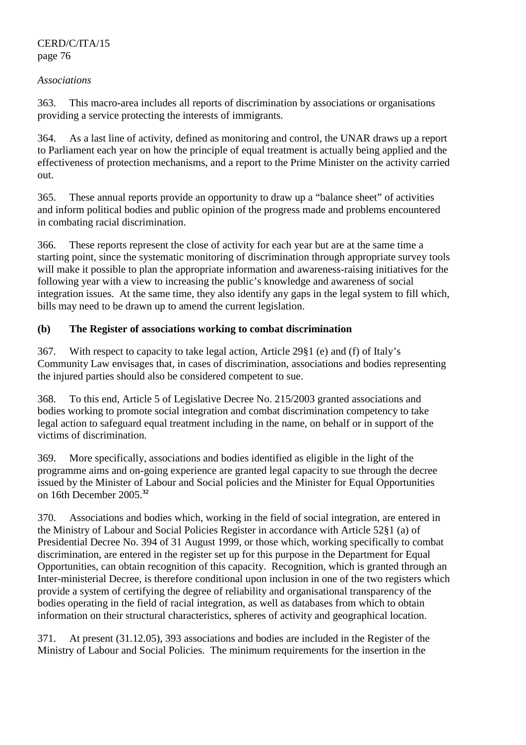#### *Associations*

363. This macro-area includes all reports of discrimination by associations or organisations providing a service protecting the interests of immigrants.

364. As a last line of activity, defined as monitoring and control, the UNAR draws up a report to Parliament each year on how the principle of equal treatment is actually being applied and the effectiveness of protection mechanisms, and a report to the Prime Minister on the activity carried out.

365. These annual reports provide an opportunity to draw up a "balance sheet" of activities and inform political bodies and public opinion of the progress made and problems encountered in combating racial discrimination.

366. These reports represent the close of activity for each year but are at the same time a starting point, since the systematic monitoring of discrimination through appropriate survey tools will make it possible to plan the appropriate information and awareness-raising initiatives for the following year with a view to increasing the public's knowledge and awareness of social integration issues. At the same time, they also identify any gaps in the legal system to fill which, bills may need to be drawn up to amend the current legislation.

# **(b) The Register of associations working to combat discrimination**

367. With respect to capacity to take legal action, Article 29§1 (e) and (f) of Italy's Community Law envisages that, in cases of discrimination, associations and bodies representing the injured parties should also be considered competent to sue.

368. To this end, Article 5 of Legislative Decree No. 215/2003 granted associations and bodies working to promote social integration and combat discrimination competency to take legal action to safeguard equal treatment including in the name, on behalf or in support of the victims of discrimination.

369. More specifically, associations and bodies identified as eligible in the light of the programme aims and on-going experience are granted legal capacity to sue through the decree issued by the Minister of Labour and Social policies and the Minister for Equal Opportunities on 16th December 2005.**<sup>32</sup>**

370. Associations and bodies which, working in the field of social integration, are entered in the Ministry of Labour and Social Policies Register in accordance with Article 52§1 (a) of Presidential Decree No. 394 of 31 August 1999, or those which, working specifically to combat discrimination, are entered in the register set up for this purpose in the Department for Equal Opportunities, can obtain recognition of this capacity. Recognition, which is granted through an Inter-ministerial Decree, is therefore conditional upon inclusion in one of the two registers which provide a system of certifying the degree of reliability and organisational transparency of the bodies operating in the field of racial integration, as well as databases from which to obtain information on their structural characteristics, spheres of activity and geographical location.

371. At present (31.12.05), 393 associations and bodies are included in the Register of the Ministry of Labour and Social Policies. The minimum requirements for the insertion in the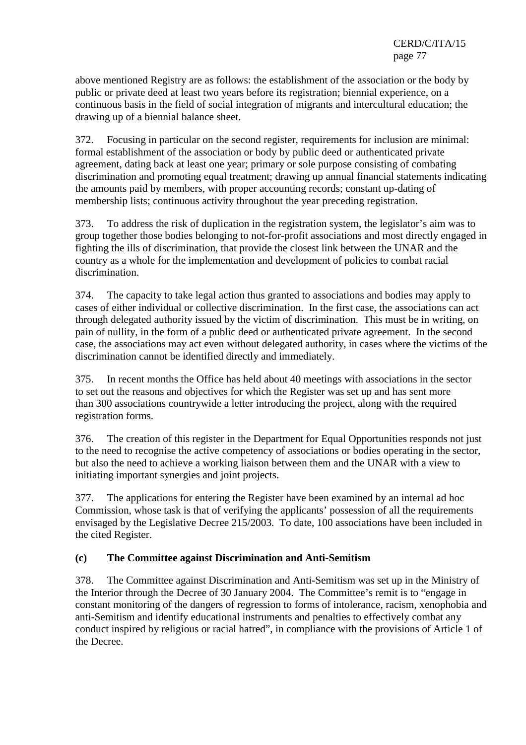above mentioned Registry are as follows: the establishment of the association or the body by public or private deed at least two years before its registration; biennial experience, on a continuous basis in the field of social integration of migrants and intercultural education; the drawing up of a biennial balance sheet.

372. Focusing in particular on the second register, requirements for inclusion are minimal: formal establishment of the association or body by public deed or authenticated private agreement, dating back at least one year; primary or sole purpose consisting of combating discrimination and promoting equal treatment; drawing up annual financial statements indicating the amounts paid by members, with proper accounting records; constant up-dating of membership lists; continuous activity throughout the year preceding registration.

373. To address the risk of duplication in the registration system, the legislator's aim was to group together those bodies belonging to not-for-profit associations and most directly engaged in fighting the ills of discrimination, that provide the closest link between the UNAR and the country as a whole for the implementation and development of policies to combat racial discrimination.

374. The capacity to take legal action thus granted to associations and bodies may apply to cases of either individual or collective discrimination. In the first case, the associations can act through delegated authority issued by the victim of discrimination. This must be in writing, on pain of nullity, in the form of a public deed or authenticated private agreement. In the second case, the associations may act even without delegated authority, in cases where the victims of the discrimination cannot be identified directly and immediately.

375. In recent months the Office has held about 40 meetings with associations in the sector to set out the reasons and objectives for which the Register was set up and has sent more than 300 associations countrywide a letter introducing the project, along with the required registration forms.

376. The creation of this register in the Department for Equal Opportunities responds not just to the need to recognise the active competency of associations or bodies operating in the sector, but also the need to achieve a working liaison between them and the UNAR with a view to initiating important synergies and joint projects.

377. The applications for entering the Register have been examined by an internal ad hoc Commission, whose task is that of verifying the applicants' possession of all the requirements envisaged by the Legislative Decree 215/2003. To date, 100 associations have been included in the cited Register.

### **(c) The Committee against Discrimination and Anti-Semitism**

378. The Committee against Discrimination and Anti-Semitism was set up in the Ministry of the Interior through the Decree of 30 January 2004. The Committee's remit is to "engage in constant monitoring of the dangers of regression to forms of intolerance, racism, xenophobia and anti-Semitism and identify educational instruments and penalties to effectively combat any conduct inspired by religious or racial hatred", in compliance with the provisions of Article 1 of the Decree.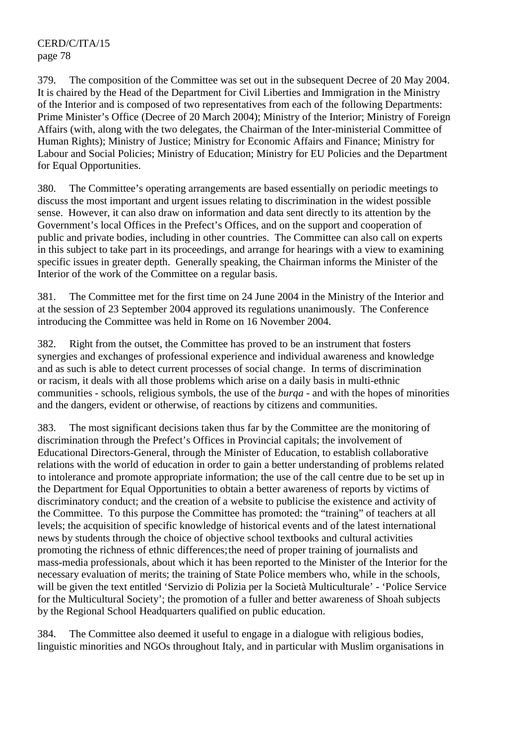379. The composition of the Committee was set out in the subsequent Decree of 20 May 2004. It is chaired by the Head of the Department for Civil Liberties and Immigration in the Ministry of the Interior and is composed of two representatives from each of the following Departments: Prime Minister's Office (Decree of 20 March 2004); Ministry of the Interior; Ministry of Foreign Affairs (with, along with the two delegates, the Chairman of the Inter-ministerial Committee of Human Rights); Ministry of Justice; Ministry for Economic Affairs and Finance; Ministry for Labour and Social Policies; Ministry of Education; Ministry for EU Policies and the Department for Equal Opportunities.

380. The Committee's operating arrangements are based essentially on periodic meetings to discuss the most important and urgent issues relating to discrimination in the widest possible sense. However, it can also draw on information and data sent directly to its attention by the Government's local Offices in the Prefect's Offices, and on the support and cooperation of public and private bodies, including in other countries. The Committee can also call on experts in this subject to take part in its proceedings, and arrange for hearings with a view to examining specific issues in greater depth. Generally speaking, the Chairman informs the Minister of the Interior of the work of the Committee on a regular basis.

381. The Committee met for the first time on 24 June 2004 in the Ministry of the Interior and at the session of 23 September 2004 approved its regulations unanimously. The Conference introducing the Committee was held in Rome on 16 November 2004.

382. Right from the outset, the Committee has proved to be an instrument that fosters synergies and exchanges of professional experience and individual awareness and knowledge and as such is able to detect current processes of social change. In terms of discrimination or racism, it deals with all those problems which arise on a daily basis in multi-ethnic communities - schools, religious symbols, the use of the *burqa* - and with the hopes of minorities and the dangers, evident or otherwise, of reactions by citizens and communities.

383. The most significant decisions taken thus far by the Committee are the monitoring of discrimination through the Prefect's Offices in Provincial capitals; the involvement of Educational Directors-General, through the Minister of Education, to establish collaborative relations with the world of education in order to gain a better understanding of problems related to intolerance and promote appropriate information; the use of the call centre due to be set up in the Department for Equal Opportunities to obtain a better awareness of reports by victims of discriminatory conduct; and the creation of a website to publicise the existence and activity of the Committee. To this purpose the Committee has promoted: the "training" of teachers at all levels; the acquisition of specific knowledge of historical events and of the latest international news by students through the choice of objective school textbooks and cultural activities promoting the richness of ethnic differences; the need of proper training of journalists and mass-media professionals, about which it has been reported to the Minister of the Interior for the necessary evaluation of merits; the training of State Police members who, while in the schools, will be given the text entitled 'Servizio di Polizia per la Società Multiculturale' - 'Police Service for the Multicultural Society'; the promotion of a fuller and better awareness of Shoah subjects by the Regional School Headquarters qualified on public education.

384. The Committee also deemed it useful to engage in a dialogue with religious bodies, linguistic minorities and NGOs throughout Italy, and in particular with Muslim organisations in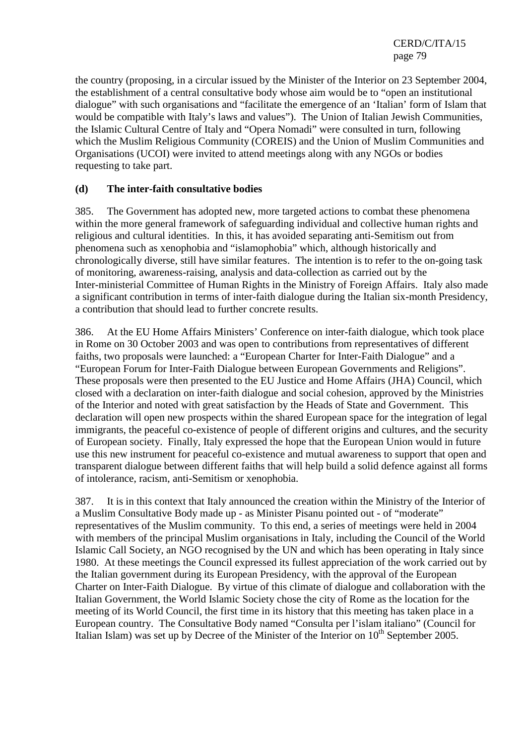the country (proposing, in a circular issued by the Minister of the Interior on 23 September 2004, the establishment of a central consultative body whose aim would be to "open an institutional dialogue" with such organisations and "facilitate the emergence of an 'Italian' form of Islam that would be compatible with Italy's laws and values"). The Union of Italian Jewish Communities, the Islamic Cultural Centre of Italy and "Opera Nomadi" were consulted in turn, following which the Muslim Religious Community (COREIS) and the Union of Muslim Communities and Organisations (UCOI) were invited to attend meetings along with any NGOs or bodies requesting to take part.

#### **(d) The inter-faith consultative bodies**

385. The Government has adopted new, more targeted actions to combat these phenomena within the more general framework of safeguarding individual and collective human rights and religious and cultural identities. In this, it has avoided separating anti-Semitism out from phenomena such as xenophobia and "islamophobia" which, although historically and chronologically diverse, still have similar features. The intention is to refer to the on-going task of monitoring, awareness-raising, analysis and data-collection as carried out by the Inter-ministerial Committee of Human Rights in the Ministry of Foreign Affairs. Italy also made a significant contribution in terms of inter-faith dialogue during the Italian six-month Presidency, a contribution that should lead to further concrete results.

386. At the EU Home Affairs Ministers' Conference on inter-faith dialogue, which took place in Rome on 30 October 2003 and was open to contributions from representatives of different faiths, two proposals were launched: a "European Charter for Inter-Faith Dialogue" and a "European Forum for Inter-Faith Dialogue between European Governments and Religions". These proposals were then presented to the EU Justice and Home Affairs (JHA) Council, which closed with a declaration on inter-faith dialogue and social cohesion, approved by the Ministries of the Interior and noted with great satisfaction by the Heads of State and Government. This declaration will open new prospects within the shared European space for the integration of legal immigrants, the peaceful co-existence of people of different origins and cultures, and the security of European society. Finally, Italy expressed the hope that the European Union would in future use this new instrument for peaceful co-existence and mutual awareness to support that open and transparent dialogue between different faiths that will help build a solid defence against all forms of intolerance, racism, anti-Semitism or xenophobia.

387. It is in this context that Italy announced the creation within the Ministry of the Interior of a Muslim Consultative Body made up - as Minister Pisanu pointed out - of "moderate" representatives of the Muslim community. To this end, a series of meetings were held in 2004 with members of the principal Muslim organisations in Italy, including the Council of the World Islamic Call Society, an NGO recognised by the UN and which has been operating in Italy since 1980. At these meetings the Council expressed its fullest appreciation of the work carried out by the Italian government during its European Presidency, with the approval of the European Charter on Inter-Faith Dialogue. By virtue of this climate of dialogue and collaboration with the Italian Government, the World Islamic Society chose the city of Rome as the location for the meeting of its World Council, the first time in its history that this meeting has taken place in a European country. The Consultative Body named "Consulta per l'islam italiano" (Council for Italian Islam) was set up by Decree of the Minister of the Interior on  $10<sup>th</sup>$  September 2005.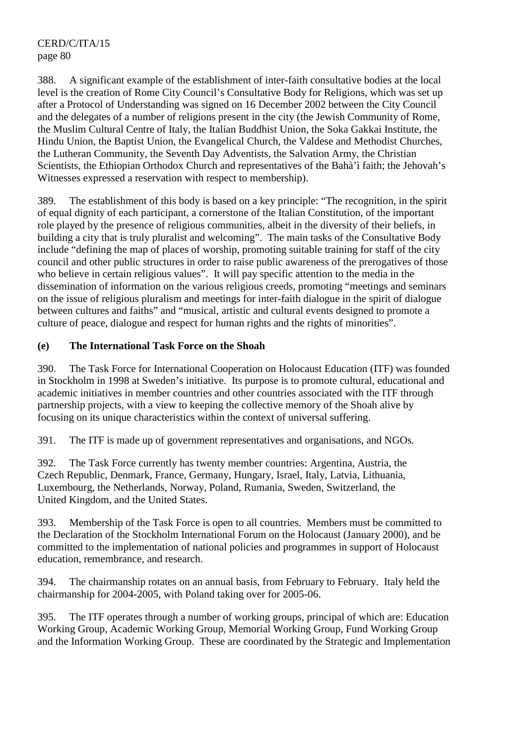388. A significant example of the establishment of inter-faith consultative bodies at the local level is the creation of Rome City Council's Consultative Body for Religions, which was set up after a Protocol of Understanding was signed on 16 December 2002 between the City Council and the delegates of a number of religions present in the city (the Jewish Community of Rome, the Muslim Cultural Centre of Italy, the Italian Buddhist Union, the Soka Gakkai Institute, the Hindu Union, the Baptist Union, the Evangelical Church, the Valdese and Methodist Churches, the Lutheran Community, the Seventh Day Adventists, the Salvation Army, the Christian Scientists, the Ethiopian Orthodox Church and representatives of the Bahà'ì faith; the Jehovah's Witnesses expressed a reservation with respect to membership).

389. The establishment of this body is based on a key principle: "The recognition, in the spirit of equal dignity of each participant, a cornerstone of the Italian Constitution, of the important role played by the presence of religious communities, albeit in the diversity of their beliefs, in building a city that is truly pluralist and welcoming". The main tasks of the Consultative Body include "defining the map of places of worship, promoting suitable training for staff of the city council and other public structures in order to raise public awareness of the prerogatives of those who believe in certain religious values". It will pay specific attention to the media in the dissemination of information on the various religious creeds, promoting "meetings and seminars on the issue of religious pluralism and meetings for inter-faith dialogue in the spirit of dialogue between cultures and faiths" and "musical, artistic and cultural events designed to promote a culture of peace, dialogue and respect for human rights and the rights of minorities".

# **(e) The International Task Force on the Shoah**

390. The Task Force for International Cooperation on Holocaust Education (ITF) was founded in Stockholm in 1998 at Sweden's initiative. Its purpose is to promote cultural, educational and academic initiatives in member countries and other countries associated with the ITF through partnership projects, with a view to keeping the collective memory of the Shoah alive by focusing on its unique characteristics within the context of universal suffering.

391. The ITF is made up of government representatives and organisations, and NGOs.

392. The Task Force currently has twenty member countries: Argentina, Austria, the Czech Republic, Denmark, France, Germany, Hungary, Israel, Italy, Latvia, Lithuania, Luxembourg, the Netherlands, Norway, Poland, Rumania, Sweden, Switzerland, the United Kingdom, and the United States.

393. Membership of the Task Force is open to all countries. Members must be committed to the Declaration of the Stockholm International Forum on the Holocaust (January 2000), and be committed to the implementation of national policies and programmes in support of Holocaust education, remembrance, and research.

394. The chairmanship rotates on an annual basis, from February to February. Italy held the chairmanship for 2004-2005, with Poland taking over for 2005-06.

395. The ITF operates through a number of working groups, principal of which are: Education Working Group, Academic Working Group, Memorial Working Group, Fund Working Group and the Information Working Group. These are coordinated by the Strategic and Implementation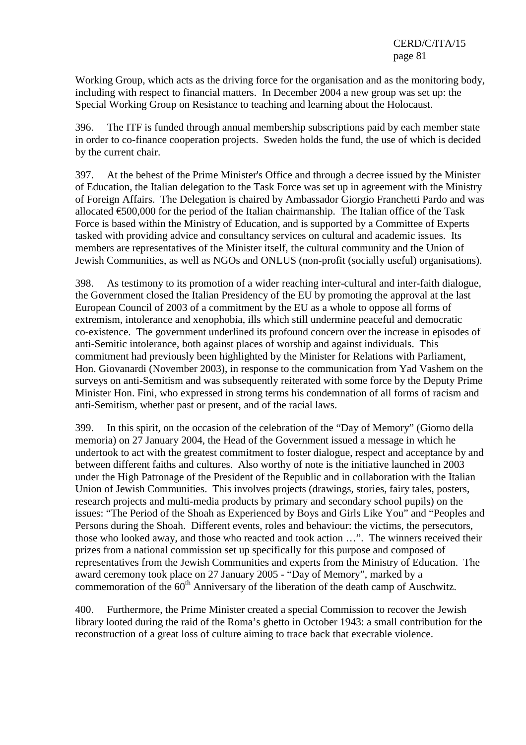Working Group, which acts as the driving force for the organisation and as the monitoring body, including with respect to financial matters. In December 2004 a new group was set up: the Special Working Group on Resistance to teaching and learning about the Holocaust.

396. The ITF is funded through annual membership subscriptions paid by each member state in order to co-finance cooperation projects. Sweden holds the fund, the use of which is decided by the current chair.

397. At the behest of the Prime Minister's Office and through a decree issued by the Minister of Education, the Italian delegation to the Task Force was set up in agreement with the Ministry of Foreign Affairs. The Delegation is chaired by Ambassador Giorgio Franchetti Pardo and was allocated €500,000 for the period of the Italian chairmanship. The Italian office of the Task Force is based within the Ministry of Education, and is supported by a Committee of Experts tasked with providing advice and consultancy services on cultural and academic issues. Its members are representatives of the Minister itself, the cultural community and the Union of Jewish Communities, as well as NGOs and ONLUS (non-profit (socially useful) organisations).

398. As testimony to its promotion of a wider reaching inter-cultural and inter-faith dialogue, the Government closed the Italian Presidency of the EU by promoting the approval at the last European Council of 2003 of a commitment by the EU as a whole to oppose all forms of extremism, intolerance and xenophobia, ills which still undermine peaceful and democratic co-existence. The government underlined its profound concern over the increase in episodes of anti-Semitic intolerance, both against places of worship and against individuals. This commitment had previously been highlighted by the Minister for Relations with Parliament, Hon. Giovanardi (November 2003), in response to the communication from Yad Vashem on the surveys on anti-Semitism and was subsequently reiterated with some force by the Deputy Prime Minister Hon. Fini, who expressed in strong terms his condemnation of all forms of racism and anti-Semitism, whether past or present, and of the racial laws.

399. In this spirit, on the occasion of the celebration of the "Day of Memory" (Giorno della memoria) on 27 January 2004, the Head of the Government issued a message in which he undertook to act with the greatest commitment to foster dialogue, respect and acceptance by and between different faiths and cultures. Also worthy of note is the initiative launched in 2003 under the High Patronage of the President of the Republic and in collaboration with the Italian Union of Jewish Communities. This involves projects (drawings, stories, fairy tales, posters, research projects and multi-media products by primary and secondary school pupils) on the issues: "The Period of the Shoah as Experienced by Boys and Girls Like You" and "Peoples and Persons during the Shoah. Different events, roles and behaviour: the victims, the persecutors, those who looked away, and those who reacted and took action …". The winners received their prizes from a national commission set up specifically for this purpose and composed of representatives from the Jewish Communities and experts from the Ministry of Education. The award ceremony took place on 27 January 2005 - "Day of Memory", marked by a commemoration of the  $60<sup>th</sup>$  Anniversary of the liberation of the death camp of Auschwitz.

400. Furthermore, the Prime Minister created a special Commission to recover the Jewish library looted during the raid of the Roma's ghetto in October 1943: a small contribution for the reconstruction of a great loss of culture aiming to trace back that execrable violence.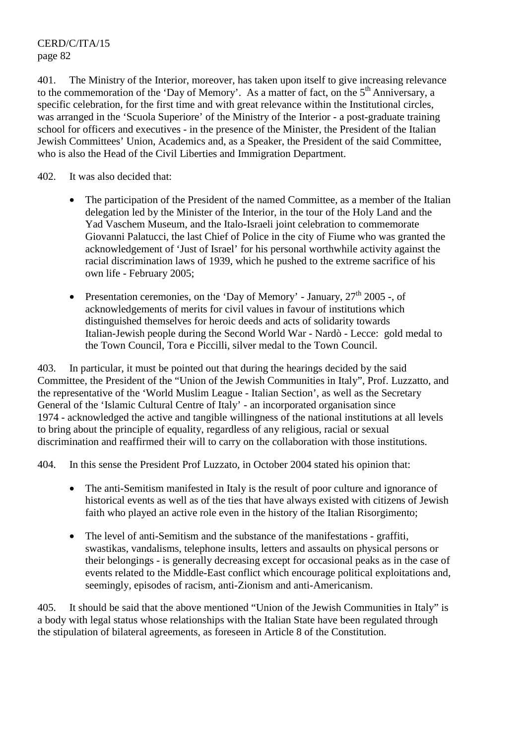401. The Ministry of the Interior, moreover, has taken upon itself to give increasing relevance to the commemoration of the 'Day of Memory'. As a matter of fact, on the  $5<sup>th</sup>$  Anniversary, a specific celebration, for the first time and with great relevance within the Institutional circles, was arranged in the 'Scuola Superiore' of the Ministry of the Interior - a post-graduate training school for officers and executives - in the presence of the Minister, the President of the Italian Jewish Committees' Union, Academics and, as a Speaker, the President of the said Committee, who is also the Head of the Civil Liberties and Immigration Department.

#### 402. It was also decided that:

- The participation of the President of the named Committee, as a member of the Italian delegation led by the Minister of the Interior, in the tour of the Holy Land and the Yad Vaschem Museum, and the Italo-Israeli joint celebration to commemorate Giovanni Palatucci, the last Chief of Police in the city of Fiume who was granted the acknowledgement of 'Just of Israel' for his personal worthwhile activity against the racial discrimination laws of 1939, which he pushed to the extreme sacrifice of his own life - February 2005;
- Presentation ceremonies, on the 'Day of Memory' January,  $27<sup>th</sup>$  2005 -, of acknowledgements of merits for civil values in favour of institutions which distinguished themselves for heroic deeds and acts of solidarity towards Italian-Jewish people during the Second World War - Nardò - Lecce: gold medal to the Town Council, Tora e Piccilli, silver medal to the Town Council.

403. In particular, it must be pointed out that during the hearings decided by the said Committee, the President of the "Union of the Jewish Communities in Italy", Prof. Luzzatto, and the representative of the 'World Muslim League - Italian Section', as well as the Secretary General of the 'Islamic Cultural Centre of Italy' - an incorporated organisation since 1974 - acknowledged the active and tangible willingness of the national institutions at all levels to bring about the principle of equality, regardless of any religious, racial or sexual discrimination and reaffirmed their will to carry on the collaboration with those institutions.

404. In this sense the President Prof Luzzato, in October 2004 stated his opinion that:

- The anti-Semitism manifested in Italy is the result of poor culture and ignorance of historical events as well as of the ties that have always existed with citizens of Jewish faith who played an active role even in the history of the Italian Risorgimento;
- The level of anti-Semitism and the substance of the manifestations graffiti, swastikas, vandalisms, telephone insults, letters and assaults on physical persons or their belongings - is generally decreasing except for occasional peaks as in the case of events related to the Middle-East conflict which encourage political exploitations and, seemingly, episodes of racism, anti-Zionism and anti-Americanism.

405. It should be said that the above mentioned "Union of the Jewish Communities in Italy" is a body with legal status whose relationships with the Italian State have been regulated through the stipulation of bilateral agreements, as foreseen in Article 8 of the Constitution.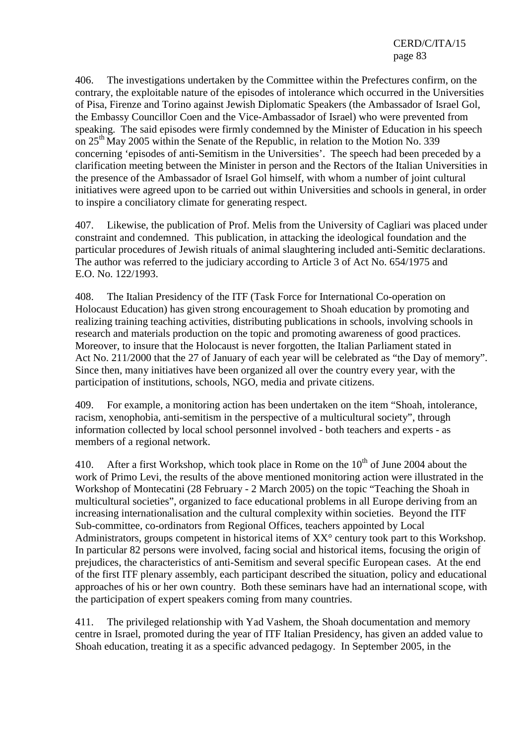406. The investigations undertaken by the Committee within the Prefectures confirm, on the contrary, the exploitable nature of the episodes of intolerance which occurred in the Universities of Pisa, Firenze and Torino against Jewish Diplomatic Speakers (the Ambassador of Israel Gol, the Embassy Councillor Coen and the Vice-Ambassador of Israel) who were prevented from speaking. The said episodes were firmly condemned by the Minister of Education in his speech on  $25<sup>th</sup>$  May 2005 within the Senate of the Republic, in relation to the Motion No. 339 concerning 'episodes of anti-Semitism in the Universities'. The speech had been preceded by a clarification meeting between the Minister in person and the Rectors of the Italian Universities in the presence of the Ambassador of Israel Gol himself, with whom a number of joint cultural initiatives were agreed upon to be carried out within Universities and schools in general, in order to inspire a conciliatory climate for generating respect.

407. Likewise, the publication of Prof. Melis from the University of Cagliari was placed under constraint and condemned. This publication, in attacking the ideological foundation and the particular procedures of Jewish rituals of animal slaughtering included anti-Semitic declarations. The author was referred to the judiciary according to Article 3 of Act No. 654/1975 and E.O. No. 122/1993.

408. The Italian Presidency of the ITF (Task Force for International Co-operation on Holocaust Education) has given strong encouragement to Shoah education by promoting and realizing training teaching activities, distributing publications in schools, involving schools in research and materials production on the topic and promoting awareness of good practices. Moreover, to insure that the Holocaust is never forgotten, the Italian Parliament stated in Act No. 211/2000 that the 27 of January of each year will be celebrated as "the Day of memory". Since then, many initiatives have been organized all over the country every year, with the participation of institutions, schools, NGO, media and private citizens.

409. For example, a monitoring action has been undertaken on the item "Shoah, intolerance, racism, xenophobia, anti-semitism in the perspective of a multicultural society", through information collected by local school personnel involved - both teachers and experts - as members of a regional network.

410. After a first Workshop, which took place in Rome on the  $10<sup>th</sup>$  of June 2004 about the work of Primo Levi, the results of the above mentioned monitoring action were illustrated in the Workshop of Montecatini (28 February - 2 March 2005) on the topic "Teaching the Shoah in multicultural societies", organized to face educational problems in all Europe deriving from an increasing internationalisation and the cultural complexity within societies. Beyond the ITF Sub-committee, co-ordinators from Regional Offices, teachers appointed by Local Administrators, groups competent in historical items of  $XX^{\circ}$  century took part to this Workshop. In particular 82 persons were involved, facing social and historical items, focusing the origin of prejudices, the characteristics of anti-Semitism and several specific European cases. At the end of the first ITF plenary assembly, each participant described the situation, policy and educational approaches of his or her own country. Both these seminars have had an international scope, with the participation of expert speakers coming from many countries.

411. The privileged relationship with Yad Vashem, the Shoah documentation and memory centre in Israel, promoted during the year of ITF Italian Presidency, has given an added value to Shoah education, treating it as a specific advanced pedagogy. In September 2005, in the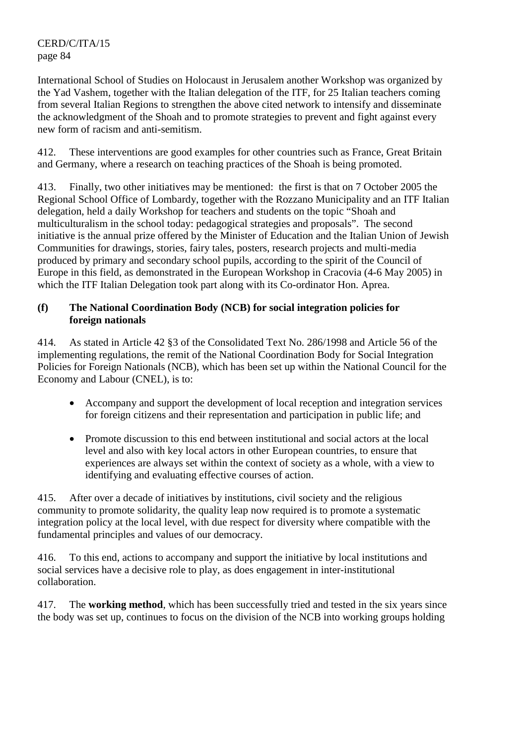International School of Studies on Holocaust in Jerusalem another Workshop was organized by the Yad Vashem, together with the Italian delegation of the ITF, for 25 Italian teachers coming from several Italian Regions to strengthen the above cited network to intensify and disseminate the acknowledgment of the Shoah and to promote strategies to prevent and fight against every new form of racism and anti-semitism.

412. These interventions are good examples for other countries such as France, Great Britain and Germany, where a research on teaching practices of the Shoah is being promoted.

413. Finally, two other initiatives may be mentioned: the first is that on 7 October 2005 the Regional School Office of Lombardy, together with the Rozzano Municipality and an ITF Italian delegation, held a daily Workshop for teachers and students on the topic "Shoah and multiculturalism in the school today: pedagogical strategies and proposals". The second initiative is the annual prize offered by the Minister of Education and the Italian Union of Jewish Communities for drawings, stories, fairy tales, posters, research projects and multi-media produced by primary and secondary school pupils, according to the spirit of the Council of Europe in this field, as demonstrated in the European Workshop in Cracovia (4-6 May 2005) in which the ITF Italian Delegation took part along with its Co-ordinator Hon. Aprea.

# **(f) The National Coordination Body (NCB) for social integration policies for foreign nationals**

414. As stated in Article 42 §3 of the Consolidated Text No. 286/1998 and Article 56 of the implementing regulations, the remit of the National Coordination Body for Social Integration Policies for Foreign Nationals (NCB), which has been set up within the National Council for the Economy and Labour (CNEL), is to:

- Accompany and support the development of local reception and integration services for foreign citizens and their representation and participation in public life; and
- Promote discussion to this end between institutional and social actors at the local level and also with key local actors in other European countries, to ensure that experiences are always set within the context of society as a whole, with a view to identifying and evaluating effective courses of action.

415. After over a decade of initiatives by institutions, civil society and the religious community to promote solidarity, the quality leap now required is to promote a systematic integration policy at the local level, with due respect for diversity where compatible with the fundamental principles and values of our democracy.

416. To this end, actions to accompany and support the initiative by local institutions and social services have a decisive role to play, as does engagement in inter-institutional collaboration.

417. The **working method**, which has been successfully tried and tested in the six years since the body was set up, continues to focus on the division of the NCB into working groups holding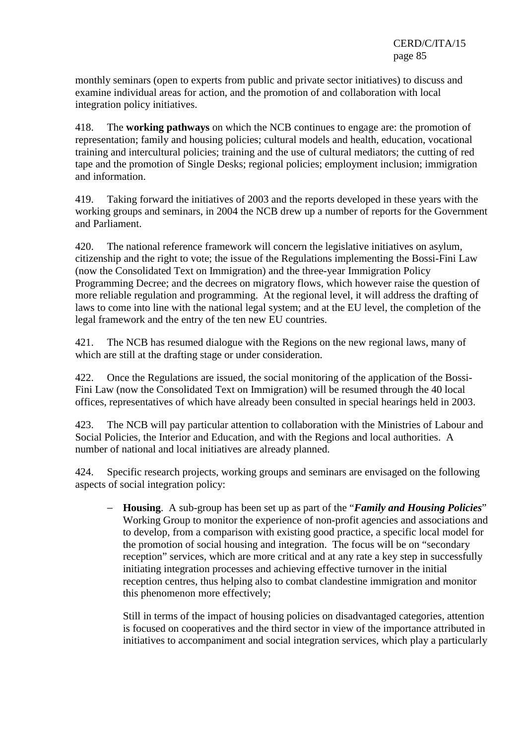monthly seminars (open to experts from public and private sector initiatives) to discuss and examine individual areas for action, and the promotion of and collaboration with local integration policy initiatives.

418. The **working pathways** on which the NCB continues to engage are: the promotion of representation; family and housing policies; cultural models and health, education, vocational training and intercultural policies; training and the use of cultural mediators; the cutting of red tape and the promotion of Single Desks; regional policies; employment inclusion; immigration and information.

419. Taking forward the initiatives of 2003 and the reports developed in these years with the working groups and seminars, in 2004 the NCB drew up a number of reports for the Government and Parliament.

420. The national reference framework will concern the legislative initiatives on asylum, citizenship and the right to vote; the issue of the Regulations implementing the Bossi-Fini Law (now the Consolidated Text on Immigration) and the three-year Immigration Policy Programming Decree; and the decrees on migratory flows, which however raise the question of more reliable regulation and programming. At the regional level, it will address the drafting of laws to come into line with the national legal system; and at the EU level, the completion of the legal framework and the entry of the ten new EU countries.

421. The NCB has resumed dialogue with the Regions on the new regional laws, many of which are still at the drafting stage or under consideration.

422. Once the Regulations are issued, the social monitoring of the application of the Bossi-Fini Law (now the Consolidated Text on Immigration) will be resumed through the 40 local offices, representatives of which have already been consulted in special hearings held in 2003.

423. The NCB will pay particular attention to collaboration with the Ministries of Labour and Social Policies, the Interior and Education, and with the Regions and local authorities. A number of national and local initiatives are already planned.

424. Specific research projects, working groups and seminars are envisaged on the following aspects of social integration policy:

− **Housing**. A sub-group has been set up as part of the "*Family and Housing Policies*" Working Group to monitor the experience of non-profit agencies and associations and to develop, from a comparison with existing good practice, a specific local model for the promotion of social housing and integration. The focus will be on "secondary reception" services, which are more critical and at any rate a key step in successfully initiating integration processes and achieving effective turnover in the initial reception centres, thus helping also to combat clandestine immigration and monitor this phenomenon more effectively;

Still in terms of the impact of housing policies on disadvantaged categories, attention is focused on cooperatives and the third sector in view of the importance attributed in initiatives to accompaniment and social integration services, which play a particularly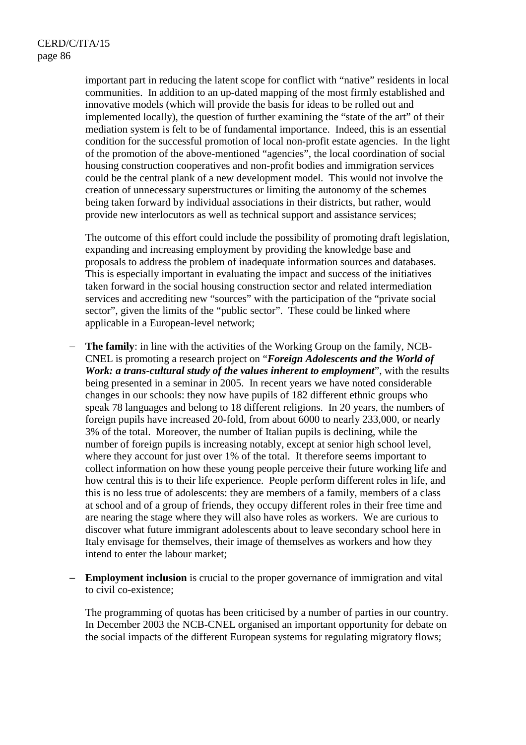important part in reducing the latent scope for conflict with "native" residents in local communities. In addition to an up-dated mapping of the most firmly established and innovative models (which will provide the basis for ideas to be rolled out and implemented locally), the question of further examining the "state of the art" of their mediation system is felt to be of fundamental importance. Indeed, this is an essential condition for the successful promotion of local non-profit estate agencies. In the light of the promotion of the above-mentioned "agencies", the local coordination of social housing construction cooperatives and non-profit bodies and immigration services could be the central plank of a new development model. This would not involve the creation of unnecessary superstructures or limiting the autonomy of the schemes being taken forward by individual associations in their districts, but rather, would provide new interlocutors as well as technical support and assistance services;

The outcome of this effort could include the possibility of promoting draft legislation, expanding and increasing employment by providing the knowledge base and proposals to address the problem of inadequate information sources and databases. This is especially important in evaluating the impact and success of the initiatives taken forward in the social housing construction sector and related intermediation services and accrediting new "sources" with the participation of the "private social sector", given the limits of the "public sector". These could be linked where applicable in a European-level network;

- − **The family**: in line with the activities of the Working Group on the family, NCB-CNEL is promoting a research project on "*Foreign Adolescents and the World of Work: a trans-cultural study of the values inherent to employment*", with the results being presented in a seminar in 2005. In recent years we have noted considerable changes in our schools: they now have pupils of 182 different ethnic groups who speak 78 languages and belong to 18 different religions. In 20 years, the numbers of foreign pupils have increased 20-fold, from about 6000 to nearly 233,000, or nearly 3% of the total. Moreover, the number of Italian pupils is declining, while the number of foreign pupils is increasing notably, except at senior high school level, where they account for just over 1% of the total. It therefore seems important to collect information on how these young people perceive their future working life and how central this is to their life experience. People perform different roles in life, and this is no less true of adolescents: they are members of a family, members of a class at school and of a group of friends, they occupy different roles in their free time and are nearing the stage where they will also have roles as workers. We are curious to discover what future immigrant adolescents about to leave secondary school here in Italy envisage for themselves, their image of themselves as workers and how they intend to enter the labour market;
- **Employment inclusion** is crucial to the proper governance of immigration and vital to civil co-existence;

The programming of quotas has been criticised by a number of parties in our country. In December 2003 the NCB-CNEL organised an important opportunity for debate on the social impacts of the different European systems for regulating migratory flows;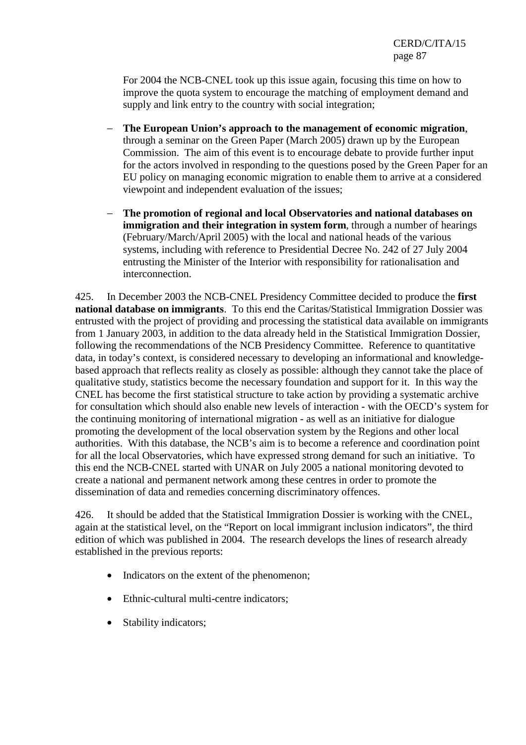For 2004 the NCB-CNEL took up this issue again, focusing this time on how to improve the quota system to encourage the matching of employment demand and supply and link entry to the country with social integration;

- − **The European Union's approach to the management of economic migration**, through a seminar on the Green Paper (March 2005) drawn up by the European Commission. The aim of this event is to encourage debate to provide further input for the actors involved in responding to the questions posed by the Green Paper for an EU policy on managing economic migration to enable them to arrive at a considered viewpoint and independent evaluation of the issues;
- − **The promotion of regional and local Observatories and national databases on immigration and their integration in system form**, through a number of hearings (February/March/April 2005) with the local and national heads of the various systems, including with reference to Presidential Decree No. 242 of 27 July 2004 entrusting the Minister of the Interior with responsibility for rationalisation and interconnection.

425. In December 2003 the NCB-CNEL Presidency Committee decided to produce the **first national database on immigrants**. To this end the Caritas/Statistical Immigration Dossier was entrusted with the project of providing and processing the statistical data available on immigrants from 1 January 2003, in addition to the data already held in the Statistical Immigration Dossier, following the recommendations of the NCB Presidency Committee. Reference to quantitative data, in today's context, is considered necessary to developing an informational and knowledgebased approach that reflects reality as closely as possible: although they cannot take the place of qualitative study, statistics become the necessary foundation and support for it. In this way the CNEL has become the first statistical structure to take action by providing a systematic archive for consultation which should also enable new levels of interaction - with the OECD's system for the continuing monitoring of international migration - as well as an initiative for dialogue promoting the development of the local observation system by the Regions and other local authorities. With this database, the NCB's aim is to become a reference and coordination point for all the local Observatories, which have expressed strong demand for such an initiative. To this end the NCB-CNEL started with UNAR on July 2005 a national monitoring devoted to create a national and permanent network among these centres in order to promote the dissemination of data and remedies concerning discriminatory offences.

426. It should be added that the Statistical Immigration Dossier is working with the CNEL, again at the statistical level, on the "Report on local immigrant inclusion indicators", the third edition of which was published in 2004. The research develops the lines of research already established in the previous reports:

- Indicators on the extent of the phenomenon;
- Ethnic-cultural multi-centre indicators:
- Stability indicators;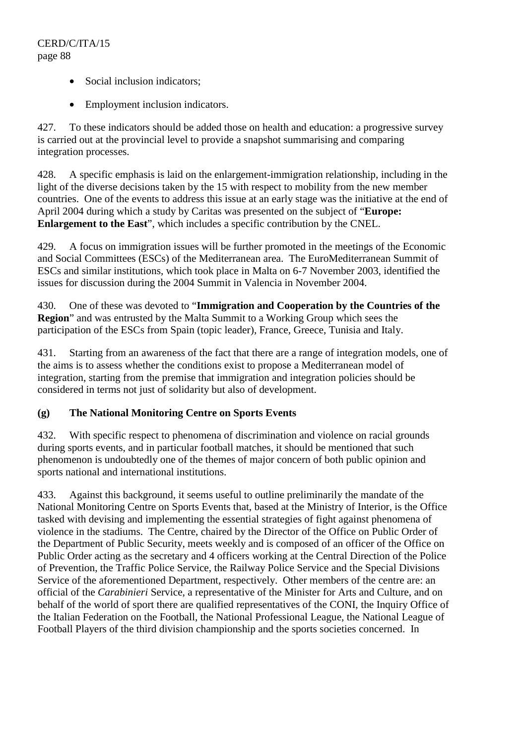- Social inclusion indicators;
- Employment inclusion indicators.

427. To these indicators should be added those on health and education: a progressive survey is carried out at the provincial level to provide a snapshot summarising and comparing integration processes.

428. A specific emphasis is laid on the enlargement-immigration relationship, including in the light of the diverse decisions taken by the 15 with respect to mobility from the new member countries. One of the events to address this issue at an early stage was the initiative at the end of April 2004 during which a study by Caritas was presented on the subject of "**Europe: Enlargement to the East**", which includes a specific contribution by the CNEL.

429. A focus on immigration issues will be further promoted in the meetings of the Economic and Social Committees (ESCs) of the Mediterranean area. The EuroMediterranean Summit of ESCs and similar institutions, which took place in Malta on 6-7 November 2003, identified the issues for discussion during the 2004 Summit in Valencia in November 2004.

430. One of these was devoted to "**Immigration and Cooperation by the Countries of the Region**" and was entrusted by the Malta Summit to a Working Group which sees the participation of the ESCs from Spain (topic leader), France, Greece, Tunisia and Italy.

431. Starting from an awareness of the fact that there are a range of integration models, one of the aims is to assess whether the conditions exist to propose a Mediterranean model of integration, starting from the premise that immigration and integration policies should be considered in terms not just of solidarity but also of development.

### **(g) The National Monitoring Centre on Sports Events**

432. With specific respect to phenomena of discrimination and violence on racial grounds during sports events, and in particular football matches, it should be mentioned that such phenomenon is undoubtedly one of the themes of major concern of both public opinion and sports national and international institutions.

433. Against this background, it seems useful to outline preliminarily the mandate of the National Monitoring Centre on Sports Events that, based at the Ministry of Interior, is the Office tasked with devising and implementing the essential strategies of fight against phenomena of violence in the stadiums. The Centre, chaired by the Director of the Office on Public Order of the Department of Public Security, meets weekly and is composed of an officer of the Office on Public Order acting as the secretary and 4 officers working at the Central Direction of the Police of Prevention, the Traffic Police Service, the Railway Police Service and the Special Divisions Service of the aforementioned Department, respectively. Other members of the centre are: an official of the *Carabinieri* Service, a representative of the Minister for Arts and Culture, and on behalf of the world of sport there are qualified representatives of the CONI, the Inquiry Office of the Italian Federation on the Football, the National Professional League, the National League of Football Players of the third division championship and the sports societies concerned. In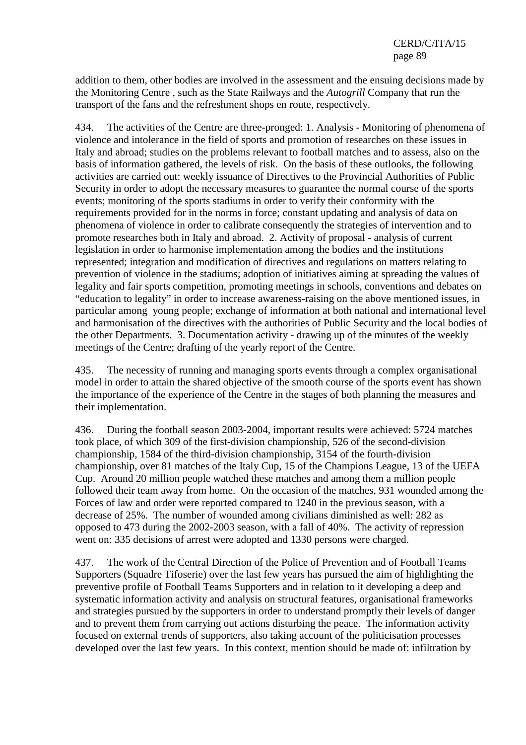addition to them, other bodies are involved in the assessment and the ensuing decisions made by the Monitoring Centre , such as the State Railways and the *Autogrill* Company that run the transport of the fans and the refreshment shops en route, respectively.

434. The activities of the Centre are three-pronged: 1. Analysis - Monitoring of phenomena of violence and intolerance in the field of sports and promotion of researches on these issues in Italy and abroad; studies on the problems relevant to football matches and to assess, also on the basis of information gathered, the levels of risk. On the basis of these outlooks, the following activities are carried out: weekly issuance of Directives to the Provincial Authorities of Public Security in order to adopt the necessary measures to guarantee the normal course of the sports events; monitoring of the sports stadiums in order to verify their conformity with the requirements provided for in the norms in force; constant updating and analysis of data on phenomena of violence in order to calibrate consequently the strategies of intervention and to promote researches both in Italy and abroad. 2. Activity of proposal - analysis of current legislation in order to harmonise implementation among the bodies and the institutions represented; integration and modification of directives and regulations on matters relating to prevention of violence in the stadiums; adoption of initiatives aiming at spreading the values of legality and fair sports competition, promoting meetings in schools, conventions and debates on "education to legality" in order to increase awareness-raising on the above mentioned issues, in particular among young people; exchange of information at both national and international level and harmonisation of the directives with the authorities of Public Security and the local bodies of the other Departments. 3. Documentation activity - drawing up of the minutes of the weekly meetings of the Centre; drafting of the yearly report of the Centre.

435. The necessity of running and managing sports events through a complex organisational model in order to attain the shared objective of the smooth course of the sports event has shown the importance of the experience of the Centre in the stages of both planning the measures and their implementation.

436. During the football season 2003-2004, important results were achieved: 5724 matches took place, of which 309 of the first-division championship, 526 of the second-division championship, 1584 of the third-division championship, 3154 of the fourth-division championship, over 81 matches of the Italy Cup, 15 of the Champions League, 13 of the UEFA Cup. Around 20 million people watched these matches and among them a million people followed their team away from home. On the occasion of the matches, 931 wounded among the Forces of law and order were reported compared to 1240 in the previous season, with a decrease of 25%. The number of wounded among civilians diminished as well: 282 as opposed to 473 during the 2002-2003 season, with a fall of 40%. The activity of repression went on: 335 decisions of arrest were adopted and 1330 persons were charged.

437. The work of the Central Direction of the Police of Prevention and of Football Teams Supporters (Squadre Tifoserie) over the last few years has pursued the aim of highlighting the preventive profile of Football Teams Supporters and in relation to it developing a deep and systematic information activity and analysis on structural features, organisational frameworks and strategies pursued by the supporters in order to understand promptly their levels of danger and to prevent them from carrying out actions disturbing the peace. The information activity focused on external trends of supporters, also taking account of the politicisation processes developed over the last few years. In this context, mention should be made of: infiltration by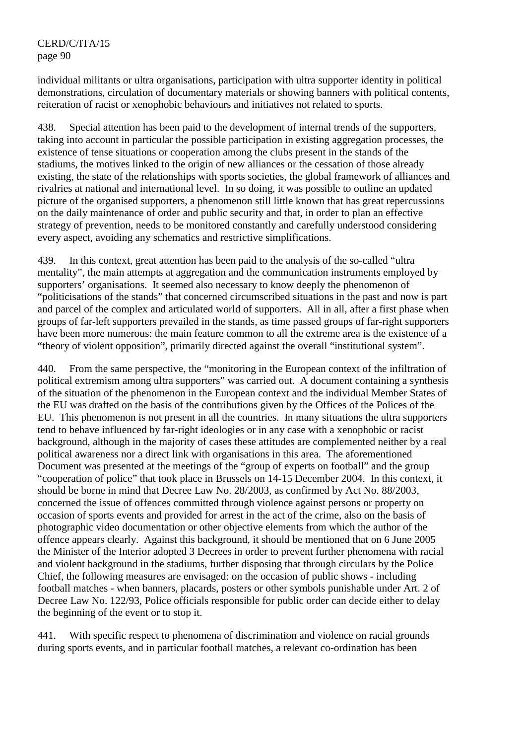individual militants or ultra organisations, participation with ultra supporter identity in political demonstrations, circulation of documentary materials or showing banners with political contents, reiteration of racist or xenophobic behaviours and initiatives not related to sports.

438. Special attention has been paid to the development of internal trends of the supporters, taking into account in particular the possible participation in existing aggregation processes, the existence of tense situations or cooperation among the clubs present in the stands of the stadiums, the motives linked to the origin of new alliances or the cessation of those already existing, the state of the relationships with sports societies, the global framework of alliances and rivalries at national and international level. In so doing, it was possible to outline an updated picture of the organised supporters, a phenomenon still little known that has great repercussions on the daily maintenance of order and public security and that, in order to plan an effective strategy of prevention, needs to be monitored constantly and carefully understood considering every aspect, avoiding any schematics and restrictive simplifications.

439. In this context, great attention has been paid to the analysis of the so-called "ultra mentality", the main attempts at aggregation and the communication instruments employed by supporters' organisations. It seemed also necessary to know deeply the phenomenon of "politicisations of the stands" that concerned circumscribed situations in the past and now is part and parcel of the complex and articulated world of supporters. All in all, after a first phase when groups of far-left supporters prevailed in the stands, as time passed groups of far-right supporters have been more numerous: the main feature common to all the extreme area is the existence of a "theory of violent opposition", primarily directed against the overall "institutional system".

440. From the same perspective, the "monitoring in the European context of the infiltration of political extremism among ultra supporters" was carried out. A document containing a synthesis of the situation of the phenomenon in the European context and the individual Member States of the EU was drafted on the basis of the contributions given by the Offices of the Polices of the EU. This phenomenon is not present in all the countries. In many situations the ultra supporters tend to behave influenced by far-right ideologies or in any case with a xenophobic or racist background, although in the majority of cases these attitudes are complemented neither by a real political awareness nor a direct link with organisations in this area. The aforementioned Document was presented at the meetings of the "group of experts on football" and the group "cooperation of police" that took place in Brussels on 14-15 December 2004. In this context, it should be borne in mind that Decree Law No. 28/2003, as confirmed by Act No. 88/2003, concerned the issue of offences committed through violence against persons or property on occasion of sports events and provided for arrest in the act of the crime, also on the basis of photographic video documentation or other objective elements from which the author of the offence appears clearly. Against this background, it should be mentioned that on 6 June 2005 the Minister of the Interior adopted 3 Decrees in order to prevent further phenomena with racial and violent background in the stadiums, further disposing that through circulars by the Police Chief, the following measures are envisaged: on the occasion of public shows - including football matches - when banners, placards, posters or other symbols punishable under Art. 2 of Decree Law No. 122/93, Police officials responsible for public order can decide either to delay the beginning of the event or to stop it.

441. With specific respect to phenomena of discrimination and violence on racial grounds during sports events, and in particular football matches, a relevant co-ordination has been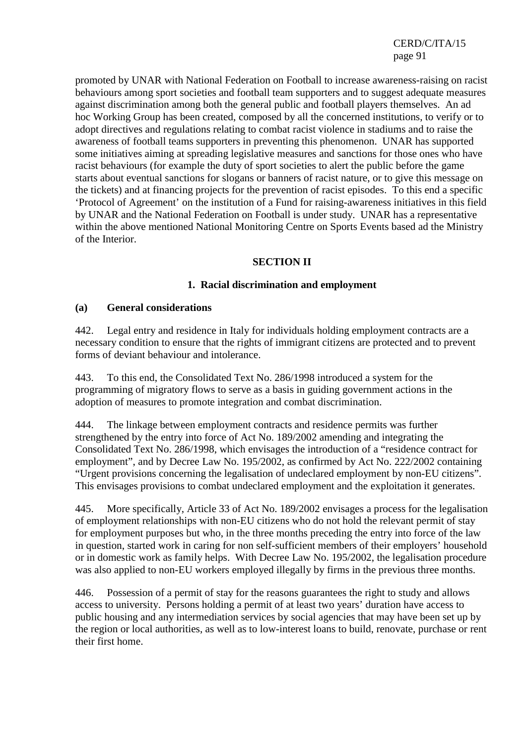promoted by UNAR with National Federation on Football to increase awareness-raising on racist behaviours among sport societies and football team supporters and to suggest adequate measures against discrimination among both the general public and football players themselves. An ad hoc Working Group has been created, composed by all the concerned institutions, to verify or to adopt directives and regulations relating to combat racist violence in stadiums and to raise the awareness of football teams supporters in preventing this phenomenon. UNAR has supported some initiatives aiming at spreading legislative measures and sanctions for those ones who have racist behaviours (for example the duty of sport societies to alert the public before the game starts about eventual sanctions for slogans or banners of racist nature, or to give this message on the tickets) and at financing projects for the prevention of racist episodes. To this end a specific 'Protocol of Agreement' on the institution of a Fund for raising-awareness initiatives in this field by UNAR and the National Federation on Football is under study. UNAR has a representative within the above mentioned National Monitoring Centre on Sports Events based ad the Ministry of the Interior.

### **SECTION II**

### **1. Racial discrimination and employment**

#### **(a) General considerations**

442. Legal entry and residence in Italy for individuals holding employment contracts are a necessary condition to ensure that the rights of immigrant citizens are protected and to prevent forms of deviant behaviour and intolerance.

443. To this end, the Consolidated Text No. 286/1998 introduced a system for the programming of migratory flows to serve as a basis in guiding government actions in the adoption of measures to promote integration and combat discrimination.

444. The linkage between employment contracts and residence permits was further strengthened by the entry into force of Act No. 189/2002 amending and integrating the Consolidated Text No. 286/1998, which envisages the introduction of a "residence contract for employment", and by Decree Law No. 195/2002, as confirmed by Act No. 222/2002 containing "Urgent provisions concerning the legalisation of undeclared employment by non-EU citizens". This envisages provisions to combat undeclared employment and the exploitation it generates.

445. More specifically, Article 33 of Act No. 189/2002 envisages a process for the legalisation of employment relationships with non-EU citizens who do not hold the relevant permit of stay for employment purposes but who, in the three months preceding the entry into force of the law in question, started work in caring for non self-sufficient members of their employers' household or in domestic work as family helps. With Decree Law No. 195/2002, the legalisation procedure was also applied to non-EU workers employed illegally by firms in the previous three months.

446. Possession of a permit of stay for the reasons guarantees the right to study and allows access to university. Persons holding a permit of at least two years' duration have access to public housing and any intermediation services by social agencies that may have been set up by the region or local authorities, as well as to low-interest loans to build, renovate, purchase or rent their first home.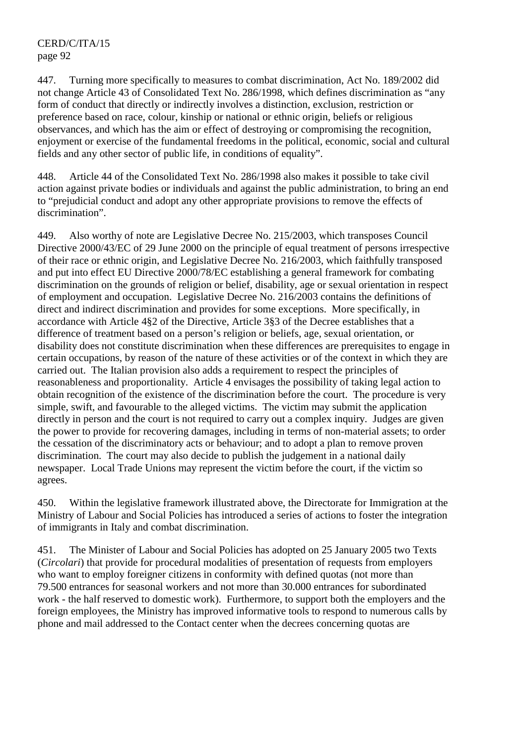447. Turning more specifically to measures to combat discrimination, Act No. 189/2002 did not change Article 43 of Consolidated Text No. 286/1998, which defines discrimination as "any form of conduct that directly or indirectly involves a distinction, exclusion, restriction or preference based on race, colour, kinship or national or ethnic origin, beliefs or religious observances, and which has the aim or effect of destroying or compromising the recognition, enjoyment or exercise of the fundamental freedoms in the political, economic, social and cultural fields and any other sector of public life, in conditions of equality".

448. Article 44 of the Consolidated Text No. 286/1998 also makes it possible to take civil action against private bodies or individuals and against the public administration, to bring an end to "prejudicial conduct and adopt any other appropriate provisions to remove the effects of discrimination".

449. Also worthy of note are Legislative Decree No. 215/2003, which transposes Council Directive 2000/43/EC of 29 June 2000 on the principle of equal treatment of persons irrespective of their race or ethnic origin, and Legislative Decree No. 216/2003, which faithfully transposed and put into effect EU Directive 2000/78/EC establishing a general framework for combating discrimination on the grounds of religion or belief, disability, age or sexual orientation in respect of employment and occupation. Legislative Decree No. 216/2003 contains the definitions of direct and indirect discrimination and provides for some exceptions. More specifically, in accordance with Article 4§2 of the Directive, Article 3§3 of the Decree establishes that a difference of treatment based on a person's religion or beliefs, age, sexual orientation, or disability does not constitute discrimination when these differences are prerequisites to engage in certain occupations, by reason of the nature of these activities or of the context in which they are carried out. The Italian provision also adds a requirement to respect the principles of reasonableness and proportionality. Article 4 envisages the possibility of taking legal action to obtain recognition of the existence of the discrimination before the court. The procedure is very simple, swift, and favourable to the alleged victims. The victim may submit the application directly in person and the court is not required to carry out a complex inquiry. Judges are given the power to provide for recovering damages, including in terms of non-material assets; to order the cessation of the discriminatory acts or behaviour; and to adopt a plan to remove proven discrimination. The court may also decide to publish the judgement in a national daily newspaper. Local Trade Unions may represent the victim before the court, if the victim so agrees.

450. Within the legislative framework illustrated above, the Directorate for Immigration at the Ministry of Labour and Social Policies has introduced a series of actions to foster the integration of immigrants in Italy and combat discrimination.

451. The Minister of Labour and Social Policies has adopted on 25 January 2005 two Texts (*Circolari*) that provide for procedural modalities of presentation of requests from employers who want to employ foreigner citizens in conformity with defined quotas (not more than 79.500 entrances for seasonal workers and not more than 30.000 entrances for subordinated work - the half reserved to domestic work). Furthermore, to support both the employers and the foreign employees, the Ministry has improved informative tools to respond to numerous calls by phone and mail addressed to the Contact center when the decrees concerning quotas are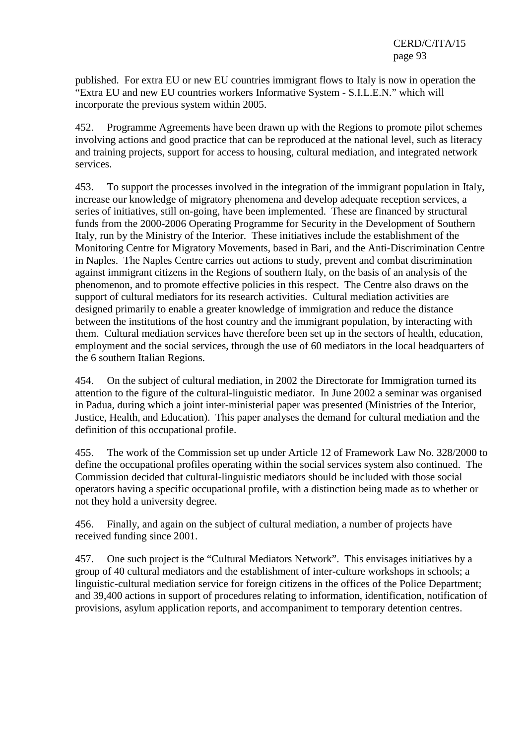published. For extra EU or new EU countries immigrant flows to Italy is now in operation the "Extra EU and new EU countries workers Informative System - S.I.L.E.N." which will incorporate the previous system within 2005.

452. Programme Agreements have been drawn up with the Regions to promote pilot schemes involving actions and good practice that can be reproduced at the national level, such as literacy and training projects, support for access to housing, cultural mediation, and integrated network services.

453. To support the processes involved in the integration of the immigrant population in Italy, increase our knowledge of migratory phenomena and develop adequate reception services, a series of initiatives, still on-going, have been implemented. These are financed by structural funds from the 2000-2006 Operating Programme for Security in the Development of Southern Italy, run by the Ministry of the Interior. These initiatives include the establishment of the Monitoring Centre for Migratory Movements, based in Bari, and the Anti-Discrimination Centre in Naples. The Naples Centre carries out actions to study, prevent and combat discrimination against immigrant citizens in the Regions of southern Italy, on the basis of an analysis of the phenomenon, and to promote effective policies in this respect. The Centre also draws on the support of cultural mediators for its research activities. Cultural mediation activities are designed primarily to enable a greater knowledge of immigration and reduce the distance between the institutions of the host country and the immigrant population, by interacting with them. Cultural mediation services have therefore been set up in the sectors of health, education, employment and the social services, through the use of 60 mediators in the local headquarters of the 6 southern Italian Regions.

454. On the subject of cultural mediation, in 2002 the Directorate for Immigration turned its attention to the figure of the cultural-linguistic mediator. In June 2002 a seminar was organised in Padua, during which a joint inter-ministerial paper was presented (Ministries of the Interior, Justice, Health, and Education). This paper analyses the demand for cultural mediation and the definition of this occupational profile.

455. The work of the Commission set up under Article 12 of Framework Law No. 328/2000 to define the occupational profiles operating within the social services system also continued. The Commission decided that cultural-linguistic mediators should be included with those social operators having a specific occupational profile, with a distinction being made as to whether or not they hold a university degree.

456. Finally, and again on the subject of cultural mediation, a number of projects have received funding since 2001.

457. One such project is the "Cultural Mediators Network". This envisages initiatives by a group of 40 cultural mediators and the establishment of inter-culture workshops in schools; a linguistic-cultural mediation service for foreign citizens in the offices of the Police Department; and 39,400 actions in support of procedures relating to information, identification, notification of provisions, asylum application reports, and accompaniment to temporary detention centres.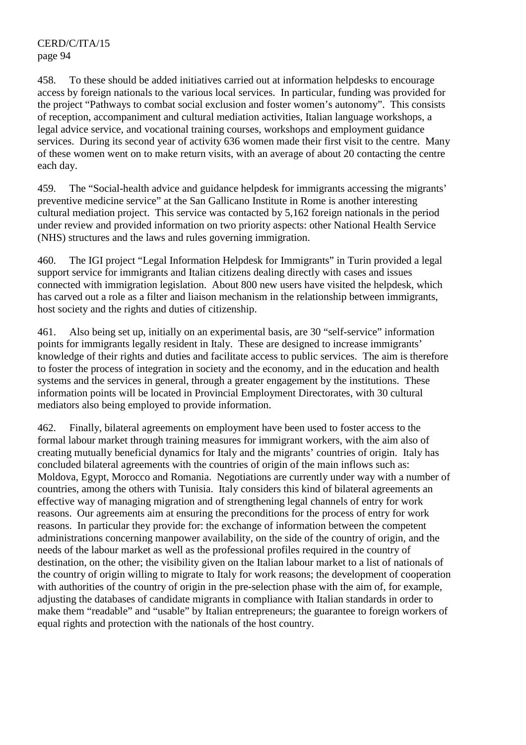458. To these should be added initiatives carried out at information helpdesks to encourage access by foreign nationals to the various local services. In particular, funding was provided for the project "Pathways to combat social exclusion and foster women's autonomy". This consists of reception, accompaniment and cultural mediation activities, Italian language workshops, a legal advice service, and vocational training courses, workshops and employment guidance services. During its second year of activity 636 women made their first visit to the centre. Many of these women went on to make return visits, with an average of about 20 contacting the centre each day.

459. The "Social-health advice and guidance helpdesk for immigrants accessing the migrants' preventive medicine service" at the San Gallicano Institute in Rome is another interesting cultural mediation project. This service was contacted by 5,162 foreign nationals in the period under review and provided information on two priority aspects: other National Health Service (NHS) structures and the laws and rules governing immigration.

460. The IGI project "Legal Information Helpdesk for Immigrants" in Turin provided a legal support service for immigrants and Italian citizens dealing directly with cases and issues connected with immigration legislation. About 800 new users have visited the helpdesk, which has carved out a role as a filter and liaison mechanism in the relationship between immigrants, host society and the rights and duties of citizenship.

461. Also being set up, initially on an experimental basis, are 30 "self-service" information points for immigrants legally resident in Italy. These are designed to increase immigrants' knowledge of their rights and duties and facilitate access to public services. The aim is therefore to foster the process of integration in society and the economy, and in the education and health systems and the services in general, through a greater engagement by the institutions. These information points will be located in Provincial Employment Directorates, with 30 cultural mediators also being employed to provide information.

462. Finally, bilateral agreements on employment have been used to foster access to the formal labour market through training measures for immigrant workers, with the aim also of creating mutually beneficial dynamics for Italy and the migrants' countries of origin. Italy has concluded bilateral agreements with the countries of origin of the main inflows such as: Moldova, Egypt, Morocco and Romania. Negotiations are currently under way with a number of countries, among the others with Tunisia. Italy considers this kind of bilateral agreements an effective way of managing migration and of strengthening legal channels of entry for work reasons. Our agreements aim at ensuring the preconditions for the process of entry for work reasons. In particular they provide for: the exchange of information between the competent administrations concerning manpower availability, on the side of the country of origin, and the needs of the labour market as well as the professional profiles required in the country of destination, on the other; the visibility given on the Italian labour market to a list of nationals of the country of origin willing to migrate to Italy for work reasons; the development of cooperation with authorities of the country of origin in the pre-selection phase with the aim of, for example, adjusting the databases of candidate migrants in compliance with Italian standards in order to make them "readable" and "usable" by Italian entrepreneurs; the guarantee to foreign workers of equal rights and protection with the nationals of the host country.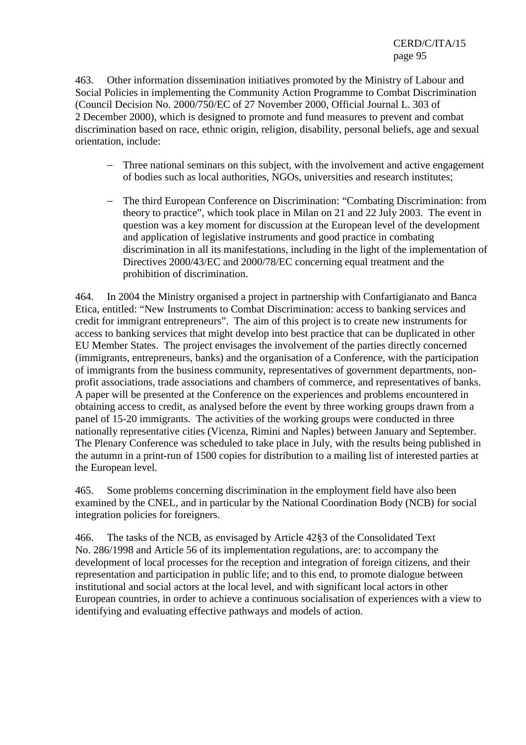463. Other information dissemination initiatives promoted by the Ministry of Labour and Social Policies in implementing the Community Action Programme to Combat Discrimination (Council Decision No. 2000/750/EC of 27 November 2000, Official Journal L. 303 of 2 December 2000), which is designed to promote and fund measures to prevent and combat discrimination based on race, ethnic origin, religion, disability, personal beliefs, age and sexual orientation, include:

- − Three national seminars on this subject, with the involvement and active engagement of bodies such as local authorities, NGOs, universities and research institutes;
- − The third European Conference on Discrimination: "Combating Discrimination: from theory to practice", which took place in Milan on 21 and 22 July 2003. The event in question was a key moment for discussion at the European level of the development and application of legislative instruments and good practice in combating discrimination in all its manifestations, including in the light of the implementation of Directives 2000/43/EC and 2000/78/EC concerning equal treatment and the prohibition of discrimination.

464. In 2004 the Ministry organised a project in partnership with Confartigianato and Banca Etica, entitled: "New Instruments to Combat Discrimination: access to banking services and credit for immigrant entrepreneurs". The aim of this project is to create new instruments for access to banking services that might develop into best practice that can be duplicated in other EU Member States. The project envisages the involvement of the parties directly concerned (immigrants, entrepreneurs, banks) and the organisation of a Conference, with the participation of immigrants from the business community, representatives of government departments, nonprofit associations, trade associations and chambers of commerce, and representatives of banks. A paper will be presented at the Conference on the experiences and problems encountered in obtaining access to credit, as analysed before the event by three working groups drawn from a panel of 15-20 immigrants. The activities of the working groups were conducted in three nationally representative cities (Vicenza, Rimini and Naples) between January and September. The Plenary Conference was scheduled to take place in July, with the results being published in the autumn in a print-run of 1500 copies for distribution to a mailing list of interested parties at the European level.

465. Some problems concerning discrimination in the employment field have also been examined by the CNEL, and in particular by the National Coordination Body (NCB) for social integration policies for foreigners.

466. The tasks of the NCB, as envisaged by Article 42§3 of the Consolidated Text No. 286/1998 and Article 56 of its implementation regulations, are: to accompany the development of local processes for the reception and integration of foreign citizens, and their representation and participation in public life; and to this end, to promote dialogue between institutional and social actors at the local level, and with significant local actors in other European countries, in order to achieve a continuous socialisation of experiences with a view to identifying and evaluating effective pathways and models of action.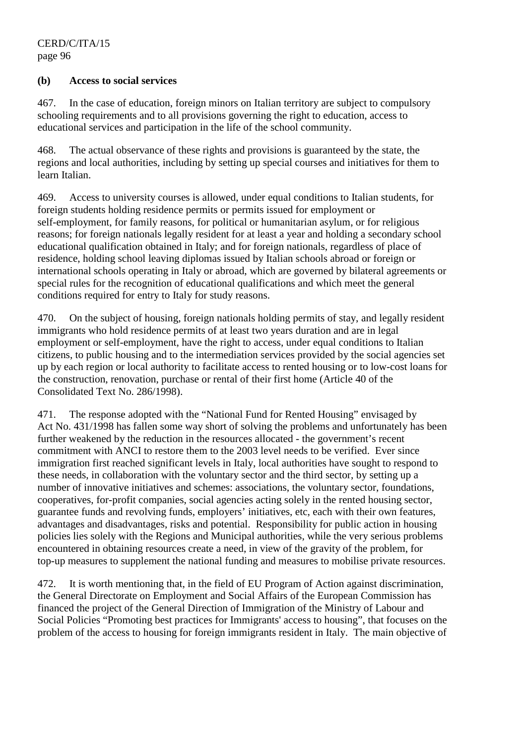#### **(b) Access to social services**

467. In the case of education, foreign minors on Italian territory are subject to compulsory schooling requirements and to all provisions governing the right to education, access to educational services and participation in the life of the school community.

468. The actual observance of these rights and provisions is guaranteed by the state, the regions and local authorities, including by setting up special courses and initiatives for them to learn Italian.

469. Access to university courses is allowed, under equal conditions to Italian students, for foreign students holding residence permits or permits issued for employment or self-employment, for family reasons, for political or humanitarian asylum, or for religious reasons; for foreign nationals legally resident for at least a year and holding a secondary school educational qualification obtained in Italy; and for foreign nationals, regardless of place of residence, holding school leaving diplomas issued by Italian schools abroad or foreign or international schools operating in Italy or abroad, which are governed by bilateral agreements or special rules for the recognition of educational qualifications and which meet the general conditions required for entry to Italy for study reasons.

470. On the subject of housing, foreign nationals holding permits of stay, and legally resident immigrants who hold residence permits of at least two years duration and are in legal employment or self-employment, have the right to access, under equal conditions to Italian citizens, to public housing and to the intermediation services provided by the social agencies set up by each region or local authority to facilitate access to rented housing or to low-cost loans for the construction, renovation, purchase or rental of their first home (Article 40 of the Consolidated Text No. 286/1998).

471. The response adopted with the "National Fund for Rented Housing" envisaged by Act No. 431/1998 has fallen some way short of solving the problems and unfortunately has been further weakened by the reduction in the resources allocated - the government's recent commitment with ANCI to restore them to the 2003 level needs to be verified. Ever since immigration first reached significant levels in Italy, local authorities have sought to respond to these needs, in collaboration with the voluntary sector and the third sector, by setting up a number of innovative initiatives and schemes: associations, the voluntary sector, foundations, cooperatives, for-profit companies, social agencies acting solely in the rented housing sector, guarantee funds and revolving funds, employers' initiatives, etc, each with their own features, advantages and disadvantages, risks and potential. Responsibility for public action in housing policies lies solely with the Regions and Municipal authorities, while the very serious problems encountered in obtaining resources create a need, in view of the gravity of the problem, for top-up measures to supplement the national funding and measures to mobilise private resources.

472. It is worth mentioning that, in the field of EU Program of Action against discrimination, the General Directorate on Employment and Social Affairs of the European Commission has financed the project of the General Direction of Immigration of the Ministry of Labour and Social Policies "Promoting best practices for Immigrants' access to housing", that focuses on the problem of the access to housing for foreign immigrants resident in Italy. The main objective of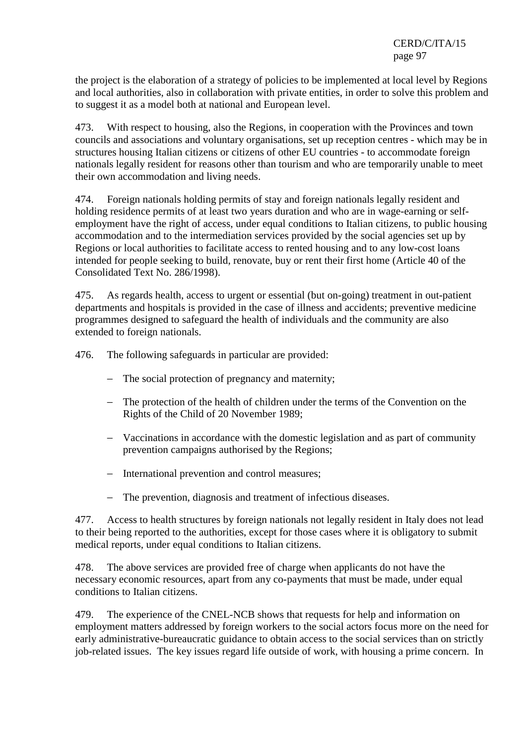the project is the elaboration of a strategy of policies to be implemented at local level by Regions and local authorities, also in collaboration with private entities, in order to solve this problem and to suggest it as a model both at national and European level.

473. With respect to housing, also the Regions, in cooperation with the Provinces and town councils and associations and voluntary organisations, set up reception centres - which may be in structures housing Italian citizens or citizens of other EU countries - to accommodate foreign nationals legally resident for reasons other than tourism and who are temporarily unable to meet their own accommodation and living needs.

474. Foreign nationals holding permits of stay and foreign nationals legally resident and holding residence permits of at least two years duration and who are in wage-earning or selfemployment have the right of access, under equal conditions to Italian citizens, to public housing accommodation and to the intermediation services provided by the social agencies set up by Regions or local authorities to facilitate access to rented housing and to any low-cost loans intended for people seeking to build, renovate, buy or rent their first home (Article 40 of the Consolidated Text No. 286/1998).

475. As regards health, access to urgent or essential (but on-going) treatment in out-patient departments and hospitals is provided in the case of illness and accidents; preventive medicine programmes designed to safeguard the health of individuals and the community are also extended to foreign nationals.

476. The following safeguards in particular are provided:

- − The social protection of pregnancy and maternity;
- − The protection of the health of children under the terms of the Convention on the Rights of the Child of 20 November 1989;
- − Vaccinations in accordance with the domestic legislation and as part of community prevention campaigns authorised by the Regions;
- − International prevention and control measures;
- − The prevention, diagnosis and treatment of infectious diseases.

477. Access to health structures by foreign nationals not legally resident in Italy does not lead to their being reported to the authorities, except for those cases where it is obligatory to submit medical reports, under equal conditions to Italian citizens.

478. The above services are provided free of charge when applicants do not have the necessary economic resources, apart from any co-payments that must be made, under equal conditions to Italian citizens.

479. The experience of the CNEL-NCB shows that requests for help and information on employment matters addressed by foreign workers to the social actors focus more on the need for early administrative-bureaucratic guidance to obtain access to the social services than on strictly job-related issues. The key issues regard life outside of work, with housing a prime concern. In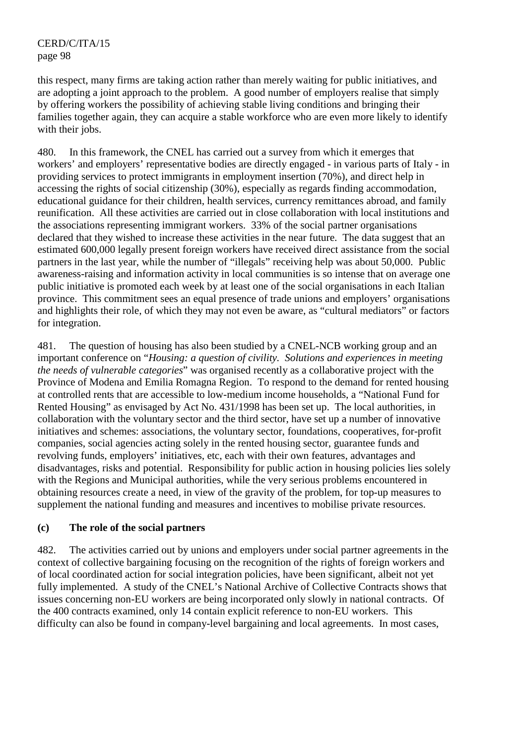this respect, many firms are taking action rather than merely waiting for public initiatives, and are adopting a joint approach to the problem. A good number of employers realise that simply by offering workers the possibility of achieving stable living conditions and bringing their families together again, they can acquire a stable workforce who are even more likely to identify with their jobs.

480. In this framework, the CNEL has carried out a survey from which it emerges that workers' and employers' representative bodies are directly engaged - in various parts of Italy - in providing services to protect immigrants in employment insertion (70%), and direct help in accessing the rights of social citizenship (30%), especially as regards finding accommodation, educational guidance for their children, health services, currency remittances abroad, and family reunification. All these activities are carried out in close collaboration with local institutions and the associations representing immigrant workers. 33% of the social partner organisations declared that they wished to increase these activities in the near future. The data suggest that an estimated 600,000 legally present foreign workers have received direct assistance from the social partners in the last year, while the number of "illegals" receiving help was about 50,000. Public awareness-raising and information activity in local communities is so intense that on average one public initiative is promoted each week by at least one of the social organisations in each Italian province. This commitment sees an equal presence of trade unions and employers' organisations and highlights their role, of which they may not even be aware, as "cultural mediators" or factors for integration.

481. The question of housing has also been studied by a CNEL-NCB working group and an important conference on "*Housing: a question of civility. Solutions and experiences in meeting the needs of vulnerable categories*" was organised recently as a collaborative project with the Province of Modena and Emilia Romagna Region. To respond to the demand for rented housing at controlled rents that are accessible to low-medium income households, a "National Fund for Rented Housing" as envisaged by Act No. 431/1998 has been set up. The local authorities, in collaboration with the voluntary sector and the third sector, have set up a number of innovative initiatives and schemes: associations, the voluntary sector, foundations, cooperatives, for-profit companies, social agencies acting solely in the rented housing sector, guarantee funds and revolving funds, employers' initiatives, etc, each with their own features, advantages and disadvantages, risks and potential. Responsibility for public action in housing policies lies solely with the Regions and Municipal authorities, while the very serious problems encountered in obtaining resources create a need, in view of the gravity of the problem, for top-up measures to supplement the national funding and measures and incentives to mobilise private resources.

### **(c) The role of the social partners**

482. The activities carried out by unions and employers under social partner agreements in the context of collective bargaining focusing on the recognition of the rights of foreign workers and of local coordinated action for social integration policies, have been significant, albeit not yet fully implemented. A study of the CNEL's National Archive of Collective Contracts shows that issues concerning non-EU workers are being incorporated only slowly in national contracts. Of the 400 contracts examined, only 14 contain explicit reference to non-EU workers. This difficulty can also be found in company-level bargaining and local agreements. In most cases,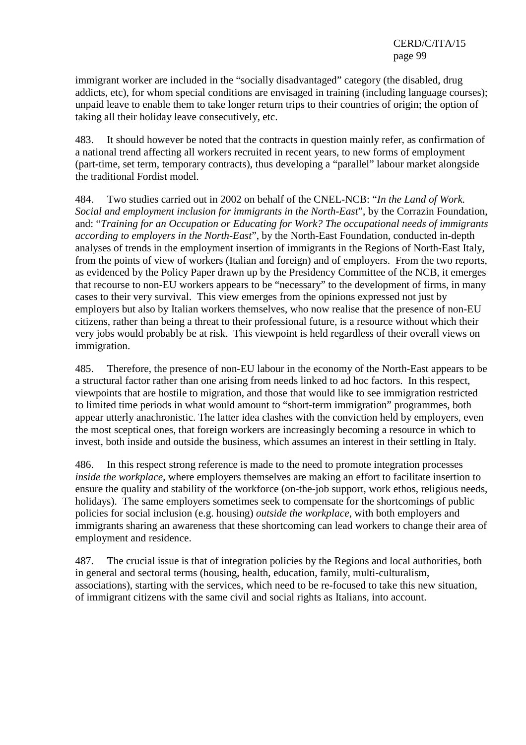immigrant worker are included in the "socially disadvantaged" category (the disabled, drug addicts, etc), for whom special conditions are envisaged in training (including language courses); unpaid leave to enable them to take longer return trips to their countries of origin; the option of taking all their holiday leave consecutively, etc.

483. It should however be noted that the contracts in question mainly refer, as confirmation of a national trend affecting all workers recruited in recent years, to new forms of employment (part-time, set term, temporary contracts), thus developing a "parallel" labour market alongside the traditional Fordist model.

484. Two studies carried out in 2002 on behalf of the CNEL-NCB: "*In the Land of Work. Social and employment inclusion for immigrants in the North-East*", by the Corrazin Foundation, and: "*Training for an Occupation or Educating for Work? The occupational needs of immigrants according to employers in the North-East*", by the North-East Foundation, conducted in-depth analyses of trends in the employment insertion of immigrants in the Regions of North-East Italy, from the points of view of workers (Italian and foreign) and of employers. From the two reports, as evidenced by the Policy Paper drawn up by the Presidency Committee of the NCB, it emerges that recourse to non-EU workers appears to be "necessary" to the development of firms, in many cases to their very survival. This view emerges from the opinions expressed not just by employers but also by Italian workers themselves, who now realise that the presence of non-EU citizens, rather than being a threat to their professional future, is a resource without which their very jobs would probably be at risk. This viewpoint is held regardless of their overall views on immigration.

485. Therefore, the presence of non-EU labour in the economy of the North-East appears to be a structural factor rather than one arising from needs linked to ad hoc factors. In this respect, viewpoints that are hostile to migration, and those that would like to see immigration restricted to limited time periods in what would amount to "short-term immigration" programmes, both appear utterly anachronistic. The latter idea clashes with the conviction held by employers, even the most sceptical ones, that foreign workers are increasingly becoming a resource in which to invest, both inside and outside the business, which assumes an interest in their settling in Italy.

486. In this respect strong reference is made to the need to promote integration processes *inside the workplace*, where employers themselves are making an effort to facilitate insertion to ensure the quality and stability of the workforce (on-the-job support, work ethos, religious needs, holidays). The same employers sometimes seek to compensate for the shortcomings of public policies for social inclusion (e.g. housing) *outside the workplace*, with both employers and immigrants sharing an awareness that these shortcoming can lead workers to change their area of employment and residence.

487. The crucial issue is that of integration policies by the Regions and local authorities, both in general and sectoral terms (housing, health, education, family, multi-culturalism, associations), starting with the services, which need to be re-focused to take this new situation, of immigrant citizens with the same civil and social rights as Italians, into account.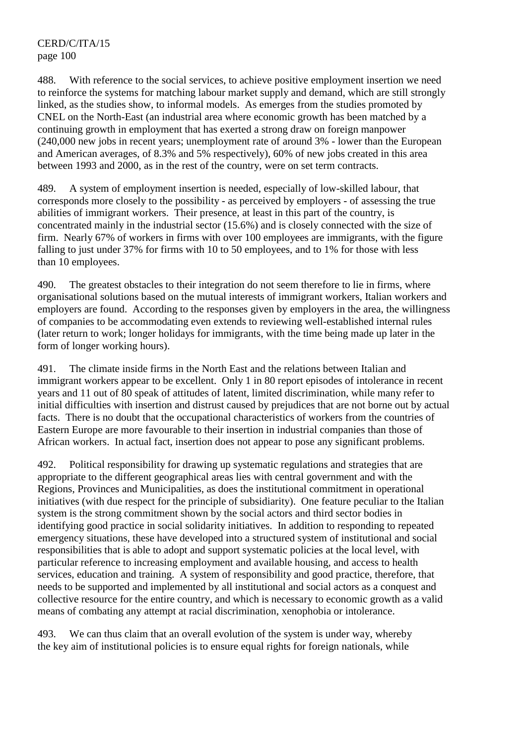488. With reference to the social services, to achieve positive employment insertion we need to reinforce the systems for matching labour market supply and demand, which are still strongly linked, as the studies show, to informal models. As emerges from the studies promoted by CNEL on the North-East (an industrial area where economic growth has been matched by a continuing growth in employment that has exerted a strong draw on foreign manpower (240,000 new jobs in recent years; unemployment rate of around 3% - lower than the European and American averages, of 8.3% and 5% respectively), 60% of new jobs created in this area between 1993 and 2000, as in the rest of the country, were on set term contracts.

489. A system of employment insertion is needed, especially of low-skilled labour, that corresponds more closely to the possibility - as perceived by employers - of assessing the true abilities of immigrant workers. Their presence, at least in this part of the country, is concentrated mainly in the industrial sector (15.6%) and is closely connected with the size of firm. Nearly 67% of workers in firms with over 100 employees are immigrants, with the figure falling to just under 37% for firms with 10 to 50 employees, and to 1% for those with less than 10 employees.

490. The greatest obstacles to their integration do not seem therefore to lie in firms, where organisational solutions based on the mutual interests of immigrant workers, Italian workers and employers are found. According to the responses given by employers in the area, the willingness of companies to be accommodating even extends to reviewing well-established internal rules (later return to work; longer holidays for immigrants, with the time being made up later in the form of longer working hours).

491. The climate inside firms in the North East and the relations between Italian and immigrant workers appear to be excellent. Only 1 in 80 report episodes of intolerance in recent years and 11 out of 80 speak of attitudes of latent, limited discrimination, while many refer to initial difficulties with insertion and distrust caused by prejudices that are not borne out by actual facts. There is no doubt that the occupational characteristics of workers from the countries of Eastern Europe are more favourable to their insertion in industrial companies than those of African workers. In actual fact, insertion does not appear to pose any significant problems.

492. Political responsibility for drawing up systematic regulations and strategies that are appropriate to the different geographical areas lies with central government and with the Regions, Provinces and Municipalities, as does the institutional commitment in operational initiatives (with due respect for the principle of subsidiarity). One feature peculiar to the Italian system is the strong commitment shown by the social actors and third sector bodies in identifying good practice in social solidarity initiatives. In addition to responding to repeated emergency situations, these have developed into a structured system of institutional and social responsibilities that is able to adopt and support systematic policies at the local level, with particular reference to increasing employment and available housing, and access to health services, education and training. A system of responsibility and good practice, therefore, that needs to be supported and implemented by all institutional and social actors as a conquest and collective resource for the entire country, and which is necessary to economic growth as a valid means of combating any attempt at racial discrimination, xenophobia or intolerance.

493. We can thus claim that an overall evolution of the system is under way, whereby the key aim of institutional policies is to ensure equal rights for foreign nationals, while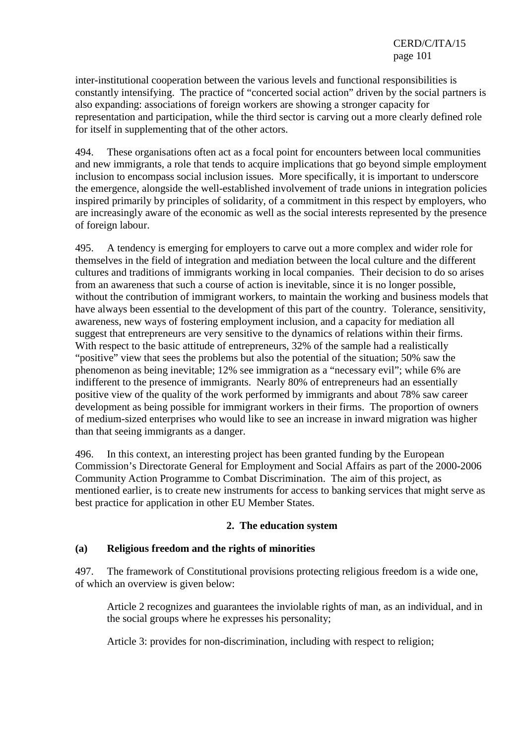inter-institutional cooperation between the various levels and functional responsibilities is constantly intensifying. The practice of "concerted social action" driven by the social partners is also expanding: associations of foreign workers are showing a stronger capacity for representation and participation, while the third sector is carving out a more clearly defined role for itself in supplementing that of the other actors.

494. These organisations often act as a focal point for encounters between local communities and new immigrants, a role that tends to acquire implications that go beyond simple employment inclusion to encompass social inclusion issues. More specifically, it is important to underscore the emergence, alongside the well-established involvement of trade unions in integration policies inspired primarily by principles of solidarity, of a commitment in this respect by employers, who are increasingly aware of the economic as well as the social interests represented by the presence of foreign labour.

495. A tendency is emerging for employers to carve out a more complex and wider role for themselves in the field of integration and mediation between the local culture and the different cultures and traditions of immigrants working in local companies. Their decision to do so arises from an awareness that such a course of action is inevitable, since it is no longer possible, without the contribution of immigrant workers, to maintain the working and business models that have always been essential to the development of this part of the country. Tolerance, sensitivity, awareness, new ways of fostering employment inclusion, and a capacity for mediation all suggest that entrepreneurs are very sensitive to the dynamics of relations within their firms. With respect to the basic attitude of entrepreneurs, 32% of the sample had a realistically "positive" view that sees the problems but also the potential of the situation; 50% saw the phenomenon as being inevitable; 12% see immigration as a "necessary evil"; while 6% are indifferent to the presence of immigrants. Nearly 80% of entrepreneurs had an essentially positive view of the quality of the work performed by immigrants and about 78% saw career development as being possible for immigrant workers in their firms. The proportion of owners of medium-sized enterprises who would like to see an increase in inward migration was higher than that seeing immigrants as a danger.

496. In this context, an interesting project has been granted funding by the European Commission's Directorate General for Employment and Social Affairs as part of the 2000-2006 Community Action Programme to Combat Discrimination. The aim of this project, as mentioned earlier, is to create new instruments for access to banking services that might serve as best practice for application in other EU Member States.

### **2. The education system**

### **(a) Religious freedom and the rights of minorities**

497. The framework of Constitutional provisions protecting religious freedom is a wide one, of which an overview is given below:

Article 2 recognizes and guarantees the inviolable rights of man, as an individual, and in the social groups where he expresses his personality;

Article 3: provides for non-discrimination, including with respect to religion;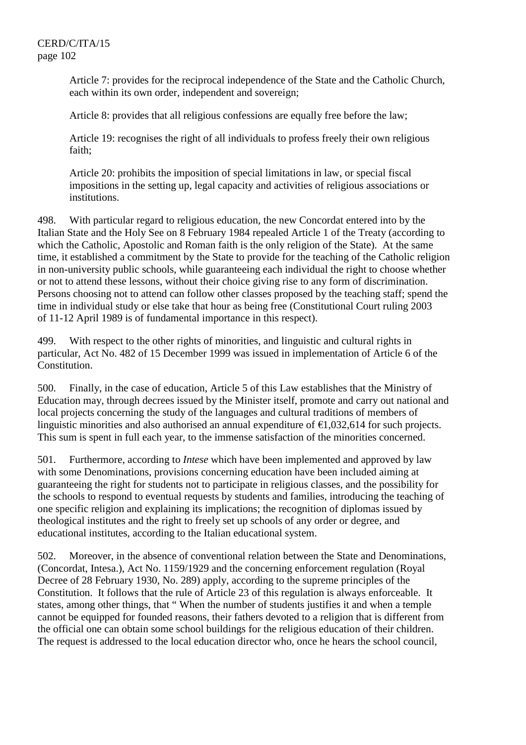Article 7: provides for the reciprocal independence of the State and the Catholic Church, each within its own order, independent and sovereign;

Article 8: provides that all religious confessions are equally free before the law;

Article 19: recognises the right of all individuals to profess freely their own religious faith;

Article 20: prohibits the imposition of special limitations in law, or special fiscal impositions in the setting up, legal capacity and activities of religious associations or institutions.

498. With particular regard to religious education, the new Concordat entered into by the Italian State and the Holy See on 8 February 1984 repealed Article 1 of the Treaty (according to which the Catholic, Apostolic and Roman faith is the only religion of the State). At the same time, it established a commitment by the State to provide for the teaching of the Catholic religion in non-university public schools, while guaranteeing each individual the right to choose whether or not to attend these lessons, without their choice giving rise to any form of discrimination. Persons choosing not to attend can follow other classes proposed by the teaching staff; spend the time in individual study or else take that hour as being free (Constitutional Court ruling 2003 of 11-12 April 1989 is of fundamental importance in this respect).

499. With respect to the other rights of minorities, and linguistic and cultural rights in particular, Act No. 482 of 15 December 1999 was issued in implementation of Article 6 of the Constitution.

500. Finally, in the case of education, Article 5 of this Law establishes that the Ministry of Education may, through decrees issued by the Minister itself, promote and carry out national and local projects concerning the study of the languages and cultural traditions of members of linguistic minorities and also authorised an annual expenditure of  $\epsilon$ 1,032,614 for such projects. This sum is spent in full each year, to the immense satisfaction of the minorities concerned.

501. Furthermore, according to *Intese* which have been implemented and approved by law with some Denominations, provisions concerning education have been included aiming at guaranteeing the right for students not to participate in religious classes, and the possibility for the schools to respond to eventual requests by students and families, introducing the teaching of one specific religion and explaining its implications; the recognition of diplomas issued by theological institutes and the right to freely set up schools of any order or degree, and educational institutes, according to the Italian educational system.

502. Moreover, in the absence of conventional relation between the State and Denominations, (Concordat, Intesa.), Act No. 1159/1929 and the concerning enforcement regulation (Royal Decree of 28 February 1930, No. 289) apply, according to the supreme principles of the Constitution. It follows that the rule of Article 23 of this regulation is always enforceable. It states, among other things, that " When the number of students justifies it and when a temple cannot be equipped for founded reasons, their fathers devoted to a religion that is different from the official one can obtain some school buildings for the religious education of their children. The request is addressed to the local education director who, once he hears the school council,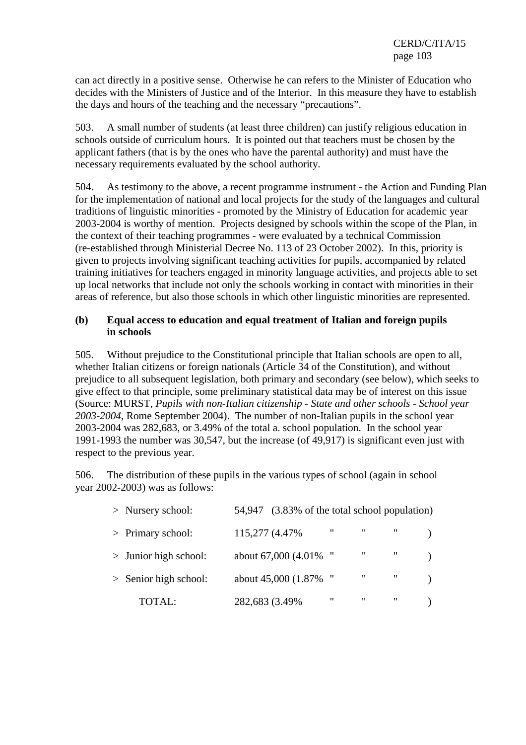can act directly in a positive sense. Otherwise he can refers to the Minister of Education who decides with the Ministers of Justice and of the Interior. In this measure they have to establish the days and hours of the teaching and the necessary "precautions".

503. A small number of students (at least three children) can justify religious education in schools outside of curriculum hours. It is pointed out that teachers must be chosen by the applicant fathers (that is by the ones who have the parental authority) and must have the necessary requirements evaluated by the school authority.

504. As testimony to the above, a recent programme instrument - the Action and Funding Plan for the implementation of national and local projects for the study of the languages and cultural traditions of linguistic minorities - promoted by the Ministry of Education for academic year 2003-2004 is worthy of mention. Projects designed by schools within the scope of the Plan, in the context of their teaching programmes - were evaluated by a technical Commission (re-established through Ministerial Decree No. 113 of 23 October 2002). In this, priority is given to projects involving significant teaching activities for pupils, accompanied by related training initiatives for teachers engaged in minority language activities, and projects able to set up local networks that include not only the schools working in contact with minorities in their areas of reference, but also those schools in which other linguistic minorities are represented.

#### **(b) Equal access to education and equal treatment of Italian and foreign pupils in schools**

505. Without prejudice to the Constitutional principle that Italian schools are open to all, whether Italian citizens or foreign nationals (Article 34 of the Constitution), and without prejudice to all subsequent legislation, both primary and secondary (see below), which seeks to give effect to that principle, some preliminary statistical data may be of interest on this issue (Source: MURST, *Pupils with non-Italian citizenship - State and other schools - School year 2003-2004*, Rome September 2004). The number of non-Italian pupils in the school year 2003-2004 was 282,683, or 3.49% of the total a. school population. In the school year 1991-1993 the number was 30,547, but the increase (of 49,917) is significant even just with respect to the previous year.

506. The distribution of these pupils in the various types of school (again in school year 2002-2003) was as follows:

| $>$ Nursery school:     | 54,947 (3.83% of the total school population) |                    |                               |              |  |
|-------------------------|-----------------------------------------------|--------------------|-------------------------------|--------------|--|
| $>$ Primary school:     | 115,277 (4.47%)                               | $\pmb{\mathsf{u}}$ | $\mathbf{u}$ and $\mathbf{u}$ |              |  |
| $>$ Junior high school: | about 67,000 (4.01% "                         |                    | $\sim 0.00$ .                 | $\mathbf{u}$ |  |
| $>$ Senior high school: | about 45,000 (1.87% "                         |                    | $\mathbf{u}$                  | $\mathbf{u}$ |  |
| <b>TOTAL:</b>           | 282,683 (3.49%)                               | $\pmb{\mathsf{u}}$ | $\boldsymbol{\mathsf{H}}$     | $\mathbf{u}$ |  |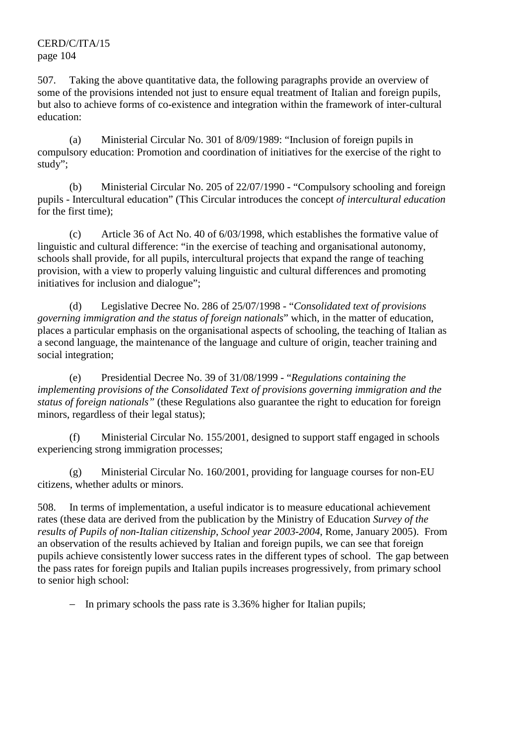507. Taking the above quantitative data, the following paragraphs provide an overview of some of the provisions intended not just to ensure equal treatment of Italian and foreign pupils, but also to achieve forms of co-existence and integration within the framework of inter-cultural education:

 (a) Ministerial Circular No. 301 of 8/09/1989: "Inclusion of foreign pupils in compulsory education: Promotion and coordination of initiatives for the exercise of the right to study";

 (b) Ministerial Circular No. 205 of 22/07/1990 - "Compulsory schooling and foreign pupils - Intercultural education" (This Circular introduces the concept *of intercultural education* for the first time);

 (c) Article 36 of Act No. 40 of 6/03/1998, which establishes the formative value of linguistic and cultural difference: "in the exercise of teaching and organisational autonomy, schools shall provide, for all pupils, intercultural projects that expand the range of teaching provision, with a view to properly valuing linguistic and cultural differences and promoting initiatives for inclusion and dialogue";

 (d) Legislative Decree No. 286 of 25/07/1998 - "*Consolidated text of provisions governing immigration and the status of foreign nationals*" which, in the matter of education, places a particular emphasis on the organisational aspects of schooling, the teaching of Italian as a second language, the maintenance of the language and culture of origin, teacher training and social integration;

 (e) Presidential Decree No. 39 of 31/08/1999 - "*Regulations containing the implementing provisions of the Consolidated Text of provisions governing immigration and the status of foreign nationals"* (these Regulations also guarantee the right to education for foreign minors, regardless of their legal status);

 (f) Ministerial Circular No. 155/2001, designed to support staff engaged in schools experiencing strong immigration processes;

 (g) Ministerial Circular No. 160/2001, providing for language courses for non-EU citizens, whether adults or minors.

508. In terms of implementation, a useful indicator is to measure educational achievement rates (these data are derived from the publication by the Ministry of Education *Survey of the results of Pupils of non-Italian citizenship*, *School year 2003-2004*, Rome, January 2005). From an observation of the results achieved by Italian and foreign pupils, we can see that foreign pupils achieve consistently lower success rates in the different types of school. The gap between the pass rates for foreign pupils and Italian pupils increases progressively, from primary school to senior high school:

− In primary schools the pass rate is 3.36% higher for Italian pupils;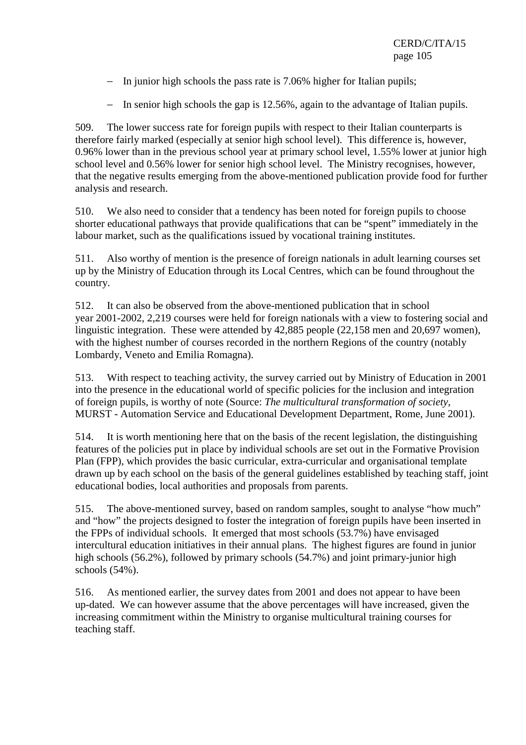- − In junior high schools the pass rate is 7.06% higher for Italian pupils;
- − In senior high schools the gap is 12.56%, again to the advantage of Italian pupils.

509. The lower success rate for foreign pupils with respect to their Italian counterparts is therefore fairly marked (especially at senior high school level). This difference is, however, 0.96% lower than in the previous school year at primary school level, 1.55% lower at junior high school level and 0.56% lower for senior high school level. The Ministry recognises, however, that the negative results emerging from the above-mentioned publication provide food for further analysis and research.

510. We also need to consider that a tendency has been noted for foreign pupils to choose shorter educational pathways that provide qualifications that can be "spent" immediately in the labour market, such as the qualifications issued by vocational training institutes.

511. Also worthy of mention is the presence of foreign nationals in adult learning courses set up by the Ministry of Education through its Local Centres, which can be found throughout the country.

512. It can also be observed from the above-mentioned publication that in school year 2001-2002, 2,219 courses were held for foreign nationals with a view to fostering social and linguistic integration. These were attended by 42,885 people (22,158 men and 20,697 women), with the highest number of courses recorded in the northern Regions of the country (notably Lombardy, Veneto and Emilia Romagna).

513. With respect to teaching activity, the survey carried out by Ministry of Education in 2001 into the presence in the educational world of specific policies for the inclusion and integration of foreign pupils, is worthy of note (Source: *The multicultural transformation of society*, MURST - Automation Service and Educational Development Department, Rome, June 2001).

514. It is worth mentioning here that on the basis of the recent legislation, the distinguishing features of the policies put in place by individual schools are set out in the Formative Provision Plan (FPP), which provides the basic curricular, extra-curricular and organisational template drawn up by each school on the basis of the general guidelines established by teaching staff, joint educational bodies, local authorities and proposals from parents.

515. The above-mentioned survey, based on random samples, sought to analyse "how much" and "how" the projects designed to foster the integration of foreign pupils have been inserted in the FPPs of individual schools. It emerged that most schools (53.7%) have envisaged intercultural education initiatives in their annual plans. The highest figures are found in junior high schools (56.2%), followed by primary schools (54.7%) and joint primary-junior high schools (54%).

516. As mentioned earlier, the survey dates from 2001 and does not appear to have been up-dated. We can however assume that the above percentages will have increased, given the increasing commitment within the Ministry to organise multicultural training courses for teaching staff.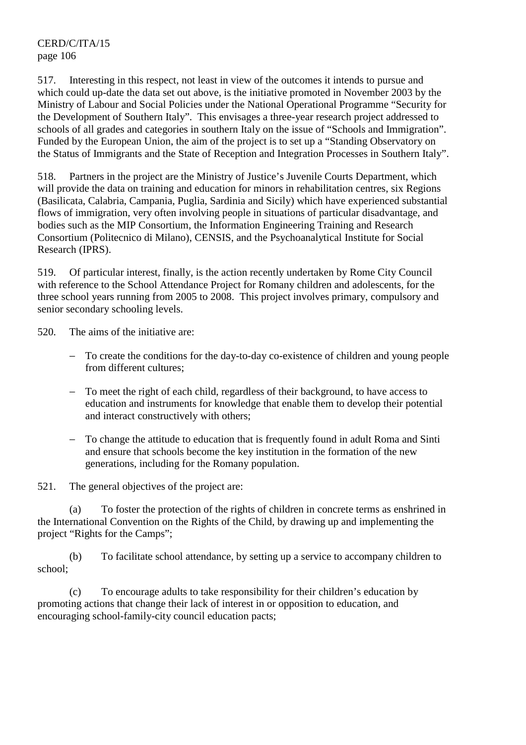517. Interesting in this respect, not least in view of the outcomes it intends to pursue and which could up-date the data set out above, is the initiative promoted in November 2003 by the Ministry of Labour and Social Policies under the National Operational Programme "Security for the Development of Southern Italy". This envisages a three-year research project addressed to schools of all grades and categories in southern Italy on the issue of "Schools and Immigration". Funded by the European Union, the aim of the project is to set up a "Standing Observatory on the Status of Immigrants and the State of Reception and Integration Processes in Southern Italy".

518. Partners in the project are the Ministry of Justice's Juvenile Courts Department, which will provide the data on training and education for minors in rehabilitation centres, six Regions (Basilicata, Calabria, Campania, Puglia, Sardinia and Sicily) which have experienced substantial flows of immigration, very often involving people in situations of particular disadvantage, and bodies such as the MIP Consortium, the Information Engineering Training and Research Consortium (Politecnico di Milano), CENSIS, and the Psychoanalytical Institute for Social Research (IPRS).

519. Of particular interest, finally, is the action recently undertaken by Rome City Council with reference to the School Attendance Project for Romany children and adolescents, for the three school years running from 2005 to 2008. This project involves primary, compulsory and senior secondary schooling levels.

520. The aims of the initiative are:

- To create the conditions for the day-to-day co-existence of children and young people from different cultures;
- − To meet the right of each child, regardless of their background, to have access to education and instruments for knowledge that enable them to develop their potential and interact constructively with others;
- − To change the attitude to education that is frequently found in adult Roma and Sinti and ensure that schools become the key institution in the formation of the new generations, including for the Romany population.

521. The general objectives of the project are:

 (a) To foster the protection of the rights of children in concrete terms as enshrined in the International Convention on the Rights of the Child, by drawing up and implementing the project "Rights for the Camps";

 (b) To facilitate school attendance, by setting up a service to accompany children to school;

 (c) To encourage adults to take responsibility for their children's education by promoting actions that change their lack of interest in or opposition to education, and encouraging school-family-city council education pacts;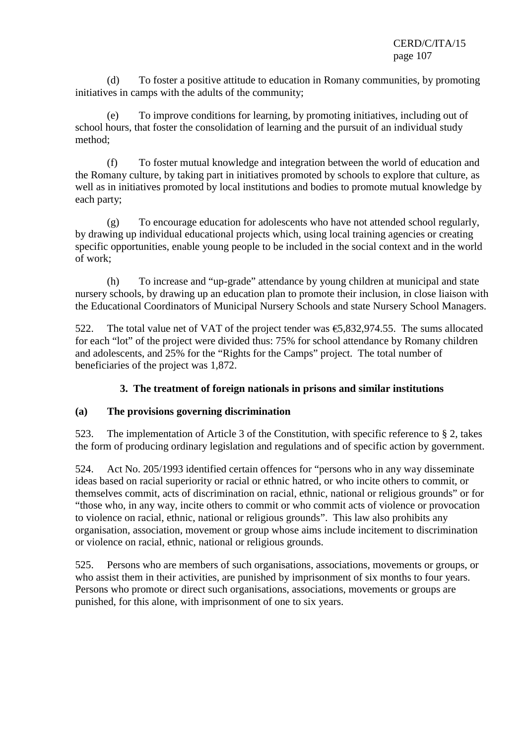(d) To foster a positive attitude to education in Romany communities, by promoting initiatives in camps with the adults of the community;

 (e) To improve conditions for learning, by promoting initiatives, including out of school hours, that foster the consolidation of learning and the pursuit of an individual study method;

 (f) To foster mutual knowledge and integration between the world of education and the Romany culture, by taking part in initiatives promoted by schools to explore that culture, as well as in initiatives promoted by local institutions and bodies to promote mutual knowledge by each party;

 (g) To encourage education for adolescents who have not attended school regularly, by drawing up individual educational projects which, using local training agencies or creating specific opportunities, enable young people to be included in the social context and in the world of work;

 (h) To increase and "up-grade" attendance by young children at municipal and state nursery schools, by drawing up an education plan to promote their inclusion, in close liaison with the Educational Coordinators of Municipal Nursery Schools and state Nursery School Managers.

522. The total value net of VAT of the project tender was €5,832,974.55. The sums allocated for each "lot" of the project were divided thus: 75% for school attendance by Romany children and adolescents, and 25% for the "Rights for the Camps" project. The total number of beneficiaries of the project was 1,872.

# **3. The treatment of foreign nationals in prisons and similar institutions**

### **(a) The provisions governing discrimination**

523. The implementation of Article 3 of the Constitution, with specific reference to § 2, takes the form of producing ordinary legislation and regulations and of specific action by government.

524. Act No. 205/1993 identified certain offences for "persons who in any way disseminate ideas based on racial superiority or racial or ethnic hatred, or who incite others to commit, or themselves commit, acts of discrimination on racial, ethnic, national or religious grounds" or for "those who, in any way, incite others to commit or who commit acts of violence or provocation to violence on racial, ethnic, national or religious grounds". This law also prohibits any organisation, association, movement or group whose aims include incitement to discrimination or violence on racial, ethnic, national or religious grounds.

525. Persons who are members of such organisations, associations, movements or groups, or who assist them in their activities, are punished by imprisonment of six months to four years. Persons who promote or direct such organisations, associations, movements or groups are punished, for this alone, with imprisonment of one to six years.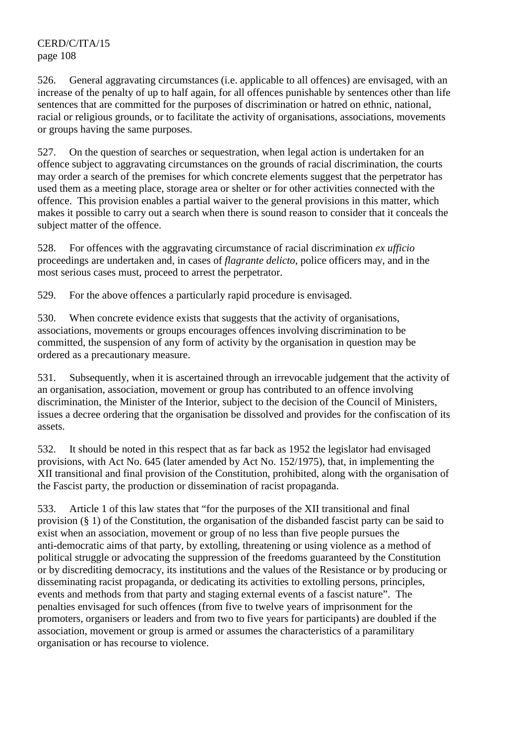526. General aggravating circumstances (i.e. applicable to all offences) are envisaged, with an increase of the penalty of up to half again, for all offences punishable by sentences other than life sentences that are committed for the purposes of discrimination or hatred on ethnic, national, racial or religious grounds, or to facilitate the activity of organisations, associations, movements or groups having the same purposes.

527. On the question of searches or sequestration, when legal action is undertaken for an offence subject to aggravating circumstances on the grounds of racial discrimination, the courts may order a search of the premises for which concrete elements suggest that the perpetrator has used them as a meeting place, storage area or shelter or for other activities connected with the offence. This provision enables a partial waiver to the general provisions in this matter, which makes it possible to carry out a search when there is sound reason to consider that it conceals the subject matter of the offence.

528. For offences with the aggravating circumstance of racial discrimination *ex ufficio* proceedings are undertaken and, in cases of *flagrante delicto*, police officers may, and in the most serious cases must, proceed to arrest the perpetrator.

529. For the above offences a particularly rapid procedure is envisaged.

530. When concrete evidence exists that suggests that the activity of organisations, associations, movements or groups encourages offences involving discrimination to be committed, the suspension of any form of activity by the organisation in question may be ordered as a precautionary measure.

531. Subsequently, when it is ascertained through an irrevocable judgement that the activity of an organisation, association, movement or group has contributed to an offence involving discrimination, the Minister of the Interior, subject to the decision of the Council of Ministers, issues a decree ordering that the organisation be dissolved and provides for the confiscation of its assets.

532. It should be noted in this respect that as far back as 1952 the legislator had envisaged provisions, with Act No. 645 (later amended by Act No. 152/1975), that, in implementing the XII transitional and final provision of the Constitution, prohibited, along with the organisation of the Fascist party, the production or dissemination of racist propaganda.

533. Article 1 of this law states that "for the purposes of the XII transitional and final provision (§ 1) of the Constitution, the organisation of the disbanded fascist party can be said to exist when an association, movement or group of no less than five people pursues the anti-democratic aims of that party, by extolling, threatening or using violence as a method of political struggle or advocating the suppression of the freedoms guaranteed by the Constitution or by discrediting democracy, its institutions and the values of the Resistance or by producing or disseminating racist propaganda, or dedicating its activities to extolling persons, principles, events and methods from that party and staging external events of a fascist nature". The penalties envisaged for such offences (from five to twelve years of imprisonment for the promoters, organisers or leaders and from two to five years for participants) are doubled if the association, movement or group is armed or assumes the characteristics of a paramilitary organisation or has recourse to violence.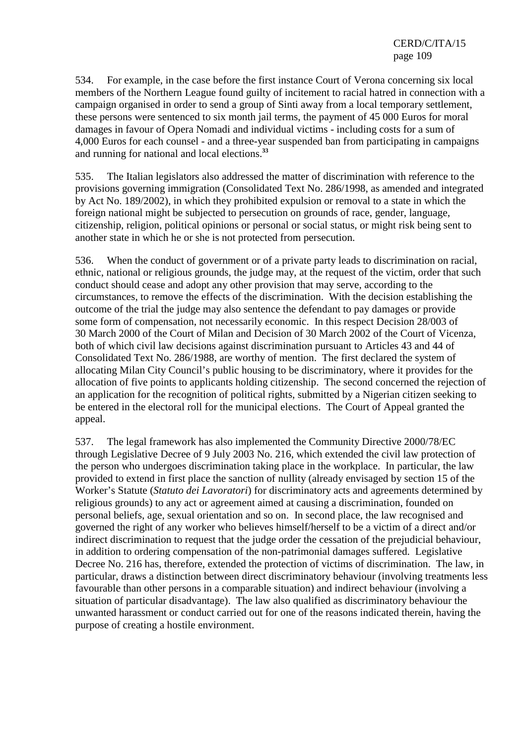534. For example, in the case before the first instance Court of Verona concerning six local members of the Northern League found guilty of incitement to racial hatred in connection with a campaign organised in order to send a group of Sinti away from a local temporary settlement, these persons were sentenced to six month jail terms, the payment of 45 000 Euros for moral damages in favour of Opera Nomadi and individual victims - including costs for a sum of 4,000 Euros for each counsel - and a three-year suspended ban from participating in campaigns and running for national and local elections.**<sup>33</sup>**

535. The Italian legislators also addressed the matter of discrimination with reference to the provisions governing immigration (Consolidated Text No. 286/1998, as amended and integrated by Act No. 189/2002), in which they prohibited expulsion or removal to a state in which the foreign national might be subjected to persecution on grounds of race, gender, language, citizenship, religion, political opinions or personal or social status, or might risk being sent to another state in which he or she is not protected from persecution.

536. When the conduct of government or of a private party leads to discrimination on racial, ethnic, national or religious grounds, the judge may, at the request of the victim, order that such conduct should cease and adopt any other provision that may serve, according to the circumstances, to remove the effects of the discrimination. With the decision establishing the outcome of the trial the judge may also sentence the defendant to pay damages or provide some form of compensation, not necessarily economic. In this respect Decision 28/003 of 30 March 2000 of the Court of Milan and Decision of 30 March 2002 of the Court of Vicenza, both of which civil law decisions against discrimination pursuant to Articles 43 and 44 of Consolidated Text No. 286/1988, are worthy of mention. The first declared the system of allocating Milan City Council's public housing to be discriminatory, where it provides for the allocation of five points to applicants holding citizenship. The second concerned the rejection of an application for the recognition of political rights, submitted by a Nigerian citizen seeking to be entered in the electoral roll for the municipal elections. The Court of Appeal granted the appeal.

537. The legal framework has also implemented the Community Directive 2000/78/EC through Legislative Decree of 9 July 2003 No. 216, which extended the civil law protection of the person who undergoes discrimination taking place in the workplace. In particular, the law provided to extend in first place the sanction of nullity (already envisaged by section 15 of the Worker's Statute (*Statuto dei Lavoratori*) for discriminatory acts and agreements determined by religious grounds) to any act or agreement aimed at causing a discrimination, founded on personal beliefs, age, sexual orientation and so on. In second place, the law recognised and governed the right of any worker who believes himself/herself to be a victim of a direct and/or indirect discrimination to request that the judge order the cessation of the prejudicial behaviour, in addition to ordering compensation of the non-patrimonial damages suffered. Legislative Decree No. 216 has, therefore, extended the protection of victims of discrimination. The law, in particular, draws a distinction between direct discriminatory behaviour (involving treatments less favourable than other persons in a comparable situation) and indirect behaviour (involving a situation of particular disadvantage). The law also qualified as discriminatory behaviour the unwanted harassment or conduct carried out for one of the reasons indicated therein, having the purpose of creating a hostile environment.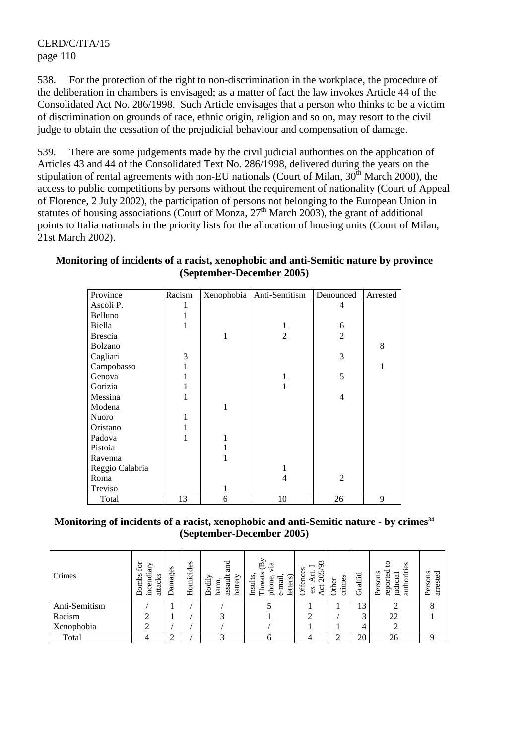538. For the protection of the right to non-discrimination in the workplace, the procedure of the deliberation in chambers is envisaged; as a matter of fact the law invokes Article 44 of the Consolidated Act No. 286/1998. Such Article envisages that a person who thinks to be a victim of discrimination on grounds of race, ethnic origin, religion and so on, may resort to the civil judge to obtain the cessation of the prejudicial behaviour and compensation of damage.

539. There are some judgements made by the civil judicial authorities on the application of Articles 43 and 44 of the Consolidated Text No. 286/1998, delivered during the years on the stipulation of rental agreements with non-EU nationals (Court of Milan, 30<sup>th</sup> March 2000), the access to public competitions by persons without the requirement of nationality (Court of Appeal of Florence, 2 July 2002), the participation of persons not belonging to the European Union in statutes of housing associations (Court of Monza,  $27<sup>th</sup>$  March 2003), the grant of additional points to Italia nationals in the priority lists for the allocation of housing units (Court of Milan, 21st March 2002).

### **Monitoring of incidents of a racist, xenophobic and anti-Semitic nature by province (September-December 2005)**

| Province        | Racism |              | Xenophobia   Anti-Semitism | Denounced      | Arrested |
|-----------------|--------|--------------|----------------------------|----------------|----------|
| Ascoli P.       | 1      |              |                            | 4              |          |
| Belluno         |        |              |                            |                |          |
| Biella          |        |              | 1                          | 6              |          |
| <b>Brescia</b>  |        | 1            | $\overline{2}$             | $\overline{2}$ |          |
| Bolzano         |        |              |                            |                | 8        |
| Cagliari        | 3      |              |                            | 3              |          |
| Campobasso      |        |              |                            |                | 1        |
| Genova          |        |              | 1                          | 5              |          |
| Gorizia         |        |              |                            |                |          |
| Messina         |        |              |                            | $\overline{4}$ |          |
| Modena          |        | 1            |                            |                |          |
| Nuoro           | 1      |              |                            |                |          |
| Oristano        |        |              |                            |                |          |
| Padova          |        |              |                            |                |          |
| Pistoia         |        |              |                            |                |          |
| Ravenna         |        |              |                            |                |          |
| Reggio Calabria |        |              | 1                          |                |          |
| Roma            |        |              | 4                          | $\overline{2}$ |          |
| Treviso         |        | $\mathbf{1}$ |                            |                |          |
| Total           | 13     | 6            | 10                         | 26             | 9        |

### Monitoring of incidents of a racist, xenophobic and anti-Semitic nature - by crimes<sup>34</sup> **(September-December 2005)**

| Crimes        | .<br>E<br>ξ<br>ਰ<br>$\mathbf{S}$<br>Bomb:<br>₫<br>æ<br>ä<br>.≘ | amages<br>– | Homicides | nd<br>and<br>assault<br>battery<br>Bodily<br>harm | $\mathbf{\Omega}$<br>.≌<br>eats<br>Insults<br>S<br>ਜ਼<br>letter:<br>phone<br>昌<br>Φ | $\sim$<br>ᡋ<br>−<br>n<br>ුව<br>ರ<br>ð | crimes<br>৯<br>£ | Graffiti | s<br>ω<br>Persons<br>ᢎ<br>auth<br>ਦ<br>g<br>.≘. | arrested<br>sons.<br>Per |
|---------------|----------------------------------------------------------------|-------------|-----------|---------------------------------------------------|-------------------------------------------------------------------------------------|---------------------------------------|------------------|----------|-------------------------------------------------|--------------------------|
| Anti-Semitism |                                                                |             |           |                                                   |                                                                                     |                                       |                  | 13       |                                                 | $\Omega$                 |
| Racism        |                                                                |             |           |                                                   |                                                                                     |                                       |                  | ⌒        | 22                                              |                          |
| Xenophobia    |                                                                |             |           |                                                   |                                                                                     |                                       |                  |          |                                                 |                          |
| Total         |                                                                | ◠           |           |                                                   |                                                                                     |                                       |                  | 20       | 26                                              |                          |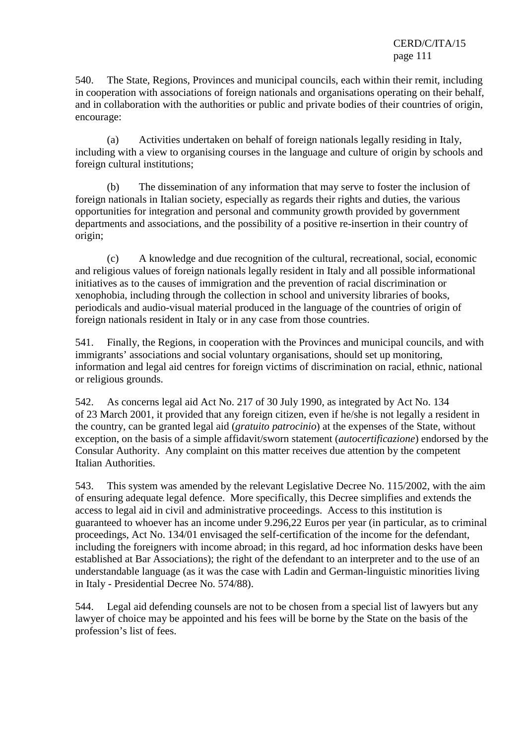540. The State, Regions, Provinces and municipal councils, each within their remit, including in cooperation with associations of foreign nationals and organisations operating on their behalf, and in collaboration with the authorities or public and private bodies of their countries of origin, encourage:

 (a) Activities undertaken on behalf of foreign nationals legally residing in Italy, including with a view to organising courses in the language and culture of origin by schools and foreign cultural institutions;

 (b) The dissemination of any information that may serve to foster the inclusion of foreign nationals in Italian society, especially as regards their rights and duties, the various opportunities for integration and personal and community growth provided by government departments and associations, and the possibility of a positive re-insertion in their country of origin;

 (c) A knowledge and due recognition of the cultural, recreational, social, economic and religious values of foreign nationals legally resident in Italy and all possible informational initiatives as to the causes of immigration and the prevention of racial discrimination or xenophobia, including through the collection in school and university libraries of books, periodicals and audio-visual material produced in the language of the countries of origin of foreign nationals resident in Italy or in any case from those countries.

541. Finally, the Regions, in cooperation with the Provinces and municipal councils, and with immigrants' associations and social voluntary organisations, should set up monitoring, information and legal aid centres for foreign victims of discrimination on racial, ethnic, national or religious grounds.

542. As concerns legal aid Act No. 217 of 30 July 1990, as integrated by Act No. 134 of 23 March 2001, it provided that any foreign citizen, even if he/she is not legally a resident in the country, can be granted legal aid (*gratuito patrocinio*) at the expenses of the State, without exception, on the basis of a simple affidavit/sworn statement (*autocertificazione*) endorsed by the Consular Authority. Any complaint on this matter receives due attention by the competent Italian Authorities.

543. This system was amended by the relevant Legislative Decree No. 115/2002, with the aim of ensuring adequate legal defence. More specifically, this Decree simplifies and extends the access to legal aid in civil and administrative proceedings. Access to this institution is guaranteed to whoever has an income under 9.296,22 Euros per year (in particular, as to criminal proceedings, Act No. 134/01 envisaged the self-certification of the income for the defendant, including the foreigners with income abroad; in this regard, ad hoc information desks have been established at Bar Associations); the right of the defendant to an interpreter and to the use of an understandable language (as it was the case with Ladin and German-linguistic minorities living in Italy - Presidential Decree No. 574/88).

544. Legal aid defending counsels are not to be chosen from a special list of lawyers but any lawyer of choice may be appointed and his fees will be borne by the State on the basis of the profession's list of fees.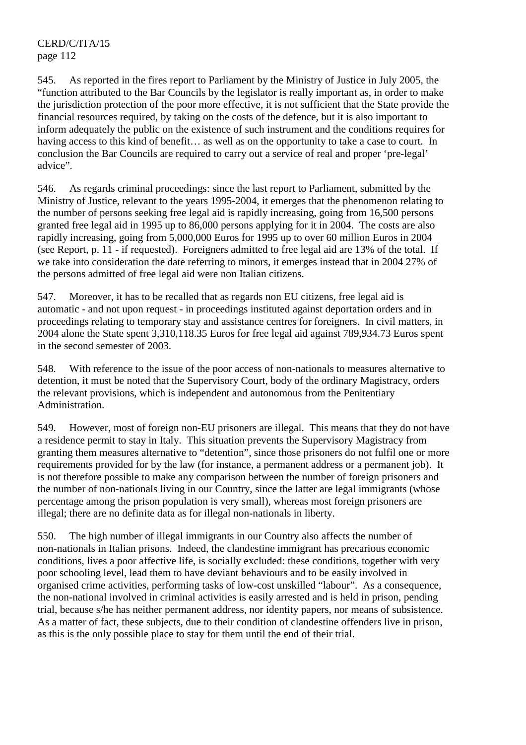545. As reported in the fires report to Parliament by the Ministry of Justice in July 2005, the "function attributed to the Bar Councils by the legislator is really important as, in order to make the jurisdiction protection of the poor more effective, it is not sufficient that the State provide the financial resources required, by taking on the costs of the defence, but it is also important to inform adequately the public on the existence of such instrument and the conditions requires for having access to this kind of benefit… as well as on the opportunity to take a case to court. In conclusion the Bar Councils are required to carry out a service of real and proper 'pre-legal' advice".

546. As regards criminal proceedings: since the last report to Parliament, submitted by the Ministry of Justice, relevant to the years 1995-2004, it emerges that the phenomenon relating to the number of persons seeking free legal aid is rapidly increasing, going from 16,500 persons granted free legal aid in 1995 up to 86,000 persons applying for it in 2004. The costs are also rapidly increasing, going from 5,000,000 Euros for 1995 up to over 60 million Euros in 2004 (see Report, p. 11 - if requested). Foreigners admitted to free legal aid are 13% of the total. If we take into consideration the date referring to minors, it emerges instead that in 2004 27% of the persons admitted of free legal aid were non Italian citizens.

547. Moreover, it has to be recalled that as regards non EU citizens, free legal aid is automatic - and not upon request - in proceedings instituted against deportation orders and in proceedings relating to temporary stay and assistance centres for foreigners. In civil matters, in 2004 alone the State spent 3,310,118.35 Euros for free legal aid against 789,934.73 Euros spent in the second semester of 2003.

548. With reference to the issue of the poor access of non-nationals to measures alternative to detention, it must be noted that the Supervisory Court, body of the ordinary Magistracy, orders the relevant provisions, which is independent and autonomous from the Penitentiary Administration.

549. However, most of foreign non-EU prisoners are illegal. This means that they do not have a residence permit to stay in Italy. This situation prevents the Supervisory Magistracy from granting them measures alternative to "detention", since those prisoners do not fulfil one or more requirements provided for by the law (for instance, a permanent address or a permanent job). It is not therefore possible to make any comparison between the number of foreign prisoners and the number of non-nationals living in our Country, since the latter are legal immigrants (whose percentage among the prison population is very small), whereas most foreign prisoners are illegal; there are no definite data as for illegal non-nationals in liberty.

550. The high number of illegal immigrants in our Country also affects the number of non-nationals in Italian prisons. Indeed, the clandestine immigrant has precarious economic conditions, lives a poor affective life, is socially excluded: these conditions, together with very poor schooling level, lead them to have deviant behaviours and to be easily involved in organised crime activities, performing tasks of low-cost unskilled "labour". As a consequence, the non-national involved in criminal activities is easily arrested and is held in prison, pending trial, because s/he has neither permanent address, nor identity papers, nor means of subsistence. As a matter of fact, these subjects, due to their condition of clandestine offenders live in prison, as this is the only possible place to stay for them until the end of their trial.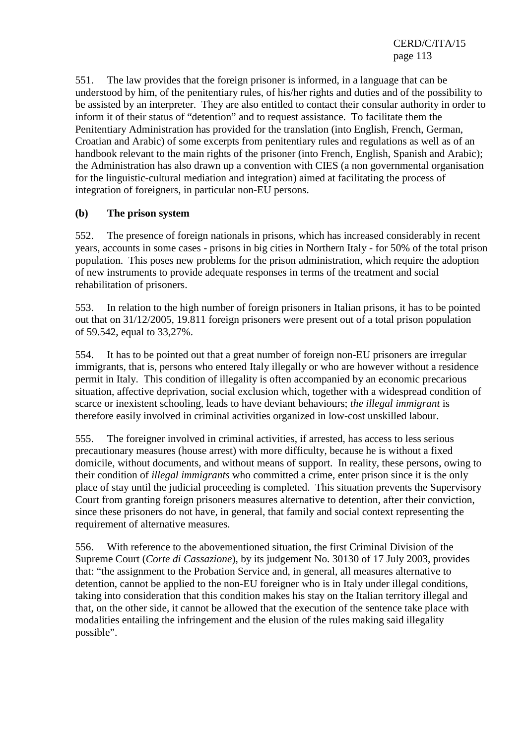551. The law provides that the foreign prisoner is informed, in a language that can be understood by him, of the penitentiary rules, of his/her rights and duties and of the possibility to be assisted by an interpreter. They are also entitled to contact their consular authority in order to inform it of their status of "detention" and to request assistance. To facilitate them the Penitentiary Administration has provided for the translation (into English, French, German, Croatian and Arabic) of some excerpts from penitentiary rules and regulations as well as of an handbook relevant to the main rights of the prisoner (into French, English, Spanish and Arabic); the Administration has also drawn up a convention with CIES (a non governmental organisation for the linguistic-cultural mediation and integration) aimed at facilitating the process of integration of foreigners, in particular non-EU persons.

# **(b) The prison system**

552. The presence of foreign nationals in prisons, which has increased considerably in recent years, accounts in some cases - prisons in big cities in Northern Italy - for 50% of the total prison population. This poses new problems for the prison administration, which require the adoption of new instruments to provide adequate responses in terms of the treatment and social rehabilitation of prisoners.

553. In relation to the high number of foreign prisoners in Italian prisons, it has to be pointed out that on 31/12/2005, 19.811 foreign prisoners were present out of a total prison population of 59.542, equal to 33,27%.

554. It has to be pointed out that a great number of foreign non-EU prisoners are irregular immigrants, that is, persons who entered Italy illegally or who are however without a residence permit in Italy. This condition of illegality is often accompanied by an economic precarious situation, affective deprivation, social exclusion which, together with a widespread condition of scarce or inexistent schooling, leads to have deviant behaviours; *the illegal immigrant* is therefore easily involved in criminal activities organized in low-cost unskilled labour.

555. The foreigner involved in criminal activities, if arrested, has access to less serious precautionary measures (house arrest) with more difficulty, because he is without a fixed domicile, without documents, and without means of support. In reality, these persons, owing to their condition of *illegal immigrants* who committed a crime, enter prison since it is the only place of stay until the judicial proceeding is completed. This situation prevents the Supervisory Court from granting foreign prisoners measures alternative to detention, after their conviction, since these prisoners do not have, in general, that family and social context representing the requirement of alternative measures.

556. With reference to the abovementioned situation, the first Criminal Division of the Supreme Court (*Corte di Cassazione*), by its judgement No. 30130 of 17 July 2003, provides that: "the assignment to the Probation Service and, in general, all measures alternative to detention, cannot be applied to the non-EU foreigner who is in Italy under illegal conditions, taking into consideration that this condition makes his stay on the Italian territory illegal and that, on the other side, it cannot be allowed that the execution of the sentence take place with modalities entailing the infringement and the elusion of the rules making said illegality possible".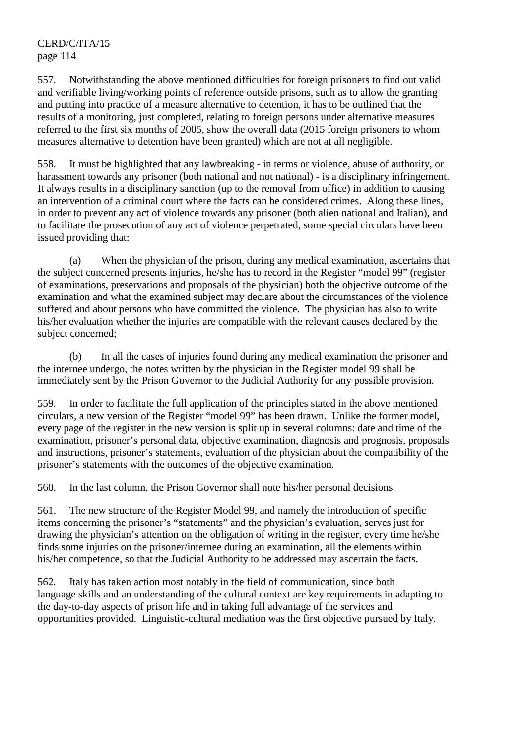557. Notwithstanding the above mentioned difficulties for foreign prisoners to find out valid and verifiable living/working points of reference outside prisons, such as to allow the granting and putting into practice of a measure alternative to detention, it has to be outlined that the results of a monitoring, just completed, relating to foreign persons under alternative measures referred to the first six months of 2005, show the overall data (2015 foreign prisoners to whom measures alternative to detention have been granted) which are not at all negligible.

558. It must be highlighted that any lawbreaking - in terms or violence, abuse of authority, or harassment towards any prisoner (both national and not national) - is a disciplinary infringement. It always results in a disciplinary sanction (up to the removal from office) in addition to causing an intervention of a criminal court where the facts can be considered crimes. Along these lines, in order to prevent any act of violence towards any prisoner (both alien national and Italian), and to facilitate the prosecution of any act of violence perpetrated, some special circulars have been issued providing that:

 (a) When the physician of the prison, during any medical examination, ascertains that the subject concerned presents injuries, he/she has to record in the Register "model 99" (register of examinations, preservations and proposals of the physician) both the objective outcome of the examination and what the examined subject may declare about the circumstances of the violence suffered and about persons who have committed the violence. The physician has also to write his/her evaluation whether the injuries are compatible with the relevant causes declared by the subject concerned;

 (b) In all the cases of injuries found during any medical examination the prisoner and the internee undergo, the notes written by the physician in the Register model 99 shall be immediately sent by the Prison Governor to the Judicial Authority for any possible provision.

559. In order to facilitate the full application of the principles stated in the above mentioned circulars, a new version of the Register "model 99" has been drawn. Unlike the former model, every page of the register in the new version is split up in several columns: date and time of the examination, prisoner's personal data, objective examination, diagnosis and prognosis, proposals and instructions, prisoner's statements, evaluation of the physician about the compatibility of the prisoner's statements with the outcomes of the objective examination.

560. In the last column, the Prison Governor shall note his/her personal decisions.

561. The new structure of the Register Model 99, and namely the introduction of specific items concerning the prisoner's "statements" and the physician's evaluation, serves just for drawing the physician's attention on the obligation of writing in the register, every time he/she finds some injuries on the prisoner/internee during an examination, all the elements within his/her competence, so that the Judicial Authority to be addressed may ascertain the facts.

562. Italy has taken action most notably in the field of communication, since both language skills and an understanding of the cultural context are key requirements in adapting to the day-to-day aspects of prison life and in taking full advantage of the services and opportunities provided. Linguistic-cultural mediation was the first objective pursued by Italy.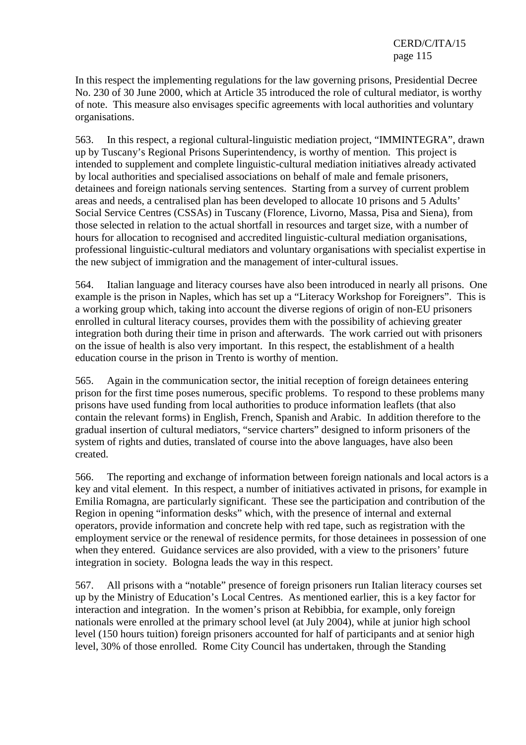In this respect the implementing regulations for the law governing prisons, Presidential Decree No. 230 of 30 June 2000, which at Article 35 introduced the role of cultural mediator, is worthy of note. This measure also envisages specific agreements with local authorities and voluntary organisations.

563. In this respect, a regional cultural-linguistic mediation project, "IMMINTEGRA", drawn up by Tuscany's Regional Prisons Superintendency, is worthy of mention. This project is intended to supplement and complete linguistic-cultural mediation initiatives already activated by local authorities and specialised associations on behalf of male and female prisoners, detainees and foreign nationals serving sentences. Starting from a survey of current problem areas and needs, a centralised plan has been developed to allocate 10 prisons and 5 Adults' Social Service Centres (CSSAs) in Tuscany (Florence, Livorno, Massa, Pisa and Siena), from those selected in relation to the actual shortfall in resources and target size, with a number of hours for allocation to recognised and accredited linguistic-cultural mediation organisations, professional linguistic-cultural mediators and voluntary organisations with specialist expertise in the new subject of immigration and the management of inter-cultural issues.

564. Italian language and literacy courses have also been introduced in nearly all prisons. One example is the prison in Naples, which has set up a "Literacy Workshop for Foreigners". This is a working group which, taking into account the diverse regions of origin of non-EU prisoners enrolled in cultural literacy courses, provides them with the possibility of achieving greater integration both during their time in prison and afterwards. The work carried out with prisoners on the issue of health is also very important. In this respect, the establishment of a health education course in the prison in Trento is worthy of mention.

565. Again in the communication sector, the initial reception of foreign detainees entering prison for the first time poses numerous, specific problems. To respond to these problems many prisons have used funding from local authorities to produce information leaflets (that also contain the relevant forms) in English, French, Spanish and Arabic. In addition therefore to the gradual insertion of cultural mediators, "service charters" designed to inform prisoners of the system of rights and duties, translated of course into the above languages, have also been created.

566. The reporting and exchange of information between foreign nationals and local actors is a key and vital element. In this respect, a number of initiatives activated in prisons, for example in Emilia Romagna, are particularly significant. These see the participation and contribution of the Region in opening "information desks" which, with the presence of internal and external operators, provide information and concrete help with red tape, such as registration with the employment service or the renewal of residence permits, for those detainees in possession of one when they entered. Guidance services are also provided, with a view to the prisoners' future integration in society. Bologna leads the way in this respect.

567. All prisons with a "notable" presence of foreign prisoners run Italian literacy courses set up by the Ministry of Education's Local Centres. As mentioned earlier, this is a key factor for interaction and integration. In the women's prison at Rebibbia, for example, only foreign nationals were enrolled at the primary school level (at July 2004), while at junior high school level (150 hours tuition) foreign prisoners accounted for half of participants and at senior high level, 30% of those enrolled. Rome City Council has undertaken, through the Standing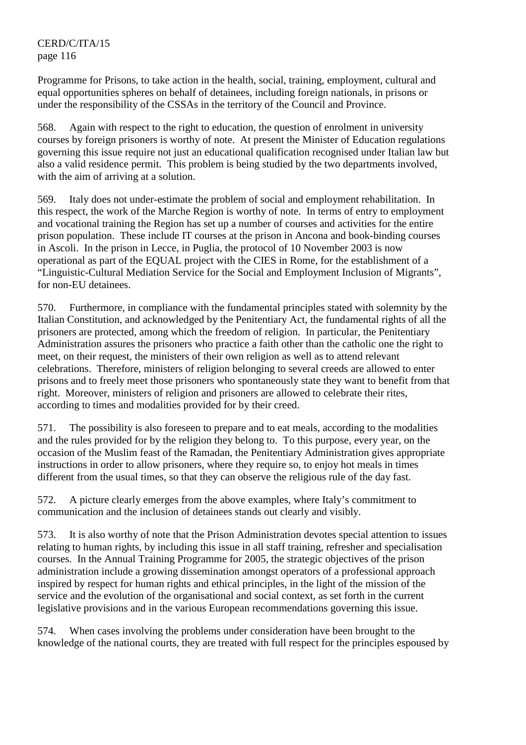Programme for Prisons, to take action in the health, social, training, employment, cultural and equal opportunities spheres on behalf of detainees, including foreign nationals, in prisons or under the responsibility of the CSSAs in the territory of the Council and Province.

568. Again with respect to the right to education, the question of enrolment in university courses by foreign prisoners is worthy of note. At present the Minister of Education regulations governing this issue require not just an educational qualification recognised under Italian law but also a valid residence permit. This problem is being studied by the two departments involved, with the aim of arriving at a solution.

569. Italy does not under-estimate the problem of social and employment rehabilitation. In this respect, the work of the Marche Region is worthy of note. In terms of entry to employment and vocational training the Region has set up a number of courses and activities for the entire prison population. These include IT courses at the prison in Ancona and book-binding courses in Ascoli. In the prison in Lecce, in Puglia, the protocol of 10 November 2003 is now operational as part of the EQUAL project with the CIES in Rome, for the establishment of a "Linguistic-Cultural Mediation Service for the Social and Employment Inclusion of Migrants", for non-EU detainees.

570. Furthermore, in compliance with the fundamental principles stated with solemnity by the Italian Constitution, and acknowledged by the Penitentiary Act, the fundamental rights of all the prisoners are protected, among which the freedom of religion. In particular, the Penitentiary Administration assures the prisoners who practice a faith other than the catholic one the right to meet, on their request, the ministers of their own religion as well as to attend relevant celebrations. Therefore, ministers of religion belonging to several creeds are allowed to enter prisons and to freely meet those prisoners who spontaneously state they want to benefit from that right. Moreover, ministers of religion and prisoners are allowed to celebrate their rites, according to times and modalities provided for by their creed.

571. The possibility is also foreseen to prepare and to eat meals, according to the modalities and the rules provided for by the religion they belong to. To this purpose, every year, on the occasion of the Muslim feast of the Ramadan, the Penitentiary Administration gives appropriate instructions in order to allow prisoners, where they require so, to enjoy hot meals in times different from the usual times, so that they can observe the religious rule of the day fast.

572. A picture clearly emerges from the above examples, where Italy's commitment to communication and the inclusion of detainees stands out clearly and visibly.

573. It is also worthy of note that the Prison Administration devotes special attention to issues relating to human rights, by including this issue in all staff training, refresher and specialisation courses. In the Annual Training Programme for 2005, the strategic objectives of the prison administration include a growing dissemination amongst operators of a professional approach inspired by respect for human rights and ethical principles, in the light of the mission of the service and the evolution of the organisational and social context, as set forth in the current legislative provisions and in the various European recommendations governing this issue.

574. When cases involving the problems under consideration have been brought to the knowledge of the national courts, they are treated with full respect for the principles espoused by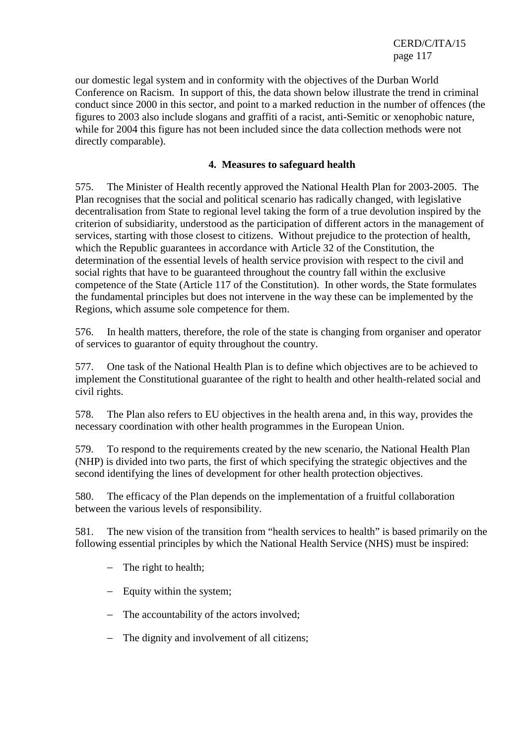our domestic legal system and in conformity with the objectives of the Durban World Conference on Racism. In support of this, the data shown below illustrate the trend in criminal conduct since 2000 in this sector, and point to a marked reduction in the number of offences (the figures to 2003 also include slogans and graffiti of a racist, anti-Semitic or xenophobic nature, while for 2004 this figure has not been included since the data collection methods were not directly comparable).

## **4. Measures to safeguard health**

575. The Minister of Health recently approved the National Health Plan for 2003-2005. The Plan recognises that the social and political scenario has radically changed, with legislative decentralisation from State to regional level taking the form of a true devolution inspired by the criterion of subsidiarity, understood as the participation of different actors in the management of services, starting with those closest to citizens. Without prejudice to the protection of health, which the Republic guarantees in accordance with Article 32 of the Constitution, the determination of the essential levels of health service provision with respect to the civil and social rights that have to be guaranteed throughout the country fall within the exclusive competence of the State (Article 117 of the Constitution). In other words, the State formulates the fundamental principles but does not intervene in the way these can be implemented by the Regions, which assume sole competence for them.

576. In health matters, therefore, the role of the state is changing from organiser and operator of services to guarantor of equity throughout the country.

577. One task of the National Health Plan is to define which objectives are to be achieved to implement the Constitutional guarantee of the right to health and other health-related social and civil rights.

578. The Plan also refers to EU objectives in the health arena and, in this way, provides the necessary coordination with other health programmes in the European Union.

579. To respond to the requirements created by the new scenario, the National Health Plan (NHP) is divided into two parts, the first of which specifying the strategic objectives and the second identifying the lines of development for other health protection objectives.

580. The efficacy of the Plan depends on the implementation of a fruitful collaboration between the various levels of responsibility.

581. The new vision of the transition from "health services to health" is based primarily on the following essential principles by which the National Health Service (NHS) must be inspired:

- − The right to health;
- − Equity within the system;
- − The accountability of the actors involved;
- − The dignity and involvement of all citizens;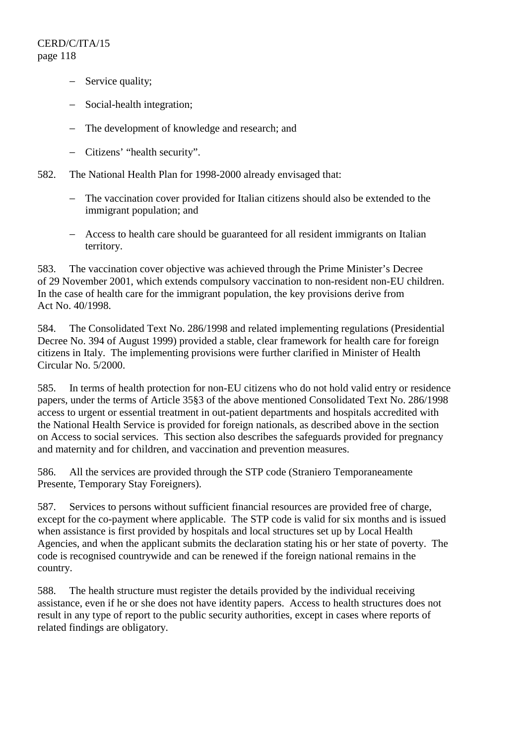- − Service quality;
- − Social-health integration;
- − The development of knowledge and research; and
- − Citizens' "health security".
- 582. The National Health Plan for 1998-2000 already envisaged that:
	- − The vaccination cover provided for Italian citizens should also be extended to the immigrant population; and
	- − Access to health care should be guaranteed for all resident immigrants on Italian territory.

583. The vaccination cover objective was achieved through the Prime Minister's Decree of 29 November 2001, which extends compulsory vaccination to non-resident non-EU children. In the case of health care for the immigrant population, the key provisions derive from Act No. 40/1998.

584. The Consolidated Text No. 286/1998 and related implementing regulations (Presidential Decree No. 394 of August 1999) provided a stable, clear framework for health care for foreign citizens in Italy. The implementing provisions were further clarified in Minister of Health Circular No. 5/2000.

585. In terms of health protection for non-EU citizens who do not hold valid entry or residence papers, under the terms of Article 35§3 of the above mentioned Consolidated Text No. 286/1998 access to urgent or essential treatment in out-patient departments and hospitals accredited with the National Health Service is provided for foreign nationals, as described above in the section on Access to social services. This section also describes the safeguards provided for pregnancy and maternity and for children, and vaccination and prevention measures.

586. All the services are provided through the STP code (Straniero Temporaneamente Presente, Temporary Stay Foreigners).

587. Services to persons without sufficient financial resources are provided free of charge, except for the co-payment where applicable. The STP code is valid for six months and is issued when assistance is first provided by hospitals and local structures set up by Local Health Agencies, and when the applicant submits the declaration stating his or her state of poverty. The code is recognised countrywide and can be renewed if the foreign national remains in the country.

588. The health structure must register the details provided by the individual receiving assistance, even if he or she does not have identity papers. Access to health structures does not result in any type of report to the public security authorities, except in cases where reports of related findings are obligatory.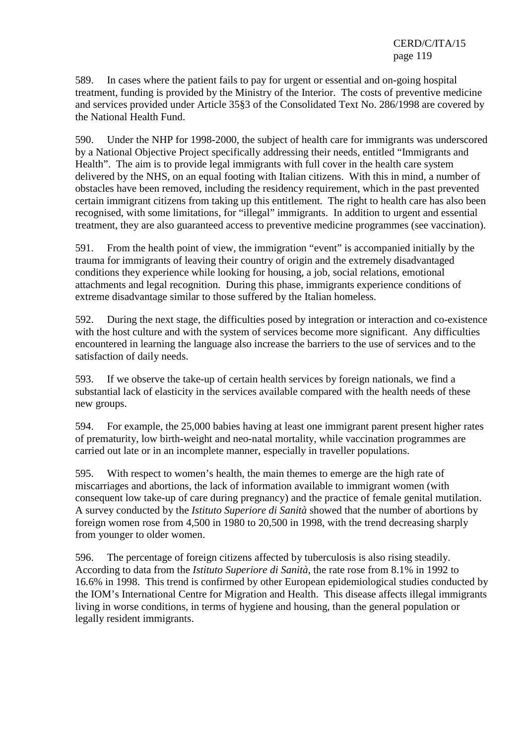589. In cases where the patient fails to pay for urgent or essential and on-going hospital treatment, funding is provided by the Ministry of the Interior. The costs of preventive medicine and services provided under Article 35§3 of the Consolidated Text No. 286/1998 are covered by the National Health Fund.

590. Under the NHP for 1998-2000, the subject of health care for immigrants was underscored by a National Objective Project specifically addressing their needs, entitled "Immigrants and Health". The aim is to provide legal immigrants with full cover in the health care system delivered by the NHS, on an equal footing with Italian citizens. With this in mind, a number of obstacles have been removed, including the residency requirement, which in the past prevented certain immigrant citizens from taking up this entitlement. The right to health care has also been recognised, with some limitations, for "illegal" immigrants. In addition to urgent and essential treatment, they are also guaranteed access to preventive medicine programmes (see vaccination).

591. From the health point of view, the immigration "event" is accompanied initially by the trauma for immigrants of leaving their country of origin and the extremely disadvantaged conditions they experience while looking for housing, a job, social relations, emotional attachments and legal recognition. During this phase, immigrants experience conditions of extreme disadvantage similar to those suffered by the Italian homeless.

592. During the next stage, the difficulties posed by integration or interaction and co-existence with the host culture and with the system of services become more significant. Any difficulties encountered in learning the language also increase the barriers to the use of services and to the satisfaction of daily needs.

593. If we observe the take-up of certain health services by foreign nationals, we find a substantial lack of elasticity in the services available compared with the health needs of these new groups.

594. For example, the 25,000 babies having at least one immigrant parent present higher rates of prematurity, low birth-weight and neo-natal mortality, while vaccination programmes are carried out late or in an incomplete manner, especially in traveller populations.

595. With respect to women's health, the main themes to emerge are the high rate of miscarriages and abortions, the lack of information available to immigrant women (with consequent low take-up of care during pregnancy) and the practice of female genital mutilation. A survey conducted by the *Istituto Superiore di Sanità* showed that the number of abortions by foreign women rose from 4,500 in 1980 to 20,500 in 1998, with the trend decreasing sharply from younger to older women.

596. The percentage of foreign citizens affected by tuberculosis is also rising steadily. According to data from the *Istituto Superiore di Sanità*, the rate rose from 8.1% in 1992 to 16.6% in 1998. This trend is confirmed by other European epidemiological studies conducted by the IOM's International Centre for Migration and Health. This disease affects illegal immigrants living in worse conditions, in terms of hygiene and housing, than the general population or legally resident immigrants.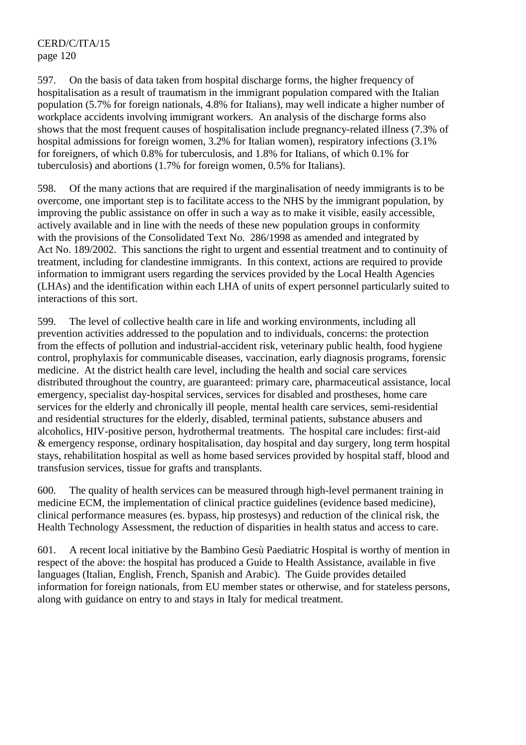597. On the basis of data taken from hospital discharge forms, the higher frequency of hospitalisation as a result of traumatism in the immigrant population compared with the Italian population (5.7% for foreign nationals, 4.8% for Italians), may well indicate a higher number of workplace accidents involving immigrant workers. An analysis of the discharge forms also shows that the most frequent causes of hospitalisation include pregnancy-related illness (7.3% of hospital admissions for foreign women, 3.2% for Italian women), respiratory infections (3.1% for foreigners, of which 0.8% for tuberculosis, and 1.8% for Italians, of which 0.1% for tuberculosis) and abortions (1.7% for foreign women, 0.5% for Italians).

598. Of the many actions that are required if the marginalisation of needy immigrants is to be overcome, one important step is to facilitate access to the NHS by the immigrant population, by improving the public assistance on offer in such a way as to make it visible, easily accessible, actively available and in line with the needs of these new population groups in conformity with the provisions of the Consolidated Text No. 286/1998 as amended and integrated by Act No. 189/2002. This sanctions the right to urgent and essential treatment and to continuity of treatment, including for clandestine immigrants. In this context, actions are required to provide information to immigrant users regarding the services provided by the Local Health Agencies (LHAs) and the identification within each LHA of units of expert personnel particularly suited to interactions of this sort.

599. The level of collective health care in life and working environments, including all prevention activities addressed to the population and to individuals, concerns: the protection from the effects of pollution and industrial-accident risk, veterinary public health, food hygiene control, prophylaxis for communicable diseases, vaccination, early diagnosis programs, forensic medicine. At the district health care level, including the health and social care services distributed throughout the country, are guaranteed: primary care, pharmaceutical assistance, local emergency, specialist day-hospital services, services for disabled and prostheses, home care services for the elderly and chronically ill people, mental health care services, semi-residential and residential structures for the elderly, disabled, terminal patients, substance abusers and alcoholics, HIV-positive person, hydrothermal treatments. The hospital care includes: first-aid & emergency response, ordinary hospitalisation, day hospital and day surgery, long term hospital stays, rehabilitation hospital as well as home based services provided by hospital staff, blood and transfusion services, tissue for grafts and transplants.

600. The quality of health services can be measured through high-level permanent training in medicine ECM, the implementation of clinical practice guidelines (evidence based medicine), clinical performance measures (es. bypass, hip prostesys) and reduction of the clinical risk, the Health Technology Assessment, the reduction of disparities in health status and access to care.

601. A recent local initiative by the Bambino Gesù Paediatric Hospital is worthy of mention in respect of the above: the hospital has produced a Guide to Health Assistance, available in five languages (Italian, English, French, Spanish and Arabic). The Guide provides detailed information for foreign nationals, from EU member states or otherwise, and for stateless persons, along with guidance on entry to and stays in Italy for medical treatment.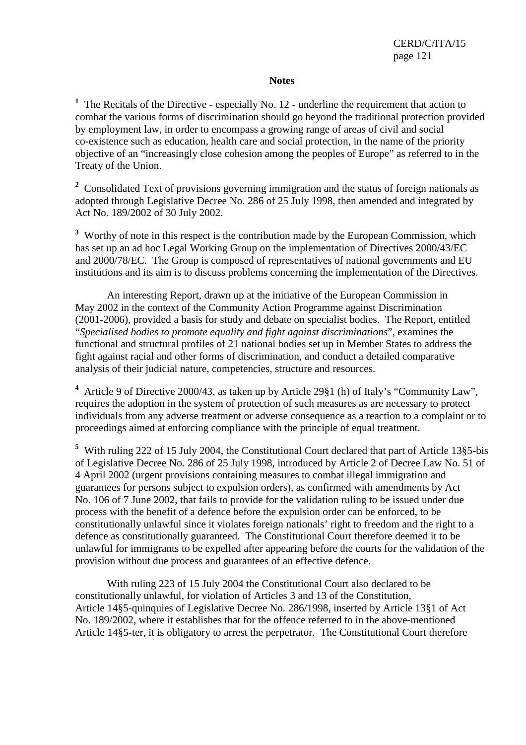#### **Notes**

<sup>1</sup> The Recitals of the Directive - especially No. 12 - underline the requirement that action to combat the various forms of discrimination should go beyond the traditional protection provided by employment law, in order to encompass a growing range of areas of civil and social co-existence such as education, health care and social protection, in the name of the priority objective of an "increasingly close cohesion among the peoples of Europe" as referred to in the Treaty of the Union.

<sup>2</sup> Consolidated Text of provisions governing immigration and the status of foreign nationals as adopted through Legislative Decree No. 286 of 25 July 1998, then amended and integrated by Act No. 189/2002 of 30 July 2002.

<sup>3</sup> Worthy of note in this respect is the contribution made by the European Commission, which has set up an ad hoc Legal Working Group on the implementation of Directives 2000/43/EC and 2000/78/EC. The Group is composed of representatives of national governments and EU institutions and its aim is to discuss problems concerning the implementation of the Directives.

 An interesting Report, drawn up at the initiative of the European Commission in May 2002 in the context of the Community Action Programme against Discrimination (2001-2006), provided a basis for study and debate on specialist bodies. The Report, entitled "*Specialised bodies to promote equality and fight against discriminations*", examines the functional and structural profiles of 21 national bodies set up in Member States to address the fight against racial and other forms of discrimination, and conduct a detailed comparative analysis of their judicial nature, competencies, structure and resources.

<sup>4</sup> Article 9 of Directive 2000/43, as taken up by Article 29§1 (h) of Italy's "Community Law", requires the adoption in the system of protection of such measures as are necessary to protect individuals from any adverse treatment or adverse consequence as a reaction to a complaint or to proceedings aimed at enforcing compliance with the principle of equal treatment.

<sup>5</sup> With ruling 222 of 15 July 2004, the Constitutional Court declared that part of Article 13§5-bis of Legislative Decree No. 286 of 25 July 1998, introduced by Article 2 of Decree Law No. 51 of 4 April 2002 (urgent provisions containing measures to combat illegal immigration and guarantees for persons subject to expulsion orders), as confirmed with amendments by Act No. 106 of 7 June 2002, that fails to provide for the validation ruling to be issued under due process with the benefit of a defence before the expulsion order can be enforced, to be constitutionally unlawful since it violates foreign nationals' right to freedom and the right to a defence as constitutionally guaranteed. The Constitutional Court therefore deemed it to be unlawful for immigrants to be expelled after appearing before the courts for the validation of the provision without due process and guarantees of an effective defence.

 With ruling 223 of 15 July 2004 the Constitutional Court also declared to be constitutionally unlawful, for violation of Articles 3 and 13 of the Constitution, Article 14§5-quinquies of Legislative Decree No. 286/1998, inserted by Article 13§1 of Act No. 189/2002, where it establishes that for the offence referred to in the above-mentioned Article 14§5-ter, it is obligatory to arrest the perpetrator. The Constitutional Court therefore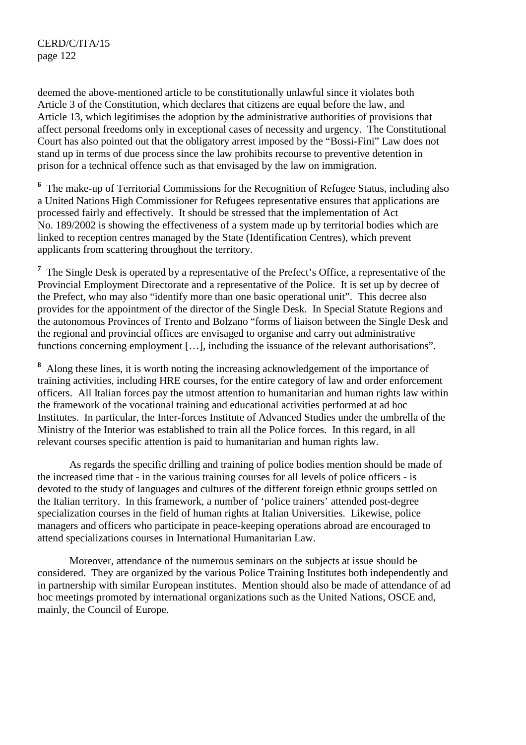deemed the above-mentioned article to be constitutionally unlawful since it violates both Article 3 of the Constitution, which declares that citizens are equal before the law, and Article 13, which legitimises the adoption by the administrative authorities of provisions that affect personal freedoms only in exceptional cases of necessity and urgency. The Constitutional Court has also pointed out that the obligatory arrest imposed by the "Bossi-Fini" Law does not stand up in terms of due process since the law prohibits recourse to preventive detention in prison for a technical offence such as that envisaged by the law on immigration.

<sup>6</sup> The make-up of Territorial Commissions for the Recognition of Refugee Status, including also a United Nations High Commissioner for Refugees representative ensures that applications are processed fairly and effectively. It should be stressed that the implementation of Act No. 189/2002 is showing the effectiveness of a system made up by territorial bodies which are linked to reception centres managed by the State (Identification Centres), which prevent applicants from scattering throughout the territory.

<sup>7</sup> The Single Desk is operated by a representative of the Prefect's Office, a representative of the Provincial Employment Directorate and a representative of the Police. It is set up by decree of the Prefect, who may also "identify more than one basic operational unit". This decree also provides for the appointment of the director of the Single Desk. In Special Statute Regions and the autonomous Provinces of Trento and Bolzano "forms of liaison between the Single Desk and the regional and provincial offices are envisaged to organise and carry out administrative functions concerning employment [...], including the issuance of the relevant authorisations".

<sup>8</sup> Along these lines, it is worth noting the increasing acknowledgement of the importance of training activities, including HRE courses, for the entire category of law and order enforcement officers. All Italian forces pay the utmost attention to humanitarian and human rights law within the framework of the vocational training and educational activities performed at ad hoc Institutes. In particular, the Inter-forces Institute of Advanced Studies under the umbrella of the Ministry of the Interior was established to train all the Police forces. In this regard, in all relevant courses specific attention is paid to humanitarian and human rights law.

 As regards the specific drilling and training of police bodies mention should be made of the increased time that - in the various training courses for all levels of police officers - is devoted to the study of languages and cultures of the different foreign ethnic groups settled on the Italian territory. In this framework, a number of 'police trainers' attended post-degree specialization courses in the field of human rights at Italian Universities. Likewise, police managers and officers who participate in peace-keeping operations abroad are encouraged to attend specializations courses in International Humanitarian Law.

 Moreover, attendance of the numerous seminars on the subjects at issue should be considered. They are organized by the various Police Training Institutes both independently and in partnership with similar European institutes. Mention should also be made of attendance of ad hoc meetings promoted by international organizations such as the United Nations, OSCE and, mainly, the Council of Europe.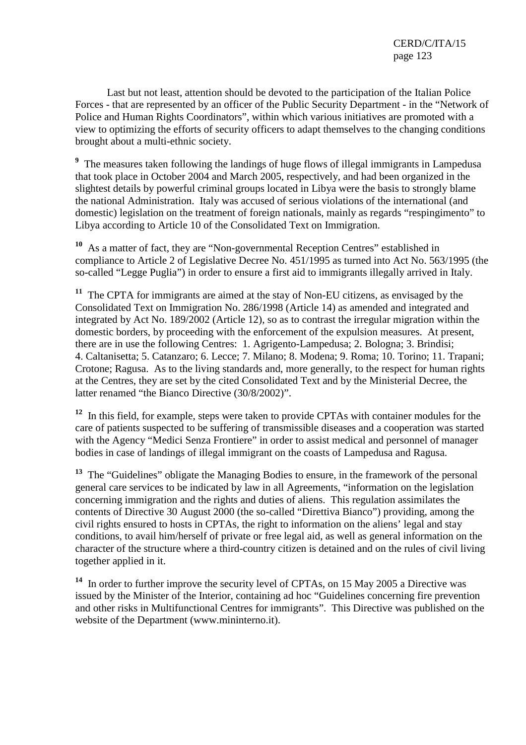Last but not least, attention should be devoted to the participation of the Italian Police Forces - that are represented by an officer of the Public Security Department - in the "Network of Police and Human Rights Coordinators", within which various initiatives are promoted with a view to optimizing the efforts of security officers to adapt themselves to the changing conditions brought about a multi-ethnic society.

<sup>9</sup> The measures taken following the landings of huge flows of illegal immigrants in Lampedusa that took place in October 2004 and March 2005, respectively, and had been organized in the slightest details by powerful criminal groups located in Libya were the basis to strongly blame the national Administration. Italy was accused of serious violations of the international (and domestic) legislation on the treatment of foreign nationals, mainly as regards "respingimento" to Libya according to Article 10 of the Consolidated Text on Immigration.

**<sup>10</sup>** As a matter of fact, they are "Non-governmental Reception Centres" established in compliance to Article 2 of Legislative Decree No. 451/1995 as turned into Act No. 563/1995 (the so-called "Legge Puglia") in order to ensure a first aid to immigrants illegally arrived in Italy.

**<sup>11</sup>** The CPTA for immigrants are aimed at the stay of Non-EU citizens, as envisaged by the Consolidated Text on Immigration No. 286/1998 (Article 14) as amended and integrated and integrated by Act No. 189/2002 (Article 12), so as to contrast the irregular migration within the domestic borders, by proceeding with the enforcement of the expulsion measures. At present, there are in use the following Centres: 1. Agrigento-Lampedusa; 2. Bologna; 3. Brindisi; 4. Caltanisetta; 5. Catanzaro; 6. Lecce; 7. Milano; 8. Modena; 9. Roma; 10. Torino; 11. Trapani; Crotone; Ragusa. As to the living standards and, more generally, to the respect for human rights at the Centres, they are set by the cited Consolidated Text and by the Ministerial Decree, the latter renamed "the Bianco Directive (30/8/2002)".

<sup>12</sup> In this field, for example, steps were taken to provide CPTAs with container modules for the care of patients suspected to be suffering of transmissible diseases and a cooperation was started with the Agency "Medici Senza Frontiere" in order to assist medical and personnel of manager bodies in case of landings of illegal immigrant on the coasts of Lampedusa and Ragusa.

<sup>13</sup> The "Guidelines" obligate the Managing Bodies to ensure, in the framework of the personal general care services to be indicated by law in all Agreements, "information on the legislation concerning immigration and the rights and duties of aliens. This regulation assimilates the contents of Directive 30 August 2000 (the so-called "Direttiva Bianco") providing, among the civil rights ensured to hosts in CPTAs, the right to information on the aliens' legal and stay conditions, to avail him/herself of private or free legal aid, as well as general information on the character of the structure where a third-country citizen is detained and on the rules of civil living together applied in it.

**<sup>14</sup>** In order to further improve the security level of CPTAs, on 15 May 2005 a Directive was issued by the Minister of the Interior, containing ad hoc "Guidelines concerning fire prevention and other risks in Multifunctional Centres for immigrants". This Directive was published on the website of the Department (www.mininterno.it).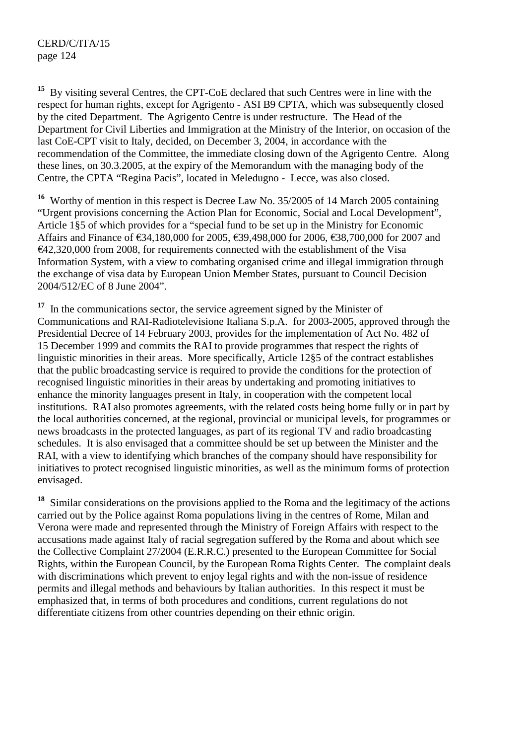**<sup>15</sup>** By visiting several Centres, the CPT-CoE declared that such Centres were in line with the respect for human rights, except for Agrigento - ASI B9 CPTA, which was subsequently closed by the cited Department. The Agrigento Centre is under restructure. The Head of the Department for Civil Liberties and Immigration at the Ministry of the Interior, on occasion of the last CoE-CPT visit to Italy, decided, on December 3, 2004, in accordance with the recommendation of the Committee, the immediate closing down of the Agrigento Centre. Along these lines, on 30.3.2005, at the expiry of the Memorandum with the managing body of the Centre, the CPTA "Regina Pacis", located in Meledugno - Lecce, was also closed.

**<sup>16</sup>** Worthy of mention in this respect is Decree Law No. 35/2005 of 14 March 2005 containing "Urgent provisions concerning the Action Plan for Economic, Social and Local Development", Article 1§5 of which provides for a "special fund to be set up in the Ministry for Economic Affairs and Finance of €34,180,000 for 2005, €39,498,000 for 2006, €38,700,000 for 2007 and  $E$ 42,320,000 from 2008, for requirements connected with the establishment of the Visa Information System, with a view to combating organised crime and illegal immigration through the exchange of visa data by European Union Member States, pursuant to Council Decision 2004/512/EC of 8 June 2004".

<sup>17</sup> In the communications sector, the service agreement signed by the Minister of Communications and RAI-Radiotelevisione Italiana S.p.A. for 2003-2005, approved through the Presidential Decree of 14 February 2003, provides for the implementation of Act No. 482 of 15 December 1999 and commits the RAI to provide programmes that respect the rights of linguistic minorities in their areas. More specifically, Article 12§5 of the contract establishes that the public broadcasting service is required to provide the conditions for the protection of recognised linguistic minorities in their areas by undertaking and promoting initiatives to enhance the minority languages present in Italy, in cooperation with the competent local institutions. RAI also promotes agreements, with the related costs being borne fully or in part by the local authorities concerned, at the regional, provincial or municipal levels, for programmes or news broadcasts in the protected languages, as part of its regional TV and radio broadcasting schedules. It is also envisaged that a committee should be set up between the Minister and the RAI, with a view to identifying which branches of the company should have responsibility for initiatives to protect recognised linguistic minorities, as well as the minimum forms of protection envisaged.

**<sup>18</sup>** Similar considerations on the provisions applied to the Roma and the legitimacy of the actions carried out by the Police against Roma populations living in the centres of Rome, Milan and Verona were made and represented through the Ministry of Foreign Affairs with respect to the accusations made against Italy of racial segregation suffered by the Roma and about which see the Collective Complaint 27/2004 (E.R.R.C.) presented to the European Committee for Social Rights, within the European Council, by the European Roma Rights Center. The complaint deals with discriminations which prevent to enjoy legal rights and with the non-issue of residence permits and illegal methods and behaviours by Italian authorities. In this respect it must be emphasized that, in terms of both procedures and conditions, current regulations do not differentiate citizens from other countries depending on their ethnic origin.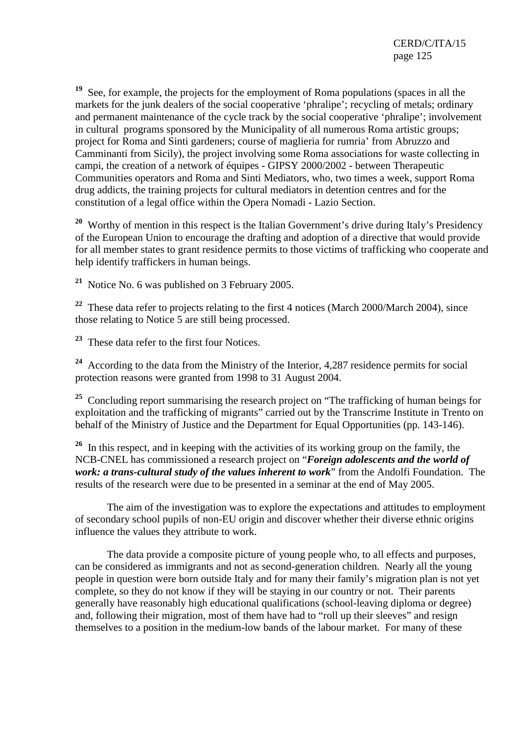**<sup>19</sup>** See, for example, the projects for the employment of Roma populations (spaces in all the markets for the junk dealers of the social cooperative 'phralipe'; recycling of metals; ordinary and permanent maintenance of the cycle track by the social cooperative 'phralipe'; involvement in cultural programs sponsored by the Municipality of all numerous Roma artistic groups; project for Roma and Sinti gardeners; course of maglieria for rumria' from Abruzzo and Camminanti from Sicily), the project involving some Roma associations for waste collecting in campi, the creation of a network of équipes - GIPSY 2000/2002 - between Therapeutic Communities operators and Roma and Sinti Mediators, who, two times a week, support Roma drug addicts, the training projects for cultural mediators in detention centres and for the constitution of a legal office within the Opera Nomadi - Lazio Section.

<sup>20</sup> Worthy of mention in this respect is the Italian Government's drive during Italy's Presidency of the European Union to encourage the drafting and adoption of a directive that would provide for all member states to grant residence permits to those victims of trafficking who cooperate and help identify traffickers in human beings.

**<sup>21</sup>** Notice No. 6 was published on 3 February 2005.

**<sup>22</sup>** These data refer to projects relating to the first 4 notices (March 2000/March 2004), since those relating to Notice 5 are still being processed.

**<sup>23</sup>** These data refer to the first four Notices.

**<sup>24</sup>** According to the data from the Ministry of the Interior, 4,287 residence permits for social protection reasons were granted from 1998 to 31 August 2004.

<sup>25</sup> Concluding report summarising the research project on "The trafficking of human beings for exploitation and the trafficking of migrants" carried out by the Transcrime Institute in Trento on behalf of the Ministry of Justice and the Department for Equal Opportunities (pp. 143-146).

<sup>26</sup> In this respect, and in keeping with the activities of its working group on the family, the NCB-CNEL has commissioned a research project on "*Foreign adolescents and the world of work: a trans-cultural study of the values inherent to work*" from the Andolfi Foundation. The results of the research were due to be presented in a seminar at the end of May 2005.

 The aim of the investigation was to explore the expectations and attitudes to employment of secondary school pupils of non-EU origin and discover whether their diverse ethnic origins influence the values they attribute to work.

 The data provide a composite picture of young people who, to all effects and purposes, can be considered as immigrants and not as second-generation children. Nearly all the young people in question were born outside Italy and for many their family's migration plan is not yet complete, so they do not know if they will be staying in our country or not. Their parents generally have reasonably high educational qualifications (school-leaving diploma or degree) and, following their migration, most of them have had to "roll up their sleeves" and resign themselves to a position in the medium-low bands of the labour market. For many of these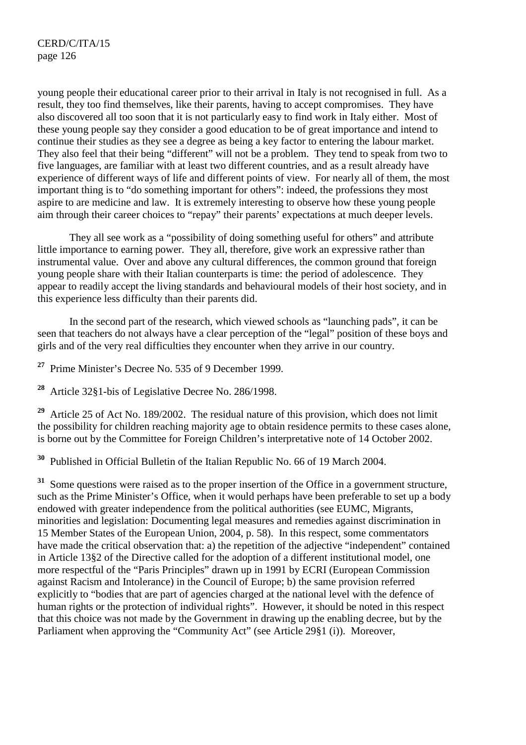young people their educational career prior to their arrival in Italy is not recognised in full. As a result, they too find themselves, like their parents, having to accept compromises. They have also discovered all too soon that it is not particularly easy to find work in Italy either. Most of these young people say they consider a good education to be of great importance and intend to continue their studies as they see a degree as being a key factor to entering the labour market. They also feel that their being "different" will not be a problem. They tend to speak from two to five languages, are familiar with at least two different countries, and as a result already have experience of different ways of life and different points of view. For nearly all of them, the most important thing is to "do something important for others": indeed, the professions they most aspire to are medicine and law. It is extremely interesting to observe how these young people aim through their career choices to "repay" their parents' expectations at much deeper levels.

 They all see work as a "possibility of doing something useful for others" and attribute little importance to earning power. They all, therefore, give work an expressive rather than instrumental value. Over and above any cultural differences, the common ground that foreign young people share with their Italian counterparts is time: the period of adolescence. They appear to readily accept the living standards and behavioural models of their host society, and in this experience less difficulty than their parents did.

 In the second part of the research, which viewed schools as "launching pads", it can be seen that teachers do not always have a clear perception of the "legal" position of these boys and girls and of the very real difficulties they encounter when they arrive in our country.

**<sup>27</sup>** Prime Minister's Decree No. 535 of 9 December 1999.

**<sup>28</sup>** Article 32§1-bis of Legislative Decree No. 286/1998.

**<sup>29</sup>** Article 25 of Act No. 189/2002. The residual nature of this provision, which does not limit the possibility for children reaching majority age to obtain residence permits to these cases alone, is borne out by the Committee for Foreign Children's interpretative note of 14 October 2002.

**<sup>30</sup>** Published in Official Bulletin of the Italian Republic No. 66 of 19 March 2004.

<sup>31</sup> Some questions were raised as to the proper insertion of the Office in a government structure, such as the Prime Minister's Office, when it would perhaps have been preferable to set up a body endowed with greater independence from the political authorities (see EUMC, Migrants, minorities and legislation: Documenting legal measures and remedies against discrimination in 15 Member States of the European Union, 2004, p. 58). In this respect, some commentators have made the critical observation that: a) the repetition of the adjective "independent" contained in Article 13§2 of the Directive called for the adoption of a different institutional model, one more respectful of the "Paris Principles" drawn up in 1991 by ECRI (European Commission against Racism and Intolerance) in the Council of Europe; b) the same provision referred explicitly to "bodies that are part of agencies charged at the national level with the defence of human rights or the protection of individual rights". However, it should be noted in this respect that this choice was not made by the Government in drawing up the enabling decree, but by the Parliament when approving the "Community Act" (see Article 29§1 (i)). Moreover,